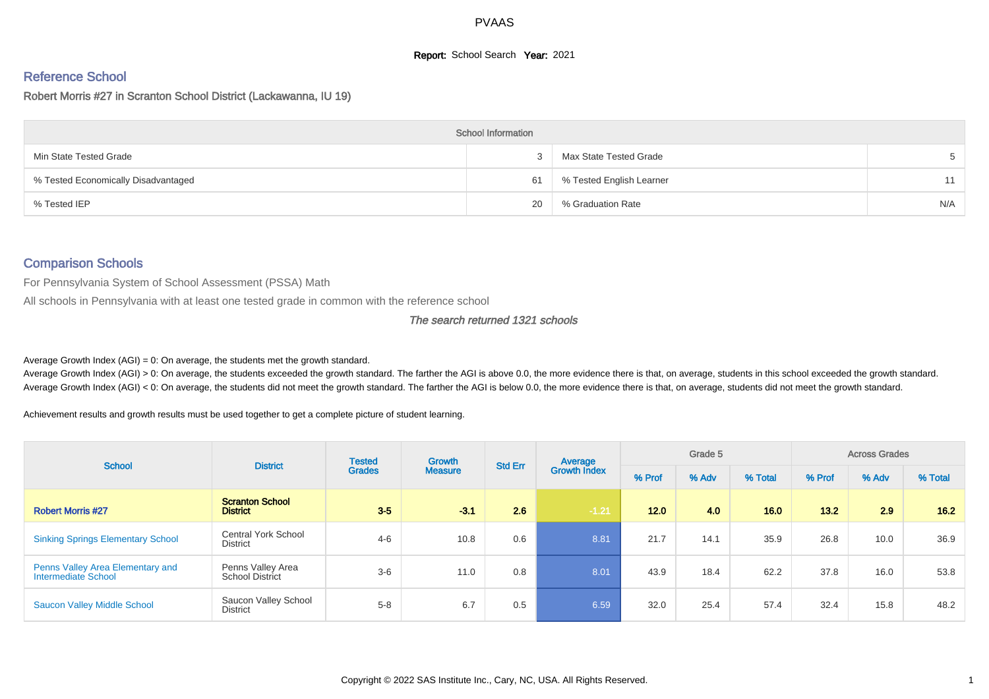## **Report:** School Search **Year:** 2021

### Reference School

#### Robert Morris #27 in Scranton School District (Lackawanna, IU 19)

|                                     | <b>School Information</b> |                          |     |
|-------------------------------------|---------------------------|--------------------------|-----|
| Min State Tested Grade              | 2                         | Max State Tested Grade   | 5   |
| % Tested Economically Disadvantaged | 61                        | % Tested English Learner | 11  |
| % Tested IEP                        | 20                        | % Graduation Rate        | N/A |

#### Comparison Schools

For Pennsylvania System of School Assessment (PSSA) Math

All schools in Pennsylvania with at least one tested grade in common with the reference school

#### The search returned 1321 schools

Average Growth Index  $(AGI) = 0$ : On average, the students met the growth standard.

Average Growth Index (AGI) > 0: On average, the students exceeded the growth standard. The farther the AGI is above 0.0, the more evidence there is that, on average, students in this school exceeded the growth standard. Average Growth Index (AGI) < 0: On average, the students did not meet the growth standard. The farther the AGI is below 0.0, the more evidence there is that, on average, students did not meet the growth standard.

Achievement results and growth results must be used together to get a complete picture of student learning.

| <b>School</b>                                           | <b>District</b>                               | <b>Tested</b> | Growth         | <b>Std Err</b> | Average             | Grade 5 |       |         | <b>Across Grades</b> |       |         |
|---------------------------------------------------------|-----------------------------------------------|---------------|----------------|----------------|---------------------|---------|-------|---------|----------------------|-------|---------|
|                                                         |                                               | <b>Grades</b> | <b>Measure</b> |                | <b>Growth Index</b> | % Prof  | % Adv | % Total | % Prof               | % Adv | % Total |
| <b>Robert Morris #27</b>                                | <b>Scranton School</b><br><b>District</b>     | $3-5$         | $-3.1$         | 2.6            | $-1.21$             | 12.0    | 4.0   | 16.0    | 13.2                 | 2.9   | 16.2    |
| <b>Sinking Springs Elementary School</b>                | <b>Central York School</b><br><b>District</b> | $4 - 6$       | 10.8           | 0.6            | 8.81                | 21.7    | 14.1  | 35.9    | 26.8                 | 10.0  | 36.9    |
| Penns Valley Area Elementary and<br>Intermediate School | Penns Valley Area<br><b>School District</b>   | $3-6$         | 11.0           | 0.8            | 8.01                | 43.9    | 18.4  | 62.2    | 37.8                 | 16.0  | 53.8    |
| <b>Saucon Valley Middle School</b>                      | Saucon Valley School<br>District              | $5 - 8$       | 6.7            | 0.5            | 6.59                | 32.0    | 25.4  | 57.4    | 32.4                 | 15.8  | 48.2    |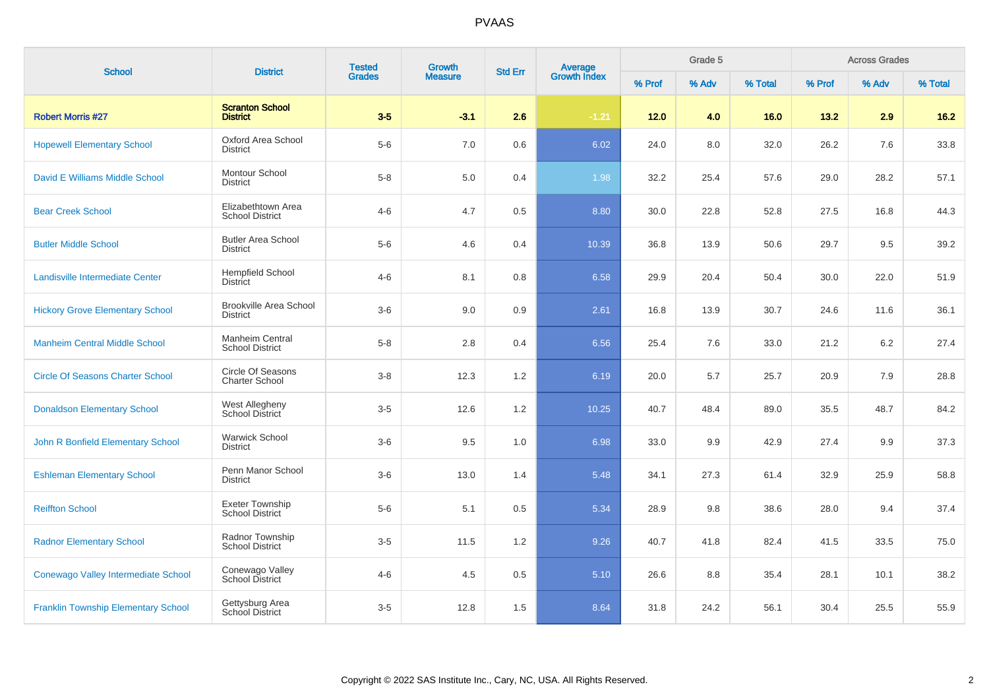| <b>School</b>                              | <b>District</b>                                  | <b>Tested</b> | Growth         | <b>Std Err</b> |                                |        | Grade 5 |         |        | <b>Across Grades</b> |         |
|--------------------------------------------|--------------------------------------------------|---------------|----------------|----------------|--------------------------------|--------|---------|---------|--------|----------------------|---------|
|                                            |                                                  | <b>Grades</b> | <b>Measure</b> |                | <b>Average</b><br>Growth Index | % Prof | % Adv   | % Total | % Prof | % Adv                | % Total |
| <b>Robert Morris #27</b>                   | <b>Scranton School</b><br><b>District</b>        | $3-5$         | $-3.1$         | 2.6            | $-1.21$                        | $12.0$ | 4.0     | 16.0    | 13.2   | 2.9                  | $16.2$  |
| <b>Hopewell Elementary School</b>          | Oxford Area School<br><b>District</b>            | $5-6$         | 7.0            | $0.6\,$        | 6.02                           | 24.0   | 8.0     | 32.0    | 26.2   | 7.6                  | 33.8    |
| David E Williams Middle School             | <b>Montour School</b><br><b>District</b>         | $5 - 8$       | 5.0            | 0.4            | 1.98                           | 32.2   | 25.4    | 57.6    | 29.0   | 28.2                 | 57.1    |
| <b>Bear Creek School</b>                   | Elizabethtown Area<br><b>School District</b>     | $4 - 6$       | 4.7            | 0.5            | 8.80                           | 30.0   | 22.8    | 52.8    | 27.5   | 16.8                 | 44.3    |
| <b>Butler Middle School</b>                | <b>Butler Area School</b><br>District            | $5-6$         | 4.6            | 0.4            | 10.39                          | 36.8   | 13.9    | 50.6    | 29.7   | 9.5                  | 39.2    |
| <b>Landisville Intermediate Center</b>     | <b>Hempfield School</b><br>District              | $4 - 6$       | 8.1            | 0.8            | 6.58                           | 29.9   | 20.4    | 50.4    | 30.0   | 22.0                 | 51.9    |
| <b>Hickory Grove Elementary School</b>     | <b>Brookville Area School</b><br><b>District</b> | $3-6$         | 9.0            | 0.9            | 2.61                           | 16.8   | 13.9    | 30.7    | 24.6   | 11.6                 | 36.1    |
| <b>Manheim Central Middle School</b>       | <b>Manheim Central</b><br><b>School District</b> | $5 - 8$       | 2.8            | 0.4            | 6.56                           | 25.4   | 7.6     | 33.0    | 21.2   | 6.2                  | 27.4    |
| <b>Circle Of Seasons Charter School</b>    | Circle Of Seasons<br><b>Charter School</b>       | $3 - 8$       | 12.3           | 1.2            | 6.19                           | 20.0   | 5.7     | 25.7    | 20.9   | 7.9                  | 28.8    |
| <b>Donaldson Elementary School</b>         | West Allegheny<br>School District                | $3-5$         | 12.6           | 1.2            | 10.25                          | 40.7   | 48.4    | 89.0    | 35.5   | 48.7                 | 84.2    |
| John R Bonfield Elementary School          | <b>Warwick School</b><br>District                | $3-6$         | 9.5            | 1.0            | 6.98                           | 33.0   | 9.9     | 42.9    | 27.4   | 9.9                  | 37.3    |
| <b>Eshleman Elementary School</b>          | Penn Manor School<br><b>District</b>             | $3-6$         | 13.0           | 1.4            | 5.48                           | 34.1   | 27.3    | 61.4    | 32.9   | 25.9                 | 58.8    |
| <b>Reiffton School</b>                     | <b>Exeter Township</b><br><b>School District</b> | $5-6$         | 5.1            | 0.5            | 5.34                           | 28.9   | 9.8     | 38.6    | 28.0   | 9.4                  | 37.4    |
| <b>Radnor Elementary School</b>            | Radnor Township<br><b>School District</b>        | $3-5$         | 11.5           | 1.2            | 9.26                           | 40.7   | 41.8    | 82.4    | 41.5   | 33.5                 | 75.0    |
| Conewago Valley Intermediate School        | Conewago Valley<br>School District               | $4 - 6$       | 4.5            | $0.5\,$        | 5.10                           | 26.6   | 8.8     | 35.4    | 28.1   | 10.1                 | 38.2    |
| <b>Franklin Township Elementary School</b> | Gettysburg Area<br>School District               | $3-5$         | 12.8           | 1.5            | 8.64                           | 31.8   | 24.2    | 56.1    | 30.4   | 25.5                 | 55.9    |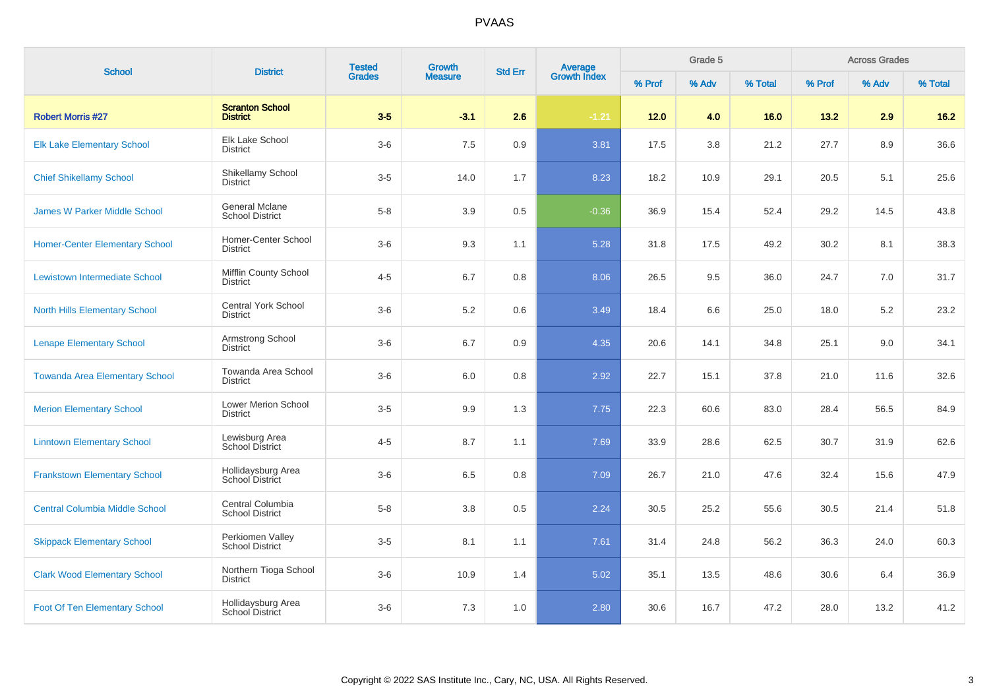| <b>School</b>                         | <b>District</b>                                 | <b>Tested</b> | Growth         | <b>Std Err</b> | <b>Average</b><br>Growth Index |        | Grade 5 |         |        | <b>Across Grades</b> |         |
|---------------------------------------|-------------------------------------------------|---------------|----------------|----------------|--------------------------------|--------|---------|---------|--------|----------------------|---------|
|                                       |                                                 | <b>Grades</b> | <b>Measure</b> |                |                                | % Prof | % Adv   | % Total | % Prof | % Adv                | % Total |
| <b>Robert Morris #27</b>              | <b>Scranton School</b><br><b>District</b>       | $3-5$         | $-3.1$         | 2.6            | $-1.21$                        | $12.0$ | 4.0     | 16.0    | 13.2   | 2.9                  | $16.2$  |
| <b>Elk Lake Elementary School</b>     | Elk Lake School<br><b>District</b>              | $3-6$         | 7.5            | $0.9\,$        | 3.81                           | 17.5   | 3.8     | 21.2    | 27.7   | 8.9                  | 36.6    |
| <b>Chief Shikellamy School</b>        | Shikellamy School<br><b>District</b>            | $3-5$         | 14.0           | 1.7            | 8.23                           | 18.2   | 10.9    | 29.1    | 20.5   | 5.1                  | 25.6    |
| <b>James W Parker Middle School</b>   | <b>General Mclane</b><br><b>School District</b> | $5-8$         | 3.9            | 0.5            | $-0.36$                        | 36.9   | 15.4    | 52.4    | 29.2   | 14.5                 | 43.8    |
| <b>Homer-Center Elementary School</b> | Homer-Center School<br><b>District</b>          | $3-6$         | 9.3            | 1.1            | 5.28                           | 31.8   | 17.5    | 49.2    | 30.2   | 8.1                  | 38.3    |
| Lewistown Intermediate School         | <b>Mifflin County School</b><br><b>District</b> | $4 - 5$       | 6.7            | 0.8            | 8.06                           | 26.5   | 9.5     | 36.0    | 24.7   | 7.0                  | 31.7    |
| <b>North Hills Elementary School</b>  | <b>Central York School</b><br><b>District</b>   | $3-6$         | 5.2            | 0.6            | 3.49                           | 18.4   | 6.6     | 25.0    | 18.0   | 5.2                  | 23.2    |
| <b>Lenape Elementary School</b>       | Armstrong School<br><b>District</b>             | $3-6$         | 6.7            | 0.9            | 4.35                           | 20.6   | 14.1    | 34.8    | 25.1   | 9.0                  | 34.1    |
| <b>Towanda Area Elementary School</b> | Towanda Area School<br><b>District</b>          | $3-6$         | 6.0            | 0.8            | 2.92                           | 22.7   | 15.1    | 37.8    | 21.0   | 11.6                 | 32.6    |
| <b>Merion Elementary School</b>       | Lower Merion School<br><b>District</b>          | $3-5$         | 9.9            | 1.3            | 7.75                           | 22.3   | 60.6    | 83.0    | 28.4   | 56.5                 | 84.9    |
| <b>Linntown Elementary School</b>     | Lewisburg Area<br>School District               | $4 - 5$       | 8.7            | 1.1            | 7.69                           | 33.9   | 28.6    | 62.5    | 30.7   | 31.9                 | 62.6    |
| <b>Frankstown Elementary School</b>   | Hollidaysburg Area<br>School District           | $3-6$         | 6.5            | 0.8            | 7.09                           | 26.7   | 21.0    | 47.6    | 32.4   | 15.6                 | 47.9    |
| <b>Central Columbia Middle School</b> | Central Columbia<br><b>School District</b>      | $5-8$         | 3.8            | 0.5            | 2.24                           | 30.5   | 25.2    | 55.6    | 30.5   | 21.4                 | 51.8    |
| <b>Skippack Elementary School</b>     | Perkiomen Valley<br><b>School District</b>      | $3-5$         | 8.1            | 1.1            | 7.61                           | 31.4   | 24.8    | 56.2    | 36.3   | 24.0                 | 60.3    |
| <b>Clark Wood Elementary School</b>   | Northern Tioga School<br><b>District</b>        | $3-6$         | 10.9           | 1.4            | 5.02                           | 35.1   | 13.5    | 48.6    | 30.6   | 6.4                  | 36.9    |
| <b>Foot Of Ten Elementary School</b>  | Hollidaysburg Area<br>School District           | $3-6$         | 7.3            | 1.0            | 2.80                           | 30.6   | 16.7    | 47.2    | 28.0   | 13.2                 | 41.2    |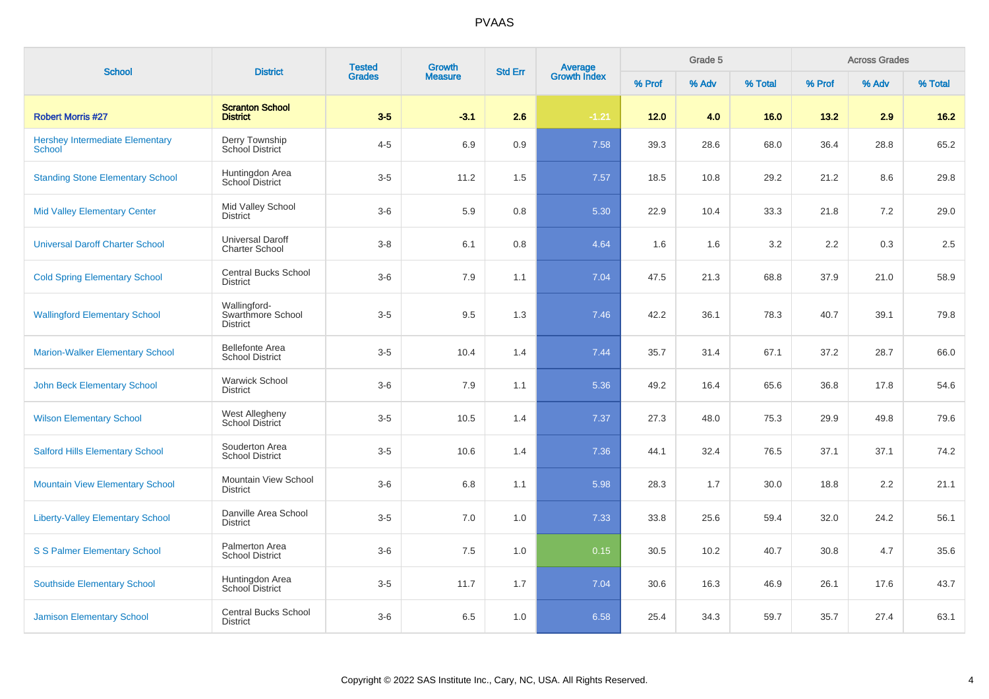| <b>School</b>                                           | <b>District</b>                                      | <b>Tested</b> | Growth         | <b>Std Err</b> |                                |        | Grade 5 |         |        | <b>Across Grades</b> |         |
|---------------------------------------------------------|------------------------------------------------------|---------------|----------------|----------------|--------------------------------|--------|---------|---------|--------|----------------------|---------|
|                                                         |                                                      | <b>Grades</b> | <b>Measure</b> |                | <b>Average</b><br>Growth Index | % Prof | % Adv   | % Total | % Prof | % Adv                | % Total |
| <b>Robert Morris #27</b>                                | <b>Scranton School</b><br><b>District</b>            | $3-5$         | $-3.1$         | 2.6            | $-1.21$                        | 12.0   | 4.0     | 16.0    | 13.2   | 2.9                  | 16.2    |
| <b>Hershey Intermediate Elementary</b><br><b>School</b> | Derry Township<br>School District                    | $4 - 5$       | 6.9            | 0.9            | 7.58                           | 39.3   | 28.6    | 68.0    | 36.4   | 28.8                 | 65.2    |
| <b>Standing Stone Elementary School</b>                 | Huntingdon Area<br>School District                   | $3-5$         | 11.2           | 1.5            | 7.57                           | 18.5   | 10.8    | 29.2    | 21.2   | 8.6                  | 29.8    |
| <b>Mid Valley Elementary Center</b>                     | Mid Valley School<br><b>District</b>                 | $3-6$         | 5.9            | 0.8            | 5.30                           | 22.9   | 10.4    | 33.3    | 21.8   | 7.2                  | 29.0    |
| <b>Universal Daroff Charter School</b>                  | Universal Daroff<br><b>Charter School</b>            | $3 - 8$       | 6.1            | 0.8            | 4.64                           | 1.6    | 1.6     | 3.2     | 2.2    | 0.3                  | 2.5     |
| <b>Cold Spring Elementary School</b>                    | <b>Central Bucks School</b><br><b>District</b>       | $3-6$         | 7.9            | 1.1            | 7.04                           | 47.5   | 21.3    | 68.8    | 37.9   | 21.0                 | 58.9    |
| <b>Wallingford Elementary School</b>                    | Wallingford-<br>Swarthmore School<br><b>District</b> | $3-5$         | 9.5            | 1.3            | 7.46                           | 42.2   | 36.1    | 78.3    | 40.7   | 39.1                 | 79.8    |
| <b>Marion-Walker Elementary School</b>                  | <b>Bellefonte Area</b><br><b>School District</b>     | $3-5$         | 10.4           | 1.4            | 7.44                           | 35.7   | 31.4    | 67.1    | 37.2   | 28.7                 | 66.0    |
| <b>John Beck Elementary School</b>                      | <b>Warwick School</b><br><b>District</b>             | $3-6$         | 7.9            | 1.1            | 5.36                           | 49.2   | 16.4    | 65.6    | 36.8   | 17.8                 | 54.6    |
| <b>Wilson Elementary School</b>                         | West Allegheny<br>School District                    | $3-5$         | 10.5           | 1.4            | 7.37                           | 27.3   | 48.0    | 75.3    | 29.9   | 49.8                 | 79.6    |
| <b>Salford Hills Elementary School</b>                  | Souderton Area<br><b>School District</b>             | $3-5$         | 10.6           | 1.4            | 7.36                           | 44.1   | 32.4    | 76.5    | 37.1   | 37.1                 | 74.2    |
| <b>Mountain View Elementary School</b>                  | Mountain View School<br><b>District</b>              | $3-6$         | 6.8            | 1.1            | 5.98                           | 28.3   | 1.7     | 30.0    | 18.8   | 2.2                  | 21.1    |
| <b>Liberty-Valley Elementary School</b>                 | Danville Area School<br><b>District</b>              | $3-5$         | 7.0            | 1.0            | 7.33                           | 33.8   | 25.6    | 59.4    | 32.0   | 24.2                 | 56.1    |
| <b>S S Palmer Elementary School</b>                     | Palmerton Area<br><b>School District</b>             | $3-6$         | 7.5            | 1.0            | 0.15                           | 30.5   | 10.2    | 40.7    | 30.8   | 4.7                  | 35.6    |
| <b>Southside Elementary School</b>                      | Huntingdon Area<br>School District                   | $3-5$         | 11.7           | 1.7            | 7.04                           | 30.6   | 16.3    | 46.9    | 26.1   | 17.6                 | 43.7    |
| <b>Jamison Elementary School</b>                        | <b>Central Bucks School</b><br><b>District</b>       | $3-6$         | 6.5            | 1.0            | 6.58                           | 25.4   | 34.3    | 59.7    | 35.7   | 27.4                 | 63.1    |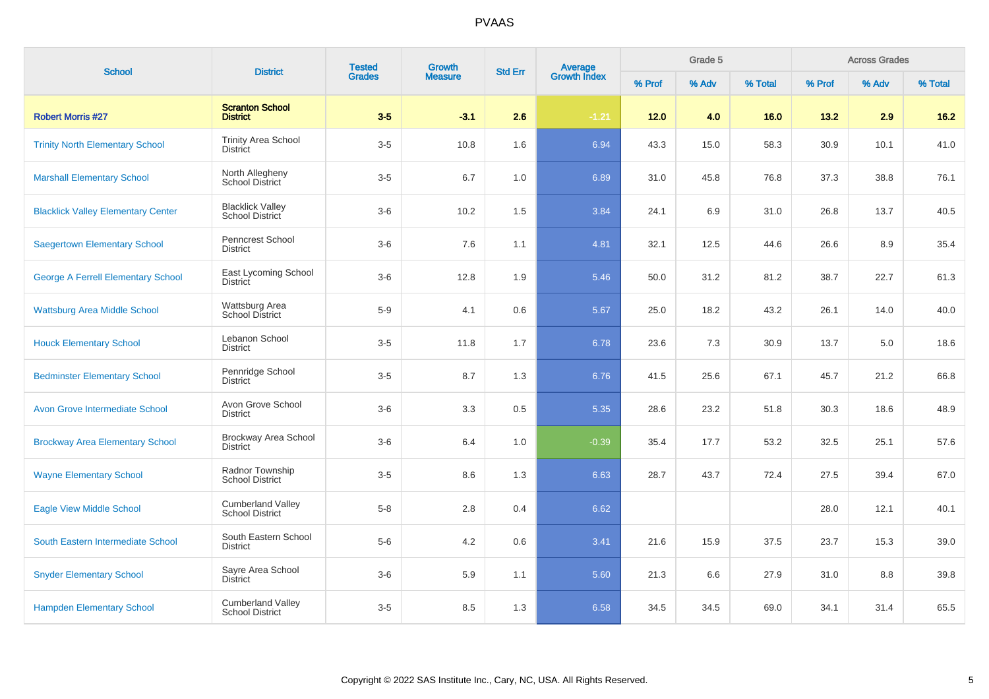| <b>School</b>                             | <b>District</b>                                    | <b>Tested</b> | Growth         | <b>Std Err</b> | <b>Average</b><br>Growth Index |        | Grade 5 |         |        | <b>Across Grades</b> |         |
|-------------------------------------------|----------------------------------------------------|---------------|----------------|----------------|--------------------------------|--------|---------|---------|--------|----------------------|---------|
|                                           |                                                    | <b>Grades</b> | <b>Measure</b> |                |                                | % Prof | % Adv   | % Total | % Prof | % Adv                | % Total |
| <b>Robert Morris #27</b>                  | <b>Scranton School</b><br><b>District</b>          | $3-5$         | $-3.1$         | 2.6            | $-1.21$                        | $12.0$ | 4.0     | 16.0    | 13.2   | 2.9                  | $16.2$  |
| <b>Trinity North Elementary School</b>    | <b>Trinity Area School</b><br><b>District</b>      | $3-5$         | 10.8           | 1.6            | 6.94                           | 43.3   | 15.0    | 58.3    | 30.9   | 10.1                 | 41.0    |
| <b>Marshall Elementary School</b>         | North Allegheny<br><b>School District</b>          | $3-5$         | 6.7            | 1.0            | 6.89                           | 31.0   | 45.8    | 76.8    | 37.3   | 38.8                 | 76.1    |
| <b>Blacklick Valley Elementary Center</b> | <b>Blacklick Valley</b><br>School District         | $3-6$         | 10.2           | 1.5            | 3.84                           | 24.1   | 6.9     | 31.0    | 26.8   | 13.7                 | 40.5    |
| <b>Saegertown Elementary School</b>       | Penncrest School<br>District                       | $3-6$         | 7.6            | 1.1            | 4.81                           | 32.1   | 12.5    | 44.6    | 26.6   | 8.9                  | 35.4    |
| <b>George A Ferrell Elementary School</b> | East Lycoming School<br><b>District</b>            | $3-6$         | 12.8           | 1.9            | 5.46                           | 50.0   | 31.2    | 81.2    | 38.7   | 22.7                 | 61.3    |
| <b>Wattsburg Area Middle School</b>       | Wattsburg Area<br><b>School District</b>           | $5-9$         | 4.1            | 0.6            | 5.67                           | 25.0   | 18.2    | 43.2    | 26.1   | 14.0                 | 40.0    |
| <b>Houck Elementary School</b>            | Lebanon School<br><b>District</b>                  | $3-5$         | 11.8           | 1.7            | 6.78                           | 23.6   | 7.3     | 30.9    | 13.7   | 5.0                  | 18.6    |
| <b>Bedminster Elementary School</b>       | Pennridge School<br><b>District</b>                | $3-5$         | 8.7            | 1.3            | 6.76                           | 41.5   | 25.6    | 67.1    | 45.7   | 21.2                 | 66.8    |
| <b>Avon Grove Intermediate School</b>     | Avon Grove School<br><b>District</b>               | $3-6$         | 3.3            | 0.5            | 5.35                           | 28.6   | 23.2    | 51.8    | 30.3   | 18.6                 | 48.9    |
| <b>Brockway Area Elementary School</b>    | Brockway Area School<br><b>District</b>            | $3-6$         | 6.4            | 1.0            | $-0.39$                        | 35.4   | 17.7    | 53.2    | 32.5   | 25.1                 | 57.6    |
| <b>Wayne Elementary School</b>            | Radnor Township<br><b>School District</b>          | $3-5$         | 8.6            | 1.3            | 6.63                           | 28.7   | 43.7    | 72.4    | 27.5   | 39.4                 | 67.0    |
| <b>Eagle View Middle School</b>           | <b>Cumberland Valley</b><br><b>School District</b> | $5-8$         | 2.8            | 0.4            | 6.62                           |        |         |         | 28.0   | 12.1                 | 40.1    |
| South Eastern Intermediate School         | South Eastern School<br><b>District</b>            | $5-6$         | 4.2            | 0.6            | 3.41                           | 21.6   | 15.9    | 37.5    | 23.7   | 15.3                 | 39.0    |
| <b>Snyder Elementary School</b>           | Sayre Area School<br><b>District</b>               | $3-6$         | 5.9            | 1.1            | 5.60                           | 21.3   | 6.6     | 27.9    | 31.0   | 8.8                  | 39.8    |
| <b>Hampden Elementary School</b>          | <b>Cumberland Valley</b><br><b>School District</b> | $3-5$         | 8.5            | 1.3            | 6.58                           | 34.5   | 34.5    | 69.0    | 34.1   | 31.4                 | 65.5    |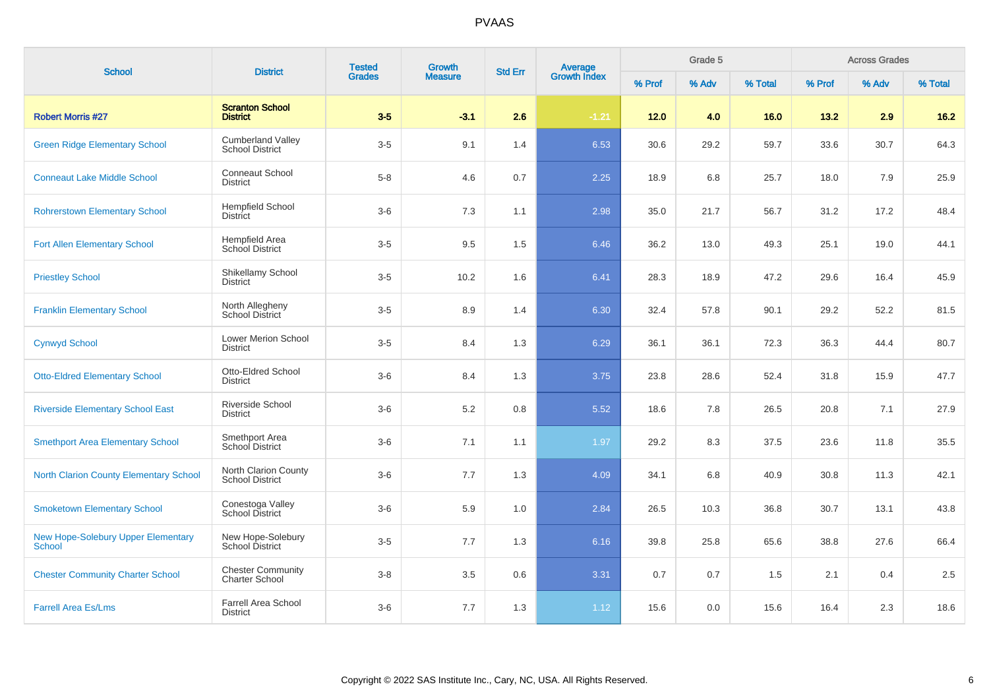| <b>School</b>                                       | <b>District</b>                                    | <b>Tested</b> | Growth         | <b>Std Err</b> | <b>Average</b><br>Growth Index |        | Grade 5 |         |        | <b>Across Grades</b> |         |
|-----------------------------------------------------|----------------------------------------------------|---------------|----------------|----------------|--------------------------------|--------|---------|---------|--------|----------------------|---------|
|                                                     |                                                    | <b>Grades</b> | <b>Measure</b> |                |                                | % Prof | % Adv   | % Total | % Prof | % Adv                | % Total |
| <b>Robert Morris #27</b>                            | <b>Scranton School</b><br><b>District</b>          | $3-5$         | $-3.1$         | 2.6            | $-1.21$                        | $12.0$ | 4.0     | 16.0    | 13.2   | 2.9                  | $16.2$  |
| <b>Green Ridge Elementary School</b>                | <b>Cumberland Valley</b><br><b>School District</b> | $3-5$         | 9.1            | 1.4            | 6.53                           | 30.6   | 29.2    | 59.7    | 33.6   | 30.7                 | 64.3    |
| <b>Conneaut Lake Middle School</b>                  | <b>Conneaut School</b><br><b>District</b>          | $5 - 8$       | 4.6            | 0.7            | 2.25                           | 18.9   | 6.8     | 25.7    | 18.0   | 7.9                  | 25.9    |
| <b>Rohrerstown Elementary School</b>                | <b>Hempfield School</b><br><b>District</b>         | $3-6$         | 7.3            | 1.1            | 2.98                           | 35.0   | 21.7    | 56.7    | 31.2   | 17.2                 | 48.4    |
| <b>Fort Allen Elementary School</b>                 | Hempfield Area<br>School District                  | $3-5$         | 9.5            | 1.5            | 6.46                           | 36.2   | 13.0    | 49.3    | 25.1   | 19.0                 | 44.1    |
| <b>Priestley School</b>                             | Shikellamy School<br>District                      | $3-5$         | 10.2           | 1.6            | 6.41                           | 28.3   | 18.9    | 47.2    | 29.6   | 16.4                 | 45.9    |
| <b>Franklin Elementary School</b>                   | North Allegheny<br>School District                 | $3-5$         | 8.9            | 1.4            | 6.30                           | 32.4   | 57.8    | 90.1    | 29.2   | 52.2                 | 81.5    |
| <b>Cynwyd School</b>                                | <b>Lower Merion School</b><br><b>District</b>      | $3-5$         | 8.4            | 1.3            | 6.29                           | 36.1   | 36.1    | 72.3    | 36.3   | 44.4                 | 80.7    |
| <b>Otto-Eldred Elementary School</b>                | Otto-Eldred School<br><b>District</b>              | $3-6$         | 8.4            | 1.3            | 3.75                           | 23.8   | 28.6    | 52.4    | 31.8   | 15.9                 | 47.7    |
| <b>Riverside Elementary School East</b>             | Riverside School<br><b>District</b>                | $3-6$         | 5.2            | 0.8            | 5.52                           | 18.6   | 7.8     | 26.5    | 20.8   | 7.1                  | 27.9    |
| <b>Smethport Area Elementary School</b>             | Smethport Area<br>School District                  | $3-6$         | 7.1            | 1.1            | 1.97                           | 29.2   | 8.3     | 37.5    | 23.6   | 11.8                 | 35.5    |
| <b>North Clarion County Elementary School</b>       | North Clarion County<br>School District            | $3-6$         | 7.7            | 1.3            | 4.09                           | 34.1   | 6.8     | 40.9    | 30.8   | 11.3                 | 42.1    |
| <b>Smoketown Elementary School</b>                  | Conestoga Valley<br>School District                | $3-6$         | 5.9            | 1.0            | 2.84                           | 26.5   | 10.3    | 36.8    | 30.7   | 13.1                 | 43.8    |
| New Hope-Solebury Upper Elementary<br><b>School</b> | New Hope-Solebury<br>School District               | $3-5$         | 7.7            | 1.3            | 6.16                           | 39.8   | 25.8    | 65.6    | 38.8   | 27.6                 | 66.4    |
| <b>Chester Community Charter School</b>             | <b>Chester Community</b><br><b>Charter School</b>  | $3 - 8$       | 3.5            | 0.6            | 3.31                           | 0.7    | 0.7     | 1.5     | 2.1    | 0.4                  | 2.5     |
| <b>Farrell Area Es/Lms</b>                          | <b>Farrell Area School</b><br><b>District</b>      | $3-6$         | 7.7            | 1.3            | 1.12                           | 15.6   | 0.0     | 15.6    | 16.4   | 2.3                  | 18.6    |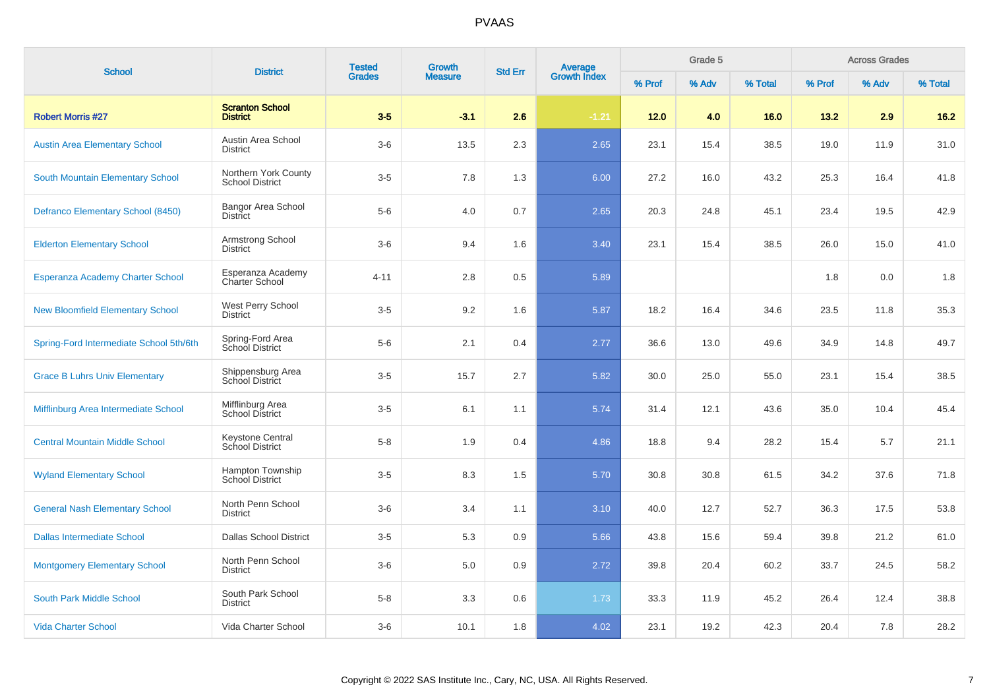|                                         |                                                | <b>Tested</b> | Growth         |                |                         |        | Grade 5 |         |        | <b>Across Grades</b> |         |
|-----------------------------------------|------------------------------------------------|---------------|----------------|----------------|-------------------------|--------|---------|---------|--------|----------------------|---------|
| <b>School</b>                           | <b>District</b>                                | <b>Grades</b> | <b>Measure</b> | <b>Std Err</b> | Average<br>Growth Index | % Prof | % Adv   | % Total | % Prof | % Adv                | % Total |
| <b>Robert Morris #27</b>                | <b>Scranton School</b><br><b>District</b>      | $3-5$         | $-3.1$         | 2.6            | $-1.21$                 | 12.0   | 4.0     | 16.0    | 13.2   | 2.9                  | $16.2$  |
| <b>Austin Area Elementary School</b>    | Austin Area School<br>District                 | $3-6$         | 13.5           | 2.3            | 2.65                    | 23.1   | 15.4    | 38.5    | 19.0   | 11.9                 | 31.0    |
| South Mountain Elementary School        | Northern York County<br><b>School District</b> | $3-5$         | 7.8            | 1.3            | 6.00                    | 27.2   | 16.0    | 43.2    | 25.3   | 16.4                 | 41.8    |
| Defranco Elementary School (8450)       | Bangor Area School<br><b>District</b>          | $5-6$         | 4.0            | 0.7            | 2.65                    | 20.3   | 24.8    | 45.1    | 23.4   | 19.5                 | 42.9    |
| <b>Elderton Elementary School</b>       | Armstrong School<br><b>District</b>            | $3-6$         | 9.4            | 1.6            | 3.40                    | 23.1   | 15.4    | 38.5    | 26.0   | 15.0                 | 41.0    |
| Esperanza Academy Charter School        | Esperanza Academy<br><b>Charter School</b>     | $4 - 11$      | 2.8            | 0.5            | 5.89                    |        |         |         | 1.8    | 0.0                  | 1.8     |
| <b>New Bloomfield Elementary School</b> | West Perry School<br><b>District</b>           | $3-5$         | 9.2            | 1.6            | 5.87                    | 18.2   | 16.4    | 34.6    | 23.5   | 11.8                 | 35.3    |
| Spring-Ford Intermediate School 5th/6th | Spring-Ford Area<br>School District            | $5-6$         | 2.1            | 0.4            | 2.77                    | 36.6   | 13.0    | 49.6    | 34.9   | 14.8                 | 49.7    |
| <b>Grace B Luhrs Univ Elementary</b>    | Shippensburg Area<br>School District           | $3-5$         | 15.7           | 2.7            | 5.82                    | 30.0   | 25.0    | 55.0    | 23.1   | 15.4                 | 38.5    |
| Mifflinburg Area Intermediate School    | Mifflinburg Area<br>School District            | $3-5$         | 6.1            | 1.1            | 5.74                    | 31.4   | 12.1    | 43.6    | 35.0   | 10.4                 | 45.4    |
| <b>Central Mountain Middle School</b>   | Keystone Central<br>School District            | $5 - 8$       | 1.9            | 0.4            | 4.86                    | 18.8   | 9.4     | 28.2    | 15.4   | 5.7                  | 21.1    |
| <b>Wyland Elementary School</b>         | Hampton Township<br><b>School District</b>     | $3-5$         | 8.3            | 1.5            | 5.70                    | 30.8   | 30.8    | 61.5    | 34.2   | 37.6                 | 71.8    |
| <b>General Nash Elementary School</b>   | North Penn School<br><b>District</b>           | $3-6$         | 3.4            | 1.1            | 3.10                    | 40.0   | 12.7    | 52.7    | 36.3   | 17.5                 | 53.8    |
| <b>Dallas Intermediate School</b>       | <b>Dallas School District</b>                  | $3-5$         | 5.3            | 0.9            | 5.66                    | 43.8   | 15.6    | 59.4    | 39.8   | 21.2                 | 61.0    |
| <b>Montgomery Elementary School</b>     | North Penn School<br><b>District</b>           | $3-6$         | 5.0            | 0.9            | 2.72                    | 39.8   | 20.4    | 60.2    | 33.7   | 24.5                 | 58.2    |
| South Park Middle School                | South Park School<br><b>District</b>           | $5-8$         | 3.3            | 0.6            | 1.73                    | 33.3   | 11.9    | 45.2    | 26.4   | 12.4                 | 38.8    |
| <b>Vida Charter School</b>              | Vida Charter School                            | $3-6$         | 10.1           | 1.8            | 4.02                    | 23.1   | 19.2    | 42.3    | 20.4   | 7.8                  | 28.2    |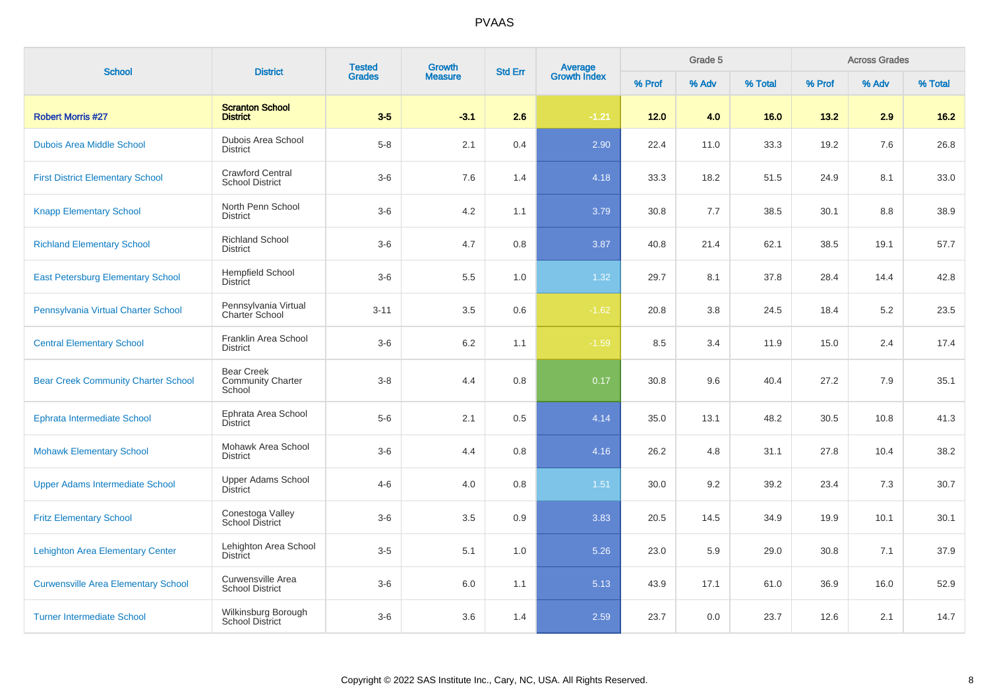| <b>School</b>                              | <b>District</b>                                         | <b>Tested</b> | <b>Growth</b>  | <b>Std Err</b> | Average<br>Growth Index |        | Grade 5 |         |        | <b>Across Grades</b> |         |
|--------------------------------------------|---------------------------------------------------------|---------------|----------------|----------------|-------------------------|--------|---------|---------|--------|----------------------|---------|
|                                            |                                                         | <b>Grades</b> | <b>Measure</b> |                |                         | % Prof | % Adv   | % Total | % Prof | % Adv                | % Total |
| <b>Robert Morris #27</b>                   | <b>Scranton School</b><br><b>District</b>               | $3-5$         | $-3.1$         | 2.6            | $-1.21$                 | 12.0   | 4.0     | 16.0    | 13.2   | 2.9                  | $16.2$  |
| <b>Dubois Area Middle School</b>           | Dubois Area School<br><b>District</b>                   | $5-8$         | 2.1            | 0.4            | 2.90                    | 22.4   | 11.0    | 33.3    | 19.2   | 7.6                  | 26.8    |
| <b>First District Elementary School</b>    | <b>Crawford Central</b><br><b>School District</b>       | $3-6$         | 7.6            | 1.4            | 4.18                    | 33.3   | 18.2    | 51.5    | 24.9   | 8.1                  | 33.0    |
| <b>Knapp Elementary School</b>             | North Penn School<br><b>District</b>                    | $3-6$         | 4.2            | 1.1            | 3.79                    | 30.8   | 7.7     | 38.5    | 30.1   | $8.8\,$              | 38.9    |
| <b>Richland Elementary School</b>          | <b>Richland School</b><br><b>District</b>               | $3-6$         | 4.7            | 0.8            | 3.87                    | 40.8   | 21.4    | 62.1    | 38.5   | 19.1                 | 57.7    |
| <b>East Petersburg Elementary School</b>   | <b>Hempfield School</b><br><b>District</b>              | $3-6$         | 5.5            | 1.0            | 1.32                    | 29.7   | 8.1     | 37.8    | 28.4   | 14.4                 | 42.8    |
| Pennsylvania Virtual Charter School        | Pennsylvania Virtual<br>Charter School                  | $3 - 11$      | 3.5            | 0.6            | $-1.62$                 | 20.8   | 3.8     | 24.5    | 18.4   | 5.2                  | 23.5    |
| <b>Central Elementary School</b>           | Franklin Area School<br><b>District</b>                 | $3-6$         | 6.2            | 1.1            | $-1.59$                 | 8.5    | 3.4     | 11.9    | 15.0   | 2.4                  | 17.4    |
| <b>Bear Creek Community Charter School</b> | <b>Bear Creek</b><br><b>Community Charter</b><br>School | $3 - 8$       | 4.4            | 0.8            | 0.17                    | 30.8   | 9.6     | 40.4    | 27.2   | 7.9                  | 35.1    |
| Ephrata Intermediate School                | Ephrata Area School<br><b>District</b>                  | $5-6$         | 2.1            | 0.5            | 4.14                    | 35.0   | 13.1    | 48.2    | 30.5   | 10.8                 | 41.3    |
| <b>Mohawk Elementary School</b>            | Mohawk Area School<br><b>District</b>                   | $3-6$         | 4.4            | 0.8            | 4.16                    | 26.2   | 4.8     | 31.1    | 27.8   | 10.4                 | 38.2    |
| <b>Upper Adams Intermediate School</b>     | <b>Upper Adams School</b><br>District                   | $4 - 6$       | 4.0            | 0.8            | $1.51$                  | 30.0   | 9.2     | 39.2    | 23.4   | 7.3                  | 30.7    |
| <b>Fritz Elementary School</b>             | Conestoga Valley<br>School District                     | $3-6$         | 3.5            | 0.9            | 3.83                    | 20.5   | 14.5    | 34.9    | 19.9   | 10.1                 | 30.1    |
| <b>Lehighton Area Elementary Center</b>    | Lehighton Area School<br><b>District</b>                | $3-5$         | 5.1            | 1.0            | 5.26                    | 23.0   | 5.9     | 29.0    | 30.8   | 7.1                  | 37.9    |
| <b>Curwensville Area Elementary School</b> | Curwensville Area<br><b>School District</b>             | $3-6$         | 6.0            | 1.1            | 5.13                    | 43.9   | 17.1    | 61.0    | 36.9   | 16.0                 | 52.9    |
| <b>Turner Intermediate School</b>          | Wilkinsburg Borough<br><b>School District</b>           | $3-6$         | 3.6            | 1.4            | 2.59                    | 23.7   | 0.0     | 23.7    | 12.6   | 2.1                  | 14.7    |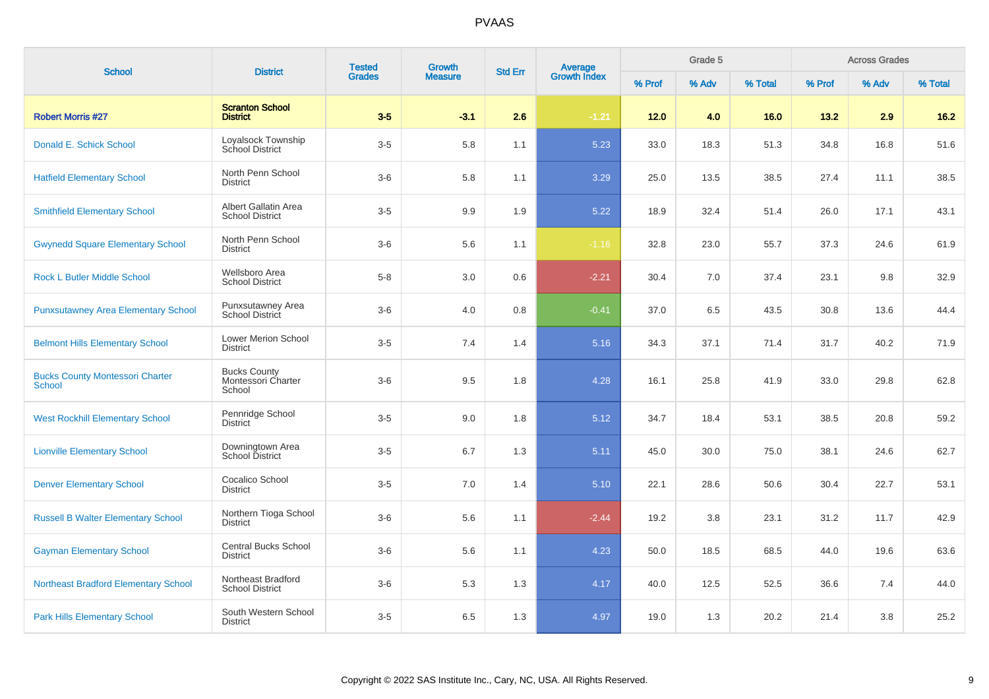| <b>School</b>                                           | <b>District</b>                                     | <b>Tested</b> | <b>Growth</b>  | <b>Std Err</b> | Average<br>Growth Index |        | Grade 5 |         |        | <b>Across Grades</b> |         |
|---------------------------------------------------------|-----------------------------------------------------|---------------|----------------|----------------|-------------------------|--------|---------|---------|--------|----------------------|---------|
|                                                         |                                                     | <b>Grades</b> | <b>Measure</b> |                |                         | % Prof | % Adv   | % Total | % Prof | % Adv                | % Total |
| <b>Robert Morris #27</b>                                | <b>Scranton School</b><br><b>District</b>           | $3-5$         | $-3.1$         | 2.6            | $-1.21$                 | 12.0   | 4.0     | 16.0    | 13.2   | 2.9                  | $16.2$  |
| Donald E. Schick School                                 | Loyalsock Township<br>School District               | $3-5$         | 5.8            | 1.1            | 5.23                    | 33.0   | 18.3    | 51.3    | 34.8   | 16.8                 | 51.6    |
| <b>Hatfield Elementary School</b>                       | North Penn School<br><b>District</b>                | $3-6$         | 5.8            | 1.1            | 3.29                    | 25.0   | 13.5    | 38.5    | 27.4   | 11.1                 | 38.5    |
| <b>Smithfield Elementary School</b>                     | Albert Gallatin Area<br><b>School District</b>      | $3-5$         | 9.9            | 1.9            | 5.22                    | 18.9   | 32.4    | 51.4    | 26.0   | 17.1                 | 43.1    |
| <b>Gwynedd Square Elementary School</b>                 | North Penn School<br><b>District</b>                | $3-6$         | 5.6            | 1.1            | $-1.16$                 | 32.8   | 23.0    | 55.7    | 37.3   | 24.6                 | 61.9    |
| <b>Rock L Butler Middle School</b>                      | Wellsboro Area<br><b>School District</b>            | $5 - 8$       | $3.0\,$        | 0.6            | $-2.21$                 | 30.4   | 7.0     | 37.4    | 23.1   | 9.8                  | 32.9    |
| <b>Punxsutawney Area Elementary School</b>              | Punxsutawney Area<br>School District                | $3-6$         | 4.0            | 0.8            | $-0.41$                 | 37.0   | 6.5     | 43.5    | 30.8   | 13.6                 | 44.4    |
| <b>Belmont Hills Elementary School</b>                  | Lower Merion School<br><b>District</b>              | $3-5$         | 7.4            | 1.4            | 5.16                    | 34.3   | 37.1    | 71.4    | 31.7   | 40.2                 | 71.9    |
| <b>Bucks County Montessori Charter</b><br><b>School</b> | <b>Bucks County</b><br>Montessori Charter<br>School | $3-6$         | 9.5            | 1.8            | 4.28                    | 16.1   | 25.8    | 41.9    | 33.0   | 29.8                 | 62.8    |
| <b>West Rockhill Elementary School</b>                  | Pennridge School<br><b>District</b>                 | $3-5$         | 9.0            | 1.8            | 5.12                    | 34.7   | 18.4    | 53.1    | 38.5   | 20.8                 | 59.2    |
| <b>Lionville Elementary School</b>                      | Downingtown Area<br><b>School District</b>          | $3-5$         | 6.7            | 1.3            | 5.11                    | 45.0   | 30.0    | 75.0    | 38.1   | 24.6                 | 62.7    |
| <b>Denver Elementary School</b>                         | Cocalico School<br><b>District</b>                  | $3-5$         | 7.0            | 1.4            | 5.10                    | 22.1   | 28.6    | 50.6    | 30.4   | 22.7                 | 53.1    |
| <b>Russell B Walter Elementary School</b>               | Northern Tioga School<br><b>District</b>            | $3-6$         | 5.6            | 1.1            | $-2.44$                 | 19.2   | 3.8     | 23.1    | 31.2   | 11.7                 | 42.9    |
| <b>Gayman Elementary School</b>                         | <b>Central Bucks School</b><br><b>District</b>      | $3-6$         | 5.6            | 1.1            | 4.23                    | 50.0   | 18.5    | 68.5    | 44.0   | 19.6                 | 63.6    |
| <b>Northeast Bradford Elementary School</b>             | Northeast Bradford<br><b>School District</b>        | $3-6$         | 5.3            | 1.3            | 4.17                    | 40.0   | 12.5    | 52.5    | 36.6   | 7.4                  | 44.0    |
| <b>Park Hills Elementary School</b>                     | South Western School<br><b>District</b>             | $3-5$         | 6.5            | 1.3            | 4.97                    | 19.0   | 1.3     | 20.2    | 21.4   | 3.8                  | 25.2    |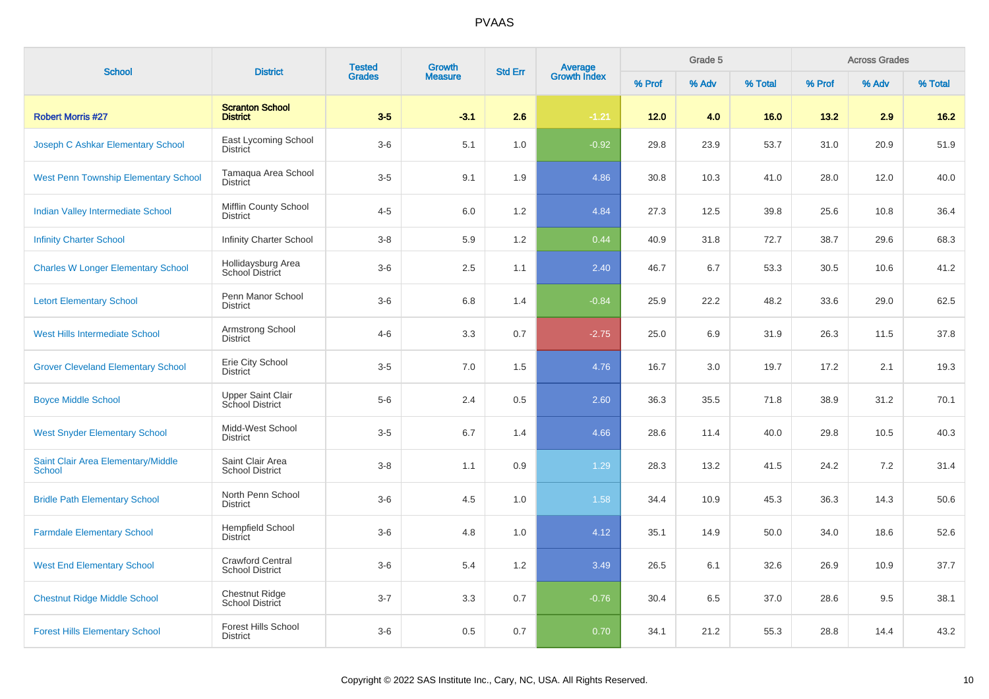| <b>School</b>                                       | <b>District</b>                                    | <b>Tested</b> | <b>Growth</b>  | <b>Std Err</b> |                                |        | Grade 5 |         |        | <b>Across Grades</b> |         |
|-----------------------------------------------------|----------------------------------------------------|---------------|----------------|----------------|--------------------------------|--------|---------|---------|--------|----------------------|---------|
|                                                     |                                                    | <b>Grades</b> | <b>Measure</b> |                | <b>Average</b><br>Growth Index | % Prof | % Adv   | % Total | % Prof | % Adv                | % Total |
| <b>Robert Morris #27</b>                            | <b>Scranton School</b><br><b>District</b>          | $3-5$         | $-3.1$         | 2.6            | $-1.21$                        | 12.0   | 4.0     | 16.0    | 13.2   | 2.9                  | $16.2$  |
| Joseph C Ashkar Elementary School                   | East Lycoming School<br>District                   | $3-6$         | 5.1            | 1.0            | $-0.92$                        | 29.8   | 23.9    | 53.7    | 31.0   | 20.9                 | 51.9    |
| <b>West Penn Township Elementary School</b>         | Tamaqua Area School<br>District                    | $3-5$         | 9.1            | 1.9            | 4.86                           | 30.8   | 10.3    | 41.0    | 28.0   | 12.0                 | 40.0    |
| Indian Valley Intermediate School                   | Mifflin County School<br><b>District</b>           | $4 - 5$       | 6.0            | 1.2            | 4.84                           | 27.3   | 12.5    | 39.8    | 25.6   | 10.8                 | 36.4    |
| <b>Infinity Charter School</b>                      | <b>Infinity Charter School</b>                     | $3 - 8$       | 5.9            | 1.2            | 0.44                           | 40.9   | 31.8    | 72.7    | 38.7   | 29.6                 | 68.3    |
| <b>Charles W Longer Elementary School</b>           | Hollidaysburg Area<br>School District              | $3-6$         | 2.5            | 1.1            | 2.40                           | 46.7   | 6.7     | 53.3    | 30.5   | 10.6                 | 41.2    |
| <b>Letort Elementary School</b>                     | Penn Manor School<br><b>District</b>               | $3-6$         | 6.8            | 1.4            | $-0.84$                        | 25.9   | 22.2    | 48.2    | 33.6   | 29.0                 | 62.5    |
| West Hills Intermediate School                      | Armstrong School<br><b>District</b>                | $4 - 6$       | 3.3            | 0.7            | $-2.75$                        | 25.0   | 6.9     | 31.9    | 26.3   | 11.5                 | 37.8    |
| <b>Grover Cleveland Elementary School</b>           | Erie City School<br><b>District</b>                | $3-5$         | 7.0            | 1.5            | 4.76                           | 16.7   | 3.0     | 19.7    | 17.2   | 2.1                  | 19.3    |
| <b>Boyce Middle School</b>                          | <b>Upper Saint Clair</b><br><b>School District</b> | $5-6$         | 2.4            | 0.5            | 2.60                           | 36.3   | 35.5    | 71.8    | 38.9   | 31.2                 | 70.1    |
| <b>West Snyder Elementary School</b>                | Midd-West School<br><b>District</b>                | $3-5$         | 6.7            | 1.4            | 4.66                           | 28.6   | 11.4    | 40.0    | 29.8   | 10.5                 | 40.3    |
| Saint Clair Area Elementary/Middle<br><b>School</b> | Saint Clair Area<br><b>School District</b>         | $3 - 8$       | 1.1            | 0.9            | 1.29                           | 28.3   | 13.2    | 41.5    | 24.2   | 7.2                  | 31.4    |
| <b>Bridle Path Elementary School</b>                | North Penn School<br><b>District</b>               | $3-6$         | 4.5            | 1.0            | 1.58                           | 34.4   | 10.9    | 45.3    | 36.3   | 14.3                 | 50.6    |
| <b>Farmdale Elementary School</b>                   | <b>Hempfield School</b><br>District                | $3-6$         | 4.8            | 1.0            | 4.12                           | 35.1   | 14.9    | 50.0    | 34.0   | 18.6                 | 52.6    |
| <b>West End Elementary School</b>                   | <b>Crawford Central</b><br><b>School District</b>  | $3-6$         | 5.4            | 1.2            | 3.49                           | 26.5   | 6.1     | 32.6    | 26.9   | 10.9                 | 37.7    |
| <b>Chestnut Ridge Middle School</b>                 | <b>Chestnut Ridge</b><br>School District           | $3 - 7$       | 3.3            | 0.7            | $-0.76$                        | 30.4   | 6.5     | 37.0    | 28.6   | 9.5                  | 38.1    |
| <b>Forest Hills Elementary School</b>               | <b>Forest Hills School</b><br><b>District</b>      | $3-6$         | 0.5            | 0.7            | 0.70                           | 34.1   | 21.2    | 55.3    | 28.8   | 14.4                 | 43.2    |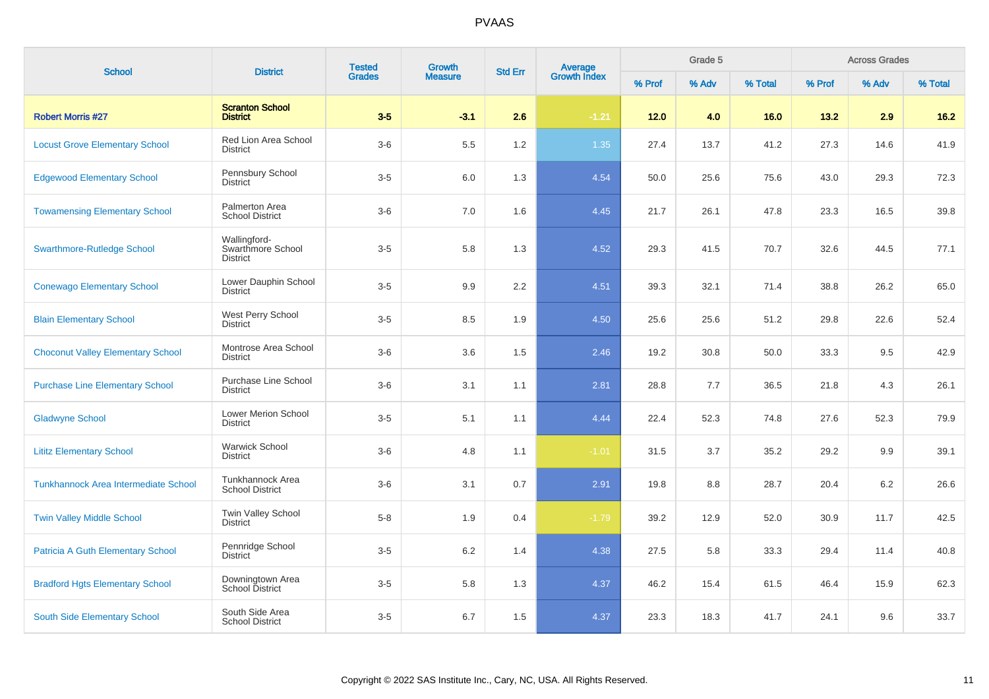| <b>School</b>                               | <b>District</b>                                      | <b>Tested</b> | <b>Growth</b>  | <b>Std Err</b> | Average<br>Growth Index |        | Grade 5 |         |        | <b>Across Grades</b> |         |
|---------------------------------------------|------------------------------------------------------|---------------|----------------|----------------|-------------------------|--------|---------|---------|--------|----------------------|---------|
|                                             |                                                      | <b>Grades</b> | <b>Measure</b> |                |                         | % Prof | % Adv   | % Total | % Prof | % Adv                | % Total |
| <b>Robert Morris #27</b>                    | <b>Scranton School</b><br><b>District</b>            | $3-5$         | $-3.1$         | 2.6            | $-1.21$                 | 12.0   | 4.0     | 16.0    | 13.2   | 2.9                  | $16.2$  |
| <b>Locust Grove Elementary School</b>       | Red Lion Area School<br><b>District</b>              | $3-6$         | 5.5            | 1.2            | 1.35                    | 27.4   | 13.7    | 41.2    | 27.3   | 14.6                 | 41.9    |
| <b>Edgewood Elementary School</b>           | Pennsbury School<br>District                         | $3-5$         | 6.0            | 1.3            | 4.54                    | 50.0   | 25.6    | 75.6    | 43.0   | 29.3                 | 72.3    |
| <b>Towamensing Elementary School</b>        | Palmerton Area<br><b>School District</b>             | $3-6$         | 7.0            | 1.6            | 4.45                    | 21.7   | 26.1    | 47.8    | 23.3   | 16.5                 | 39.8    |
| <b>Swarthmore-Rutledge School</b>           | Wallingford-<br>Swarthmore School<br><b>District</b> | $3-5$         | 5.8            | 1.3            | 4.52                    | 29.3   | 41.5    | 70.7    | 32.6   | 44.5                 | 77.1    |
| <b>Conewago Elementary School</b>           | Lower Dauphin School<br><b>District</b>              | $3-5$         | 9.9            | 2.2            | 4.51                    | 39.3   | 32.1    | 71.4    | 38.8   | 26.2                 | 65.0    |
| <b>Blain Elementary School</b>              | West Perry School<br><b>District</b>                 | $3-5$         | 8.5            | 1.9            | 4.50                    | 25.6   | 25.6    | 51.2    | 29.8   | 22.6                 | 52.4    |
| <b>Choconut Valley Elementary School</b>    | Montrose Area School<br><b>District</b>              | $3-6$         | 3.6            | 1.5            | 2.46                    | 19.2   | 30.8    | 50.0    | 33.3   | 9.5                  | 42.9    |
| <b>Purchase Line Elementary School</b>      | Purchase Line School<br><b>District</b>              | $3-6$         | 3.1            | 1.1            | 2.81                    | 28.8   | 7.7     | 36.5    | 21.8   | 4.3                  | 26.1    |
| <b>Gladwyne School</b>                      | Lower Merion School<br><b>District</b>               | $3-5$         | 5.1            | 1.1            | 4.44                    | 22.4   | 52.3    | 74.8    | 27.6   | 52.3                 | 79.9    |
| <b>Lititz Elementary School</b>             | <b>Warwick School</b><br><b>District</b>             | $3-6$         | 4.8            | 1.1            | $-1.01$                 | 31.5   | 3.7     | 35.2    | 29.2   | 9.9                  | 39.1    |
| <b>Tunkhannock Area Intermediate School</b> | Tunkhannock Area<br><b>School District</b>           | $3-6$         | 3.1            | 0.7            | 2.91                    | 19.8   | 8.8     | 28.7    | 20.4   | 6.2                  | 26.6    |
| <b>Twin Valley Middle School</b>            | Twin Valley School<br><b>District</b>                | $5-8$         | 1.9            | 0.4            | $-1.79$                 | 39.2   | 12.9    | 52.0    | 30.9   | 11.7                 | 42.5    |
| <b>Patricia A Guth Elementary School</b>    | Pennridge School<br><b>District</b>                  | $3-5$         | 6.2            | 1.4            | 4.38                    | 27.5   | 5.8     | 33.3    | 29.4   | 11.4                 | 40.8    |
| <b>Bradford Hgts Elementary School</b>      | Downingtown Area<br><b>School District</b>           | $3-5$         | 5.8            | 1.3            | 4.37                    | 46.2   | 15.4    | 61.5    | 46.4   | 15.9                 | 62.3    |
| South Side Elementary School                | South Side Area<br><b>School District</b>            | $3-5$         | 6.7            | 1.5            | 4.37                    | 23.3   | 18.3    | 41.7    | 24.1   | 9.6                  | 33.7    |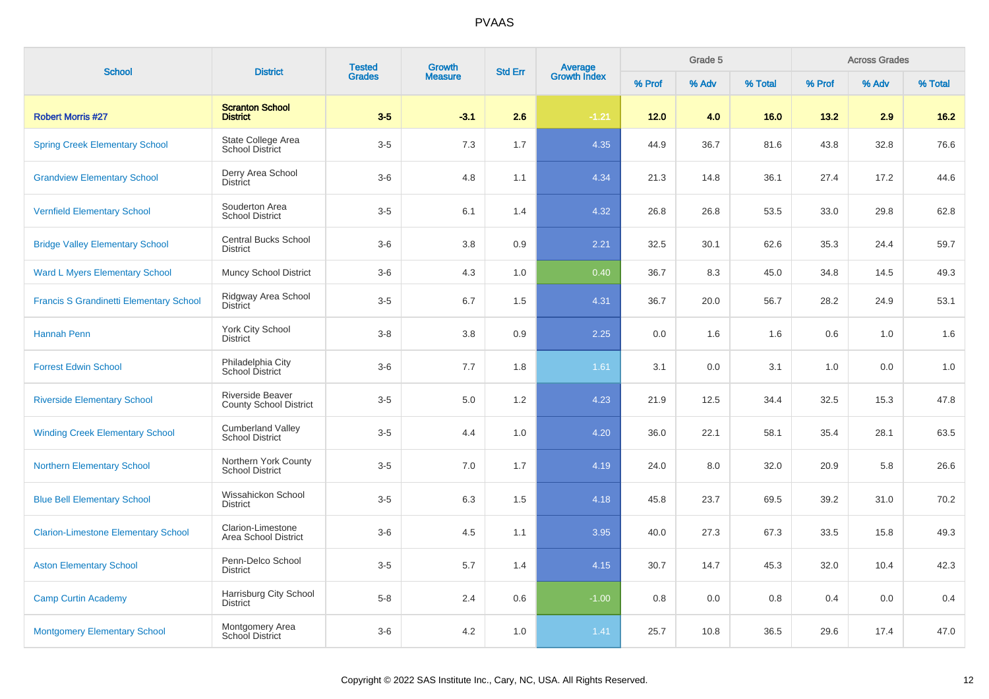| <b>School</b>                                  |                                                    | <b>Tested</b><br><b>District</b><br><b>Grades</b> | <b>Growth</b>  | <b>Std Err</b> |                                |        | Grade 5 |         |        | <b>Across Grades</b> |         |
|------------------------------------------------|----------------------------------------------------|---------------------------------------------------|----------------|----------------|--------------------------------|--------|---------|---------|--------|----------------------|---------|
|                                                |                                                    |                                                   | <b>Measure</b> |                | <b>Average</b><br>Growth Index | % Prof | % Adv   | % Total | % Prof | % Adv                | % Total |
| <b>Robert Morris #27</b>                       | <b>Scranton School</b><br><b>District</b>          | $3-5$                                             | $-3.1$         | 2.6            | $-1.21$                        | 12.0   | 4.0     | 16.0    | 13.2   | 2.9                  | $16.2$  |
| <b>Spring Creek Elementary School</b>          | State College Area<br>School District              | $3-5$                                             | 7.3            | 1.7            | 4.35                           | 44.9   | 36.7    | 81.6    | 43.8   | 32.8                 | 76.6    |
| <b>Grandview Elementary School</b>             | Derry Area School<br><b>District</b>               | $3-6$                                             | 4.8            | 1.1            | 4.34                           | 21.3   | 14.8    | 36.1    | 27.4   | 17.2                 | 44.6    |
| <b>Vernfield Elementary School</b>             | Souderton Area<br><b>School District</b>           | $3-5$                                             | 6.1            | 1.4            | 4.32                           | 26.8   | 26.8    | 53.5    | 33.0   | 29.8                 | 62.8    |
| <b>Bridge Valley Elementary School</b>         | <b>Central Bucks School</b><br><b>District</b>     | $3-6$                                             | 3.8            | 0.9            | 2.21                           | 32.5   | 30.1    | 62.6    | 35.3   | 24.4                 | 59.7    |
| <b>Ward L Myers Elementary School</b>          | <b>Muncy School District</b>                       | $3-6$                                             | 4.3            | 1.0            | 0.40                           | 36.7   | 8.3     | 45.0    | 34.8   | 14.5                 | 49.3    |
| <b>Francis S Grandinetti Elementary School</b> | Ridgway Area School<br><b>District</b>             | $3-5$                                             | 6.7            | 1.5            | 4.31                           | 36.7   | 20.0    | 56.7    | 28.2   | 24.9                 | 53.1    |
| Hannah Penn                                    | York City School<br><b>District</b>                | $3-8$                                             | 3.8            | 0.9            | 2.25                           | 0.0    | 1.6     | 1.6     | 0.6    | 1.0                  | 1.6     |
| <b>Forrest Edwin School</b>                    | Philadelphia City<br>School District               | $3-6$                                             | 7.7            | 1.8            | 1.61                           | 3.1    | 0.0     | 3.1     | 1.0    | 0.0                  | 1.0     |
| <b>Riverside Elementary School</b>             | Riverside Beaver<br><b>County School District</b>  | $3-5$                                             | 5.0            | 1.2            | 4.23                           | 21.9   | 12.5    | 34.4    | 32.5   | 15.3                 | 47.8    |
| <b>Winding Creek Elementary School</b>         | <b>Cumberland Valley</b><br><b>School District</b> | $3-5$                                             | 4.4            | 1.0            | 4.20                           | 36.0   | 22.1    | 58.1    | 35.4   | 28.1                 | 63.5    |
| <b>Northern Elementary School</b>              | Northern York County<br><b>School District</b>     | $3-5$                                             | 7.0            | 1.7            | 4.19                           | 24.0   | 8.0     | 32.0    | 20.9   | 5.8                  | 26.6    |
| <b>Blue Bell Elementary School</b>             | Wissahickon School<br><b>District</b>              | $3-5$                                             | 6.3            | 1.5            | 4.18                           | 45.8   | 23.7    | 69.5    | 39.2   | 31.0                 | 70.2    |
| <b>Clarion-Limestone Elementary School</b>     | Clarion-Limestone<br>Area School District          | $3-6$                                             | 4.5            | 1.1            | 3.95                           | 40.0   | 27.3    | 67.3    | 33.5   | 15.8                 | 49.3    |
| <b>Aston Elementary School</b>                 | Penn-Delco School<br><b>District</b>               | $3-5$                                             | 5.7            | 1.4            | 4.15                           | 30.7   | 14.7    | 45.3    | 32.0   | 10.4                 | 42.3    |
| <b>Camp Curtin Academy</b>                     | Harrisburg City School<br><b>District</b>          | $5-8$                                             | 2.4            | 0.6            | $-1.00$                        | 0.8    | 0.0     | 0.8     | 0.4    | 0.0                  | 0.4     |
| <b>Montgomery Elementary School</b>            | Montgomery Area<br>School District                 | $3-6$                                             | 4.2            | 1.0            | 1.41                           | 25.7   | 10.8    | 36.5    | 29.6   | 17.4                 | 47.0    |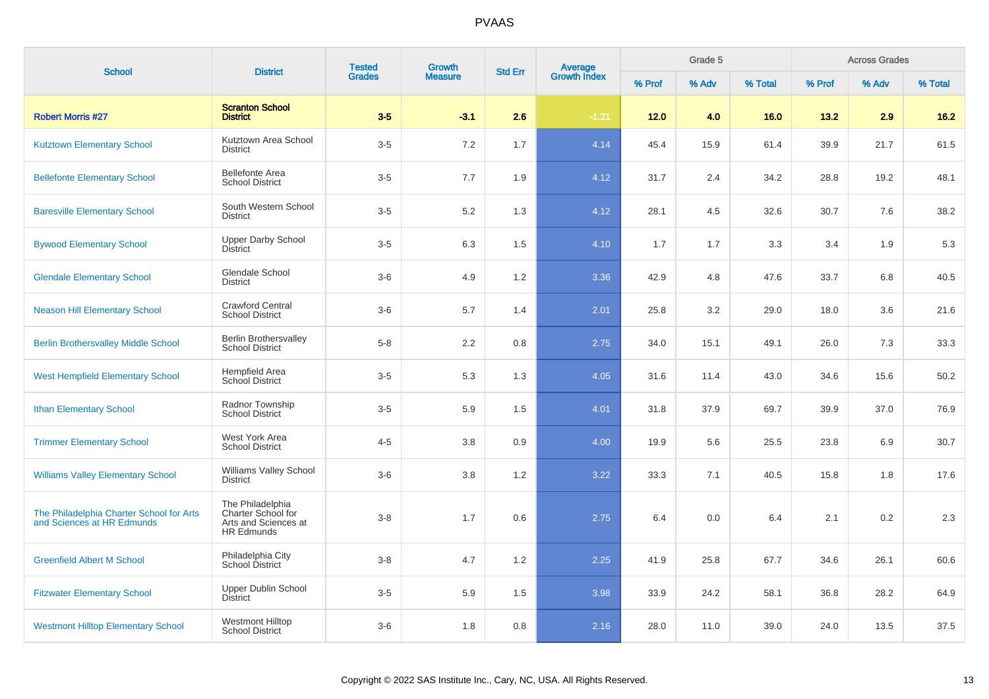| <b>School</b>                                                          | <b>District</b>                                                                     | <b>Tested</b> | <b>Growth</b>  | <b>Average</b><br>Growth Index<br><b>Std Err</b> |         |        | Grade 5 |         |        | <b>Across Grades</b> |         |
|------------------------------------------------------------------------|-------------------------------------------------------------------------------------|---------------|----------------|--------------------------------------------------|---------|--------|---------|---------|--------|----------------------|---------|
|                                                                        |                                                                                     | <b>Grades</b> | <b>Measure</b> |                                                  |         | % Prof | % Adv   | % Total | % Prof | % Adv                | % Total |
| <b>Robert Morris #27</b>                                               | <b>Scranton School</b><br><b>District</b>                                           | $3-5$         | $-3.1$         | 2.6                                              | $-1.21$ | 12.0   | 4.0     | 16.0    | 13.2   | 2.9                  | $16.2$  |
| <b>Kutztown Elementary School</b>                                      | Kutztown Area School<br><b>District</b>                                             | $3-5$         | 7.2            | 1.7                                              | 4.14    | 45.4   | 15.9    | 61.4    | 39.9   | 21.7                 | 61.5    |
| <b>Bellefonte Elementary School</b>                                    | <b>Bellefonte Area</b><br><b>School District</b>                                    | $3-5$         | 7.7            | 1.9                                              | 4.12    | 31.7   | 2.4     | 34.2    | 28.8   | 19.2                 | 48.1    |
| <b>Baresville Elementary School</b>                                    | South Western School<br><b>District</b>                                             | $3-5$         | 5.2            | 1.3                                              | 4.12    | 28.1   | 4.5     | 32.6    | 30.7   | 7.6                  | 38.2    |
| <b>Bywood Elementary School</b>                                        | <b>Upper Darby School</b><br><b>District</b>                                        | $3-5$         | 6.3            | 1.5                                              | 4.10    | 1.7    | 1.7     | 3.3     | 3.4    | 1.9                  | 5.3     |
| <b>Glendale Elementary School</b>                                      | Glendale School<br>District                                                         | $3-6$         | 4.9            | 1.2                                              | 3.36    | 42.9   | 4.8     | 47.6    | 33.7   | 6.8                  | 40.5    |
| <b>Neason Hill Elementary School</b>                                   | <b>Crawford Central</b><br><b>School District</b>                                   | $3-6$         | 5.7            | 1.4                                              | 2.01    | 25.8   | 3.2     | 29.0    | 18.0   | 3.6                  | 21.6    |
| <b>Berlin Brothersvalley Middle School</b>                             | <b>Berlin Brothersvalley</b><br><b>School District</b>                              | $5-8$         | 2.2            | 0.8                                              | 2.75    | 34.0   | 15.1    | 49.1    | 26.0   | 7.3                  | 33.3    |
| <b>West Hempfield Elementary School</b>                                | Hempfield Area<br><b>School District</b>                                            | $3-5$         | 5.3            | 1.3                                              | 4.05    | 31.6   | 11.4    | 43.0    | 34.6   | 15.6                 | 50.2    |
| <b>Ithan Elementary School</b>                                         | Radnor Township<br><b>School District</b>                                           | $3-5$         | 5.9            | 1.5                                              | 4.01    | 31.8   | 37.9    | 69.7    | 39.9   | 37.0                 | 76.9    |
| <b>Trimmer Elementary School</b>                                       | West York Area<br><b>School District</b>                                            | $4 - 5$       | 3.8            | 0.9                                              | 4.00    | 19.9   | 5.6     | 25.5    | 23.8   | 6.9                  | 30.7    |
| <b>Williams Valley Elementary School</b>                               | <b>Williams Valley School</b><br><b>District</b>                                    | $3-6$         | 3.8            | 1.2                                              | 3.22    | 33.3   | 7.1     | 40.5    | 15.8   | 1.8                  | 17.6    |
| The Philadelphia Charter School for Arts<br>and Sciences at HR Edmunds | The Philadelphia<br>Charter School for<br>Arts and Sciences at<br><b>HR Edmunds</b> | $3 - 8$       | 1.7            | 0.6                                              | 2.75    | 6.4    | 0.0     | 6.4     | 2.1    | 0.2                  | 2.3     |
| <b>Greenfield Albert M School</b>                                      | Philadelphia City<br>School District                                                | $3 - 8$       | 4.7            | 1.2                                              | 2.25    | 41.9   | 25.8    | 67.7    | 34.6   | 26.1                 | 60.6    |
| <b>Fitzwater Elementary School</b>                                     | <b>Upper Dublin School</b><br><b>District</b>                                       | $3-5$         | 5.9            | 1.5                                              | 3.98    | 33.9   | 24.2    | 58.1    | 36.8   | 28.2                 | 64.9    |
| <b>Westmont Hilltop Elementary School</b>                              | <b>Westmont Hilltop</b><br><b>School District</b>                                   | $3-6$         | 1.8            | 0.8                                              | 2.16    | 28.0   | 11.0    | 39.0    | 24.0   | 13.5                 | 37.5    |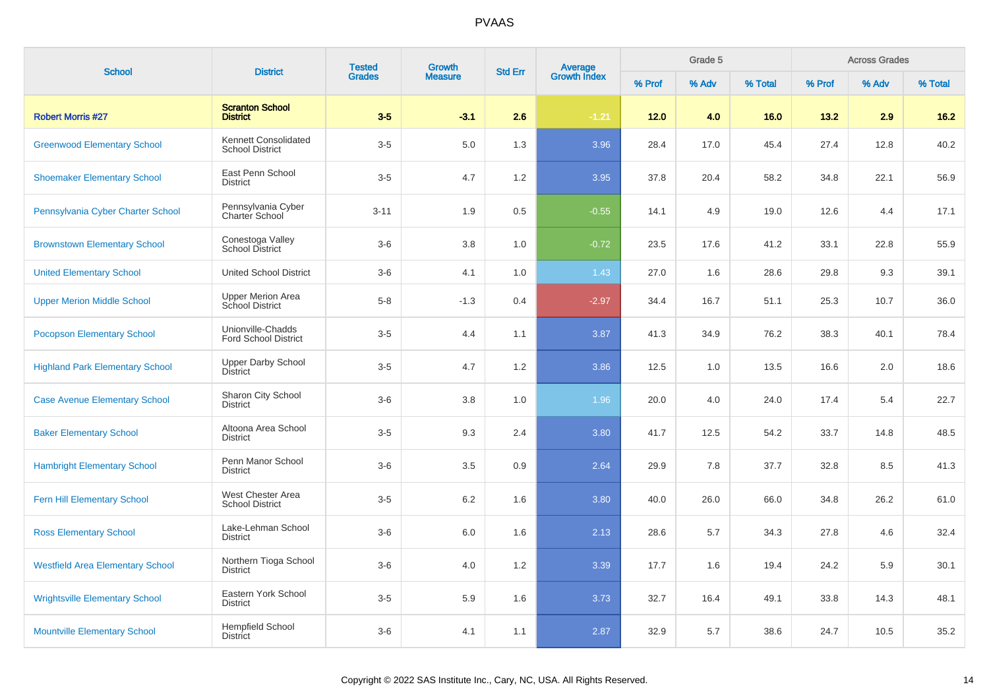| <b>School</b>                           | <b>District</b>                                  | <b>Tested</b><br><b>Grades</b> | Growth         | <b>Std Err</b> |                                |        | Grade 5 |         |        | <b>Across Grades</b> |         |
|-----------------------------------------|--------------------------------------------------|--------------------------------|----------------|----------------|--------------------------------|--------|---------|---------|--------|----------------------|---------|
|                                         |                                                  |                                | <b>Measure</b> |                | <b>Average</b><br>Growth Index | % Prof | % Adv   | % Total | % Prof | % Adv                | % Total |
| <b>Robert Morris #27</b>                | <b>Scranton School</b><br><b>District</b>        | $3-5$                          | $-3.1$         | 2.6            | $-1.21$                        | 12.0   | 4.0     | 16.0    | 13.2   | 2.9                  | $16.2$  |
| <b>Greenwood Elementary School</b>      | Kennett Consolidated<br><b>School District</b>   | $3-5$                          | 5.0            | 1.3            | 3.96                           | 28.4   | 17.0    | 45.4    | 27.4   | 12.8                 | 40.2    |
| <b>Shoemaker Elementary School</b>      | East Penn School<br><b>District</b>              | $3-5$                          | 4.7            | 1.2            | 3.95                           | 37.8   | 20.4    | 58.2    | 34.8   | 22.1                 | 56.9    |
| Pennsylvania Cyber Charter School       | Pennsylvania Cyber<br>Charter School             | $3 - 11$                       | 1.9            | 0.5            | $-0.55$                        | 14.1   | 4.9     | 19.0    | 12.6   | 4.4                  | 17.1    |
| <b>Brownstown Elementary School</b>     | Conestoga Valley<br><b>School District</b>       | $3-6$                          | 3.8            | 1.0            | $-0.72$                        | 23.5   | 17.6    | 41.2    | 33.1   | 22.8                 | 55.9    |
| <b>United Elementary School</b>         | <b>United School District</b>                    | $3-6$                          | 4.1            | 1.0            | 1.43                           | 27.0   | 1.6     | 28.6    | 29.8   | 9.3                  | 39.1    |
| <b>Upper Merion Middle School</b>       | <b>Upper Merion Area</b><br>School District      | $5-8$                          | $-1.3$         | 0.4            | $-2.97$                        | 34.4   | 16.7    | 51.1    | 25.3   | 10.7                 | 36.0    |
| <b>Pocopson Elementary School</b>       | Unionville-Chadds<br><b>Ford School District</b> | $3-5$                          | 4.4            | 1.1            | 3.87                           | 41.3   | 34.9    | 76.2    | 38.3   | 40.1                 | 78.4    |
| <b>Highland Park Elementary School</b>  | <b>Upper Darby School</b><br>District            | $3-5$                          | 4.7            | 1.2            | 3.86                           | 12.5   | 1.0     | 13.5    | 16.6   | 2.0                  | 18.6    |
| <b>Case Avenue Elementary School</b>    | Sharon City School<br><b>District</b>            | $3-6$                          | 3.8            | 1.0            | 1.96                           | 20.0   | 4.0     | 24.0    | 17.4   | 5.4                  | 22.7    |
| <b>Baker Elementary School</b>          | Altoona Area School<br><b>District</b>           | $3-5$                          | 9.3            | 2.4            | 3.80                           | 41.7   | 12.5    | 54.2    | 33.7   | 14.8                 | 48.5    |
| <b>Hambright Elementary School</b>      | Penn Manor School<br><b>District</b>             | $3-6$                          | 3.5            | 0.9            | 2.64                           | 29.9   | 7.8     | 37.7    | 32.8   | 8.5                  | 41.3    |
| <b>Fern Hill Elementary School</b>      | West Chester Area<br><b>School District</b>      | $3-5$                          | 6.2            | 1.6            | 3.80                           | 40.0   | 26.0    | 66.0    | 34.8   | 26.2                 | 61.0    |
| <b>Ross Elementary School</b>           | Lake-Lehman School<br><b>District</b>            | $3-6$                          | 6.0            | 1.6            | 2.13                           | 28.6   | 5.7     | 34.3    | 27.8   | 4.6                  | 32.4    |
| <b>Westfield Area Elementary School</b> | Northern Tioga School<br><b>District</b>         | $3-6$                          | 4.0            | 1.2            | 3.39                           | 17.7   | 1.6     | 19.4    | 24.2   | 5.9                  | 30.1    |
| <b>Wrightsville Elementary School</b>   | Eastern York School<br><b>District</b>           | $3-5$                          | 5.9            | 1.6            | 3.73                           | 32.7   | 16.4    | 49.1    | 33.8   | 14.3                 | 48.1    |
| <b>Mountville Elementary School</b>     | <b>Hempfield School</b><br><b>District</b>       | $3-6$                          | 4.1            | 1.1            | 2.87                           | 32.9   | 5.7     | 38.6    | 24.7   | 10.5                 | 35.2    |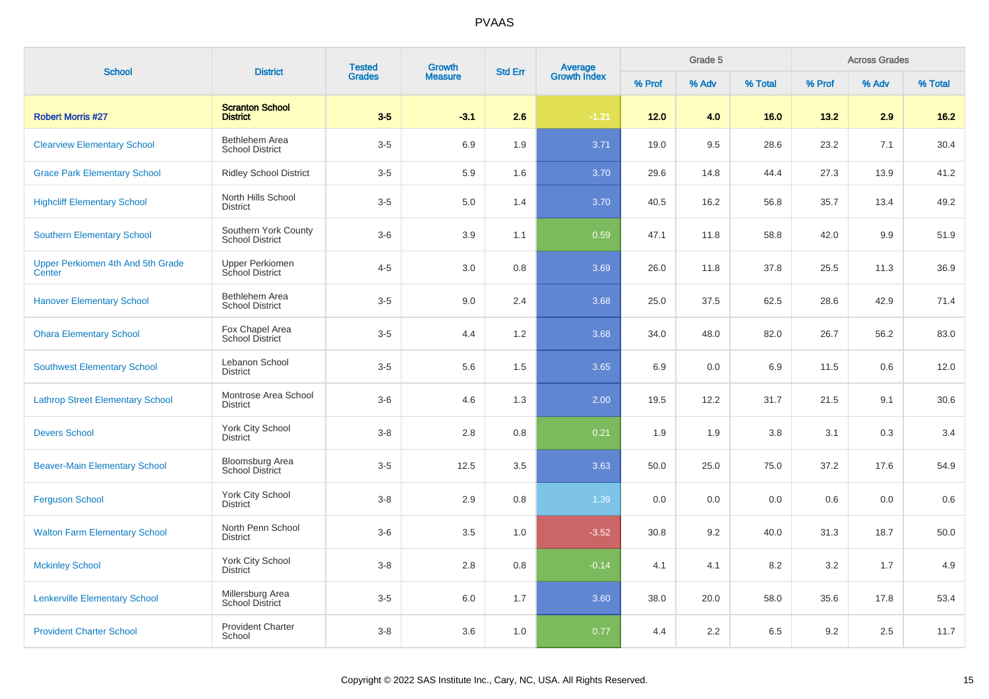| <b>School</b>                               | <b>District</b>                                  | <b>Tested</b> | <b>Growth</b>  | <b>Std Err</b> | <b>Average</b><br>Growth Index |        | Grade 5 |         |         | <b>Across Grades</b> |         |
|---------------------------------------------|--------------------------------------------------|---------------|----------------|----------------|--------------------------------|--------|---------|---------|---------|----------------------|---------|
|                                             |                                                  | <b>Grades</b> | <b>Measure</b> |                |                                | % Prof | % Adv   | % Total | % Prof  | % Adv                | % Total |
| <b>Robert Morris #27</b>                    | <b>Scranton School</b><br><b>District</b>        | $3-5$         | $-3.1$         | 2.6            | $-1.21$                        | 12.0   | 4.0     | 16.0    | 13.2    | 2.9                  | $16.2$  |
| <b>Clearview Elementary School</b>          | Bethlehem Area<br><b>School District</b>         | $3-5$         | 6.9            | 1.9            | 3.71                           | 19.0   | 9.5     | 28.6    | 23.2    | 7.1                  | 30.4    |
| <b>Grace Park Elementary School</b>         | <b>Ridley School District</b>                    | $3-5$         | 5.9            | 1.6            | 3.70                           | 29.6   | 14.8    | 44.4    | 27.3    | 13.9                 | 41.2    |
| <b>Highcliff Elementary School</b>          | North Hills School<br><b>District</b>            | $3-5$         | 5.0            | 1.4            | 3.70                           | 40.5   | 16.2    | 56.8    | 35.7    | 13.4                 | 49.2    |
| <b>Southern Elementary School</b>           | Southern York County<br><b>School District</b>   | $3-6$         | 3.9            | 1.1            | 0.59                           | 47.1   | 11.8    | 58.8    | 42.0    | 9.9                  | 51.9    |
| Upper Perkiomen 4th And 5th Grade<br>Center | <b>Upper Perkiomen</b><br>School District        | $4 - 5$       | 3.0            | 0.8            | 3.69                           | 26.0   | 11.8    | 37.8    | 25.5    | 11.3                 | 36.9    |
| <b>Hanover Elementary School</b>            | Bethlehem Area<br><b>School District</b>         | $3-5$         | 9.0            | 2.4            | 3.68                           | 25.0   | 37.5    | 62.5    | 28.6    | 42.9                 | 71.4    |
| <b>Ohara Elementary School</b>              | Fox Chapel Area<br>School District               | $3-5$         | 4.4            | 1.2            | 3.68                           | 34.0   | 48.0    | 82.0    | 26.7    | 56.2                 | 83.0    |
| <b>Southwest Elementary School</b>          | Lebanon School<br><b>District</b>                | $3-5$         | 5.6            | 1.5            | 3.65                           | 6.9    | 0.0     | 6.9     | 11.5    | 0.6                  | 12.0    |
| <b>Lathrop Street Elementary School</b>     | Montrose Area School<br><b>District</b>          | $3-6$         | 4.6            | 1.3            | 2.00                           | 19.5   | 12.2    | 31.7    | 21.5    | 9.1                  | 30.6    |
| <b>Devers School</b>                        | York City School<br><b>District</b>              | $3 - 8$       | 2.8            | 0.8            | 0.21                           | 1.9    | 1.9     | 3.8     | 3.1     | 0.3                  | 3.4     |
| <b>Beaver-Main Elementary School</b>        | <b>Bloomsburg Area</b><br><b>School District</b> | $3-5$         | 12.5           | 3.5            | 3.63                           | 50.0   | 25.0    | 75.0    | 37.2    | 17.6                 | 54.9    |
| <b>Ferguson School</b>                      | York City School<br><b>District</b>              | $3 - 8$       | 2.9            | 0.8            | 1.39                           | 0.0    | 0.0     | 0.0     | 0.6     | 0.0                  | 0.6     |
| <b>Walton Farm Elementary School</b>        | North Penn School<br><b>District</b>             | $3-6$         | 3.5            | 1.0            | $-3.52$                        | 30.8   | 9.2     | 40.0    | 31.3    | 18.7                 | 50.0    |
| <b>Mckinley School</b>                      | York City School<br><b>District</b>              | $3-8$         | 2.8            | 0.8            | $-0.14$                        | 4.1    | 4.1     | 8.2     | $3.2\,$ | 1.7                  | 4.9     |
| <b>Lenkerville Elementary School</b>        | Millersburg Area<br>School District              | $3-5$         | 6.0            | 1.7            | 3.60                           | 38.0   | 20.0    | 58.0    | 35.6    | 17.8                 | 53.4    |
| <b>Provident Charter School</b>             | <b>Provident Charter</b><br>School               | $3-8$         | 3.6            | 1.0            | 0.77                           | 4.4    | 2.2     | 6.5     | 9.2     | 2.5                  | 11.7    |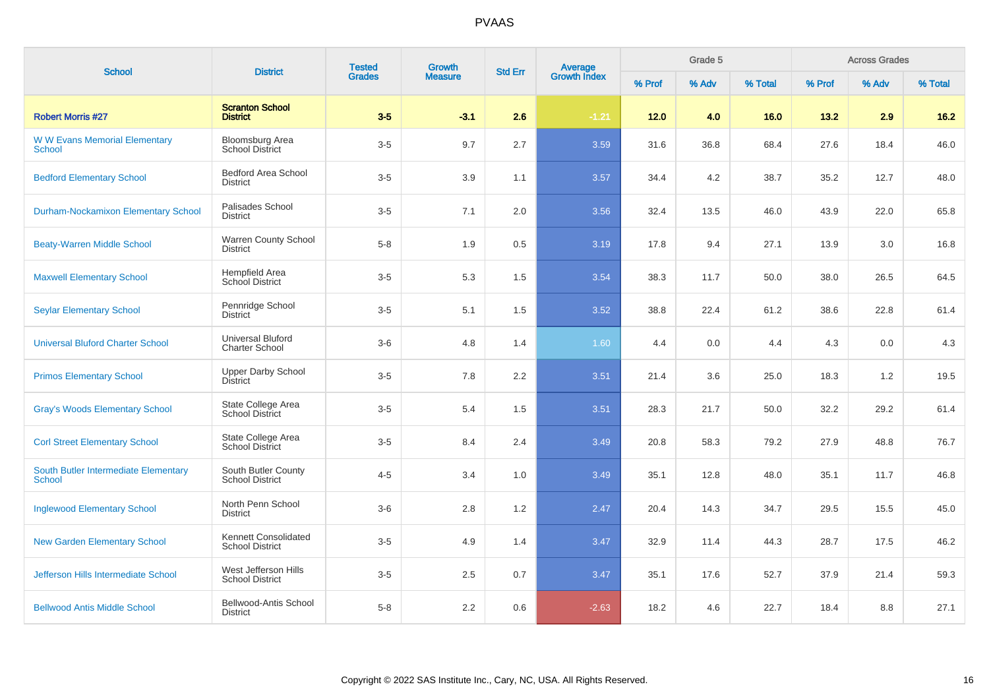| <b>School</b>                                         | <b>District</b>                                   | <b>Tested</b> | Growth<br><b>Grades</b><br><b>Measure</b> | <b>Average</b><br>Growth Index<br><b>Std Err</b> |         |        | Grade 5 |         |        | <b>Across Grades</b> |         |
|-------------------------------------------------------|---------------------------------------------------|---------------|-------------------------------------------|--------------------------------------------------|---------|--------|---------|---------|--------|----------------------|---------|
|                                                       |                                                   |               |                                           |                                                  |         | % Prof | % Adv   | % Total | % Prof | % Adv                | % Total |
| <b>Robert Morris #27</b>                              | <b>Scranton School</b><br><b>District</b>         | $3-5$         | $-3.1$                                    | 2.6                                              | $-1.21$ | $12.0$ | 4.0     | 16.0    | 13.2   | 2.9                  | $16.2$  |
| <b>WW Evans Memorial Elementary</b><br>School         | <b>Bloomsburg Area</b><br><b>School District</b>  | $3-5$         | 9.7                                       | 2.7                                              | 3.59    | 31.6   | 36.8    | 68.4    | 27.6   | 18.4                 | 46.0    |
| <b>Bedford Elementary School</b>                      | <b>Bedford Area School</b><br><b>District</b>     | $3-5$         | 3.9                                       | 1.1                                              | 3.57    | 34.4   | 4.2     | 38.7    | 35.2   | 12.7                 | 48.0    |
| <b>Durham-Nockamixon Elementary School</b>            | Palisades School<br><b>District</b>               | $3-5$         | 7.1                                       | 2.0                                              | 3.56    | 32.4   | 13.5    | 46.0    | 43.9   | 22.0                 | 65.8    |
| <b>Beaty-Warren Middle School</b>                     | Warren County School<br>District                  | $5-8$         | 1.9                                       | 0.5                                              | 3.19    | 17.8   | 9.4     | 27.1    | 13.9   | 3.0                  | 16.8    |
| <b>Maxwell Elementary School</b>                      | Hempfield Area<br><b>School District</b>          | $3-5$         | 5.3                                       | 1.5                                              | 3.54    | 38.3   | 11.7    | 50.0    | 38.0   | 26.5                 | 64.5    |
| <b>Seylar Elementary School</b>                       | Pennridge School<br><b>District</b>               | $3-5$         | 5.1                                       | 1.5                                              | 3.52    | 38.8   | 22.4    | 61.2    | 38.6   | 22.8                 | 61.4    |
| <b>Universal Bluford Charter School</b>               | <b>Universal Bluford</b><br><b>Charter School</b> | $3-6$         | 4.8                                       | 1.4                                              | 1.60    | 4.4    | 0.0     | 4.4     | 4.3    | 0.0                  | 4.3     |
| <b>Primos Elementary School</b>                       | <b>Upper Darby School</b><br><b>District</b>      | $3-5$         | 7.8                                       | 2.2                                              | 3.51    | 21.4   | 3.6     | 25.0    | 18.3   | 1.2                  | 19.5    |
| <b>Gray's Woods Elementary School</b>                 | State College Area<br><b>School District</b>      | $3-5$         | 5.4                                       | 1.5                                              | 3.51    | 28.3   | 21.7    | 50.0    | 32.2   | 29.2                 | 61.4    |
| <b>Corl Street Elementary School</b>                  | State College Area<br><b>School District</b>      | $3-5$         | 8.4                                       | 2.4                                              | 3.49    | 20.8   | 58.3    | 79.2    | 27.9   | 48.8                 | 76.7    |
| South Butler Intermediate Elementary<br><b>School</b> | South Butler County<br><b>School District</b>     | $4 - 5$       | 3.4                                       | 1.0                                              | 3.49    | 35.1   | 12.8    | 48.0    | 35.1   | 11.7                 | 46.8    |
| <b>Inglewood Elementary School</b>                    | North Penn School<br><b>District</b>              | $3-6$         | 2.8                                       | 1.2                                              | 2.47    | 20.4   | 14.3    | 34.7    | 29.5   | 15.5                 | 45.0    |
| <b>New Garden Elementary School</b>                   | Kennett Consolidated<br><b>School District</b>    | $3-5$         | 4.9                                       | 1.4                                              | 3.47    | 32.9   | 11.4    | 44.3    | 28.7   | 17.5                 | 46.2    |
| Jefferson Hills Intermediate School                   | West Jefferson Hills<br><b>School District</b>    | $3-5$         | 2.5                                       | 0.7                                              | 3.47    | 35.1   | 17.6    | 52.7    | 37.9   | 21.4                 | 59.3    |
| <b>Bellwood Antis Middle School</b>                   | <b>Bellwood-Antis School</b><br><b>District</b>   | $5 - 8$       | 2.2                                       | 0.6                                              | $-2.63$ | 18.2   | 4.6     | 22.7    | 18.4   | 8.8                  | 27.1    |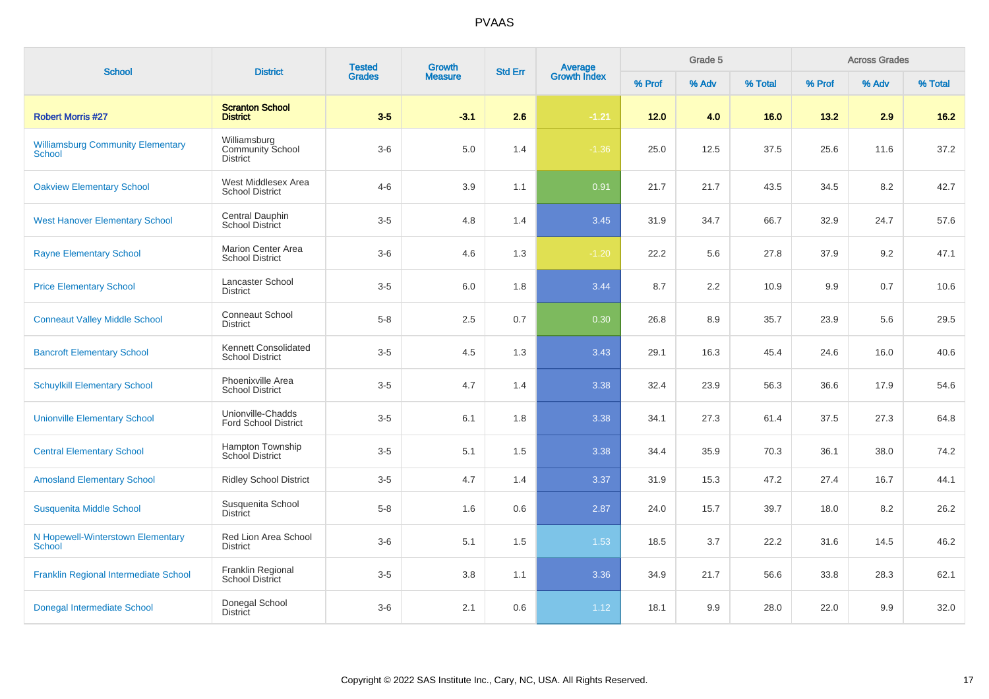| <b>School</b>                                             | <b>District</b>                                            | <b>Tested</b><br>Growth<br><b>Std Err</b> |                |     | Average<br>Growth Index |        | Grade 5 |         |        | <b>Across Grades</b> |         |
|-----------------------------------------------------------|------------------------------------------------------------|-------------------------------------------|----------------|-----|-------------------------|--------|---------|---------|--------|----------------------|---------|
|                                                           |                                                            | <b>Grades</b>                             | <b>Measure</b> |     |                         | % Prof | % Adv   | % Total | % Prof | % Adv                | % Total |
| <b>Robert Morris #27</b>                                  | <b>Scranton School</b><br><b>District</b>                  | $3-5$                                     | $-3.1$         | 2.6 | $-1.21$                 | 12.0   | 4.0     | 16.0    | 13.2   | 2.9                  | $16.2$  |
| <b>Williamsburg Community Elementary</b><br><b>School</b> | Williamsburg<br><b>Community School</b><br><b>District</b> | $3-6$                                     | $5.0\,$        | 1.4 | $-1.36$                 | 25.0   | 12.5    | 37.5    | 25.6   | 11.6                 | 37.2    |
| <b>Oakview Elementary School</b>                          | West Middlesex Area<br><b>School District</b>              | $4 - 6$                                   | 3.9            | 1.1 | 0.91                    | 21.7   | 21.7    | 43.5    | 34.5   | 8.2                  | 42.7    |
| <b>West Hanover Elementary School</b>                     | Central Dauphin<br><b>School District</b>                  | $3-5$                                     | 4.8            | 1.4 | 3.45                    | 31.9   | 34.7    | 66.7    | 32.9   | 24.7                 | 57.6    |
| <b>Rayne Elementary School</b>                            | <b>Marion Center Area</b><br><b>School District</b>        | $3-6$                                     | 4.6            | 1.3 | $-1.20$                 | 22.2   | 5.6     | 27.8    | 37.9   | 9.2                  | 47.1    |
| <b>Price Elementary School</b>                            | Lancaster School<br><b>District</b>                        | $3-5$                                     | 6.0            | 1.8 | 3.44                    | 8.7    | 2.2     | 10.9    | 9.9    | 0.7                  | 10.6    |
| <b>Conneaut Valley Middle School</b>                      | <b>Conneaut School</b><br><b>District</b>                  | $5 - 8$                                   | 2.5            | 0.7 | 0.30                    | 26.8   | 8.9     | 35.7    | 23.9   | 5.6                  | 29.5    |
| <b>Bancroft Elementary School</b>                         | Kennett Consolidated<br><b>School District</b>             | $3-5$                                     | 4.5            | 1.3 | 3.43                    | 29.1   | 16.3    | 45.4    | 24.6   | 16.0                 | 40.6    |
| <b>Schuylkill Elementary School</b>                       | Phoenixville Area<br><b>School District</b>                | $3-5$                                     | 4.7            | 1.4 | 3.38                    | 32.4   | 23.9    | 56.3    | 36.6   | 17.9                 | 54.6    |
| <b>Unionville Elementary School</b>                       | Unionville-Chadds<br><b>Ford School District</b>           | $3-5$                                     | 6.1            | 1.8 | 3.38                    | 34.1   | 27.3    | 61.4    | 37.5   | 27.3                 | 64.8    |
| <b>Central Elementary School</b>                          | Hampton Township<br><b>School District</b>                 | $3-5$                                     | 5.1            | 1.5 | 3.38                    | 34.4   | 35.9    | 70.3    | 36.1   | 38.0                 | 74.2    |
| <b>Amosland Elementary School</b>                         | <b>Ridley School District</b>                              | $3-5$                                     | 4.7            | 1.4 | 3.37                    | 31.9   | 15.3    | 47.2    | 27.4   | 16.7                 | 44.1    |
| Susquenita Middle School                                  | Susquenita School<br><b>District</b>                       | $5 - 8$                                   | 1.6            | 0.6 | 2.87                    | 24.0   | 15.7    | 39.7    | 18.0   | 8.2                  | 26.2    |
| N Hopewell-Winterstown Elementary<br>School               | Red Lion Area School<br><b>District</b>                    | $3-6$                                     | 5.1            | 1.5 | 1.53                    | 18.5   | 3.7     | 22.2    | 31.6   | 14.5                 | 46.2    |
| <b>Franklin Regional Intermediate School</b>              | <b>Franklin Regional</b><br>School District                | $3-5$                                     | 3.8            | 1.1 | 3.36                    | 34.9   | 21.7    | 56.6    | 33.8   | 28.3                 | 62.1    |
| Donegal Intermediate School                               | Donegal School<br><b>District</b>                          | $3-6$                                     | 2.1            | 0.6 | 1.12                    | 18.1   | 9.9     | 28.0    | 22.0   | 9.9                  | 32.0    |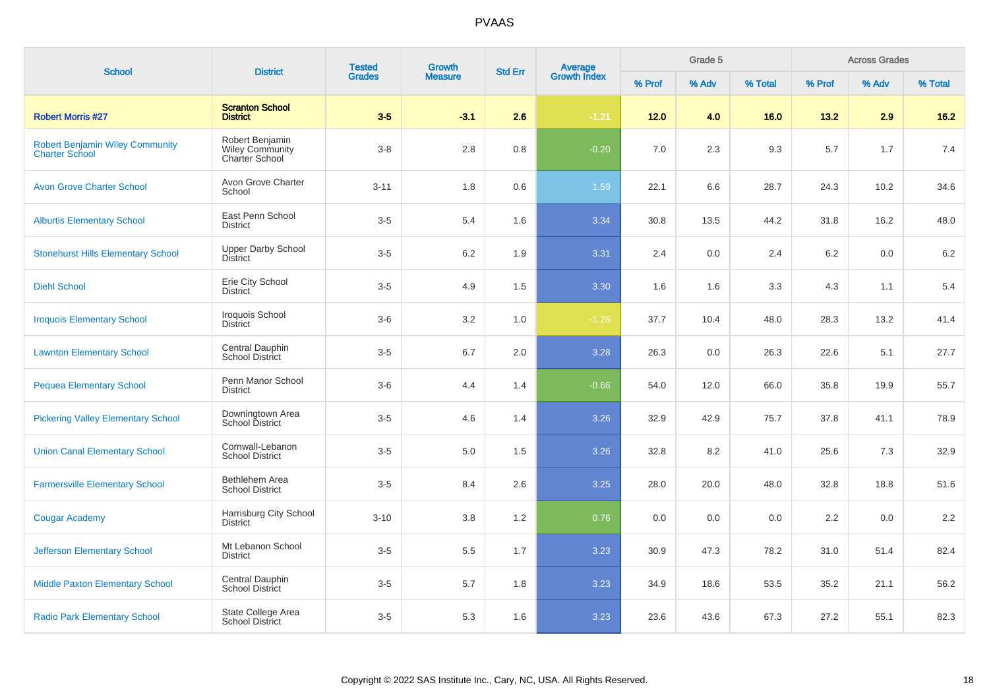| <b>School</b>                                                   | <b>District</b>                                             | <b>Tested</b> | Growth         | <b>Std Err</b> | Average<br>Growth Index |        | Grade 5 |         |        | <b>Across Grades</b> |         |
|-----------------------------------------------------------------|-------------------------------------------------------------|---------------|----------------|----------------|-------------------------|--------|---------|---------|--------|----------------------|---------|
|                                                                 |                                                             | <b>Grades</b> | <b>Measure</b> |                |                         | % Prof | % Adv   | % Total | % Prof | % Adv                | % Total |
| <b>Robert Morris #27</b>                                        | <b>Scranton School</b><br><b>District</b>                   | $3-5$         | $-3.1$         | 2.6            | $-1.21$                 | 12.0   | 4.0     | 16.0    | 13.2   | 2.9                  | $16.2$  |
| <b>Robert Benjamin Wiley Community</b><br><b>Charter School</b> | Robert Benjamin<br><b>Wiley Community</b><br>Charter School | $3 - 8$       | 2.8            | 0.8            | $-0.20$                 | 7.0    | 2.3     | 9.3     | 5.7    | 1.7                  | 7.4     |
| <b>Avon Grove Charter School</b>                                | Avon Grove Charter<br>School                                | $3 - 11$      | 1.8            | 0.6            | 1.59                    | 22.1   | 6.6     | 28.7    | 24.3   | 10.2                 | 34.6    |
| <b>Alburtis Elementary School</b>                               | East Penn School<br><b>District</b>                         | $3-5$         | 5.4            | 1.6            | 3.34                    | 30.8   | 13.5    | 44.2    | 31.8   | 16.2                 | 48.0    |
| <b>Stonehurst Hills Elementary School</b>                       | <b>Upper Darby School</b><br><b>District</b>                | $3-5$         | 6.2            | 1.9            | 3.31                    | 2.4    | 0.0     | 2.4     | 6.2    | 0.0                  | 6.2     |
| <b>Diehl School</b>                                             | Erie City School<br><b>District</b>                         | $3-5$         | 4.9            | 1.5            | 3.30                    | 1.6    | 1.6     | 3.3     | 4.3    | 1.1                  | 5.4     |
| <b>Iroquois Elementary School</b>                               | Iroquois School<br><b>District</b>                          | $3-6$         | 3.2            | 1.0            | $-1.26$                 | 37.7   | 10.4    | 48.0    | 28.3   | 13.2                 | 41.4    |
| <b>Lawnton Elementary School</b>                                | Central Dauphin<br>School District                          | $3-5$         | 6.7            | 2.0            | 3.28                    | 26.3   | 0.0     | 26.3    | 22.6   | 5.1                  | 27.7    |
| <b>Pequea Elementary School</b>                                 | Penn Manor School<br><b>District</b>                        | $3-6$         | 4.4            | 1.4            | $-0.66$                 | 54.0   | 12.0    | 66.0    | 35.8   | 19.9                 | 55.7    |
| <b>Pickering Valley Elementary School</b>                       | Downingtown Area<br>School District                         | $3-5$         | 4.6            | 1.4            | 3.26                    | 32.9   | 42.9    | 75.7    | 37.8   | 41.1                 | 78.9    |
| <b>Union Canal Elementary School</b>                            | Cornwall-Lebanon<br><b>School District</b>                  | $3-5$         | 5.0            | 1.5            | 3.26                    | 32.8   | 8.2     | 41.0    | 25.6   | 7.3                  | 32.9    |
| <b>Farmersville Elementary School</b>                           | Bethlehem Area<br><b>School District</b>                    | $3-5$         | 8.4            | 2.6            | 3.25                    | 28.0   | 20.0    | 48.0    | 32.8   | 18.8                 | 51.6    |
| <b>Cougar Academy</b>                                           | Harrisburg City School<br><b>District</b>                   | $3 - 10$      | 3.8            | 1.2            | 0.76                    | 0.0    | 0.0     | 0.0     | 2.2    | 0.0                  | 2.2     |
| <b>Jefferson Elementary School</b>                              | Mt Lebanon School<br><b>District</b>                        | $3-5$         | 5.5            | 1.7            | 3.23                    | 30.9   | 47.3    | 78.2    | 31.0   | 51.4                 | 82.4    |
| <b>Middle Paxton Elementary School</b>                          | Central Dauphin<br><b>School District</b>                   | $3-5$         | 5.7            | 1.8            | 3.23                    | 34.9   | 18.6    | 53.5    | 35.2   | 21.1                 | 56.2    |
| <b>Radio Park Elementary School</b>                             | State College Area<br><b>School District</b>                | $3-5$         | 5.3            | 1.6            | 3.23                    | 23.6   | 43.6    | 67.3    | 27.2   | 55.1                 | 82.3    |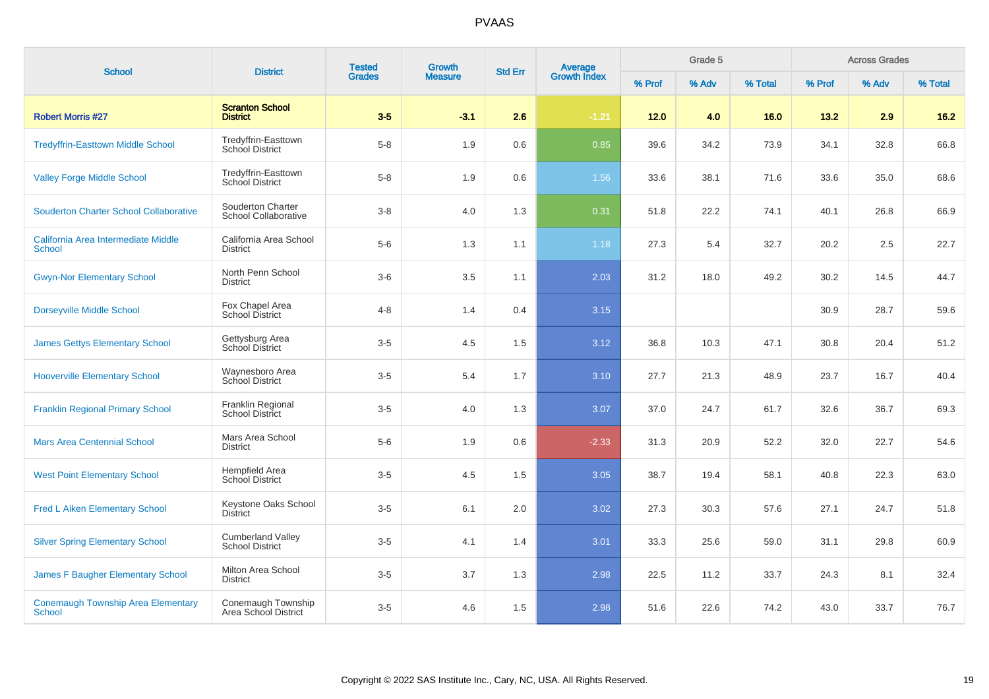| <b>School</b>                                              | <b>District</b>                                    | <b>Tested</b> | Growth         | <b>Std Err</b> | <b>Average</b><br>Growth Index | Grade 5 |       |         |        | <b>Across Grades</b> |         |
|------------------------------------------------------------|----------------------------------------------------|---------------|----------------|----------------|--------------------------------|---------|-------|---------|--------|----------------------|---------|
|                                                            |                                                    | <b>Grades</b> | <b>Measure</b> |                |                                | % Prof  | % Adv | % Total | % Prof | % Adv                | % Total |
| <b>Robert Morris #27</b>                                   | <b>Scranton School</b><br><b>District</b>          | $3-5$         | $-3.1$         | 2.6            | $-1.21$                        | $12.0$  | 4.0   | 16.0    | 13.2   | 2.9                  | $16.2$  |
| <b>Tredyffrin-Easttown Middle School</b>                   | Tredyffrin-Easttown<br><b>School District</b>      | $5-8$         | 1.9            | $0.6\,$        | 0.85                           | 39.6    | 34.2  | 73.9    | 34.1   | 32.8                 | 66.8    |
| <b>Valley Forge Middle School</b>                          | Tredyffrin-Easttown<br>School District             | $5 - 8$       | 1.9            | 0.6            | 1.56                           | 33.6    | 38.1  | 71.6    | 33.6   | 35.0                 | 68.6    |
| <b>Souderton Charter School Collaborative</b>              | Souderton Charter<br>School Collaborative          | $3-8$         | 4.0            | 1.3            | 0.31                           | 51.8    | 22.2  | 74.1    | 40.1   | 26.8                 | 66.9    |
| California Area Intermediate Middle<br><b>School</b>       | California Area School<br><b>District</b>          | $5-6$         | 1.3            | 1.1            | 1.18                           | 27.3    | 5.4   | 32.7    | 20.2   | 2.5                  | 22.7    |
| <b>Gwyn-Nor Elementary School</b>                          | North Penn School<br><b>District</b>               | $3-6$         | 3.5            | 1.1            | 2.03                           | 31.2    | 18.0  | 49.2    | 30.2   | 14.5                 | 44.7    |
| <b>Dorseyville Middle School</b>                           | Fox Chapel Area<br><b>School District</b>          | $4 - 8$       | 1.4            | 0.4            | 3.15                           |         |       |         | 30.9   | 28.7                 | 59.6    |
| <b>James Gettys Elementary School</b>                      | Gettysburg Area<br><b>School District</b>          | $3-5$         | 4.5            | 1.5            | 3.12                           | 36.8    | 10.3  | 47.1    | 30.8   | 20.4                 | 51.2    |
| <b>Hooverville Elementary School</b>                       | Waynesboro Area<br>School District                 | $3-5$         | 5.4            | 1.7            | 3.10                           | 27.7    | 21.3  | 48.9    | 23.7   | 16.7                 | 40.4    |
| <b>Franklin Regional Primary School</b>                    | Franklin Regional<br><b>School District</b>        | $3-5$         | 4.0            | 1.3            | 3.07                           | 37.0    | 24.7  | 61.7    | 32.6   | 36.7                 | 69.3    |
| <b>Mars Area Centennial School</b>                         | Mars Area School<br><b>District</b>                | $5-6$         | 1.9            | 0.6            | $-2.33$                        | 31.3    | 20.9  | 52.2    | 32.0   | 22.7                 | 54.6    |
| <b>West Point Elementary School</b>                        | Hempfield Area<br>School District                  | $3-5$         | 4.5            | 1.5            | 3.05                           | 38.7    | 19.4  | 58.1    | 40.8   | 22.3                 | 63.0    |
| <b>Fred L Aiken Elementary School</b>                      | Keystone Oaks School<br><b>District</b>            | $3-5$         | 6.1            | 2.0            | 3.02                           | 27.3    | 30.3  | 57.6    | 27.1   | 24.7                 | 51.8    |
| <b>Silver Spring Elementary School</b>                     | <b>Cumberland Valley</b><br><b>School District</b> | $3-5$         | 4.1            | 1.4            | 3.01                           | 33.3    | 25.6  | 59.0    | 31.1   | 29.8                 | 60.9    |
| James F Baugher Elementary School                          | <b>Milton Area School</b><br><b>District</b>       | $3-5$         | 3.7            | 1.3            | 2.98                           | 22.5    | 11.2  | 33.7    | 24.3   | 8.1                  | 32.4    |
| <b>Conemaugh Township Area Elementary</b><br><b>School</b> | Conemaugh Township<br>Area School District         | $3-5$         | 4.6            | 1.5            | 2.98                           | 51.6    | 22.6  | 74.2    | 43.0   | 33.7                 | 76.7    |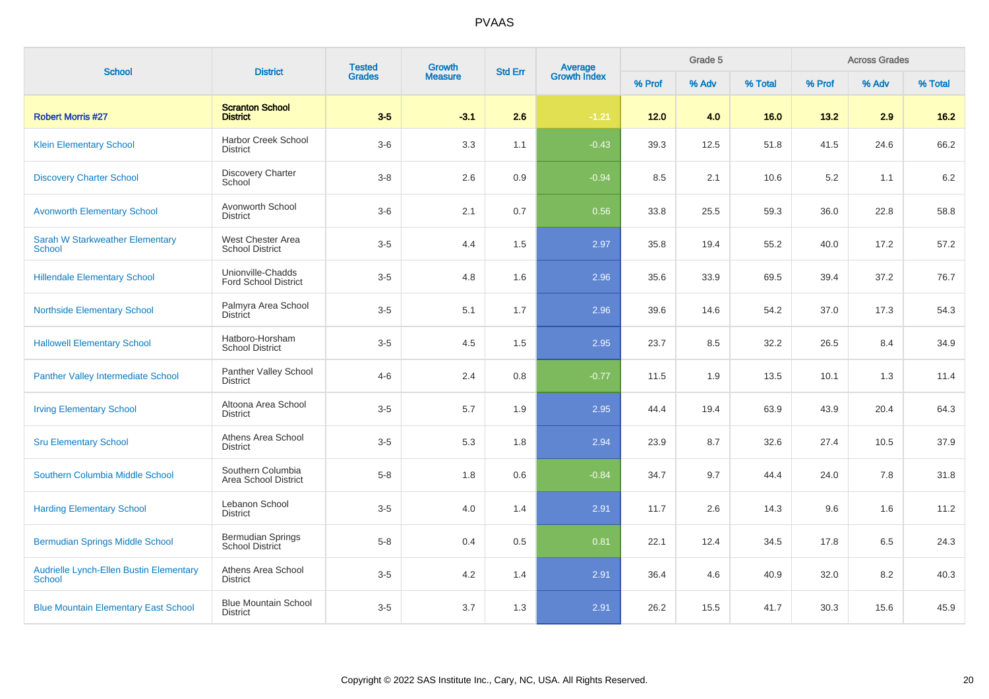| <b>School</b>                                                   | <b>District</b>                                    | <b>Tested</b> | Growth         |     | <b>Average</b><br>Growth Index<br><b>Std Err</b> |        | Grade 5 |         |        | <b>Across Grades</b> |         |
|-----------------------------------------------------------------|----------------------------------------------------|---------------|----------------|-----|--------------------------------------------------|--------|---------|---------|--------|----------------------|---------|
|                                                                 |                                                    | <b>Grades</b> | <b>Measure</b> |     |                                                  | % Prof | % Adv   | % Total | % Prof | % Adv                | % Total |
| <b>Robert Morris #27</b>                                        | <b>Scranton School</b><br><b>District</b>          | $3-5$         | $-3.1$         | 2.6 | $-1.21$                                          | 12.0   | 4.0     | 16.0    | 13.2   | 2.9                  | $16.2$  |
| <b>Klein Elementary School</b>                                  | Harbor Creek School<br><b>District</b>             | $3-6$         | 3.3            | 1.1 | $-0.43$                                          | 39.3   | 12.5    | 51.8    | 41.5   | 24.6                 | 66.2    |
| <b>Discovery Charter School</b>                                 | Discovery Charter<br>School                        | $3-8$         | 2.6            | 0.9 | $-0.94$                                          | 8.5    | 2.1     | 10.6    | 5.2    | 1.1                  | 6.2     |
| <b>Avonworth Elementary School</b>                              | Avonworth School<br><b>District</b>                | $3-6$         | 2.1            | 0.7 | 0.56                                             | 33.8   | 25.5    | 59.3    | 36.0   | 22.8                 | 58.8    |
| <b>Sarah W Starkweather Elementary</b><br><b>School</b>         | West Chester Area<br><b>School District</b>        | $3-5$         | 4.4            | 1.5 | 2.97                                             | 35.8   | 19.4    | 55.2    | 40.0   | 17.2                 | 57.2    |
| <b>Hillendale Elementary School</b>                             | Unionville-Chadds<br><b>Ford School District</b>   | $3-5$         | 4.8            | 1.6 | 2.96                                             | 35.6   | 33.9    | 69.5    | 39.4   | 37.2                 | 76.7    |
| <b>Northside Elementary School</b>                              | Palmyra Area School<br><b>District</b>             | $3-5$         | 5.1            | 1.7 | 2.96                                             | 39.6   | 14.6    | 54.2    | 37.0   | 17.3                 | 54.3    |
| <b>Hallowell Elementary School</b>                              | Hatboro-Horsham<br><b>School District</b>          | $3-5$         | 4.5            | 1.5 | 2.95                                             | 23.7   | 8.5     | 32.2    | 26.5   | 8.4                  | 34.9    |
| <b>Panther Valley Intermediate School</b>                       | Panther Valley School<br><b>District</b>           | $4 - 6$       | 2.4            | 0.8 | $-0.77$                                          | 11.5   | 1.9     | 13.5    | 10.1   | 1.3                  | 11.4    |
| <b>Irving Elementary School</b>                                 | Altoona Area School<br><b>District</b>             | $3-5$         | 5.7            | 1.9 | 2.95                                             | 44.4   | 19.4    | 63.9    | 43.9   | 20.4                 | 64.3    |
| <b>Sru Elementary School</b>                                    | Athens Area School<br><b>District</b>              | $3-5$         | 5.3            | 1.8 | 2.94                                             | 23.9   | 8.7     | 32.6    | 27.4   | 10.5                 | 37.9    |
| Southern Columbia Middle School                                 | Southern Columbia<br>Area School District          | $5 - 8$       | 1.8            | 0.6 | $-0.84$                                          | 34.7   | 9.7     | 44.4    | 24.0   | 7.8                  | 31.8    |
| <b>Harding Elementary School</b>                                | Lebanon School<br><b>District</b>                  | $3-5$         | 4.0            | 1.4 | 2.91                                             | 11.7   | 2.6     | 14.3    | 9.6    | 1.6                  | 11.2    |
| <b>Bermudian Springs Middle School</b>                          | <b>Bermudian Springs</b><br><b>School District</b> | $5 - 8$       | 0.4            | 0.5 | 0.81                                             | 22.1   | 12.4    | 34.5    | 17.8   | 6.5                  | 24.3    |
| <b>Audrielle Lynch-Ellen Bustin Elementary</b><br><b>School</b> | Athens Area School<br><b>District</b>              | $3-5$         | 4.2            | 1.4 | 2.91                                             | 36.4   | 4.6     | 40.9    | 32.0   | 8.2                  | 40.3    |
| <b>Blue Mountain Elementary East School</b>                     | <b>Blue Mountain School</b><br><b>District</b>     | $3-5$         | 3.7            | 1.3 | 2.91                                             | 26.2   | 15.5    | 41.7    | 30.3   | 15.6                 | 45.9    |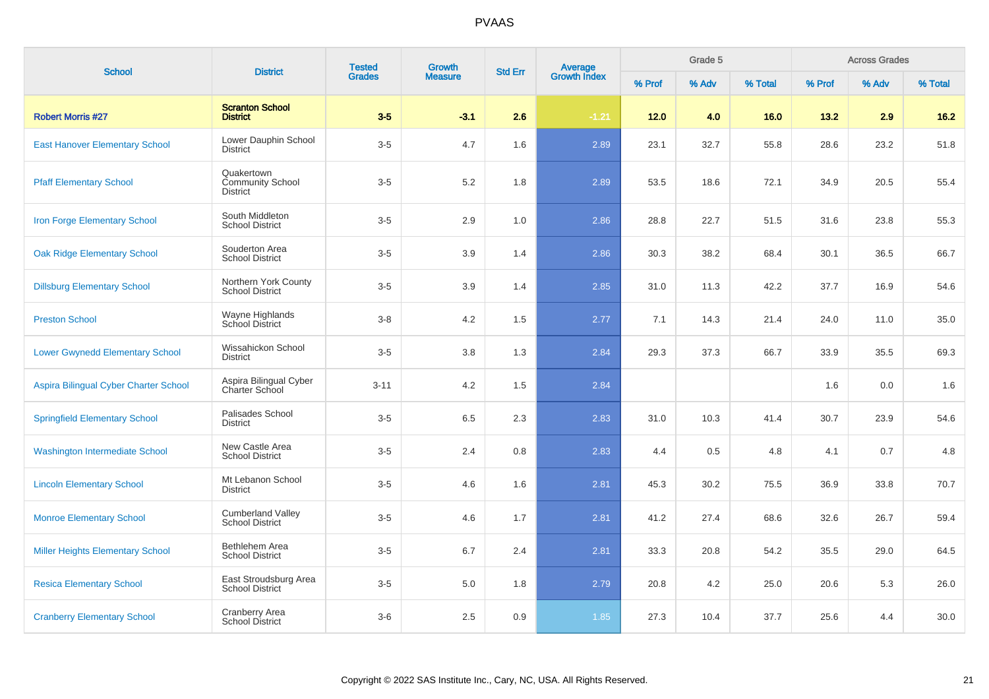| <b>School</b>                           | <b>District</b>                                          | <b>Tested</b><br><b>Grades</b> | <b>Growth</b>  | <b>Std Err</b> | Average<br>Growth Index |        | Grade 5 |         |        | <b>Across Grades</b> |         |
|-----------------------------------------|----------------------------------------------------------|--------------------------------|----------------|----------------|-------------------------|--------|---------|---------|--------|----------------------|---------|
|                                         |                                                          |                                | <b>Measure</b> |                |                         | % Prof | % Adv   | % Total | % Prof | % Adv                | % Total |
| <b>Robert Morris #27</b>                | <b>Scranton School</b><br><b>District</b>                | $3-5$                          | $-3.1$         | 2.6            | $-1.21$                 | 12.0   | 4.0     | 16.0    | 13.2   | 2.9                  | $16.2$  |
| <b>East Hanover Elementary School</b>   | Lower Dauphin School<br><b>District</b>                  | $3-5$                          | 4.7            | 1.6            | 2.89                    | 23.1   | 32.7    | 55.8    | 28.6   | 23.2                 | 51.8    |
| <b>Pfaff Elementary School</b>          | Quakertown<br><b>Community School</b><br><b>District</b> | $3-5$                          | 5.2            | 1.8            | 2.89                    | 53.5   | 18.6    | 72.1    | 34.9   | 20.5                 | 55.4    |
| Iron Forge Elementary School            | South Middleton<br><b>School District</b>                | $3-5$                          | 2.9            | 1.0            | 2.86                    | 28.8   | 22.7    | 51.5    | 31.6   | 23.8                 | 55.3    |
| <b>Oak Ridge Elementary School</b>      | Souderton Area<br><b>School District</b>                 | $3-5$                          | 3.9            | 1.4            | 2.86                    | 30.3   | 38.2    | 68.4    | 30.1   | 36.5                 | 66.7    |
| <b>Dillsburg Elementary School</b>      | Northern York County<br><b>School District</b>           | $3-5$                          | 3.9            | 1.4            | 2.85                    | 31.0   | 11.3    | 42.2    | 37.7   | 16.9                 | 54.6    |
| <b>Preston School</b>                   | Wayne Highlands<br>School District                       | $3 - 8$                        | 4.2            | 1.5            | 2.77                    | 7.1    | 14.3    | 21.4    | 24.0   | 11.0                 | 35.0    |
| <b>Lower Gwynedd Elementary School</b>  | Wissahickon School<br><b>District</b>                    | $3-5$                          | 3.8            | 1.3            | 2.84                    | 29.3   | 37.3    | 66.7    | 33.9   | 35.5                 | 69.3    |
| Aspira Bilingual Cyber Charter School   | Aspira Bilingual Cyber<br>Charter School                 | $3 - 11$                       | 4.2            | 1.5            | 2.84                    |        |         |         | 1.6    | 0.0                  | 1.6     |
| <b>Springfield Elementary School</b>    | Palisades School<br><b>District</b>                      | $3-5$                          | 6.5            | 2.3            | 2.83                    | 31.0   | 10.3    | 41.4    | 30.7   | 23.9                 | 54.6    |
| <b>Washington Intermediate School</b>   | New Castle Area<br><b>School District</b>                | $3-5$                          | 2.4            | 0.8            | 2.83                    | 4.4    | 0.5     | 4.8     | 4.1    | 0.7                  | 4.8     |
| <b>Lincoln Elementary School</b>        | Mt Lebanon School<br><b>District</b>                     | $3-5$                          | 4.6            | 1.6            | 2.81                    | 45.3   | 30.2    | 75.5    | 36.9   | 33.8                 | 70.7    |
| <b>Monroe Elementary School</b>         | <b>Cumberland Valley</b><br><b>School District</b>       | $3-5$                          | 4.6            | 1.7            | 2.81                    | 41.2   | 27.4    | 68.6    | 32.6   | 26.7                 | 59.4    |
| <b>Miller Heights Elementary School</b> | Bethlehem Area<br><b>School District</b>                 | $3-5$                          | 6.7            | 2.4            | 2.81                    | 33.3   | 20.8    | 54.2    | 35.5   | 29.0                 | 64.5    |
| <b>Resica Elementary School</b>         | East Stroudsburg Area<br><b>School District</b>          | $3-5$                          | $5.0\,$        | 1.8            | 2.79                    | 20.8   | 4.2     | 25.0    | 20.6   | 5.3                  | 26.0    |
| <b>Cranberry Elementary School</b>      | <b>Cranberry Area</b><br>School District                 | $3-6$                          | 2.5            | 0.9            | 1.85                    | 27.3   | 10.4    | 37.7    | 25.6   | 4.4                  | 30.0    |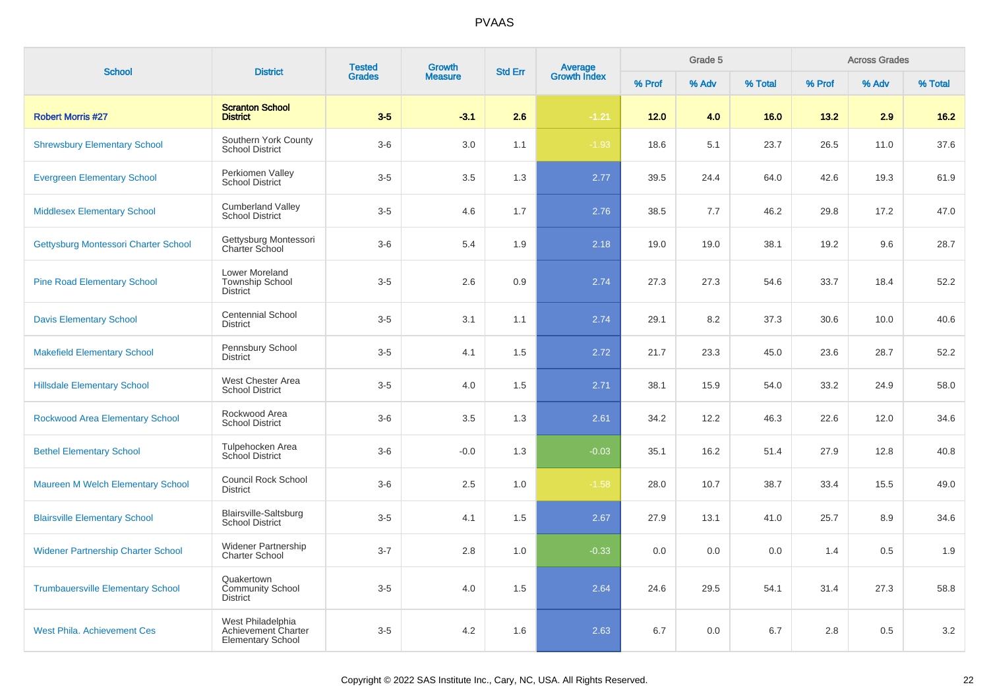| <b>School</b>                             | <b>District</b>                                                      | <b>Tested</b><br><b>Growth</b><br><b>Grades</b><br><b>Measure</b> | Average<br><b>Std Err</b> |     | Grade 5             |        |       | <b>Across Grades</b> |        |       |         |
|-------------------------------------------|----------------------------------------------------------------------|-------------------------------------------------------------------|---------------------------|-----|---------------------|--------|-------|----------------------|--------|-------|---------|
|                                           |                                                                      |                                                                   |                           |     | <b>Growth Index</b> | % Prof | % Adv | % Total              | % Prof | % Adv | % Total |
| <b>Robert Morris #27</b>                  | <b>Scranton School</b><br><b>District</b>                            | $3-5$                                                             | $-3.1$                    | 2.6 | $-1.21$             | 12.0   | 4.0   | 16.0                 | 13.2   | 2.9   | 16.2    |
| <b>Shrewsbury Elementary School</b>       | Southern York County<br><b>School District</b>                       | $3-6$                                                             | 3.0                       | 1.1 | $-1.93$             | 18.6   | 5.1   | 23.7                 | 26.5   | 11.0  | 37.6    |
| <b>Evergreen Elementary School</b>        | Perkiomen Valley<br><b>School District</b>                           | $3-5$                                                             | 3.5                       | 1.3 | 2.77                | 39.5   | 24.4  | 64.0                 | 42.6   | 19.3  | 61.9    |
| <b>Middlesex Elementary School</b>        | <b>Cumberland Valley</b><br><b>School District</b>                   | $3-5$                                                             | 4.6                       | 1.7 | 2.76                | 38.5   | 7.7   | 46.2                 | 29.8   | 17.2  | 47.0    |
| Gettysburg Montessori Charter School      | Gettysburg Montessori<br><b>Charter School</b>                       | $3-6$                                                             | 5.4                       | 1.9 | 2.18                | 19.0   | 19.0  | 38.1                 | 19.2   | 9.6   | 28.7    |
| <b>Pine Road Elementary School</b>        | Lower Moreland<br><b>Township School</b><br><b>District</b>          | $3-5$                                                             | 2.6                       | 0.9 | 2.74                | 27.3   | 27.3  | 54.6                 | 33.7   | 18.4  | 52.2    |
| <b>Davis Elementary School</b>            | <b>Centennial School</b><br><b>District</b>                          | $3-5$                                                             | 3.1                       | 1.1 | 2.74                | 29.1   | 8.2   | 37.3                 | 30.6   | 10.0  | 40.6    |
| <b>Makefield Elementary School</b>        | Pennsbury School<br><b>District</b>                                  | $3-5$                                                             | 4.1                       | 1.5 | 2.72                | 21.7   | 23.3  | 45.0                 | 23.6   | 28.7  | 52.2    |
| <b>Hillsdale Elementary School</b>        | West Chester Area<br><b>School District</b>                          | $3-5$                                                             | 4.0                       | 1.5 | 2.71                | 38.1   | 15.9  | 54.0                 | 33.2   | 24.9  | 58.0    |
| Rockwood Area Elementary School           | Rockwood Area<br><b>School District</b>                              | $3-6$                                                             | 3.5                       | 1.3 | 2.61                | 34.2   | 12.2  | 46.3                 | 22.6   | 12.0  | 34.6    |
| <b>Bethel Elementary School</b>           | Tulpehocken Area<br>School District                                  | $3-6$                                                             | $-0.0$                    | 1.3 | $-0.03$             | 35.1   | 16.2  | 51.4                 | 27.9   | 12.8  | 40.8    |
| Maureen M Welch Elementary School         | <b>Council Rock School</b><br><b>District</b>                        | $3-6$                                                             | 2.5                       | 1.0 | $-1.58$             | 28.0   | 10.7  | 38.7                 | 33.4   | 15.5  | 49.0    |
| <b>Blairsville Elementary School</b>      | Blairsville-Saltsburg<br><b>School District</b>                      | $3-5$                                                             | 4.1                       | 1.5 | 2.67                | 27.9   | 13.1  | 41.0                 | 25.7   | 8.9   | 34.6    |
| <b>Widener Partnership Charter School</b> | <b>Widener Partnership</b><br><b>Charter School</b>                  | $3 - 7$                                                           | 2.8                       | 1.0 | $-0.33$             | 0.0    | 0.0   | 0.0                  | 1.4    | 0.5   | 1.9     |
| <b>Trumbauersville Elementary School</b>  | Quakertown<br><b>Community School</b><br>District                    | $3-5$                                                             | 4.0                       | 1.5 | 2.64                | 24.6   | 29.5  | 54.1                 | 31.4   | 27.3  | 58.8    |
| <b>West Phila. Achievement Ces</b>        | West Philadelphia<br>Achievement Charter<br><b>Elementary School</b> | $3-5$                                                             | 4.2                       | 1.6 | 2.63                | 6.7    | 0.0   | 6.7                  | 2.8    | 0.5   | 3.2     |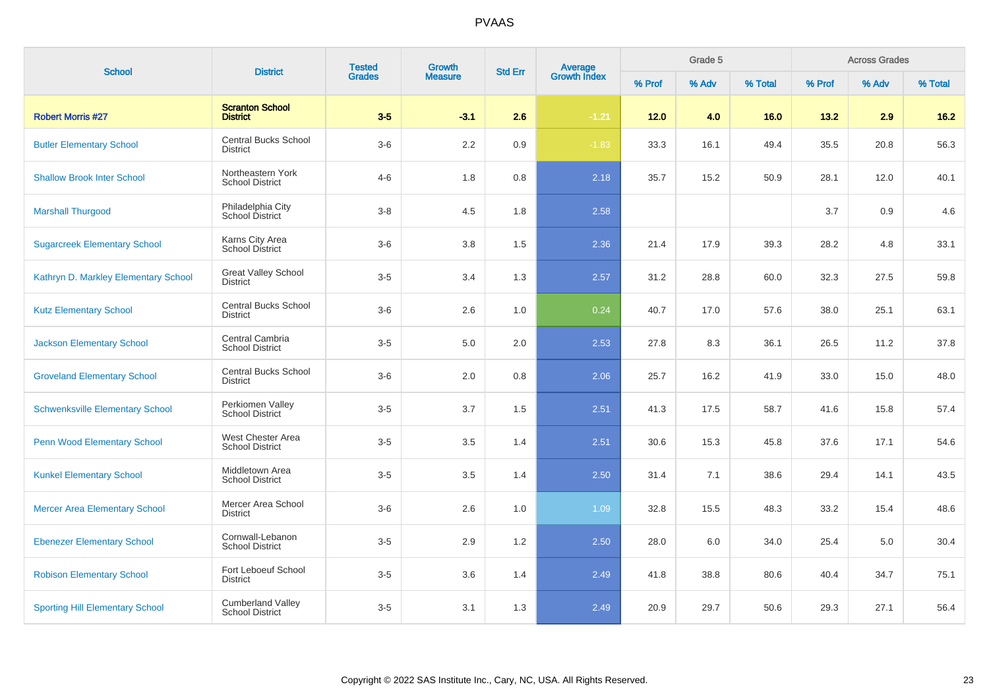| <b>School</b>                          | <b>District</b>                                    | <b>Tested</b><br><b>Grades</b> | Growth         | <b>Std Err</b> |                                |        | Grade 5 |         |        | <b>Across Grades</b> |         |
|----------------------------------------|----------------------------------------------------|--------------------------------|----------------|----------------|--------------------------------|--------|---------|---------|--------|----------------------|---------|
|                                        |                                                    |                                | <b>Measure</b> |                | <b>Average</b><br>Growth Index | % Prof | % Adv   | % Total | % Prof | % Adv                | % Total |
| <b>Robert Morris #27</b>               | <b>Scranton School</b><br><b>District</b>          | $3-5$                          | $-3.1$         | 2.6            | $-1.21$                        | $12.0$ | 4.0     | 16.0    | 13.2   | 2.9                  | $16.2$  |
| <b>Butler Elementary School</b>        | <b>Central Bucks School</b><br><b>District</b>     | $3-6$                          | 2.2            | $0.9\,$        | $-1.83$                        | 33.3   | 16.1    | 49.4    | 35.5   | 20.8                 | 56.3    |
| <b>Shallow Brook Inter School</b>      | Northeastern York<br><b>School District</b>        | $4 - 6$                        | 1.8            | 0.8            | 2.18                           | 35.7   | 15.2    | 50.9    | 28.1   | 12.0                 | 40.1    |
| <b>Marshall Thurgood</b>               | Philadelphia City<br>School District               | $3 - 8$                        | 4.5            | 1.8            | 2.58                           |        |         |         | 3.7    | 0.9                  | 4.6     |
| <b>Sugarcreek Elementary School</b>    | Karns City Area<br><b>School District</b>          | $3-6$                          | 3.8            | 1.5            | 2.36                           | 21.4   | 17.9    | 39.3    | 28.2   | 4.8                  | 33.1    |
| Kathryn D. Markley Elementary School   | <b>Great Valley School</b><br><b>District</b>      | $3-5$                          | 3.4            | 1.3            | 2.57                           | 31.2   | 28.8    | 60.0    | 32.3   | 27.5                 | 59.8    |
| <b>Kutz Elementary School</b>          | <b>Central Bucks School</b><br><b>District</b>     | $3-6$                          | 2.6            | 1.0            | 0.24                           | 40.7   | 17.0    | 57.6    | 38.0   | 25.1                 | 63.1    |
| <b>Jackson Elementary School</b>       | Central Cambria<br><b>School District</b>          | $3-5$                          | 5.0            | 2.0            | 2.53                           | 27.8   | 8.3     | 36.1    | 26.5   | 11.2                 | 37.8    |
| <b>Groveland Elementary School</b>     | <b>Central Bucks School</b><br><b>District</b>     | $3-6$                          | 2.0            | 0.8            | 2.06                           | 25.7   | 16.2    | 41.9    | 33.0   | 15.0                 | 48.0    |
| <b>Schwenksville Elementary School</b> | Perkiomen Valley<br><b>School District</b>         | $3-5$                          | 3.7            | 1.5            | 2.51                           | 41.3   | 17.5    | 58.7    | 41.6   | 15.8                 | 57.4    |
| Penn Wood Elementary School            | West Chester Area<br><b>School District</b>        | $3-5$                          | 3.5            | 1.4            | 2.51                           | 30.6   | 15.3    | 45.8    | 37.6   | 17.1                 | 54.6    |
| <b>Kunkel Elementary School</b>        | Middletown Area<br><b>School District</b>          | $3-5$                          | 3.5            | 1.4            | 2.50                           | 31.4   | 7.1     | 38.6    | 29.4   | 14.1                 | 43.5    |
| <b>Mercer Area Elementary School</b>   | Mercer Area School<br><b>District</b>              | $3-6$                          | 2.6            | 1.0            | 1.09                           | 32.8   | 15.5    | 48.3    | 33.2   | 15.4                 | 48.6    |
| <b>Ebenezer Elementary School</b>      | Cornwall-Lebanon<br><b>School District</b>         | $3-5$                          | 2.9            | 1.2            | 2.50                           | 28.0   | 6.0     | 34.0    | 25.4   | 5.0                  | 30.4    |
| <b>Robison Elementary School</b>       | Fort Leboeuf School<br><b>District</b>             | $3-5$                          | 3.6            | 1.4            | 2.49                           | 41.8   | 38.8    | 80.6    | 40.4   | 34.7                 | 75.1    |
| <b>Sporting Hill Elementary School</b> | <b>Cumberland Valley</b><br><b>School District</b> | $3-5$                          | 3.1            | 1.3            | 2.49                           | 20.9   | 29.7    | 50.6    | 29.3   | 27.1                 | 56.4    |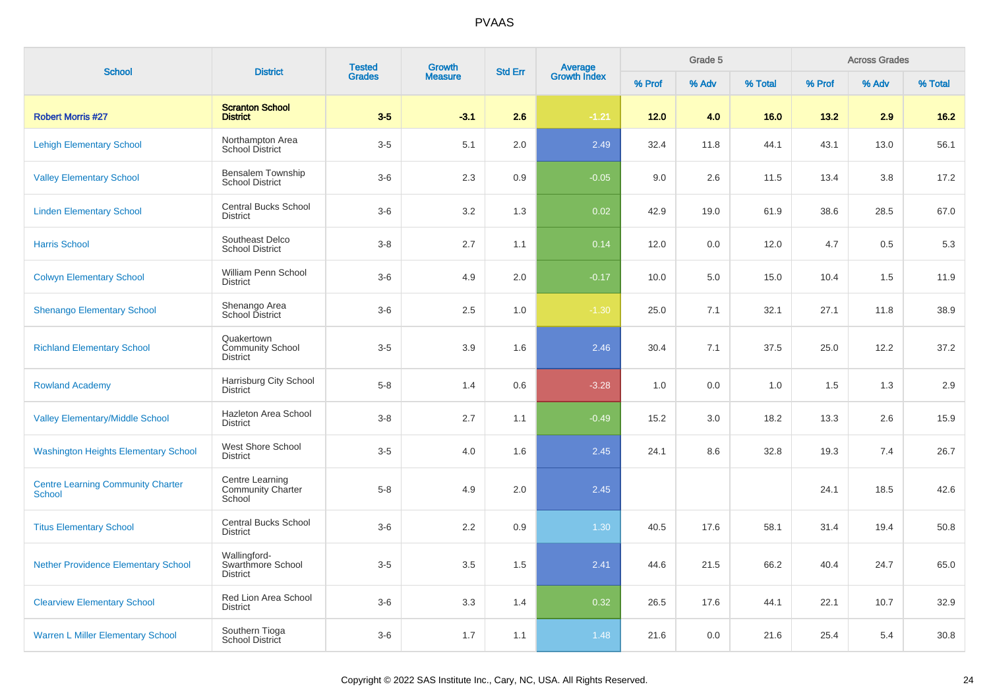| <b>School</b>                                             | <b>District</b>                                          | <b>Tested</b> | <b>Growth</b>  | <b>Std Err</b> |                                |        | Grade 5 |         |        | <b>Across Grades</b> |         |
|-----------------------------------------------------------|----------------------------------------------------------|---------------|----------------|----------------|--------------------------------|--------|---------|---------|--------|----------------------|---------|
|                                                           |                                                          | <b>Grades</b> | <b>Measure</b> |                | <b>Average</b><br>Growth Index | % Prof | % Adv   | % Total | % Prof | % Adv                | % Total |
| <b>Robert Morris #27</b>                                  | <b>Scranton School</b><br><b>District</b>                | $3-5$         | $-3.1$         | 2.6            | $-1.21$                        | 12.0   | 4.0     | 16.0    | 13.2   | 2.9                  | 16.2    |
| <b>Lehigh Elementary School</b>                           | Northampton Area<br>School District                      | $3-5$         | 5.1            | 2.0            | 2.49                           | 32.4   | 11.8    | 44.1    | 43.1   | 13.0                 | 56.1    |
| <b>Valley Elementary School</b>                           | Bensalem Township<br><b>School District</b>              | $3-6$         | 2.3            | 0.9            | $-0.05$                        | 9.0    | 2.6     | 11.5    | 13.4   | 3.8                  | 17.2    |
| <b>Linden Elementary School</b>                           | Central Bucks School<br><b>District</b>                  | $3-6$         | 3.2            | 1.3            | 0.02                           | 42.9   | 19.0    | 61.9    | 38.6   | 28.5                 | 67.0    |
| <b>Harris School</b>                                      | Southeast Delco<br><b>School District</b>                | $3 - 8$       | 2.7            | 1.1            | 0.14                           | 12.0   | 0.0     | 12.0    | 4.7    | 0.5                  | 5.3     |
| <b>Colwyn Elementary School</b>                           | William Penn School<br><b>District</b>                   | $3-6$         | 4.9            | 2.0            | $-0.17$                        | 10.0   | 5.0     | 15.0    | 10.4   | 1.5                  | 11.9    |
| <b>Shenango Elementary School</b>                         | Shenango Area<br>School District                         | $3-6$         | 2.5            | 1.0            | $-1.30$                        | 25.0   | 7.1     | 32.1    | 27.1   | 11.8                 | 38.9    |
| <b>Richland Elementary School</b>                         | Quakertown<br><b>Community School</b><br><b>District</b> | $3-5$         | 3.9            | 1.6            | 2.46                           | 30.4   | 7.1     | 37.5    | 25.0   | 12.2                 | 37.2    |
| <b>Rowland Academy</b>                                    | Harrisburg City School<br><b>District</b>                | $5-8$         | 1.4            | 0.6            | $-3.28$                        | 1.0    | 0.0     | 1.0     | 1.5    | 1.3                  | 2.9     |
| <b>Valley Elementary/Middle School</b>                    | Hazleton Area School<br><b>District</b>                  | $3-8$         | 2.7            | 1.1            | $-0.49$                        | 15.2   | 3.0     | 18.2    | 13.3   | 2.6                  | 15.9    |
| <b>Washington Heights Elementary School</b>               | West Shore School<br><b>District</b>                     | $3-5$         | 4.0            | 1.6            | 2.45                           | 24.1   | 8.6     | 32.8    | 19.3   | 7.4                  | 26.7    |
| <b>Centre Learning Community Charter</b><br><b>School</b> | Centre Learning<br><b>Community Charter</b><br>School    | $5 - 8$       | 4.9            | 2.0            | 2.45                           |        |         |         | 24.1   | 18.5                 | 42.6    |
| <b>Titus Elementary School</b>                            | <b>Central Bucks School</b><br><b>District</b>           | $3-6$         | 2.2            | 0.9            | 1.30                           | 40.5   | 17.6    | 58.1    | 31.4   | 19.4                 | 50.8    |
| <b>Nether Providence Elementary School</b>                | Wallingford-<br>Swarthmore School<br><b>District</b>     | $3-5$         | 3.5            | 1.5            | 2.41                           | 44.6   | 21.5    | 66.2    | 40.4   | 24.7                 | 65.0    |
| <b>Clearview Elementary School</b>                        | Red Lion Area School<br><b>District</b>                  | $3-6$         | 3.3            | 1.4            | 0.32                           | 26.5   | 17.6    | 44.1    | 22.1   | 10.7                 | 32.9    |
| <b>Warren L Miller Elementary School</b>                  | Southern Tioga<br>School District                        | $3-6$         | 1.7            | 1.1            | 1.48                           | 21.6   | 0.0     | 21.6    | 25.4   | 5.4                  | 30.8    |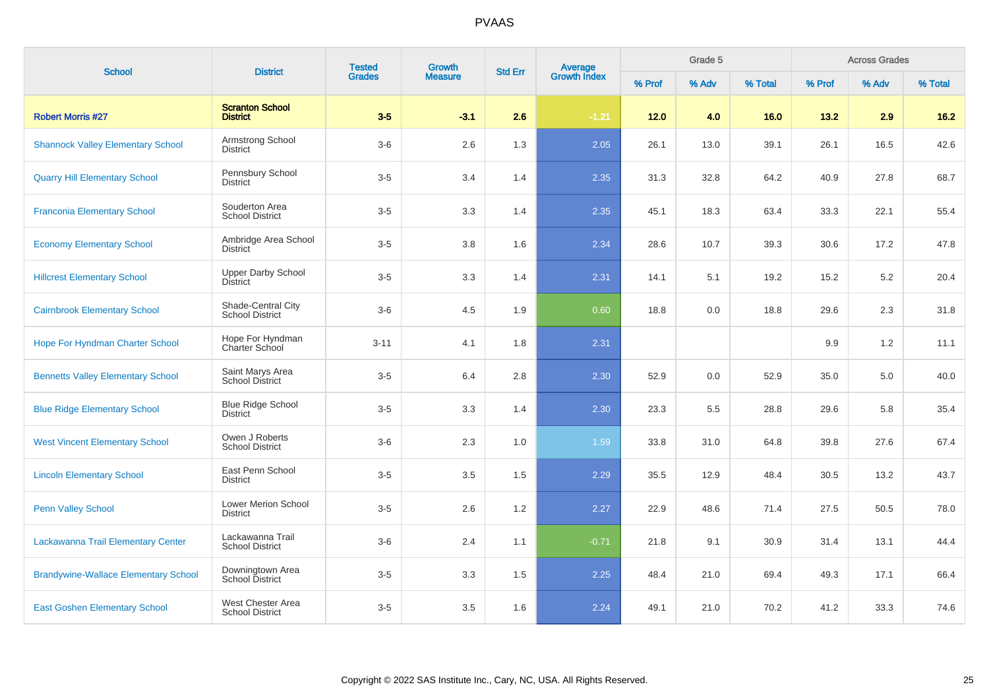| <b>School</b>                               | <b>District</b>                              | <b>Tested</b> | Growth<br><b>Measure</b> | <b>Average</b><br>Growth Index<br><b>Std Err</b> |         |        | Grade 5 |         |        | <b>Across Grades</b> |         |
|---------------------------------------------|----------------------------------------------|---------------|--------------------------|--------------------------------------------------|---------|--------|---------|---------|--------|----------------------|---------|
|                                             |                                              | <b>Grades</b> |                          |                                                  |         | % Prof | % Adv   | % Total | % Prof | % Adv                | % Total |
| <b>Robert Morris #27</b>                    | <b>Scranton School</b><br><b>District</b>    | $3-5$         | $-3.1$                   | 2.6                                              | $-1.21$ | $12.0$ | 4.0     | 16.0    | 13.2   | 2.9                  | $16.2$  |
| <b>Shannock Valley Elementary School</b>    | Armstrong School<br>District                 | $3-6$         | 2.6                      | 1.3                                              | 2.05    | 26.1   | 13.0    | 39.1    | 26.1   | 16.5                 | 42.6    |
| <b>Quarry Hill Elementary School</b>        | Pennsbury School<br><b>District</b>          | $3-5$         | 3.4                      | 1.4                                              | 2.35    | 31.3   | 32.8    | 64.2    | 40.9   | 27.8                 | 68.7    |
| <b>Franconia Elementary School</b>          | Souderton Area<br><b>School District</b>     | $3-5$         | 3.3                      | 1.4                                              | 2.35    | 45.1   | 18.3    | 63.4    | 33.3   | 22.1                 | 55.4    |
| <b>Economy Elementary School</b>            | Ambridge Area School<br>District             | $3-5$         | 3.8                      | 1.6                                              | 2.34    | 28.6   | 10.7    | 39.3    | 30.6   | 17.2                 | 47.8    |
| <b>Hillcrest Elementary School</b>          | <b>Upper Darby School</b><br><b>District</b> | $3-5$         | 3.3                      | 1.4                                              | 2.31    | 14.1   | 5.1     | 19.2    | 15.2   | 5.2                  | 20.4    |
| <b>Cairnbrook Elementary School</b>         | Shade-Central City<br><b>School District</b> | $3-6$         | 4.5                      | 1.9                                              | 0.60    | 18.8   | 0.0     | 18.8    | 29.6   | 2.3                  | 31.8    |
| <b>Hope For Hyndman Charter School</b>      | Hope For Hyndman<br>Charter School           | $3 - 11$      | 4.1                      | 1.8                                              | 2.31    |        |         |         | 9.9    | 1.2                  | 11.1    |
| <b>Bennetts Valley Elementary School</b>    | Saint Marys Area<br><b>School District</b>   | $3-5$         | 6.4                      | 2.8                                              | 2.30    | 52.9   | 0.0     | 52.9    | 35.0   | 5.0                  | 40.0    |
| <b>Blue Ridge Elementary School</b>         | <b>Blue Ridge School</b><br>District         | $3-5$         | 3.3                      | 1.4                                              | 2.30    | 23.3   | 5.5     | 28.8    | 29.6   | 5.8                  | 35.4    |
| <b>West Vincent Elementary School</b>       | Owen J Roberts<br><b>School District</b>     | $3-6$         | 2.3                      | 1.0                                              | 1.59    | 33.8   | 31.0    | 64.8    | 39.8   | 27.6                 | 67.4    |
| <b>Lincoln Elementary School</b>            | East Penn School<br><b>District</b>          | $3-5$         | 3.5                      | 1.5                                              | 2.29    | 35.5   | 12.9    | 48.4    | 30.5   | 13.2                 | 43.7    |
| <b>Penn Valley School</b>                   | Lower Merion School<br><b>District</b>       | $3-5$         | 2.6                      | 1.2                                              | 2.27    | 22.9   | 48.6    | 71.4    | 27.5   | 50.5                 | 78.0    |
| Lackawanna Trail Elementary Center          | Lackawanna Trail<br><b>School District</b>   | $3-6$         | 2.4                      | 1.1                                              | $-0.71$ | 21.8   | 9.1     | 30.9    | 31.4   | 13.1                 | 44.4    |
| <b>Brandywine-Wallace Elementary School</b> | Downingtown Area<br><b>School District</b>   | $3-5$         | 3.3                      | 1.5                                              | 2.25    | 48.4   | 21.0    | 69.4    | 49.3   | 17.1                 | 66.4    |
| <b>East Goshen Elementary School</b>        | West Chester Area<br><b>School District</b>  | $3-5$         | 3.5                      | 1.6                                              | 2.24    | 49.1   | 21.0    | 70.2    | 41.2   | 33.3                 | 74.6    |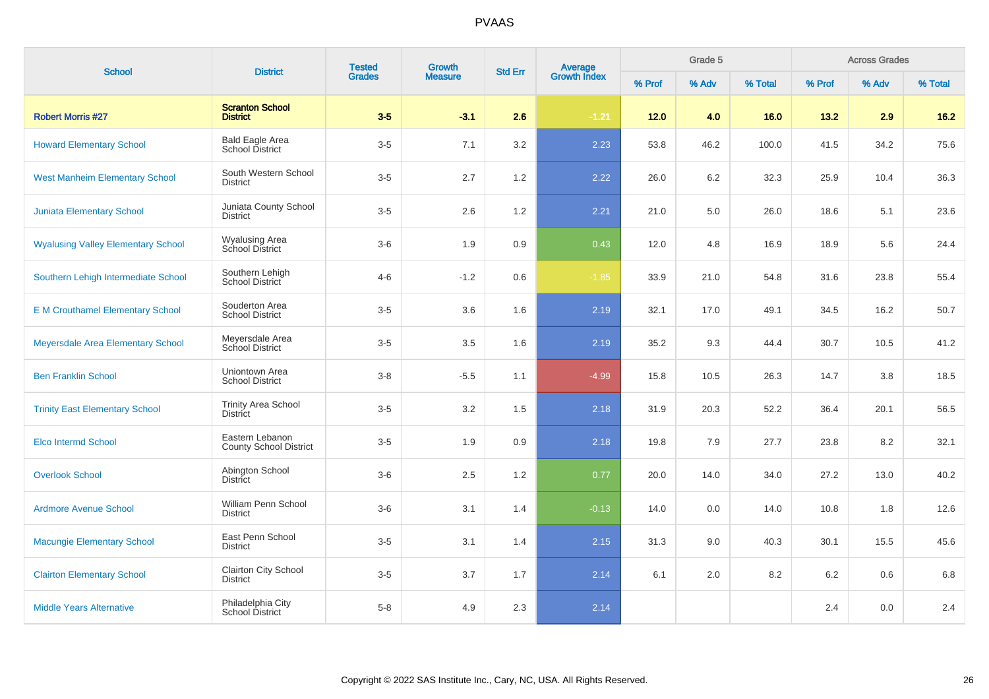| <b>School</b>                             | <b>District</b>                                  | <b>Tested</b><br><b>Grades</b> | Growth         | <b>Average</b><br>Growth Index<br><b>Std Err</b> |         |        | Grade 5 |         |         | <b>Across Grades</b> |         |
|-------------------------------------------|--------------------------------------------------|--------------------------------|----------------|--------------------------------------------------|---------|--------|---------|---------|---------|----------------------|---------|
|                                           |                                                  |                                | <b>Measure</b> |                                                  |         | % Prof | % Adv   | % Total | % Prof  | % Adv                | % Total |
| <b>Robert Morris #27</b>                  | <b>Scranton School</b><br><b>District</b>        | $3-5$                          | $-3.1$         | 2.6                                              | $-1.21$ | $12.0$ | 4.0     | 16.0    | 13.2    | 2.9                  | $16.2$  |
| <b>Howard Elementary School</b>           | <b>Bald Eagle Area</b><br>School District        | $3-5$                          | 7.1            | 3.2                                              | 2.23    | 53.8   | 46.2    | 100.0   | 41.5    | 34.2                 | 75.6    |
| <b>West Manheim Elementary School</b>     | South Western School<br><b>District</b>          | $3-5$                          | 2.7            | 1.2                                              | 2.22    | 26.0   | 6.2     | 32.3    | 25.9    | 10.4                 | 36.3    |
| <b>Juniata Elementary School</b>          | Juniata County School<br><b>District</b>         | $3-5$                          | 2.6            | 1.2                                              | 2.21    | 21.0   | 5.0     | 26.0    | 18.6    | 5.1                  | 23.6    |
| <b>Wyalusing Valley Elementary School</b> | Wyalusing Area<br>School District                | $3-6$                          | 1.9            | 0.9                                              | 0.43    | 12.0   | 4.8     | 16.9    | 18.9    | 5.6                  | 24.4    |
| Southern Lehigh Intermediate School       | Southern Lehigh<br>School District               | $4 - 6$                        | $-1.2$         | 0.6                                              | $-1.85$ | 33.9   | 21.0    | 54.8    | 31.6    | 23.8                 | 55.4    |
| <b>E M Crouthamel Elementary School</b>   | Souderton Area<br><b>School District</b>         | $3-5$                          | 3.6            | 1.6                                              | 2.19    | 32.1   | 17.0    | 49.1    | 34.5    | 16.2                 | 50.7    |
| Meyersdale Area Elementary School         | Meyersdale Area<br>School District               | $3-5$                          | 3.5            | 1.6                                              | 2.19    | 35.2   | 9.3     | 44.4    | 30.7    | 10.5                 | 41.2    |
| <b>Ben Franklin School</b>                | Uniontown Area<br><b>School District</b>         | $3 - 8$                        | $-5.5$         | 1.1                                              | $-4.99$ | 15.8   | 10.5    | 26.3    | 14.7    | 3.8                  | 18.5    |
| <b>Trinity East Elementary School</b>     | <b>Trinity Area School</b><br><b>District</b>    | $3-5$                          | 3.2            | 1.5                                              | 2.18    | 31.9   | 20.3    | 52.2    | 36.4    | 20.1                 | 56.5    |
| <b>Elco Intermd School</b>                | Eastern Lebanon<br><b>County School District</b> | $3-5$                          | 1.9            | 0.9                                              | 2.18    | 19.8   | 7.9     | 27.7    | 23.8    | 8.2                  | 32.1    |
| <b>Overlook School</b>                    | Abington School<br><b>District</b>               | $3-6$                          | 2.5            | 1.2                                              | 0.77    | 20.0   | 14.0    | 34.0    | 27.2    | 13.0                 | 40.2    |
| <b>Ardmore Avenue School</b>              | William Penn School<br><b>District</b>           | $3-6$                          | 3.1            | 1.4                                              | $-0.13$ | 14.0   | 0.0     | 14.0    | 10.8    | 1.8                  | 12.6    |
| <b>Macungie Elementary School</b>         | East Penn School<br><b>District</b>              | $3-5$                          | 3.1            | 1.4                                              | 2.15    | 31.3   | 9.0     | 40.3    | 30.1    | 15.5                 | 45.6    |
| <b>Clairton Elementary School</b>         | Clairton City School<br><b>District</b>          | $3-5$                          | 3.7            | 1.7                                              | 2.14    | 6.1    | 2.0     | 8.2     | $6.2\,$ | 0.6                  | 6.8     |
| <b>Middle Years Alternative</b>           | Philadelphia City<br>School District             | $5 - 8$                        | 4.9            | 2.3                                              | 2.14    |        |         |         | 2.4     | 0.0                  | 2.4     |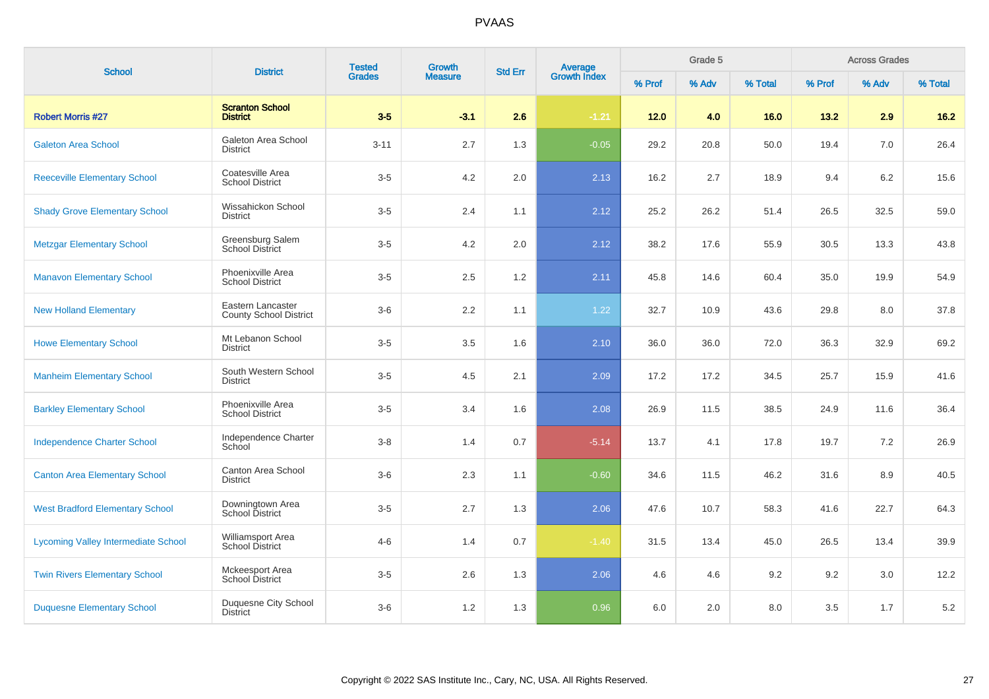| <b>School</b>                              | <b>District</b>                                    | <b>Tested</b><br><b>Grades</b> | Growth         | <b>Std Err</b> | <b>Average</b><br>Growth Index |        | Grade 5 |         |        | <b>Across Grades</b> |         |
|--------------------------------------------|----------------------------------------------------|--------------------------------|----------------|----------------|--------------------------------|--------|---------|---------|--------|----------------------|---------|
|                                            |                                                    |                                | <b>Measure</b> |                |                                | % Prof | % Adv   | % Total | % Prof | % Adv                | % Total |
| <b>Robert Morris #27</b>                   | <b>Scranton School</b><br><b>District</b>          | $3-5$                          | $-3.1$         | 2.6            | $-1.21$                        | $12.0$ | 4.0     | 16.0    | 13.2   | 2.9                  | $16.2$  |
| <b>Galeton Area School</b>                 | Galeton Area School<br>District                    | $3 - 11$                       | 2.7            | 1.3            | $-0.05$                        | 29.2   | 20.8    | 50.0    | 19.4   | 7.0                  | 26.4    |
| <b>Reeceville Elementary School</b>        | Coatesville Area<br><b>School District</b>         | $3-5$                          | 4.2            | 2.0            | 2.13                           | 16.2   | 2.7     | 18.9    | 9.4    | 6.2                  | 15.6    |
| <b>Shady Grove Elementary School</b>       | Wissahickon School<br><b>District</b>              | $3-5$                          | 2.4            | 1.1            | 2.12                           | 25.2   | 26.2    | 51.4    | 26.5   | 32.5                 | 59.0    |
| <b>Metzgar Elementary School</b>           | Greensburg Salem<br><b>School District</b>         | $3-5$                          | 4.2            | 2.0            | 2.12                           | 38.2   | 17.6    | 55.9    | 30.5   | 13.3                 | 43.8    |
| <b>Manavon Elementary School</b>           | Phoenixville Area<br><b>School District</b>        | $3-5$                          | 2.5            | 1.2            | 2.11                           | 45.8   | 14.6    | 60.4    | 35.0   | 19.9                 | 54.9    |
| <b>New Holland Elementary</b>              | Eastern Lancaster<br><b>County School District</b> | $3-6$                          | 2.2            | 1.1            | 1.22                           | 32.7   | 10.9    | 43.6    | 29.8   | 8.0                  | 37.8    |
| <b>Howe Elementary School</b>              | Mt Lebanon School<br><b>District</b>               | $3-5$                          | 3.5            | 1.6            | 2.10                           | 36.0   | 36.0    | 72.0    | 36.3   | 32.9                 | 69.2    |
| <b>Manheim Elementary School</b>           | South Western School<br><b>District</b>            | $3-5$                          | 4.5            | 2.1            | 2.09                           | 17.2   | 17.2    | 34.5    | 25.7   | 15.9                 | 41.6    |
| <b>Barkley Elementary School</b>           | Phoenixville Area<br><b>School District</b>        | $3-5$                          | 3.4            | 1.6            | 2.08                           | 26.9   | 11.5    | 38.5    | 24.9   | 11.6                 | 36.4    |
| <b>Independence Charter School</b>         | Independence Charter<br>School                     | $3-8$                          | 1.4            | 0.7            | $-5.14$                        | 13.7   | 4.1     | 17.8    | 19.7   | 7.2                  | 26.9    |
| <b>Canton Area Elementary School</b>       | Canton Area School<br>District                     | $3-6$                          | 2.3            | 1.1            | $-0.60$                        | 34.6   | 11.5    | 46.2    | 31.6   | 8.9                  | 40.5    |
| <b>West Bradford Elementary School</b>     | Downingtown Area<br>School District                | $3-5$                          | 2.7            | 1.3            | 2.06                           | 47.6   | 10.7    | 58.3    | 41.6   | 22.7                 | 64.3    |
| <b>Lycoming Valley Intermediate School</b> | Williamsport Area<br><b>School District</b>        | $4 - 6$                        | 1.4            | 0.7            | $-1.40$                        | 31.5   | 13.4    | 45.0    | 26.5   | 13.4                 | 39.9    |
| <b>Twin Rivers Elementary School</b>       | Mckeesport Area<br><b>School District</b>          | $3-5$                          | 2.6            | 1.3            | 2.06                           | 4.6    | 4.6     | 9.2     | 9.2    | 3.0                  | 12.2    |
| <b>Duquesne Elementary School</b>          | Duquesne City School<br><b>District</b>            | $3-6$                          | 1.2            | 1.3            | 0.96                           | 6.0    | 2.0     | 8.0     | 3.5    | 1.7                  | $5.2\,$ |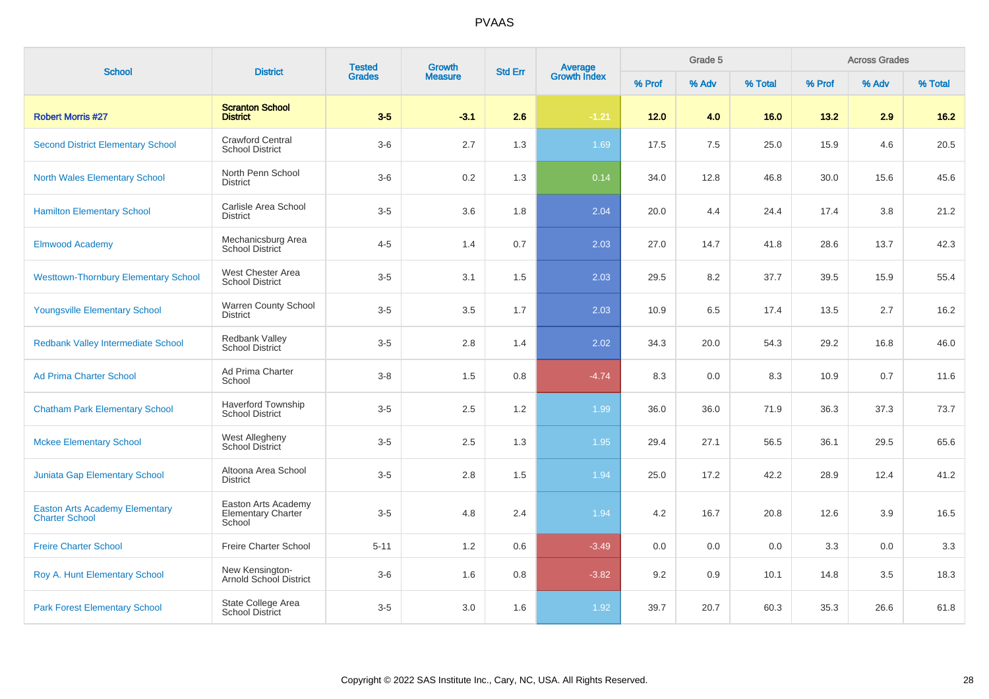| <b>School</b>                                                  | <b>District</b>                                            | <b>Tested</b><br><b>Grades</b> | Growth         | <b>Std Err</b> |                                |        | Grade 5 |         |        | <b>Across Grades</b> |         |
|----------------------------------------------------------------|------------------------------------------------------------|--------------------------------|----------------|----------------|--------------------------------|--------|---------|---------|--------|----------------------|---------|
|                                                                |                                                            |                                | <b>Measure</b> |                | <b>Average</b><br>Growth Index | % Prof | % Adv   | % Total | % Prof | % Adv                | % Total |
| <b>Robert Morris #27</b>                                       | <b>Scranton School</b><br><b>District</b>                  | $3-5$                          | $-3.1$         | 2.6            | $-1.21$                        | $12.0$ | 4.0     | 16.0    | 13.2   | 2.9                  | $16.2$  |
| <b>Second District Elementary School</b>                       | <b>Crawford Central</b><br><b>School District</b>          | $3-6$                          | 2.7            | 1.3            | 1.69                           | 17.5   | 7.5     | 25.0    | 15.9   | 4.6                  | 20.5    |
| <b>North Wales Elementary School</b>                           | North Penn School<br><b>District</b>                       | $3-6$                          | 0.2            | 1.3            | 0.14                           | 34.0   | 12.8    | 46.8    | 30.0   | 15.6                 | 45.6    |
| <b>Hamilton Elementary School</b>                              | Carlisle Area School<br><b>District</b>                    | $3-5$                          | 3.6            | 1.8            | 2.04                           | 20.0   | 4.4     | 24.4    | 17.4   | 3.8                  | 21.2    |
| <b>Elmwood Academy</b>                                         | Mechanicsburg Area<br>School District                      | $4 - 5$                        | 1.4            | 0.7            | 2.03                           | 27.0   | 14.7    | 41.8    | 28.6   | 13.7                 | 42.3    |
| <b>Westtown-Thornbury Elementary School</b>                    | West Chester Area<br><b>School District</b>                | $3-5$                          | 3.1            | 1.5            | 2.03                           | 29.5   | 8.2     | 37.7    | 39.5   | 15.9                 | 55.4    |
| <b>Youngsville Elementary School</b>                           | Warren County School<br><b>District</b>                    | $3-5$                          | 3.5            | 1.7            | 2.03                           | 10.9   | 6.5     | 17.4    | 13.5   | 2.7                  | 16.2    |
| <b>Redbank Valley Intermediate School</b>                      | Redbank Valley<br><b>School District</b>                   | $3-5$                          | 2.8            | 1.4            | 2.02                           | 34.3   | 20.0    | 54.3    | 29.2   | 16.8                 | 46.0    |
| <b>Ad Prima Charter School</b>                                 | Ad Prima Charter<br>School                                 | $3 - 8$                        | 1.5            | 0.8            | $-4.74$                        | 8.3    | 0.0     | 8.3     | 10.9   | 0.7                  | 11.6    |
| <b>Chatham Park Elementary School</b>                          | <b>Haverford Township</b><br><b>School District</b>        | $3-5$                          | 2.5            | 1.2            | 1.99                           | 36.0   | 36.0    | 71.9    | 36.3   | 37.3                 | 73.7    |
| <b>Mckee Elementary School</b>                                 | West Allegheny<br>School District                          | $3-5$                          | 2.5            | 1.3            | 1.95                           | 29.4   | 27.1    | 56.5    | 36.1   | 29.5                 | 65.6    |
| <b>Juniata Gap Elementary School</b>                           | Altoona Area School<br><b>District</b>                     | $3-5$                          | 2.8            | 1.5            | 1.94                           | 25.0   | 17.2    | 42.2    | 28.9   | 12.4                 | 41.2    |
| <b>Easton Arts Academy Elementary</b><br><b>Charter School</b> | Easton Arts Academy<br><b>Elementary Charter</b><br>School | $3-5$                          | 4.8            | 2.4            | 1.94                           | 4.2    | 16.7    | 20.8    | 12.6   | 3.9                  | 16.5    |
| <b>Freire Charter School</b>                                   | Freire Charter School                                      | $5 - 11$                       | 1.2            | 0.6            | $-3.49$                        | 0.0    | 0.0     | 0.0     | 3.3    | 0.0                  | 3.3     |
| Roy A. Hunt Elementary School                                  | New Kensington-<br>Arnold School District                  | $3-6$                          | 1.6            | $0.8\,$        | $-3.82$                        | 9.2    | 0.9     | 10.1    | 14.8   | 3.5                  | 18.3    |
| <b>Park Forest Elementary School</b>                           | State College Area<br><b>School District</b>               | $3-5$                          | 3.0            | 1.6            | 1.92                           | 39.7   | 20.7    | 60.3    | 35.3   | 26.6                 | 61.8    |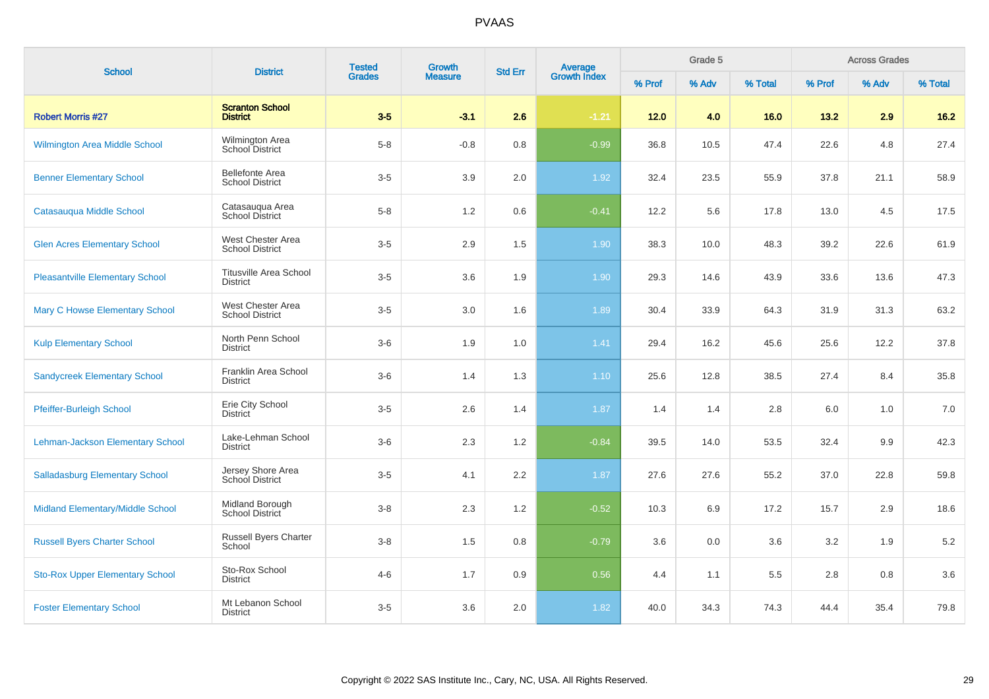| <b>School</b>                          | <b>District</b>                                  | <b>Tested</b> | Growth         | <b>Std Err</b> | <b>Average</b><br>Growth Index |        | Grade 5 |         |        | <b>Across Grades</b> |         |
|----------------------------------------|--------------------------------------------------|---------------|----------------|----------------|--------------------------------|--------|---------|---------|--------|----------------------|---------|
|                                        |                                                  | <b>Grades</b> | <b>Measure</b> |                |                                | % Prof | % Adv   | % Total | % Prof | % Adv                | % Total |
| <b>Robert Morris #27</b>               | <b>Scranton School</b><br><b>District</b>        | $3-5$         | $-3.1$         | 2.6            | $-1.21$                        | $12.0$ | 4.0     | 16.0    | 13.2   | 2.9                  | $16.2$  |
| Wilmington Area Middle School          | Wilmington Area<br>School District               | $5-8$         | $-0.8$         | 0.8            | $-0.99$                        | 36.8   | 10.5    | 47.4    | 22.6   | 4.8                  | 27.4    |
| <b>Benner Elementary School</b>        | <b>Bellefonte Area</b><br><b>School District</b> | $3-5$         | 3.9            | 2.0            | 1.92                           | 32.4   | 23.5    | 55.9    | 37.8   | 21.1                 | 58.9    |
| Catasauqua Middle School               | Catasauqua Area<br><b>School District</b>        | $5 - 8$       | 1.2            | 0.6            | $-0.41$                        | 12.2   | 5.6     | 17.8    | 13.0   | 4.5                  | 17.5    |
| <b>Glen Acres Elementary School</b>    | West Chester Area<br><b>School District</b>      | $3-5$         | 2.9            | 1.5            | 1.90                           | 38.3   | 10.0    | 48.3    | 39.2   | 22.6                 | 61.9    |
| <b>Pleasantville Elementary School</b> | <b>Titusville Area School</b><br><b>District</b> | $3-5$         | 3.6            | 1.9            | 1.90                           | 29.3   | 14.6    | 43.9    | 33.6   | 13.6                 | 47.3    |
| Mary C Howse Elementary School         | West Chester Area<br><b>School District</b>      | $3-5$         | 3.0            | 1.6            | 1.89                           | 30.4   | 33.9    | 64.3    | 31.9   | 31.3                 | 63.2    |
| <b>Kulp Elementary School</b>          | North Penn School<br><b>District</b>             | $3-6$         | 1.9            | 1.0            | 1.41                           | 29.4   | 16.2    | 45.6    | 25.6   | 12.2                 | 37.8    |
| <b>Sandycreek Elementary School</b>    | Franklin Area School<br>District                 | $3-6$         | 1.4            | 1.3            | 1.10                           | 25.6   | 12.8    | 38.5    | 27.4   | 8.4                  | 35.8    |
| Pfeiffer-Burleigh School               | Erie City School<br><b>District</b>              | $3-5$         | 2.6            | 1.4            | 1.87                           | 1.4    | 1.4     | 2.8     | 6.0    | 1.0                  | 7.0     |
| Lehman-Jackson Elementary School       | Lake-Lehman School<br><b>District</b>            | $3-6$         | 2.3            | 1.2            | $-0.84$                        | 39.5   | 14.0    | 53.5    | 32.4   | 9.9                  | 42.3    |
| <b>Salladasburg Elementary School</b>  | Jersey Shore Area<br>School District             | $3-5$         | 4.1            | 2.2            | 1.87                           | 27.6   | 27.6    | 55.2    | 37.0   | 22.8                 | 59.8    |
| Midland Elementary/Middle School       | Midland Borough<br>School District               | $3-8$         | 2.3            | 1.2            | $-0.52$                        | 10.3   | 6.9     | 17.2    | 15.7   | 2.9                  | 18.6    |
| <b>Russell Byers Charter School</b>    | Russell Byers Charter<br>School                  | $3-8$         | 1.5            | 0.8            | $-0.79$                        | 3.6    | 0.0     | 3.6     | 3.2    | 1.9                  | 5.2     |
| <b>Sto-Rox Upper Elementary School</b> | Sto-Rox School<br>District                       | $4 - 6$       | 1.7            | 0.9            | 0.56                           | 4.4    | 1.1     | 5.5     | 2.8    | 0.8                  | 3.6     |
| <b>Foster Elementary School</b>        | Mt Lebanon School<br><b>District</b>             | $3-5$         | 3.6            | 2.0            | 1.82                           | 40.0   | 34.3    | 74.3    | 44.4   | 35.4                 | 79.8    |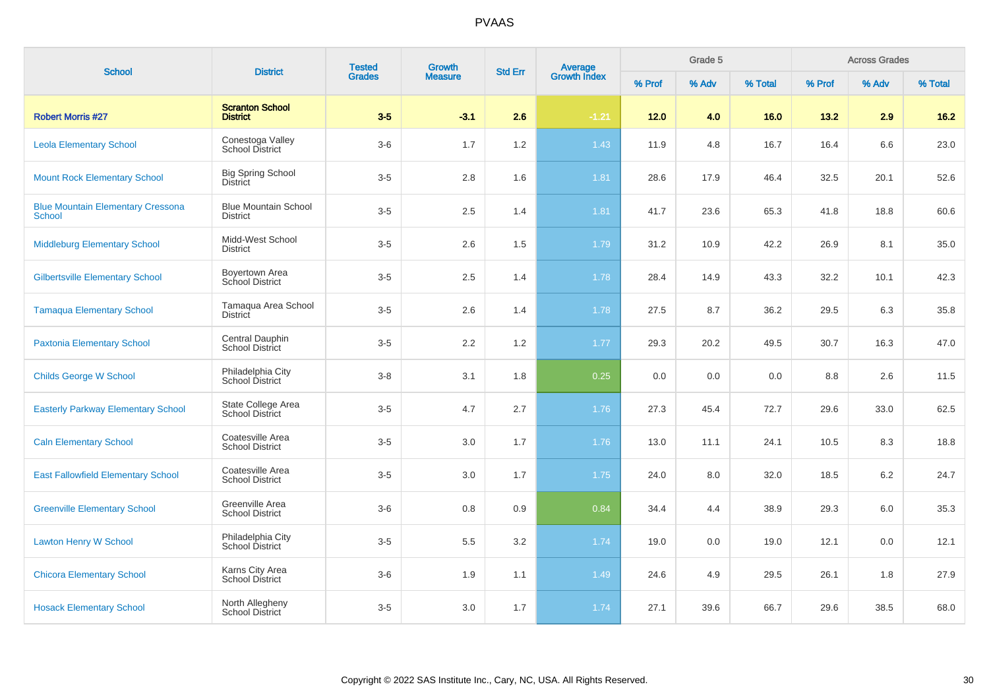| <b>School</b>                                             | <b>District</b>                                | <b>Tested</b> | Growth         | <b>Std Err</b> | <b>Average</b><br>Growth Index |        | Grade 5 |         |        | <b>Across Grades</b> |         |
|-----------------------------------------------------------|------------------------------------------------|---------------|----------------|----------------|--------------------------------|--------|---------|---------|--------|----------------------|---------|
|                                                           |                                                | <b>Grades</b> | <b>Measure</b> |                |                                | % Prof | % Adv   | % Total | % Prof | % Adv                | % Total |
| <b>Robert Morris #27</b>                                  | <b>Scranton School</b><br><b>District</b>      | $3-5$         | $-3.1$         | 2.6            | $-1.21$                        | $12.0$ | 4.0     | 16.0    | 13.2   | 2.9                  | $16.2$  |
| <b>Leola Elementary School</b>                            | Conestoga Valley<br><b>School District</b>     | $3-6$         | 1.7            | 1.2            | 1.43                           | 11.9   | 4.8     | 16.7    | 16.4   | 6.6                  | 23.0    |
| <b>Mount Rock Elementary School</b>                       | <b>Big Spring School</b><br><b>District</b>    | $3-5$         | $2.8\,$        | 1.6            | 1.81                           | 28.6   | 17.9    | 46.4    | 32.5   | 20.1                 | 52.6    |
| <b>Blue Mountain Elementary Cressona</b><br><b>School</b> | <b>Blue Mountain School</b><br><b>District</b> | $3-5$         | 2.5            | 1.4            | 1.81                           | 41.7   | 23.6    | 65.3    | 41.8   | 18.8                 | 60.6    |
| <b>Middleburg Elementary School</b>                       | Midd-West School<br><b>District</b>            | $3-5$         | 2.6            | 1.5            | 1.79                           | 31.2   | 10.9    | 42.2    | 26.9   | 8.1                  | 35.0    |
| <b>Gilbertsville Elementary School</b>                    | <b>Boyertown Area</b><br>School District       | $3-5$         | 2.5            | 1.4            | 1.78                           | 28.4   | 14.9    | 43.3    | 32.2   | 10.1                 | 42.3    |
| <b>Tamaqua Elementary School</b>                          | Tamaqua Area School<br>District                | $3-5$         | 2.6            | 1.4            | 1.78                           | 27.5   | 8.7     | 36.2    | 29.5   | 6.3                  | 35.8    |
| <b>Paxtonia Elementary School</b>                         | Central Dauphin<br>School District             | $3-5$         | 2.2            | 1.2            | 1.77                           | 29.3   | 20.2    | 49.5    | 30.7   | 16.3                 | 47.0    |
| <b>Childs George W School</b>                             | Philadelphia City<br>School District           | $3 - 8$       | 3.1            | 1.8            | 0.25                           | 0.0    | 0.0     | 0.0     | 8.8    | 2.6                  | 11.5    |
| <b>Easterly Parkway Elementary School</b>                 | State College Area<br><b>School District</b>   | $3-5$         | 4.7            | 2.7            | 1.76                           | 27.3   | 45.4    | 72.7    | 29.6   | 33.0                 | 62.5    |
| <b>Caln Elementary School</b>                             | Coatesville Area<br><b>School District</b>     | $3-5$         | 3.0            | 1.7            | 1.76                           | 13.0   | 11.1    | 24.1    | 10.5   | 8.3                  | 18.8    |
| <b>East Fallowfield Elementary School</b>                 | Coatesville Area<br><b>School District</b>     | $3-5$         | 3.0            | 1.7            | 1.75                           | 24.0   | 8.0     | 32.0    | 18.5   | 6.2                  | 24.7    |
| <b>Greenville Elementary School</b>                       | Greenville Area<br><b>School District</b>      | $3-6$         | 0.8            | 0.9            | 0.84                           | 34.4   | 4.4     | 38.9    | 29.3   | 6.0                  | 35.3    |
| <b>Lawton Henry W School</b>                              | Philadelphia City<br>School District           | $3-5$         | 5.5            | 3.2            | 1.74                           | 19.0   | 0.0     | 19.0    | 12.1   | 0.0                  | 12.1    |
| <b>Chicora Elementary School</b>                          | Karns City Area<br><b>School District</b>      | $3-6$         | 1.9            | 1.1            | 1.49                           | 24.6   | 4.9     | 29.5    | 26.1   | 1.8                  | 27.9    |
| <b>Hosack Elementary School</b>                           | North Allegheny<br>School District             | $3-5$         | 3.0            | 1.7            | 1.74                           | 27.1   | 39.6    | 66.7    | 29.6   | 38.5                 | 68.0    |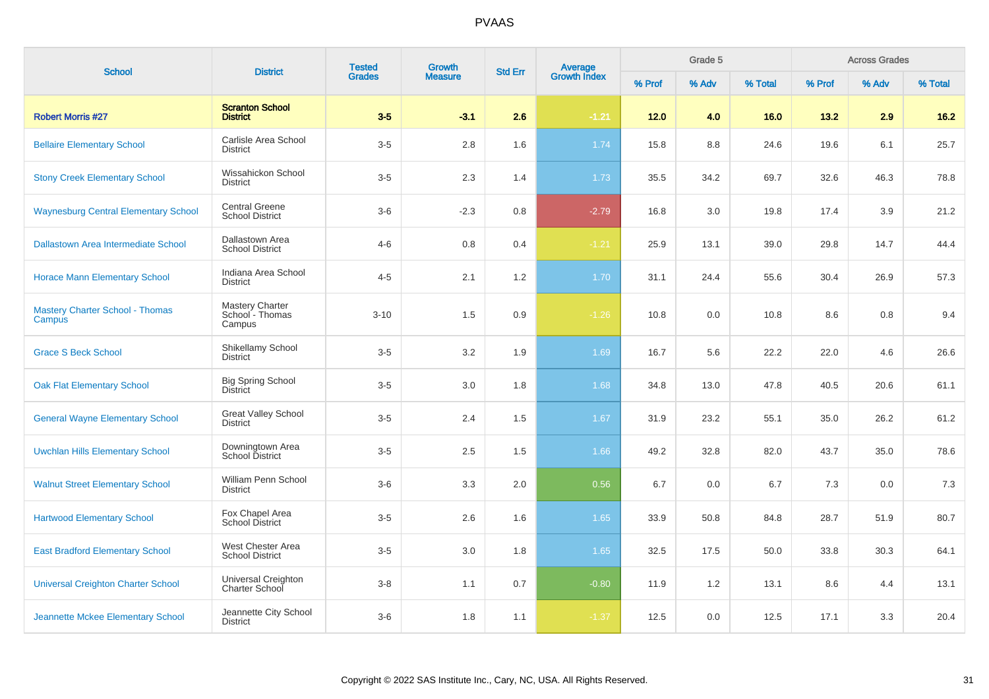| <b>School</b>                                    | <b>District</b>                                     | <b>Tested</b> | <b>Growth</b>  | <b>Std Err</b> | Average<br>Growth Index |        | Grade 5 |         |        | <b>Across Grades</b> |         |
|--------------------------------------------------|-----------------------------------------------------|---------------|----------------|----------------|-------------------------|--------|---------|---------|--------|----------------------|---------|
|                                                  |                                                     | <b>Grades</b> | <b>Measure</b> |                |                         | % Prof | % Adv   | % Total | % Prof | % Adv                | % Total |
| <b>Robert Morris #27</b>                         | <b>Scranton School</b><br><b>District</b>           | $3-5$         | $-3.1$         | 2.6            | $-1.21$                 | 12.0   | 4.0     | 16.0    | 13.2   | 2.9                  | $16.2$  |
| <b>Bellaire Elementary School</b>                | Carlisle Area School<br><b>District</b>             | $3-5$         | 2.8            | 1.6            | 1.74                    | 15.8   | 8.8     | 24.6    | 19.6   | 6.1                  | 25.7    |
| <b>Stony Creek Elementary School</b>             | Wissahickon School<br><b>District</b>               | $3-5$         | 2.3            | 1.4            | 1.73                    | 35.5   | 34.2    | 69.7    | 32.6   | 46.3                 | 78.8    |
| <b>Waynesburg Central Elementary School</b>      | <b>Central Greene</b><br><b>School District</b>     | $3-6$         | $-2.3$         | 0.8            | $-2.79$                 | 16.8   | 3.0     | 19.8    | 17.4   | 3.9                  | 21.2    |
| <b>Dallastown Area Intermediate School</b>       | Dallastown Area<br><b>School District</b>           | $4 - 6$       | 0.8            | 0.4            | $-1.21$                 | 25.9   | 13.1    | 39.0    | 29.8   | 14.7                 | 44.4    |
| <b>Horace Mann Elementary School</b>             | Indiana Area School<br><b>District</b>              | $4 - 5$       | 2.1            | 1.2            | 1.70                    | 31.1   | 24.4    | 55.6    | 30.4   | 26.9                 | 57.3    |
| <b>Mastery Charter School - Thomas</b><br>Campus | <b>Mastery Charter</b><br>School - Thomas<br>Campus | $3 - 10$      | 1.5            | 0.9            | $-1.26$                 | 10.8   | 0.0     | 10.8    | 8.6    | 0.8                  | 9.4     |
| <b>Grace S Beck School</b>                       | Shikellamy School<br><b>District</b>                | $3-5$         | 3.2            | 1.9            | 1.69                    | 16.7   | 5.6     | 22.2    | 22.0   | 4.6                  | 26.6    |
| <b>Oak Flat Elementary School</b>                | <b>Big Spring School</b><br><b>District</b>         | $3-5$         | 3.0            | 1.8            | 1.68                    | 34.8   | 13.0    | 47.8    | 40.5   | 20.6                 | 61.1    |
| <b>General Wayne Elementary School</b>           | <b>Great Valley School</b><br><b>District</b>       | $3-5$         | 2.4            | 1.5            | 1.67                    | 31.9   | 23.2    | 55.1    | 35.0   | 26.2                 | 61.2    |
| <b>Uwchlan Hills Elementary School</b>           | Downingtown Area<br>School District                 | $3-5$         | 2.5            | 1.5            | 1.66                    | 49.2   | 32.8    | 82.0    | 43.7   | 35.0                 | 78.6    |
| <b>Walnut Street Elementary School</b>           | William Penn School<br><b>District</b>              | $3-6$         | 3.3            | 2.0            | 0.56                    | 6.7    | 0.0     | 6.7     | 7.3    | 0.0                  | 7.3     |
| <b>Hartwood Elementary School</b>                | Fox Chapel Area<br>School District                  | $3-5$         | 2.6            | 1.6            | 1.65                    | 33.9   | 50.8    | 84.8    | 28.7   | 51.9                 | 80.7    |
| <b>East Bradford Elementary School</b>           | West Chester Area<br><b>School District</b>         | $3-5$         | 3.0            | 1.8            | 1.65                    | 32.5   | 17.5    | 50.0    | 33.8   | 30.3                 | 64.1    |
| <b>Universal Creighton Charter School</b>        | Universal Creighton<br>Charter School               | $3-8$         | 1.1            | 0.7            | $-0.80$                 | 11.9   | 1.2     | 13.1    | 8.6    | 4.4                  | 13.1    |
| Jeannette Mckee Elementary School                | Jeannette City School<br><b>District</b>            | $3-6$         | 1.8            | 1.1            | $-1.37$                 | 12.5   | 0.0     | 12.5    | 17.1   | 3.3                  | 20.4    |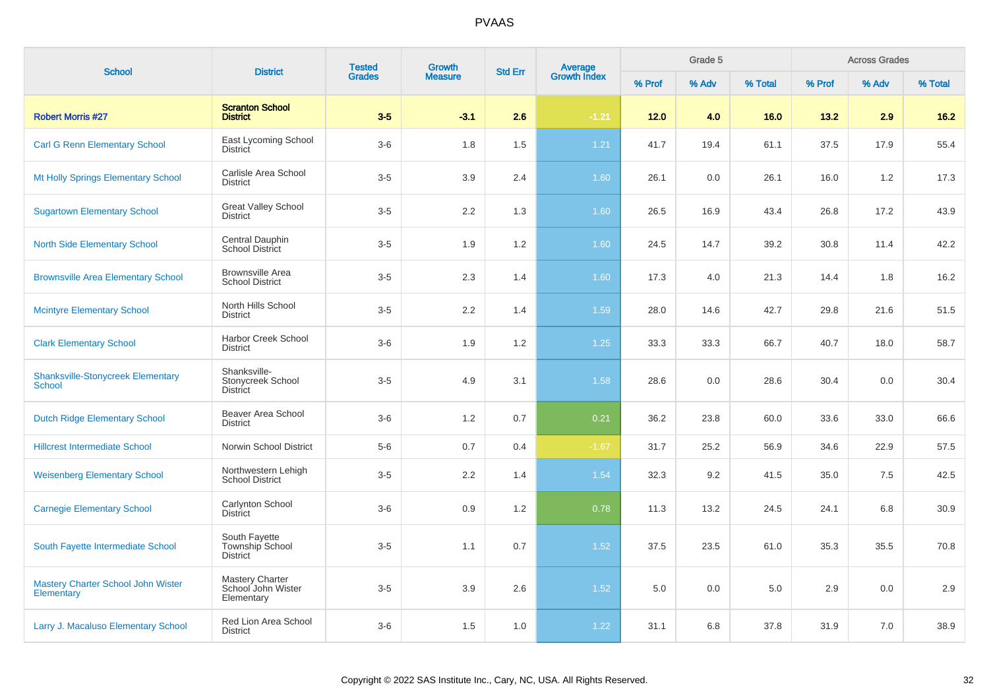| <b>School</b>                                             | <b>District</b>                                            | <b>Tested</b> | <b>Growth</b>  | <b>Std Err</b> | Average<br>Growth Index |        | Grade 5 |         |        | <b>Across Grades</b> |         |
|-----------------------------------------------------------|------------------------------------------------------------|---------------|----------------|----------------|-------------------------|--------|---------|---------|--------|----------------------|---------|
|                                                           |                                                            | <b>Grades</b> | <b>Measure</b> |                |                         | % Prof | % Adv   | % Total | % Prof | % Adv                | % Total |
| <b>Robert Morris #27</b>                                  | <b>Scranton School</b><br><b>District</b>                  | $3-5$         | $-3.1$         | 2.6            | $-1.21$                 | $12.0$ | 4.0     | 16.0    | 13.2   | 2.9                  | $16.2$  |
| <b>Carl G Renn Elementary School</b>                      | East Lycoming School<br><b>District</b>                    | $3-6$         | 1.8            | 1.5            | $1.21$                  | 41.7   | 19.4    | 61.1    | 37.5   | 17.9                 | 55.4    |
| Mt Holly Springs Elementary School                        | Carlisle Area School<br><b>District</b>                    | $3-5$         | 3.9            | 2.4            | 1.60                    | 26.1   | 0.0     | 26.1    | 16.0   | 1.2                  | 17.3    |
| <b>Sugartown Elementary School</b>                        | <b>Great Valley School</b><br><b>District</b>              | $3-5$         | 2.2            | 1.3            | 1.60                    | 26.5   | 16.9    | 43.4    | 26.8   | 17.2                 | 43.9    |
| <b>North Side Elementary School</b>                       | Central Dauphin<br>School District                         | $3-5$         | 1.9            | 1.2            | 1.60                    | 24.5   | 14.7    | 39.2    | 30.8   | 11.4                 | 42.2    |
| <b>Brownsville Area Elementary School</b>                 | <b>Brownsville Area</b><br><b>School District</b>          | $3-5$         | 2.3            | 1.4            | 1.60                    | 17.3   | 4.0     | 21.3    | 14.4   | 1.8                  | 16.2    |
| <b>Mcintyre Elementary School</b>                         | North Hills School<br><b>District</b>                      | $3-5$         | 2.2            | 1.4            | 1.59                    | 28.0   | 14.6    | 42.7    | 29.8   | 21.6                 | 51.5    |
| <b>Clark Elementary School</b>                            | Harbor Creek School<br><b>District</b>                     | $3-6$         | 1.9            | 1.2            | $1.25$                  | 33.3   | 33.3    | 66.7    | 40.7   | 18.0                 | 58.7    |
| <b>Shanksville-Stonycreek Elementary</b><br><b>School</b> | Shanksville-<br>Stonycreek School<br>District              | $3-5$         | 4.9            | 3.1            | 1.58                    | 28.6   | 0.0     | 28.6    | 30.4   | 0.0                  | 30.4    |
| <b>Dutch Ridge Elementary School</b>                      | Beaver Area School<br><b>District</b>                      | $3-6$         | 1.2            | 0.7            | 0.21                    | 36.2   | 23.8    | 60.0    | 33.6   | 33.0                 | 66.6    |
| <b>Hillcrest Intermediate School</b>                      | Norwin School District                                     | $5-6$         | 0.7            | 0.4            | $-1.67$                 | 31.7   | 25.2    | 56.9    | 34.6   | 22.9                 | 57.5    |
| <b>Weisenberg Elementary School</b>                       | Northwestern Lehigh<br><b>School District</b>              | $3-5$         | 2.2            | 1.4            | 1.54                    | 32.3   | 9.2     | 41.5    | 35.0   | 7.5                  | 42.5    |
| <b>Carnegie Elementary School</b>                         | Carlynton School<br><b>District</b>                        | $3-6$         | 0.9            | 1.2            | 0.78                    | 11.3   | 13.2    | 24.5    | 24.1   | 6.8                  | 30.9    |
| South Fayette Intermediate School                         | South Fayette<br>Township School<br><b>District</b>        | $3-5$         | 1.1            | 0.7            | 1.52                    | 37.5   | 23.5    | 61.0    | 35.3   | 35.5                 | 70.8    |
| Mastery Charter School John Wister<br>Elementary          | <b>Mastery Charter</b><br>School John Wister<br>Elementary | $3-5$         | 3.9            | 2.6            | 1.52                    | 5.0    | 0.0     | 5.0     | 2.9    | 0.0                  | 2.9     |
| Larry J. Macaluso Elementary School                       | Red Lion Area School<br><b>District</b>                    | $3-6$         | 1.5            | 1.0            | 1.22                    | 31.1   | 6.8     | 37.8    | 31.9   | 7.0                  | 38.9    |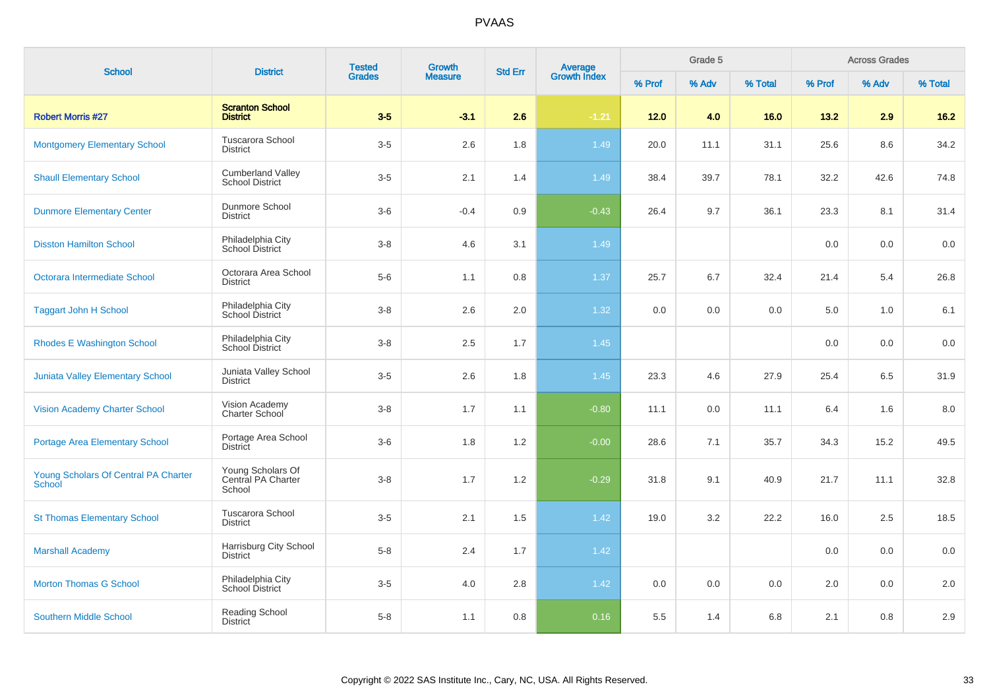| <b>School</b>                                         | <b>District</b>                                    | <b>Tested</b> | <b>Growth</b>  | <b>Std Err</b> |                         |        | Grade 5 |         |        | <b>Across Grades</b><br>% Adv |         |
|-------------------------------------------------------|----------------------------------------------------|---------------|----------------|----------------|-------------------------|--------|---------|---------|--------|-------------------------------|---------|
|                                                       |                                                    | <b>Grades</b> | <b>Measure</b> |                | Average<br>Growth Index | % Prof | % Adv   | % Total | % Prof |                               | % Total |
| <b>Robert Morris #27</b>                              | <b>Scranton School</b><br><b>District</b>          | $3-5$         | $-3.1$         | 2.6            | $-1.21$                 | 12.0   | 4.0     | 16.0    | 13.2   | 2.9                           | $16.2$  |
| <b>Montgomery Elementary School</b>                   | Tuscarora School<br><b>District</b>                | $3-5$         | 2.6            | 1.8            | 1.49                    | 20.0   | 11.1    | 31.1    | 25.6   | 8.6                           | 34.2    |
| <b>Shaull Elementary School</b>                       | <b>Cumberland Valley</b><br><b>School District</b> | $3-5$         | 2.1            | 1.4            | 1.49                    | 38.4   | 39.7    | 78.1    | 32.2   | 42.6                          | 74.8    |
| <b>Dunmore Elementary Center</b>                      | Dunmore School<br><b>District</b>                  | $3-6$         | $-0.4$         | 0.9            | $-0.43$                 | 26.4   | 9.7     | 36.1    | 23.3   | 8.1                           | 31.4    |
| <b>Disston Hamilton School</b>                        | Philadelphia City<br>School District               | $3-8$         | 4.6            | 3.1            | 1.49                    |        |         |         | 0.0    | 0.0                           | 0.0     |
| Octorara Intermediate School                          | Octorara Area School<br><b>District</b>            | $5-6$         | 1.1            | 0.8            | 1.37                    | 25.7   | 6.7     | 32.4    | 21.4   | 5.4                           | 26.8    |
| <b>Taggart John H School</b>                          | Philadelphia City<br>School District               | $3-8$         | 2.6            | 2.0            | 1.32                    | 0.0    | 0.0     | 0.0     | 5.0    | 1.0                           | 6.1     |
| <b>Rhodes E Washington School</b>                     | Philadelphia City<br>School District               | $3-8$         | 2.5            | 1.7            | 1.45                    |        |         |         | 0.0    | 0.0                           | 0.0     |
| <b>Juniata Valley Elementary School</b>               | Juniata Valley School<br><b>District</b>           | $3-5$         | 2.6            | 1.8            | 1.45                    | 23.3   | 4.6     | 27.9    | 25.4   | 6.5                           | 31.9    |
| <b>Vision Academy Charter School</b>                  | Vision Academy<br><b>Charter School</b>            | $3 - 8$       | 1.7            | 1.1            | $-0.80$                 | 11.1   | 0.0     | 11.1    | 6.4    | 1.6                           | 8.0     |
| <b>Portage Area Elementary School</b>                 | Portage Area School<br><b>District</b>             | $3-6$         | 1.8            | 1.2            | $-0.00$                 | 28.6   | 7.1     | 35.7    | 34.3   | 15.2                          | 49.5    |
| Young Scholars Of Central PA Charter<br><b>School</b> | Young Scholars Of<br>Central PA Charter<br>School  | $3 - 8$       | 1.7            | 1.2            | $-0.29$                 | 31.8   | 9.1     | 40.9    | 21.7   | 11.1                          | 32.8    |
| <b>St Thomas Elementary School</b>                    | Tuscarora School<br><b>District</b>                | $3-5$         | 2.1            | 1.5            | 1.42                    | 19.0   | 3.2     | 22.2    | 16.0   | 2.5                           | 18.5    |
| <b>Marshall Academy</b>                               | Harrisburg City School<br><b>District</b>          | $5 - 8$       | 2.4            | 1.7            | 1.42                    |        |         |         | 0.0    | 0.0                           | 0.0     |
| <b>Morton Thomas G School</b>                         | Philadelphia City<br><b>School District</b>        | $3-5$         | 4.0            | 2.8            | 1.42                    | 0.0    | 0.0     | 0.0     | 2.0    | 0.0                           | 2.0     |
| <b>Southern Middle School</b>                         | Reading School<br><b>District</b>                  | $5-8$         | 1.1            | 0.8            | 0.16                    | 5.5    | 1.4     | 6.8     | 2.1    | 0.8                           | 2.9     |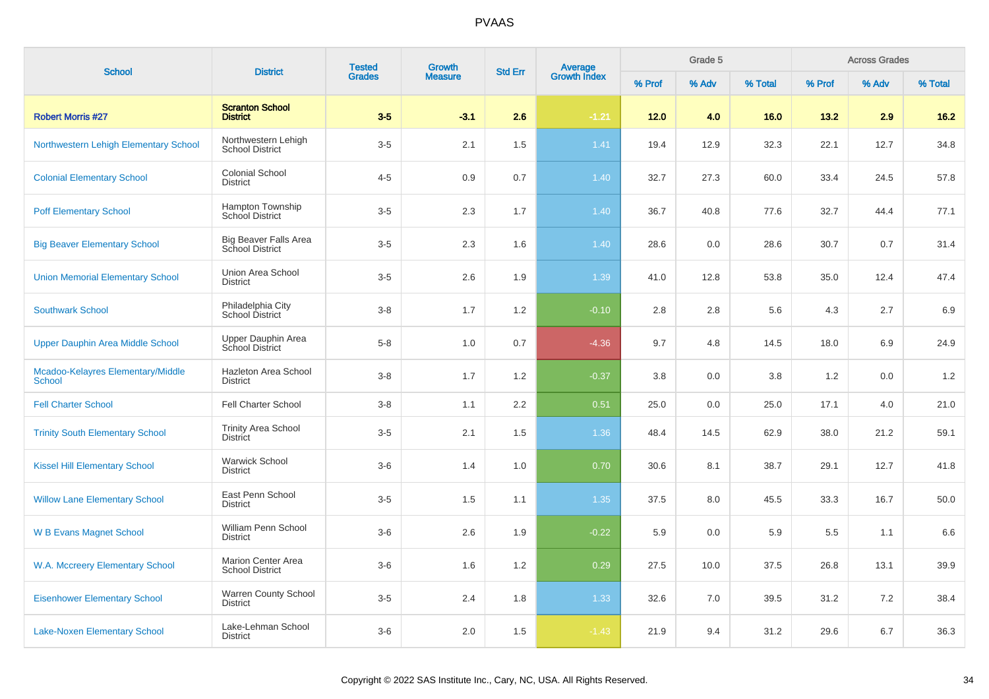| <b>School</b>                                      | <b>District</b>                                        | <b>Tested</b> | <b>Growth</b>  | <b>Std Err</b>   |                                |        | Grade 5 |         |        | <b>Across Grades</b> |         |
|----------------------------------------------------|--------------------------------------------------------|---------------|----------------|------------------|--------------------------------|--------|---------|---------|--------|----------------------|---------|
|                                                    |                                                        | <b>Grades</b> | <b>Measure</b> |                  | <b>Average</b><br>Growth Index | % Prof | % Adv   | % Total | % Prof | % Adv                | % Total |
| <b>Robert Morris #27</b>                           | <b>Scranton School</b><br><b>District</b>              | $3-5$         | $-3.1$         | 2.6              | $-1.21$                        | 12.0   | 4.0     | 16.0    | 13.2   | 2.9                  | $16.2$  |
| Northwestern Lehigh Elementary School              | Northwestern Lehigh<br><b>School District</b>          | $3-5$         | 2.1            | 1.5              | 1.41                           | 19.4   | 12.9    | 32.3    | 22.1   | 12.7                 | 34.8    |
| <b>Colonial Elementary School</b>                  | <b>Colonial School</b><br><b>District</b>              | $4 - 5$       | 0.9            | 0.7              | 1.40                           | 32.7   | 27.3    | 60.0    | 33.4   | 24.5                 | 57.8    |
| <b>Poff Elementary School</b>                      | Hampton Township<br><b>School District</b>             | $3-5$         | 2.3            | 1.7              | 1.40                           | 36.7   | 40.8    | 77.6    | 32.7   | 44.4                 | 77.1    |
| <b>Big Beaver Elementary School</b>                | <b>Big Beaver Falls Area</b><br><b>School District</b> | $3-5$         | 2.3            | 1.6              | 1.40                           | 28.6   | 0.0     | 28.6    | 30.7   | 0.7                  | 31.4    |
| <b>Union Memorial Elementary School</b>            | Union Area School<br><b>District</b>                   | $3-5$         | 2.6            | 1.9              | 1.39                           | 41.0   | 12.8    | 53.8    | 35.0   | 12.4                 | 47.4    |
| <b>Southwark School</b>                            | Philadelphia City<br>School District                   | $3 - 8$       | 1.7            | 1.2              | $-0.10$                        | 2.8    | 2.8     | 5.6     | 4.3    | 2.7                  | 6.9     |
| <b>Upper Dauphin Area Middle School</b>            | Upper Dauphin Area<br>School District                  | $5-8$         | 1.0            | 0.7              | $-4.36$                        | 9.7    | 4.8     | 14.5    | 18.0   | 6.9                  | 24.9    |
| Mcadoo-Kelayres Elementary/Middle<br><b>School</b> | Hazleton Area School<br><b>District</b>                | $3 - 8$       | 1.7            | 1.2              | $-0.37$                        | 3.8    | 0.0     | 3.8     | 1.2    | 0.0                  | 1.2     |
| <b>Fell Charter School</b>                         | Fell Charter School                                    | $3 - 8$       | 1.1            | $2.2\phantom{0}$ | 0.51                           | 25.0   | 0.0     | 25.0    | 17.1   | 4.0                  | 21.0    |
| <b>Trinity South Elementary School</b>             | <b>Trinity Area School</b><br><b>District</b>          | $3-5$         | 2.1            | 1.5              | 1.36                           | 48.4   | 14.5    | 62.9    | 38.0   | 21.2                 | 59.1    |
| <b>Kissel Hill Elementary School</b>               | <b>Warwick School</b><br><b>District</b>               | $3-6$         | 1.4            | 1.0              | 0.70                           | 30.6   | 8.1     | 38.7    | 29.1   | 12.7                 | 41.8    |
| <b>Willow Lane Elementary School</b>               | East Penn School<br><b>District</b>                    | $3-5$         | 1.5            | 1.1              | 1.35                           | 37.5   | 8.0     | 45.5    | 33.3   | 16.7                 | 50.0    |
| <b>W B Evans Magnet School</b>                     | William Penn School<br><b>District</b>                 | $3-6$         | 2.6            | 1.9              | $-0.22$                        | 5.9    | 0.0     | 5.9     | 5.5    | 1.1                  | 6.6     |
| W.A. Mccreery Elementary School                    | <b>Marion Center Area</b><br><b>School District</b>    | $3-6$         | 1.6            | 1.2              | 0.29                           | 27.5   | 10.0    | 37.5    | 26.8   | 13.1                 | 39.9    |
| <b>Eisenhower Elementary School</b>                | Warren County School<br><b>District</b>                | $3-5$         | 2.4            | 1.8              | 1.33                           | 32.6   | 7.0     | 39.5    | 31.2   | 7.2                  | 38.4    |
| <b>Lake-Noxen Elementary School</b>                | Lake-Lehman School<br><b>District</b>                  | $3-6$         | 2.0            | 1.5              | $-1.43$                        | 21.9   | 9.4     | 31.2    | 29.6   | 6.7                  | 36.3    |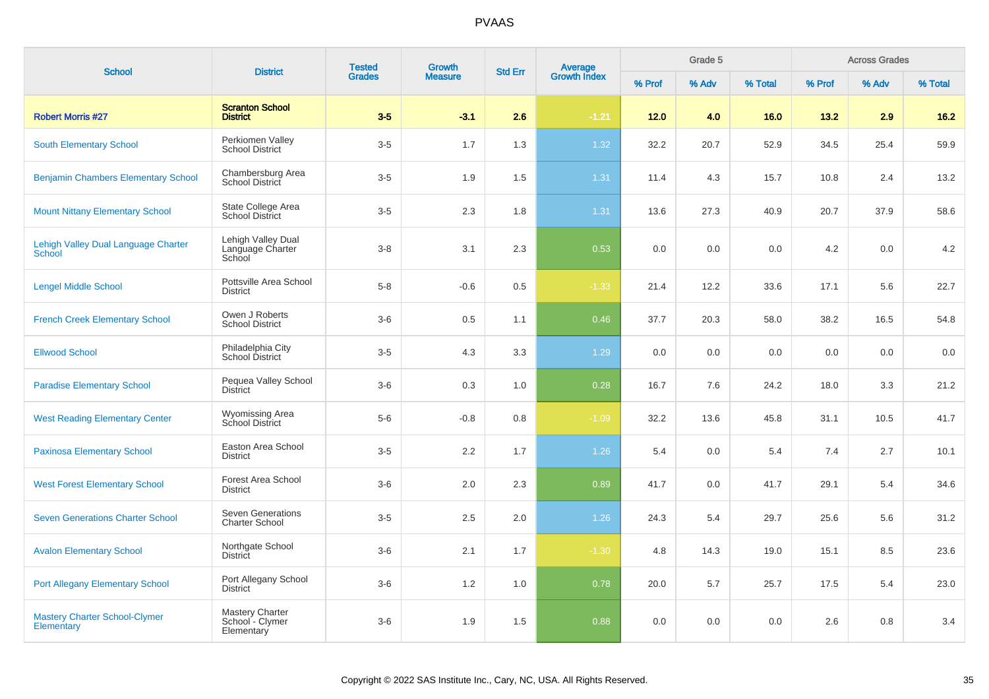| <b>School</b>                                        | <b>District</b>                                   | <b>Tested</b> | <b>Growth</b>  | <b>Std Err</b> | <b>Average</b><br>Growth Index |        | Grade 5 |         |        | <b>Across Grades</b> |         |
|------------------------------------------------------|---------------------------------------------------|---------------|----------------|----------------|--------------------------------|--------|---------|---------|--------|----------------------|---------|
|                                                      |                                                   | <b>Grades</b> | <b>Measure</b> |                |                                | % Prof | % Adv   | % Total | % Prof | % Adv                | % Total |
| <b>Robert Morris #27</b>                             | <b>Scranton School</b><br><b>District</b>         | $3-5$         | $-3.1$         | 2.6            | $-1.21$                        | 12.0   | 4.0     | 16.0    | 13.2   | 2.9                  | $16.2$  |
| <b>South Elementary School</b>                       | Perkiomen Valley<br><b>School District</b>        | $3-5$         | 1.7            | 1.3            | 1.32                           | 32.2   | 20.7    | 52.9    | 34.5   | 25.4                 | 59.9    |
| <b>Benjamin Chambers Elementary School</b>           | Chambersburg Area<br>School District              | $3-5$         | 1.9            | 1.5            | 1.31                           | 11.4   | 4.3     | 15.7    | 10.8   | 2.4                  | 13.2    |
| <b>Mount Nittany Elementary School</b>               | State College Area<br><b>School District</b>      | $3-5$         | 2.3            | 1.8            | 1.31                           | 13.6   | 27.3    | 40.9    | 20.7   | 37.9                 | 58.6    |
| Lehigh Valley Dual Language Charter<br><b>School</b> | Lehigh Valley Dual<br>Language Charter<br>School  | $3 - 8$       | 3.1            | 2.3            | 0.53                           | 0.0    | 0.0     | 0.0     | 4.2    | 0.0                  | 4.2     |
| <b>Lengel Middle School</b>                          | Pottsville Area School<br><b>District</b>         | $5-8$         | $-0.6$         | 0.5            | $-1.33$                        | 21.4   | 12.2    | 33.6    | 17.1   | 5.6                  | 22.7    |
| <b>French Creek Elementary School</b>                | Owen J Roberts<br><b>School District</b>          | $3-6$         | 0.5            | 1.1            | 0.46                           | 37.7   | 20.3    | 58.0    | 38.2   | 16.5                 | 54.8    |
| <b>Ellwood School</b>                                | Philadelphia City<br>School District              | $3-5$         | 4.3            | 3.3            | 1.29                           | 0.0    | 0.0     | 0.0     | 0.0    | 0.0                  | 0.0     |
| <b>Paradise Elementary School</b>                    | Pequea Valley School<br><b>District</b>           | $3-6$         | 0.3            | 1.0            | 0.28                           | 16.7   | 7.6     | 24.2    | 18.0   | 3.3                  | 21.2    |
| <b>West Reading Elementary Center</b>                | <b>Wyomissing Area</b><br><b>School District</b>  | $5-6$         | $-0.8$         | 0.8            | $-1.09$                        | 32.2   | 13.6    | 45.8    | 31.1   | 10.5                 | 41.7    |
| <b>Paxinosa Elementary School</b>                    | Easton Area School<br><b>District</b>             | $3-5$         | 2.2            | 1.7            | 1.26                           | 5.4    | 0.0     | 5.4     | 7.4    | 2.7                  | 10.1    |
| <b>West Forest Elementary School</b>                 | <b>Forest Area School</b><br><b>District</b>      | $3-6$         | 2.0            | 2.3            | 0.89                           | 41.7   | 0.0     | 41.7    | 29.1   | 5.4                  | 34.6    |
| <b>Seven Generations Charter School</b>              | <b>Seven Generations</b><br><b>Charter School</b> | $3-5$         | 2.5            | 2.0            | $1.26$                         | 24.3   | 5.4     | 29.7    | 25.6   | 5.6                  | 31.2    |
| <b>Avalon Elementary School</b>                      | Northgate School<br><b>District</b>               | $3-6$         | 2.1            | 1.7            | $-1.30$                        | 4.8    | 14.3    | 19.0    | 15.1   | 8.5                  | 23.6    |
| <b>Port Allegany Elementary School</b>               | Port Allegany School<br><b>District</b>           | $3-6$         | 1.2            | 1.0            | 0.78                           | 20.0   | 5.7     | 25.7    | 17.5   | 5.4                  | 23.0    |
| <b>Mastery Charter School-Clymer</b><br>Elementary   | Mastery Charter<br>School - Clymer<br>Elementary  | $3-6$         | 1.9            | 1.5            | 0.88                           | 0.0    | 0.0     | 0.0     | 2.6    | 0.8                  | 3.4     |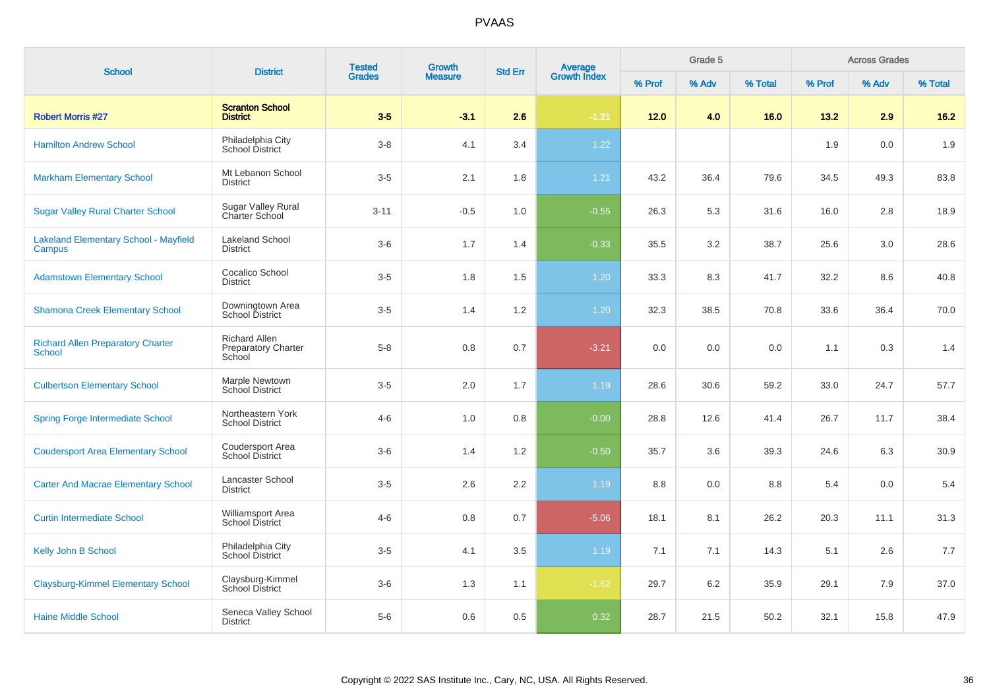| <b>School</b>                                             | <b>District</b>                                              | <b>Tested</b><br><b>Grades</b> | <b>Growth</b><br><b>Measure</b> | <b>Std Err</b> | Average<br>Growth Index | Grade 5 |       |         | <b>Across Grades</b> |       |         |
|-----------------------------------------------------------|--------------------------------------------------------------|--------------------------------|---------------------------------|----------------|-------------------------|---------|-------|---------|----------------------|-------|---------|
|                                                           |                                                              |                                |                                 |                |                         | % Prof  | % Adv | % Total | % Prof               | % Adv | % Total |
| <b>Robert Morris #27</b>                                  | <b>Scranton School</b><br><b>District</b>                    | $3-5$                          | $-3.1$                          | 2.6            | $-1.21$                 | 12.0    | 4.0   | 16.0    | 13.2                 | 2.9   | $16.2$  |
| <b>Hamilton Andrew School</b>                             | Philadelphia City<br><b>School District</b>                  | $3-8$                          | 4.1                             | 3.4            | 1.22                    |         |       |         | 1.9                  | 0.0   | 1.9     |
| <b>Markham Elementary School</b>                          | Mt Lebanon School<br><b>District</b>                         | $3-5$                          | 2.1                             | 1.8            | 1.21                    | 43.2    | 36.4  | 79.6    | 34.5                 | 49.3  | 83.8    |
| <b>Sugar Valley Rural Charter School</b>                  | <b>Sugar Valley Rural</b><br>Charter School                  | $3 - 11$                       | $-0.5$                          | 1.0            | $-0.55$                 | 26.3    | 5.3   | 31.6    | 16.0                 | 2.8   | 18.9    |
| <b>Lakeland Elementary School - Mayfield</b><br>Campus    | <b>Lakeland School</b><br>District                           | $3-6$                          | 1.7                             | 1.4            | $-0.33$                 | 35.5    | 3.2   | 38.7    | 25.6                 | 3.0   | 28.6    |
| <b>Adamstown Elementary School</b>                        | Cocalico School<br><b>District</b>                           | $3-5$                          | 1.8                             | 1.5            | 1.20                    | 33.3    | 8.3   | 41.7    | 32.2                 | 8.6   | 40.8    |
| <b>Shamona Creek Elementary School</b>                    | Downingtown Area<br>School District                          | $3-5$                          | 1.4                             | 1.2            | 1.20                    | 32.3    | 38.5  | 70.8    | 33.6                 | 36.4  | 70.0    |
| <b>Richard Allen Preparatory Charter</b><br><b>School</b> | <b>Richard Allen</b><br><b>Preparatory Charter</b><br>School | $5 - 8$                        | 0.8                             | 0.7            | $-3.21$                 | 0.0     | 0.0   | 0.0     | 1.1                  | 0.3   | 1.4     |
| <b>Culbertson Elementary School</b>                       | Marple Newtown<br>School District                            | $3-5$                          | 2.0                             | 1.7            | 1.19                    | 28.6    | 30.6  | 59.2    | 33.0                 | 24.7  | 57.7    |
| <b>Spring Forge Intermediate School</b>                   | Northeastern York<br><b>School District</b>                  | $4 - 6$                        | 1.0                             | 0.8            | $-0.00$                 | 28.8    | 12.6  | 41.4    | 26.7                 | 11.7  | 38.4    |
| <b>Coudersport Area Elementary School</b>                 | Coudersport Area<br><b>School District</b>                   | $3-6$                          | 1.4                             | 1.2            | $-0.50$                 | 35.7    | 3.6   | 39.3    | 24.6                 | 6.3   | 30.9    |
| <b>Carter And Macrae Elementary School</b>                | Lancaster School<br><b>District</b>                          | $3-5$                          | 2.6                             | 2.2            | 1.19                    | 8.8     | 0.0   | 8.8     | 5.4                  | 0.0   | 5.4     |
| <b>Curtin Intermediate School</b>                         | Williamsport Area<br><b>School District</b>                  | $4 - 6$                        | 0.8                             | 0.7            | $-5.06$                 | 18.1    | 8.1   | 26.2    | 20.3                 | 11.1  | 31.3    |
| Kelly John B School                                       | Philadelphia City<br>School District                         | $3-5$                          | 4.1                             | 3.5            | 1.19                    | 7.1     | 7.1   | 14.3    | 5.1                  | 2.6   | 7.7     |
| <b>Claysburg-Kimmel Elementary School</b>                 | Claysburg-Kimmel<br><b>School District</b>                   | $3-6$                          | 1.3                             | 1.1            | $-1.62$                 | 29.7    | 6.2   | 35.9    | 29.1                 | 7.9   | 37.0    |
| <b>Haine Middle School</b>                                | Seneca Valley School<br><b>District</b>                      | $5-6$                          | 0.6                             | 0.5            | 0.32                    | 28.7    | 21.5  | 50.2    | 32.1                 | 15.8  | 47.9    |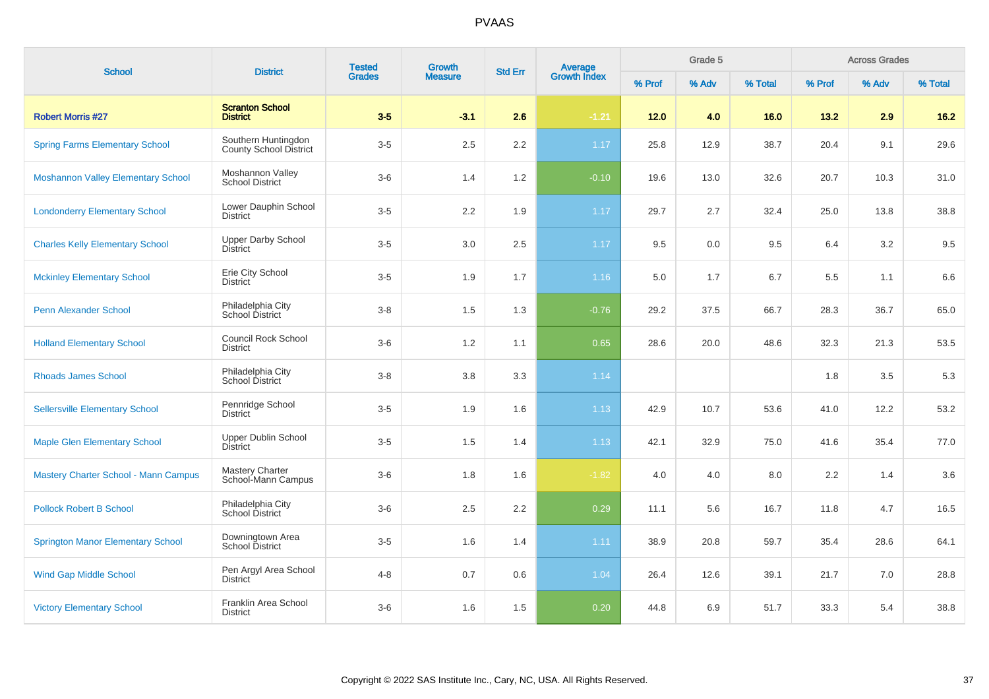| <b>School</b>                               | <b>District</b>                                | <b>Tested</b> | Growth         | <b>Std Err</b> |                                |        | Grade 5 |         |        | <b>Across Grades</b> |         |
|---------------------------------------------|------------------------------------------------|---------------|----------------|----------------|--------------------------------|--------|---------|---------|--------|----------------------|---------|
|                                             |                                                | <b>Grades</b> | <b>Measure</b> |                | <b>Average</b><br>Growth Index | % Prof | % Adv   | % Total | % Prof | % Adv                | % Total |
| <b>Robert Morris #27</b>                    | <b>Scranton School</b><br><b>District</b>      | $3-5$         | $-3.1$         | 2.6            | $-1.21$                        | $12.0$ | 4.0     | 16.0    | 13.2   | 2.9                  | $16.2$  |
| <b>Spring Farms Elementary School</b>       | Southern Huntingdon<br>County School District  | $3-5$         | 2.5            | 2.2            | 1.17                           | 25.8   | 12.9    | 38.7    | 20.4   | 9.1                  | 29.6    |
| <b>Moshannon Valley Elementary School</b>   | Moshannon Valley<br><b>School District</b>     | $3-6$         | 1.4            | 1.2            | $-0.10$                        | 19.6   | 13.0    | 32.6    | 20.7   | 10.3                 | 31.0    |
| <b>Londonderry Elementary School</b>        | Lower Dauphin School<br><b>District</b>        | $3-5$         | 2.2            | 1.9            | 1.17                           | 29.7   | 2.7     | 32.4    | 25.0   | 13.8                 | 38.8    |
| <b>Charles Kelly Elementary School</b>      | <b>Upper Darby School</b><br><b>District</b>   | $3-5$         | 3.0            | 2.5            | 1.17                           | 9.5    | 0.0     | 9.5     | 6.4    | 3.2                  | 9.5     |
| <b>Mckinley Elementary School</b>           | Erie City School<br><b>District</b>            | $3-5$         | 1.9            | 1.7            | 1.16                           | 5.0    | 1.7     | 6.7     | 5.5    | 1.1                  | 6.6     |
| <b>Penn Alexander School</b>                | Philadelphia City<br>School District           | $3-8$         | 1.5            | 1.3            | $-0.76$                        | 29.2   | 37.5    | 66.7    | 28.3   | 36.7                 | 65.0    |
| <b>Holland Elementary School</b>            | <b>Council Rock School</b><br><b>District</b>  | $3-6$         | 1.2            | 1.1            | 0.65                           | 28.6   | 20.0    | 48.6    | 32.3   | 21.3                 | 53.5    |
| <b>Rhoads James School</b>                  | Philadelphia City<br>School District           | $3 - 8$       | 3.8            | 3.3            | 1.14                           |        |         |         | 1.8    | 3.5                  | 5.3     |
| <b>Sellersville Elementary School</b>       | Pennridge School<br><b>District</b>            | $3-5$         | 1.9            | 1.6            | 1.13                           | 42.9   | 10.7    | 53.6    | 41.0   | 12.2                 | 53.2    |
| <b>Maple Glen Elementary School</b>         | Upper Dublin School<br>District                | $3-5$         | 1.5            | 1.4            | 1.13                           | 42.1   | 32.9    | 75.0    | 41.6   | 35.4                 | 77.0    |
| <b>Mastery Charter School - Mann Campus</b> | <b>Mastery Charter</b><br>School-Mann Campus   | $3-6$         | 1.8            | 1.6            | $-1.82$                        | 4.0    | 4.0     | 8.0     | 2.2    | 1.4                  | 3.6     |
| <b>Pollock Robert B School</b>              | Philadelphia City<br>School District           | $3-6$         | 2.5            | 2.2            | 0.29                           | 11.1   | 5.6     | 16.7    | 11.8   | 4.7                  | 16.5    |
| <b>Springton Manor Elementary School</b>    | Downingtown Area<br><b>School District</b>     | $3-5$         | 1.6            | 1.4            | 1.11                           | 38.9   | 20.8    | 59.7    | 35.4   | 28.6                 | 64.1    |
| <b>Wind Gap Middle School</b>               | Pen Argyl Area School<br>District <sup>-</sup> | $4 - 8$       | 0.7            | 0.6            | 1.04                           | 26.4   | 12.6    | 39.1    | 21.7   | 7.0                  | 28.8    |
| <b>Victory Elementary School</b>            | Franklin Area School<br><b>District</b>        | $3-6$         | 1.6            | 1.5            | 0.20                           | 44.8   | 6.9     | 51.7    | 33.3   | 5.4                  | 38.8    |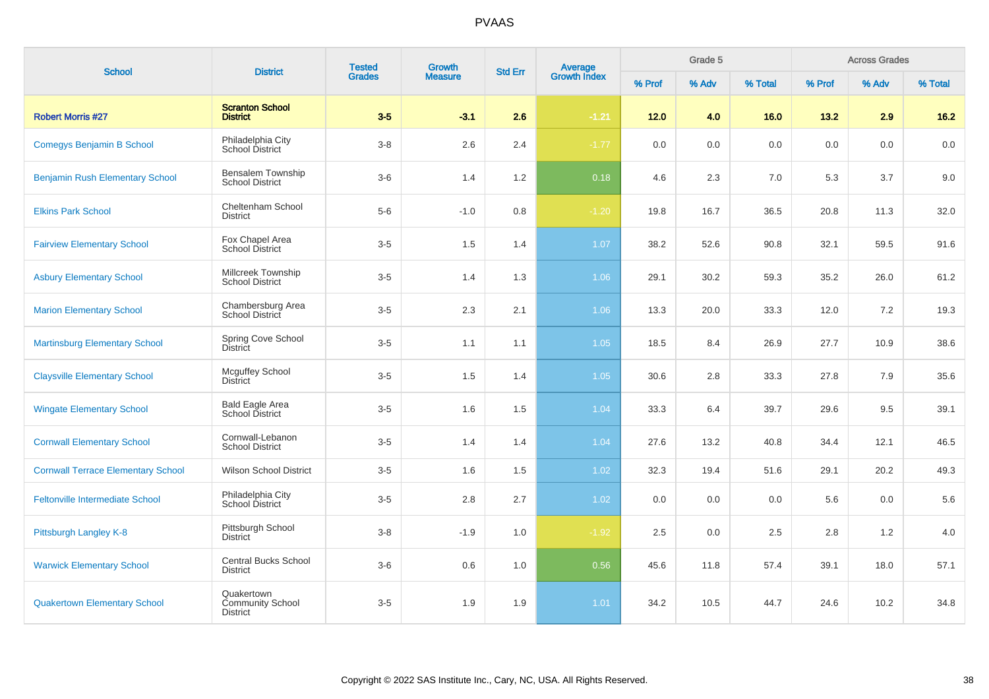| <b>School</b>                             | <b>District</b>                                          | <b>Tested</b><br><b>Grades</b> | Growth         | <b>Average</b><br>Growth Index<br><b>Std Err</b> |         |         | Grade 5 |         |         | <b>Across Grades</b> |         |
|-------------------------------------------|----------------------------------------------------------|--------------------------------|----------------|--------------------------------------------------|---------|---------|---------|---------|---------|----------------------|---------|
|                                           |                                                          |                                | <b>Measure</b> |                                                  |         | % Prof  | % Adv   | % Total | % Prof  | % Adv                | % Total |
| <b>Robert Morris #27</b>                  | <b>Scranton School</b><br><b>District</b>                | $3-5$                          | $-3.1$         | 2.6                                              | $-1.21$ | $12.0$  | 4.0     | 16.0    | 13.2    | 2.9                  | $16.2$  |
| <b>Comegys Benjamin B School</b>          | Philadelphia City<br>School District                     | $3-8$                          | 2.6            | 2.4                                              | $-1.77$ | $0.0\,$ | 0.0     | $0.0\,$ | $0.0\,$ | 0.0                  | 0.0     |
| <b>Benjamin Rush Elementary School</b>    | Bensalem Township<br><b>School District</b>              | $3-6$                          | 1.4            | 1.2                                              | 0.18    | 4.6     | 2.3     | 7.0     | 5.3     | 3.7                  | 9.0     |
| <b>Elkins Park School</b>                 | Cheltenham School<br><b>District</b>                     | $5-6$                          | $-1.0$         | 0.8                                              | $-1.20$ | 19.8    | 16.7    | 36.5    | 20.8    | 11.3                 | 32.0    |
| <b>Fairview Elementary School</b>         | Fox Chapel Area<br>School District                       | $3-5$                          | 1.5            | 1.4                                              | 1.07    | 38.2    | 52.6    | 90.8    | 32.1    | 59.5                 | 91.6    |
| <b>Asbury Elementary School</b>           | Millcreek Township<br><b>School District</b>             | $3-5$                          | 1.4            | 1.3                                              | 1.06    | 29.1    | 30.2    | 59.3    | 35.2    | 26.0                 | 61.2    |
| <b>Marion Elementary School</b>           | Chambersburg Area<br>School District                     | $3-5$                          | 2.3            | 2.1                                              | 1.06    | 13.3    | 20.0    | 33.3    | 12.0    | 7.2                  | 19.3    |
| <b>Martinsburg Elementary School</b>      | Spring Cove School<br>District                           | $3-5$                          | 1.1            | 1.1                                              | 1.05    | 18.5    | 8.4     | 26.9    | 27.7    | 10.9                 | 38.6    |
| <b>Claysville Elementary School</b>       | <b>Mcguffey School</b><br><b>District</b>                | $3-5$                          | 1.5            | 1.4                                              | 1.05    | 30.6    | 2.8     | 33.3    | 27.8    | 7.9                  | 35.6    |
| <b>Wingate Elementary School</b>          | <b>Bald Eagle Area</b><br>School District                | $3-5$                          | 1.6            | 1.5                                              | 1.04    | 33.3    | 6.4     | 39.7    | 29.6    | 9.5                  | 39.1    |
| <b>Cornwall Elementary School</b>         | Cornwall-Lebanon<br><b>School District</b>               | $3-5$                          | 1.4            | 1.4                                              | 1.04    | 27.6    | 13.2    | 40.8    | 34.4    | 12.1                 | 46.5    |
| <b>Cornwall Terrace Elementary School</b> | <b>Wilson School District</b>                            | $3-5$                          | 1.6            | 1.5                                              | 1.02    | 32.3    | 19.4    | 51.6    | 29.1    | 20.2                 | 49.3    |
| <b>Feltonville Intermediate School</b>    | Philadelphia City<br>School District                     | $3-5$                          | 2.8            | 2.7                                              | 1.02    | 0.0     | 0.0     | 0.0     | 5.6     | 0.0                  | 5.6     |
| Pittsburgh Langley K-8                    | Pittsburgh School<br><b>District</b>                     | $3-8$                          | $-1.9$         | 1.0                                              | $-1.92$ | 2.5     | 0.0     | 2.5     | 2.8     | 1.2                  | 4.0     |
| <b>Warwick Elementary School</b>          | <b>Central Bucks School</b><br><b>District</b>           | $3-6$                          | 0.6            | 1.0                                              | 0.56    | 45.6    | 11.8    | 57.4    | 39.1    | 18.0                 | 57.1    |
| <b>Quakertown Elementary School</b>       | Quakertown<br><b>Community School</b><br><b>District</b> | $3-5$                          | 1.9            | 1.9                                              | 1.01    | 34.2    | 10.5    | 44.7    | 24.6    | 10.2                 | 34.8    |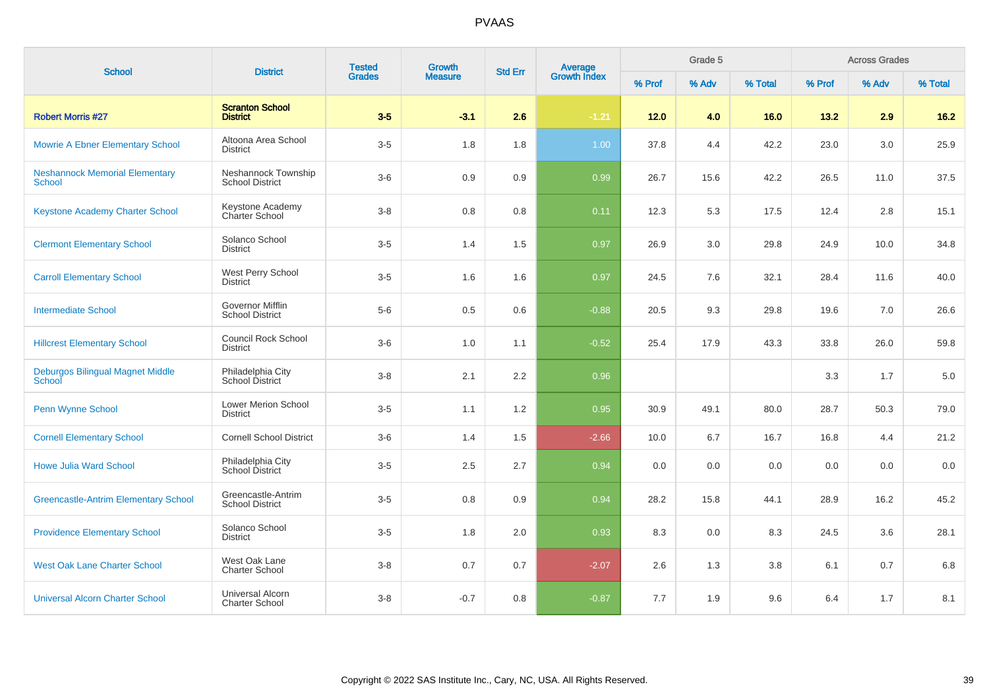| <b>School</b>                                            | <b>District</b>                                   | <b>Tested</b><br>Growth<br><b>Grades</b><br><b>Measure</b> |        |     | <b>Average</b><br>Growth Index<br><b>Std Err</b> |        | Grade 5 |         |        | <b>Across Grades</b> |         |
|----------------------------------------------------------|---------------------------------------------------|------------------------------------------------------------|--------|-----|--------------------------------------------------|--------|---------|---------|--------|----------------------|---------|
|                                                          |                                                   |                                                            |        |     |                                                  | % Prof | % Adv   | % Total | % Prof | % Adv                | % Total |
| <b>Robert Morris #27</b>                                 | <b>Scranton School</b><br><b>District</b>         | $3-5$                                                      | $-3.1$ | 2.6 | $-1.21$                                          | 12.0   | 4.0     | 16.0    | 13.2   | 2.9                  | 16.2    |
| <b>Mowrie A Ebner Elementary School</b>                  | Altoona Area School<br><b>District</b>            | $3-5$                                                      | 1.8    | 1.8 | 1.00                                             | 37.8   | 4.4     | 42.2    | 23.0   | 3.0                  | 25.9    |
| <b>Neshannock Memorial Elementary</b><br><b>School</b>   | Neshannock Township<br><b>School District</b>     | $3-6$                                                      | 0.9    | 0.9 | 0.99                                             | 26.7   | 15.6    | 42.2    | 26.5   | 11.0                 | 37.5    |
| <b>Keystone Academy Charter School</b>                   | Keystone Academy<br>Charter School                | $3 - 8$                                                    | 0.8    | 0.8 | 0.11                                             | 12.3   | 5.3     | 17.5    | 12.4   | 2.8                  | 15.1    |
| <b>Clermont Elementary School</b>                        | Solanco School<br><b>District</b>                 | $3-5$                                                      | 1.4    | 1.5 | 0.97                                             | 26.9   | 3.0     | 29.8    | 24.9   | 10.0                 | 34.8    |
| <b>Carroll Elementary School</b>                         | West Perry School<br><b>District</b>              | $3-5$                                                      | 1.6    | 1.6 | 0.97                                             | 24.5   | 7.6     | 32.1    | 28.4   | 11.6                 | 40.0    |
| <b>Intermediate School</b>                               | <b>Governor Mifflin</b><br><b>School District</b> | $5-6$                                                      | 0.5    | 0.6 | $-0.88$                                          | 20.5   | 9.3     | 29.8    | 19.6   | 7.0                  | 26.6    |
| <b>Hillcrest Elementary School</b>                       | Council Rock School<br><b>District</b>            | $3-6$                                                      | 1.0    | 1.1 | $-0.52$                                          | 25.4   | 17.9    | 43.3    | 33.8   | 26.0                 | 59.8    |
| <b>Deburgos Bilingual Magnet Middle</b><br><b>School</b> | Philadelphia City<br>School District              | $3 - 8$                                                    | 2.1    | 2.2 | 0.96                                             |        |         |         | 3.3    | 1.7                  | 5.0     |
| Penn Wynne School                                        | Lower Merion School<br><b>District</b>            | $3-5$                                                      | 1.1    | 1.2 | 0.95                                             | 30.9   | 49.1    | 80.0    | 28.7   | 50.3                 | 79.0    |
| <b>Cornell Elementary School</b>                         | <b>Cornell School District</b>                    | $3-6$                                                      | 1.4    | 1.5 | $-2.66$                                          | 10.0   | 6.7     | 16.7    | 16.8   | 4.4                  | 21.2    |
| <b>Howe Julia Ward School</b>                            | Philadelphia City<br>School District              | $3-5$                                                      | 2.5    | 2.7 | 0.94                                             | 0.0    | 0.0     | 0.0     | 0.0    | 0.0                  | 0.0     |
| <b>Greencastle-Antrim Elementary School</b>              | Greencastle-Antrim<br><b>School District</b>      | $3-5$                                                      | 0.8    | 0.9 | 0.94                                             | 28.2   | 15.8    | 44.1    | 28.9   | 16.2                 | 45.2    |
| <b>Providence Elementary School</b>                      | Solanco School<br><b>District</b>                 | $3-5$                                                      | 1.8    | 2.0 | 0.93                                             | 8.3    | 0.0     | 8.3     | 24.5   | 3.6                  | 28.1    |
| <b>West Oak Lane Charter School</b>                      | West Oak Lane<br><b>Charter School</b>            | $3 - 8$                                                    | 0.7    | 0.7 | $-2.07$                                          | 2.6    | 1.3     | 3.8     | 6.1    | 0.7                  | 6.8     |
| <b>Universal Alcorn Charter School</b>                   | Universal Alcorn<br><b>Charter School</b>         | $3 - 8$                                                    | $-0.7$ | 0.8 | $-0.87$                                          | 7.7    | 1.9     | 9.6     | 6.4    | 1.7                  | 8.1     |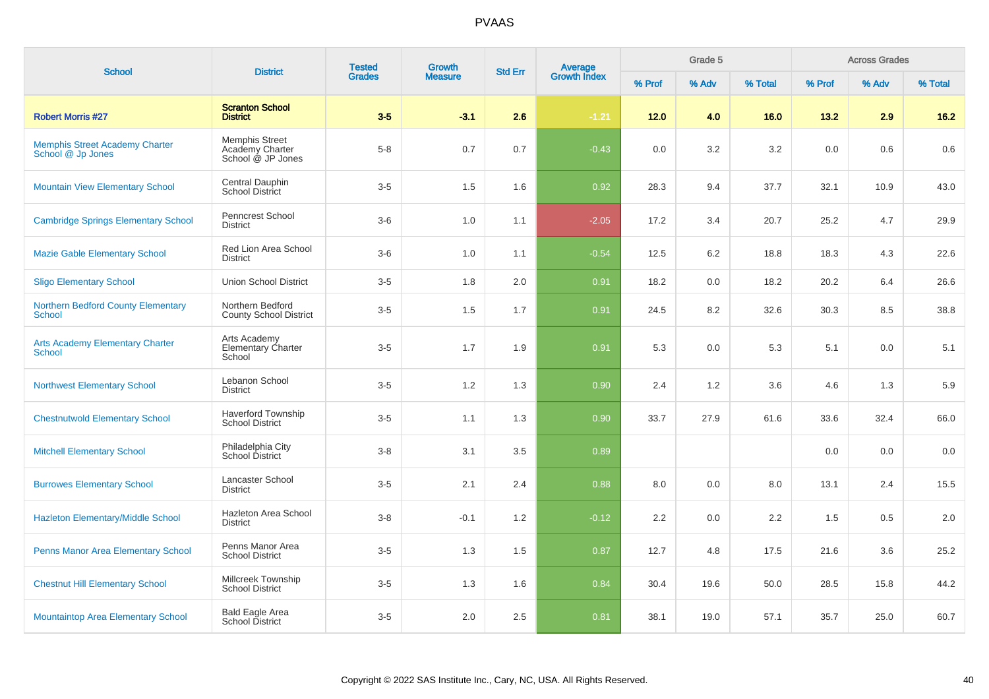| <b>School</b>                                              | <b>District</b>                                               | <b>Tested</b> | <b>Growth</b>  | <b>Std Err</b> |                         |        | Grade 5 |         | <b>Across Grades</b> |       |         |
|------------------------------------------------------------|---------------------------------------------------------------|---------------|----------------|----------------|-------------------------|--------|---------|---------|----------------------|-------|---------|
|                                                            |                                                               | <b>Grades</b> | <b>Measure</b> |                | Average<br>Growth Index | % Prof | % Adv   | % Total | % Prof               | % Adv | % Total |
| <b>Robert Morris #27</b>                                   | <b>Scranton School</b><br><b>District</b>                     | $3-5$         | $-3.1$         | 2.6            | $-1.21$                 | 12.0   | 4.0     | 16.0    | 13.2                 | 2.9   | 16.2    |
| <b>Memphis Street Academy Charter</b><br>School @ Jp Jones | <b>Memphis Street</b><br>Academy Charter<br>School @ JP Jones | $5 - 8$       | 0.7            | 0.7            | $-0.43$                 | 0.0    | 3.2     | 3.2     | 0.0                  | 0.6   | 0.6     |
| <b>Mountain View Elementary School</b>                     | Central Dauphin<br>School District                            | $3-5$         | 1.5            | 1.6            | 0.92                    | 28.3   | 9.4     | 37.7    | 32.1                 | 10.9  | 43.0    |
| <b>Cambridge Springs Elementary School</b>                 | Penncrest School<br><b>District</b>                           | $3-6$         | 1.0            | 1.1            | $-2.05$                 | 17.2   | 3.4     | 20.7    | 25.2                 | 4.7   | 29.9    |
| <b>Mazie Gable Elementary School</b>                       | Red Lion Area School<br><b>District</b>                       | $3-6$         | 1.0            | 1.1            | $-0.54$                 | 12.5   | 6.2     | 18.8    | 18.3                 | 4.3   | 22.6    |
| <b>Sligo Elementary School</b>                             | <b>Union School District</b>                                  | $3-5$         | 1.8            | 2.0            | 0.91                    | 18.2   | 0.0     | 18.2    | 20.2                 | 6.4   | 26.6    |
| <b>Northern Bedford County Elementary</b><br><b>School</b> | Northern Bedford<br><b>County School District</b>             | $3-5$         | 1.5            | 1.7            | 0.91                    | 24.5   | 8.2     | 32.6    | 30.3                 | 8.5   | 38.8    |
| <b>Arts Academy Elementary Charter</b><br>School           | Arts Academy<br><b>Elementary Charter</b><br>School           | $3-5$         | 1.7            | 1.9            | 0.91                    | 5.3    | 0.0     | 5.3     | 5.1                  | 0.0   | 5.1     |
| <b>Northwest Elementary School</b>                         | Lebanon School<br><b>District</b>                             | $3-5$         | 1.2            | 1.3            | 0.90                    | 2.4    | 1.2     | 3.6     | 4.6                  | 1.3   | 5.9     |
| <b>Chestnutwold Elementary School</b>                      | <b>Haverford Township</b><br><b>School District</b>           | $3-5$         | 1.1            | 1.3            | 0.90                    | 33.7   | 27.9    | 61.6    | 33.6                 | 32.4  | 66.0    |
| <b>Mitchell Elementary School</b>                          | Philadelphia City<br>School District                          | $3 - 8$       | 3.1            | 3.5            | 0.89                    |        |         |         | 0.0                  | 0.0   | 0.0     |
| <b>Burrowes Elementary School</b>                          | Lancaster School<br><b>District</b>                           | $3-5$         | 2.1            | 2.4            | 0.88                    | 8.0    | 0.0     | 8.0     | 13.1                 | 2.4   | 15.5    |
| Hazleton Elementary/Middle School                          | Hazleton Area School<br><b>District</b>                       | $3 - 8$       | $-0.1$         | 1.2            | $-0.12$                 | 2.2    | 0.0     | 2.2     | 1.5                  | 0.5   | 2.0     |
| Penns Manor Area Elementary School                         | Penns Manor Area<br><b>School District</b>                    | $3-5$         | 1.3            | 1.5            | 0.87                    | 12.7   | 4.8     | 17.5    | 21.6                 | 3.6   | 25.2    |
| <b>Chestnut Hill Elementary School</b>                     | Millcreek Township<br><b>School District</b>                  | $3-5$         | 1.3            | 1.6            | 0.84                    | 30.4   | 19.6    | 50.0    | 28.5                 | 15.8  | 44.2    |
| <b>Mountaintop Area Elementary School</b>                  | <b>Bald Eagle Area</b><br>School District                     | $3-5$         | 2.0            | 2.5            | 0.81                    | 38.1   | 19.0    | 57.1    | 35.7                 | 25.0  | 60.7    |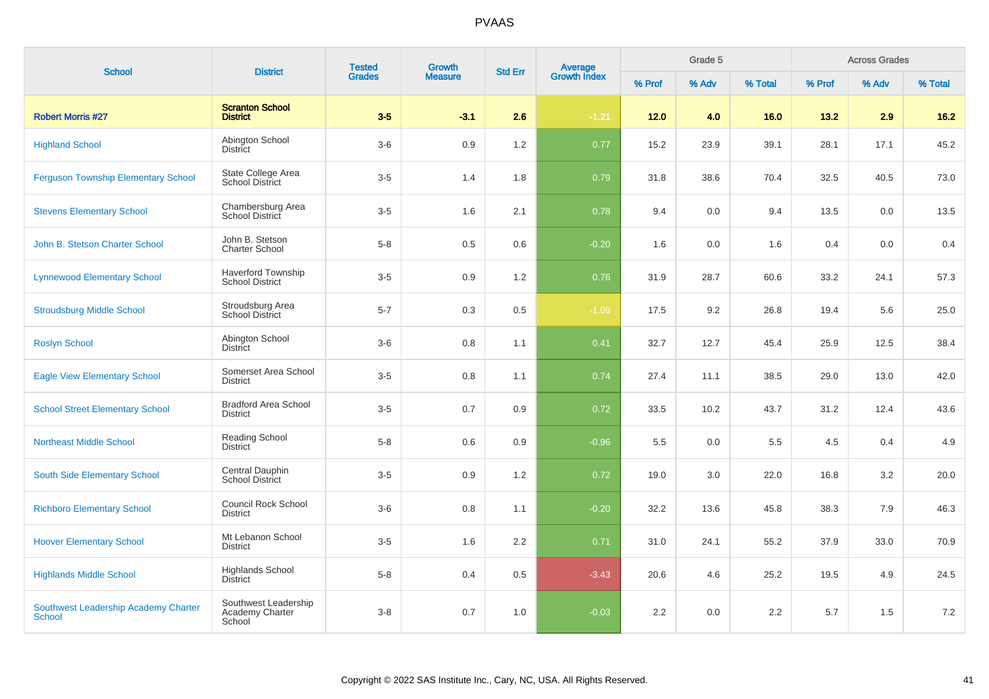| <b>School</b>                                         | <b>District</b>                                     | <b>Tested</b> | <b>Growth</b>  | <b>Std Err</b> | Average<br>Growth Index |        | Grade 5 |         |        | <b>Across Grades</b> |         |
|-------------------------------------------------------|-----------------------------------------------------|---------------|----------------|----------------|-------------------------|--------|---------|---------|--------|----------------------|---------|
|                                                       |                                                     | <b>Grades</b> | <b>Measure</b> |                |                         | % Prof | % Adv   | % Total | % Prof | % Adv                | % Total |
| <b>Robert Morris #27</b>                              | <b>Scranton School</b><br><b>District</b>           | $3-5$         | $-3.1$         | 2.6            | $-1.21$                 | 12.0   | 4.0     | 16.0    | 13.2   | 2.9                  | $16.2$  |
| <b>Highland School</b>                                | Abington School<br><b>District</b>                  | $3-6$         | 0.9            | 1.2            | 0.77                    | 15.2   | 23.9    | 39.1    | 28.1   | 17.1                 | 45.2    |
| <b>Ferguson Township Elementary School</b>            | State College Area<br><b>School District</b>        | $3-5$         | 1.4            | 1.8            | 0.79                    | 31.8   | 38.6    | 70.4    | 32.5   | 40.5                 | 73.0    |
| <b>Stevens Elementary School</b>                      | Chambersburg Area<br>School District                | $3-5$         | 1.6            | 2.1            | 0.78                    | 9.4    | 0.0     | 9.4     | 13.5   | 0.0                  | 13.5    |
| John B. Stetson Charter School                        | John B. Stetson<br><b>Charter School</b>            | $5-8$         | 0.5            | 0.6            | $-0.20$                 | 1.6    | 0.0     | 1.6     | 0.4    | 0.0                  | 0.4     |
| <b>Lynnewood Elementary School</b>                    | <b>Haverford Township</b><br><b>School District</b> | $3-5$         | 0.9            | 1.2            | 0.76                    | 31.9   | 28.7    | 60.6    | 33.2   | 24.1                 | 57.3    |
| <b>Stroudsburg Middle School</b>                      | Stroudsburg Area<br><b>School District</b>          | $5 - 7$       | 0.3            | 0.5            | $-1.09$                 | 17.5   | 9.2     | 26.8    | 19.4   | 5.6                  | 25.0    |
| <b>Roslyn School</b>                                  | Abington School<br><b>District</b>                  | $3-6$         | 0.8            | 1.1            | 0.41                    | 32.7   | 12.7    | 45.4    | 25.9   | 12.5                 | 38.4    |
| <b>Eagle View Elementary School</b>                   | Somerset Area School<br><b>District</b>             | $3-5$         | 0.8            | 1.1            | 0.74                    | 27.4   | 11.1    | 38.5    | 29.0   | 13.0                 | 42.0    |
| <b>School Street Elementary School</b>                | <b>Bradford Area School</b><br><b>District</b>      | $3-5$         | 0.7            | 0.9            | 0.72                    | 33.5   | 10.2    | 43.7    | 31.2   | 12.4                 | 43.6    |
| <b>Northeast Middle School</b>                        | Reading School<br><b>District</b>                   | $5 - 8$       | 0.6            | 0.9            | $-0.96$                 | 5.5    | 0.0     | 5.5     | 4.5    | 0.4                  | 4.9     |
| South Side Elementary School                          | Central Dauphin<br><b>School District</b>           | $3-5$         | 0.9            | 1.2            | 0.72                    | 19.0   | 3.0     | 22.0    | 16.8   | 3.2                  | 20.0    |
| <b>Richboro Elementary School</b>                     | Council Rock School<br><b>District</b>              | $3-6$         | 0.8            | 1.1            | $-0.20$                 | 32.2   | 13.6    | 45.8    | 38.3   | 7.9                  | 46.3    |
| <b>Hoover Elementary School</b>                       | Mt Lebanon School<br><b>District</b>                | $3-5$         | 1.6            | 2.2            | 0.71                    | 31.0   | 24.1    | 55.2    | 37.9   | 33.0                 | 70.9    |
| <b>Highlands Middle School</b>                        | <b>Highlands School</b><br><b>District</b>          | $5 - 8$       | 0.4            | 0.5            | $-3.43$                 | 20.6   | 4.6     | 25.2    | 19.5   | 4.9                  | 24.5    |
| Southwest Leadership Academy Charter<br><b>School</b> | Southwest Leadership<br>Academy Charter<br>School   | $3 - 8$       | 0.7            | 1.0            | $-0.03$                 | 2.2    | 0.0     | 2.2     | 5.7    | 1.5                  | 7.2     |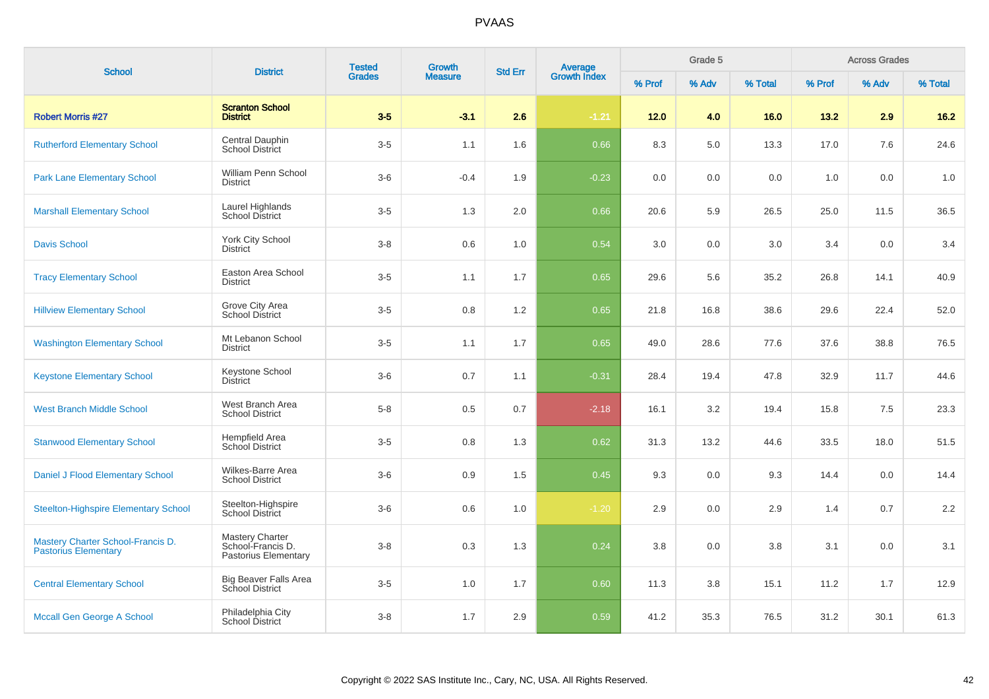| <b>School</b>                                                    | <b>District</b>                                                     | <b>Tested</b> | <b>Growth</b>  | <b>Std Err</b> | Average<br>Growth Index |        | Grade 5 |         |        | <b>Across Grades</b> |         |  |
|------------------------------------------------------------------|---------------------------------------------------------------------|---------------|----------------|----------------|-------------------------|--------|---------|---------|--------|----------------------|---------|--|
|                                                                  |                                                                     | <b>Grades</b> | <b>Measure</b> |                |                         | % Prof | % Adv   | % Total | % Prof | % Adv                | % Total |  |
| <b>Robert Morris #27</b>                                         | <b>Scranton School</b><br><b>District</b>                           | $3-5$         | $-3.1$         | 2.6            | $-1.21$                 | 12.0   | 4.0     | 16.0    | 13.2   | 2.9                  | 16.2    |  |
| <b>Rutherford Elementary School</b>                              | Central Dauphin<br><b>School District</b>                           | $3-5$         | 1.1            | 1.6            | 0.66                    | 8.3    | 5.0     | 13.3    | 17.0   | 7.6                  | 24.6    |  |
| <b>Park Lane Elementary School</b>                               | William Penn School<br><b>District</b>                              | $3-6$         | $-0.4$         | 1.9            | $-0.23$                 | 0.0    | 0.0     | 0.0     | 1.0    | 0.0                  | 1.0     |  |
| <b>Marshall Elementary School</b>                                | Laurel Highlands<br>School District                                 | $3-5$         | 1.3            | 2.0            | 0.66                    | 20.6   | 5.9     | 26.5    | 25.0   | 11.5                 | 36.5    |  |
| <b>Davis School</b>                                              | <b>York City School</b><br><b>District</b>                          | $3-8$         | 0.6            | 1.0            | 0.54                    | 3.0    | 0.0     | 3.0     | 3.4    | 0.0                  | 3.4     |  |
| <b>Tracy Elementary School</b>                                   | Easton Area School<br><b>District</b>                               | $3-5$         | 1.1            | 1.7            | 0.65                    | 29.6   | 5.6     | 35.2    | 26.8   | 14.1                 | 40.9    |  |
| <b>Hillview Elementary School</b>                                | Grove City Area<br><b>School District</b>                           | $3-5$         | 0.8            | 1.2            | 0.65                    | 21.8   | 16.8    | 38.6    | 29.6   | 22.4                 | 52.0    |  |
| <b>Washington Elementary School</b>                              | Mt Lebanon School<br><b>District</b>                                | $3-5$         | 1.1            | 1.7            | 0.65                    | 49.0   | 28.6    | 77.6    | 37.6   | 38.8                 | 76.5    |  |
| <b>Keystone Elementary School</b>                                | Keystone School<br><b>District</b>                                  | $3-6$         | 0.7            | 1.1            | $-0.31$                 | 28.4   | 19.4    | 47.8    | 32.9   | 11.7                 | 44.6    |  |
| <b>West Branch Middle School</b>                                 | West Branch Area<br><b>School District</b>                          | $5-8$         | 0.5            | 0.7            | $-2.18$                 | 16.1   | 3.2     | 19.4    | 15.8   | 7.5                  | 23.3    |  |
| <b>Stanwood Elementary School</b>                                | Hempfield Area<br><b>School District</b>                            | $3-5$         | 0.8            | 1.3            | 0.62                    | 31.3   | 13.2    | 44.6    | 33.5   | 18.0                 | 51.5    |  |
| Daniel J Flood Elementary School                                 | Wilkes-Barre Area<br><b>School District</b>                         | $3-6$         | 0.9            | 1.5            | 0.45                    | 9.3    | 0.0     | 9.3     | 14.4   | 0.0                  | 14.4    |  |
| <b>Steelton-Highspire Elementary School</b>                      | Steelton-Highspire<br>School District                               | $3-6$         | 0.6            | 1.0            | $-1.20$                 | 2.9    | 0.0     | 2.9     | 1.4    | 0.7                  | 2.2     |  |
| Mastery Charter School-Francis D.<br><b>Pastorius Elementary</b> | <b>Mastery Charter</b><br>School-Francis D.<br>Pastorius Elementary | $3-8$         | 0.3            | 1.3            | 0.24                    | 3.8    | 0.0     | 3.8     | 3.1    | 0.0                  | 3.1     |  |
| <b>Central Elementary School</b>                                 | <b>Big Beaver Falls Area</b><br><b>School District</b>              | $3-5$         | 1.0            | 1.7            | 0.60                    | 11.3   | 3.8     | 15.1    | 11.2   | 1.7                  | 12.9    |  |
| Mccall Gen George A School                                       | Philadelphia City<br>School District                                | $3-8$         | 1.7            | 2.9            | 0.59                    | 41.2   | 35.3    | 76.5    | 31.2   | 30.1                 | 61.3    |  |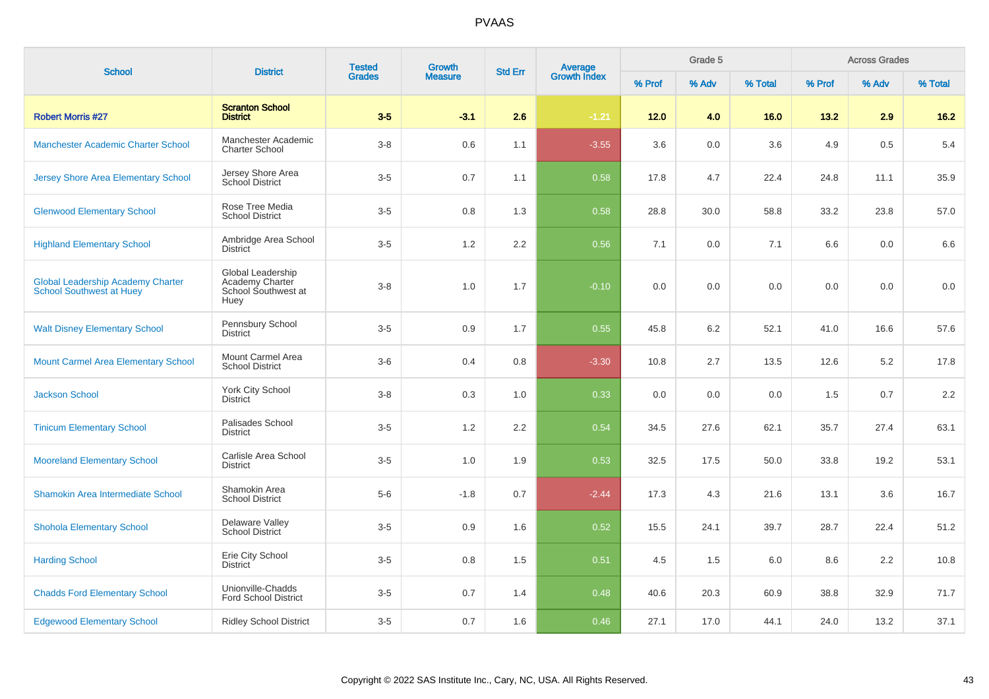| <b>School</b>                                                               | <b>District</b>                                                     | <b>Tested</b> | <b>Growth</b>  | <b>Std Err</b> |                         |        | Grade 5 |         |        | <b>Across Grades</b> |         |
|-----------------------------------------------------------------------------|---------------------------------------------------------------------|---------------|----------------|----------------|-------------------------|--------|---------|---------|--------|----------------------|---------|
|                                                                             |                                                                     | <b>Grades</b> | <b>Measure</b> |                | Average<br>Growth Index | % Prof | % Adv   | % Total | % Prof | % Adv                | % Total |
| <b>Robert Morris #27</b>                                                    | <b>Scranton School</b><br><b>District</b>                           | $3-5$         | $-3.1$         | 2.6            | $-1.21$                 | 12.0   | 4.0     | 16.0    | 13.2   | 2.9                  | 16.2    |
| <b>Manchester Academic Charter School</b>                                   | Manchester Academic<br><b>Charter School</b>                        | $3-8$         | 0.6            | 1.1            | $-3.55$                 | 3.6    | 0.0     | 3.6     | 4.9    | 0.5                  | 5.4     |
| Jersey Shore Area Elementary School                                         | Jersey Shore Area<br><b>School District</b>                         | $3-5$         | 0.7            | 1.1            | 0.58                    | 17.8   | 4.7     | 22.4    | 24.8   | 11.1                 | 35.9    |
| <b>Glenwood Elementary School</b>                                           | Rose Tree Media<br><b>School District</b>                           | $3-5$         | 0.8            | 1.3            | 0.58                    | 28.8   | 30.0    | 58.8    | 33.2   | 23.8                 | 57.0    |
| <b>Highland Elementary School</b>                                           | Ambridge Area School<br><b>District</b>                             | $3-5$         | 1.2            | 2.2            | 0.56                    | 7.1    | 0.0     | 7.1     | 6.6    | 0.0                  | 6.6     |
| <b>Global Leadership Academy Charter</b><br><b>School Southwest at Huey</b> | Global Leadership<br>Academy Charter<br>School Southwest at<br>Huey | $3 - 8$       | 1.0            | 1.7            | $-0.10$                 | 0.0    | 0.0     | 0.0     | 0.0    | 0.0                  | $0.0\,$ |
| <b>Walt Disney Elementary School</b>                                        | Pennsbury School<br><b>District</b>                                 | $3-5$         | 0.9            | 1.7            | 0.55                    | 45.8   | 6.2     | 52.1    | 41.0   | 16.6                 | 57.6    |
| <b>Mount Carmel Area Elementary School</b>                                  | Mount Carmel Area<br><b>School District</b>                         | $3-6$         | 0.4            | 0.8            | $-3.30$                 | 10.8   | 2.7     | 13.5    | 12.6   | 5.2                  | 17.8    |
| <b>Jackson School</b>                                                       | York City School<br><b>District</b>                                 | $3 - 8$       | 0.3            | 1.0            | 0.33                    | 0.0    | 0.0     | 0.0     | 1.5    | 0.7                  | 2.2     |
| <b>Tinicum Elementary School</b>                                            | Palisades School<br><b>District</b>                                 | $3-5$         | 1.2            | 2.2            | 0.54                    | 34.5   | 27.6    | 62.1    | 35.7   | 27.4                 | 63.1    |
| <b>Mooreland Elementary School</b>                                          | Carlisle Area School<br><b>District</b>                             | $3-5$         | 1.0            | 1.9            | 0.53                    | 32.5   | 17.5    | 50.0    | 33.8   | 19.2                 | 53.1    |
| Shamokin Area Intermediate School                                           | Shamokin Area<br><b>School District</b>                             | $5-6$         | $-1.8$         | 0.7            | $-2.44$                 | 17.3   | 4.3     | 21.6    | 13.1   | 3.6                  | 16.7    |
| <b>Shohola Elementary School</b>                                            | Delaware Valley<br><b>School District</b>                           | $3-5$         | 0.9            | 1.6            | 0.52                    | 15.5   | 24.1    | 39.7    | 28.7   | 22.4                 | 51.2    |
| <b>Harding School</b>                                                       | Erie City School<br><b>District</b>                                 | $3-5$         | 0.8            | 1.5            | 0.51                    | 4.5    | 1.5     | 6.0     | 8.6    | 2.2                  | 10.8    |
| <b>Chadds Ford Elementary School</b>                                        | Unionville-Chadds<br><b>Ford School District</b>                    | $3-5$         | 0.7            | 1.4            | 0.48                    | 40.6   | 20.3    | 60.9    | 38.8   | 32.9                 | 71.7    |
| <b>Edgewood Elementary School</b>                                           | <b>Ridley School District</b>                                       | $3-5$         | 0.7            | 1.6            | 0.46                    | 27.1   | 17.0    | 44.1    | 24.0   | 13.2                 | 37.1    |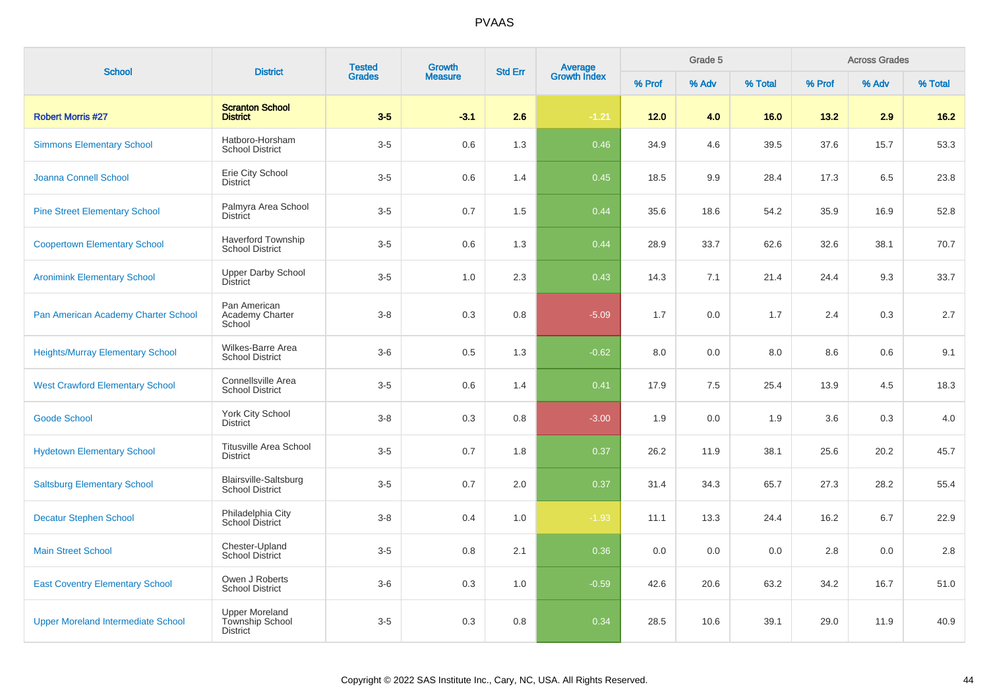| <b>School</b>                             | <b>District</b>                                                    | <b>Tested</b><br><b>Grades</b> | <b>Growth</b>  | <b>Std Err</b> | Average<br>Growth Index |        | Grade 5 |         |        | <b>Across Grades</b> |         |
|-------------------------------------------|--------------------------------------------------------------------|--------------------------------|----------------|----------------|-------------------------|--------|---------|---------|--------|----------------------|---------|
|                                           |                                                                    |                                | <b>Measure</b> |                |                         | % Prof | % Adv   | % Total | % Prof | % Adv                | % Total |
| <b>Robert Morris #27</b>                  | <b>Scranton School</b><br><b>District</b>                          | $3-5$                          | $-3.1$         | 2.6            | $-1.21$                 | $12.0$ | 4.0     | 16.0    | 13.2   | 2.9                  | 16.2    |
| <b>Simmons Elementary School</b>          | Hatboro-Horsham<br><b>School District</b>                          | $3-5$                          | 0.6            | 1.3            | 0.46                    | 34.9   | 4.6     | 39.5    | 37.6   | 15.7                 | 53.3    |
| <b>Joanna Connell School</b>              | Erie City School<br><b>District</b>                                | $3-5$                          | 0.6            | 1.4            | 0.45                    | 18.5   | 9.9     | 28.4    | 17.3   | 6.5                  | 23.8    |
| <b>Pine Street Elementary School</b>      | Palmyra Area School<br><b>District</b>                             | $3-5$                          | 0.7            | 1.5            | 0.44                    | 35.6   | 18.6    | 54.2    | 35.9   | 16.9                 | 52.8    |
| <b>Coopertown Elementary School</b>       | <b>Haverford Township</b><br><b>School District</b>                | $3-5$                          | 0.6            | 1.3            | 0.44                    | 28.9   | 33.7    | 62.6    | 32.6   | 38.1                 | 70.7    |
| <b>Aronimink Elementary School</b>        | <b>Upper Darby School</b><br><b>District</b>                       | $3-5$                          | 1.0            | 2.3            | 0.43                    | 14.3   | 7.1     | 21.4    | 24.4   | 9.3                  | 33.7    |
| Pan American Academy Charter School       | Pan American<br>Academy Charter<br>School                          | $3 - 8$                        | 0.3            | 0.8            | $-5.09$                 | 1.7    | 0.0     | 1.7     | 2.4    | 0.3                  | 2.7     |
| <b>Heights/Murray Elementary School</b>   | Wilkes-Barre Area<br><b>School District</b>                        | $3-6$                          | 0.5            | 1.3            | $-0.62$                 | 8.0    | 0.0     | 8.0     | 8.6    | 0.6                  | 9.1     |
| <b>West Crawford Elementary School</b>    | Connellsville Area<br><b>School District</b>                       | $3-5$                          | 0.6            | 1.4            | 0.41                    | 17.9   | 7.5     | 25.4    | 13.9   | 4.5                  | 18.3    |
| <b>Goode School</b>                       | <b>York City School</b><br><b>District</b>                         | $3 - 8$                        | 0.3            | 0.8            | $-3.00$                 | 1.9    | 0.0     | 1.9     | 3.6    | 0.3                  | 4.0     |
| <b>Hydetown Elementary School</b>         | <b>Titusville Area School</b><br><b>District</b>                   | $3-5$                          | 0.7            | 1.8            | 0.37                    | 26.2   | 11.9    | 38.1    | 25.6   | 20.2                 | 45.7    |
| <b>Saltsburg Elementary School</b>        | Blairsville-Saltsburg<br><b>School District</b>                    | $3-5$                          | 0.7            | 2.0            | 0.37                    | 31.4   | 34.3    | 65.7    | 27.3   | 28.2                 | 55.4    |
| <b>Decatur Stephen School</b>             | Philadelphia City<br>School District                               | $3-8$                          | 0.4            | 1.0            | $-1.93$                 | 11.1   | 13.3    | 24.4    | 16.2   | 6.7                  | 22.9    |
| <b>Main Street School</b>                 | Chester-Upland<br>School District                                  | $3-5$                          | 0.8            | 2.1            | 0.36                    | 0.0    | 0.0     | 0.0     | 2.8    | 0.0                  | 2.8     |
| <b>East Coventry Elementary School</b>    | Owen J Roberts<br><b>School District</b>                           | $3-6$                          | 0.3            | 1.0            | $-0.59$                 | 42.6   | 20.6    | 63.2    | 34.2   | 16.7                 | 51.0    |
| <b>Upper Moreland Intermediate School</b> | <b>Upper Moreland</b><br><b>Township School</b><br><b>District</b> | $3-5$                          | 0.3            | 0.8            | 0.34                    | 28.5   | 10.6    | 39.1    | 29.0   | 11.9                 | 40.9    |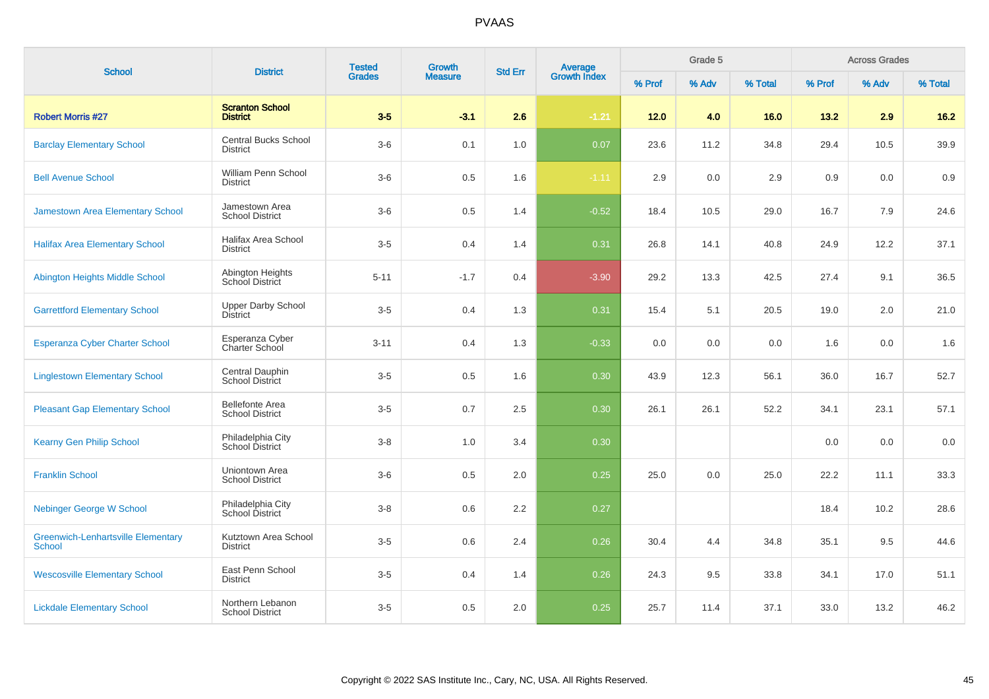| <b>School</b>                                              | <b>District</b>                                  | <b>Tested</b> | Growth         | <b>Average</b><br>Growth Index<br><b>Std Err</b> |         | Grade 5 |       |         | <b>Across Grades</b> |       |         |
|------------------------------------------------------------|--------------------------------------------------|---------------|----------------|--------------------------------------------------|---------|---------|-------|---------|----------------------|-------|---------|
|                                                            |                                                  | <b>Grades</b> | <b>Measure</b> |                                                  |         | % Prof  | % Adv | % Total | % Prof               | % Adv | % Total |
| <b>Robert Morris #27</b>                                   | <b>Scranton School</b><br><b>District</b>        | $3-5$         | $-3.1$         | 2.6                                              | $-1.21$ | $12.0$  | 4.0   | 16.0    | 13.2                 | 2.9   | $16.2$  |
| <b>Barclay Elementary School</b>                           | <b>Central Bucks School</b><br><b>District</b>   | $3-6$         | 0.1            | 1.0                                              | 0.07    | 23.6    | 11.2  | 34.8    | 29.4                 | 10.5  | 39.9    |
| <b>Bell Avenue School</b>                                  | William Penn School<br><b>District</b>           | $3-6$         | 0.5            | 1.6                                              | $-1.11$ | 2.9     | 0.0   | 2.9     | 0.9                  | 0.0   | 0.9     |
| Jamestown Area Elementary School                           | Jamestown Area<br><b>School District</b>         | $3-6$         | 0.5            | 1.4                                              | $-0.52$ | 18.4    | 10.5  | 29.0    | 16.7                 | 7.9   | 24.6    |
| <b>Halifax Area Elementary School</b>                      | Halifax Area School<br><b>District</b>           | $3-5$         | 0.4            | 1.4                                              | 0.31    | 26.8    | 14.1  | 40.8    | 24.9                 | 12.2  | 37.1    |
| Abington Heights Middle School                             | Abington Heights<br>School District              | $5 - 11$      | $-1.7$         | 0.4                                              | $-3.90$ | 29.2    | 13.3  | 42.5    | 27.4                 | 9.1   | 36.5    |
| <b>Garrettford Elementary School</b>                       | <b>Upper Darby School</b><br><b>District</b>     | $3-5$         | 0.4            | 1.3                                              | 0.31    | 15.4    | 5.1   | 20.5    | 19.0                 | 2.0   | 21.0    |
| Esperanza Cyber Charter School                             | Esperanza Cyber<br>Charter School                | $3 - 11$      | 0.4            | 1.3                                              | $-0.33$ | 0.0     | 0.0   | 0.0     | 1.6                  | 0.0   | 1.6     |
| <b>Linglestown Elementary School</b>                       | Central Dauphin<br><b>School District</b>        | $3-5$         | 0.5            | 1.6                                              | 0.30    | 43.9    | 12.3  | 56.1    | 36.0                 | 16.7  | 52.7    |
| <b>Pleasant Gap Elementary School</b>                      | <b>Bellefonte Area</b><br><b>School District</b> | $3-5$         | 0.7            | 2.5                                              | 0.30    | 26.1    | 26.1  | 52.2    | 34.1                 | 23.1  | 57.1    |
| <b>Kearny Gen Philip School</b>                            | Philadelphia City<br>School District             | $3 - 8$       | 1.0            | 3.4                                              | 0.30    |         |       |         | 0.0                  | 0.0   | 0.0     |
| <b>Franklin School</b>                                     | Uniontown Area<br><b>School District</b>         | $3-6$         | 0.5            | $2.0\,$                                          | 0.25    | 25.0    | 0.0   | 25.0    | 22.2                 | 11.1  | 33.3    |
| <b>Nebinger George W School</b>                            | Philadelphia City<br>School District             | $3-8$         | 0.6            | 2.2                                              | 0.27    |         |       |         | 18.4                 | 10.2  | 28.6    |
| <b>Greenwich-Lenhartsville Elementary</b><br><b>School</b> | Kutztown Area School<br><b>District</b>          | $3-5$         | 0.6            | 2.4                                              | 0.26    | 30.4    | 4.4   | 34.8    | 35.1                 | 9.5   | 44.6    |
| <b>Wescosville Elementary School</b>                       | East Penn School<br><b>District</b>              | $3-5$         | 0.4            | 1.4                                              | 0.26    | 24.3    | 9.5   | 33.8    | 34.1                 | 17.0  | 51.1    |
| <b>Lickdale Elementary School</b>                          | Northern Lebanon<br><b>School District</b>       | $3-5$         | 0.5            | 2.0                                              | 0.25    | 25.7    | 11.4  | 37.1    | 33.0                 | 13.2  | 46.2    |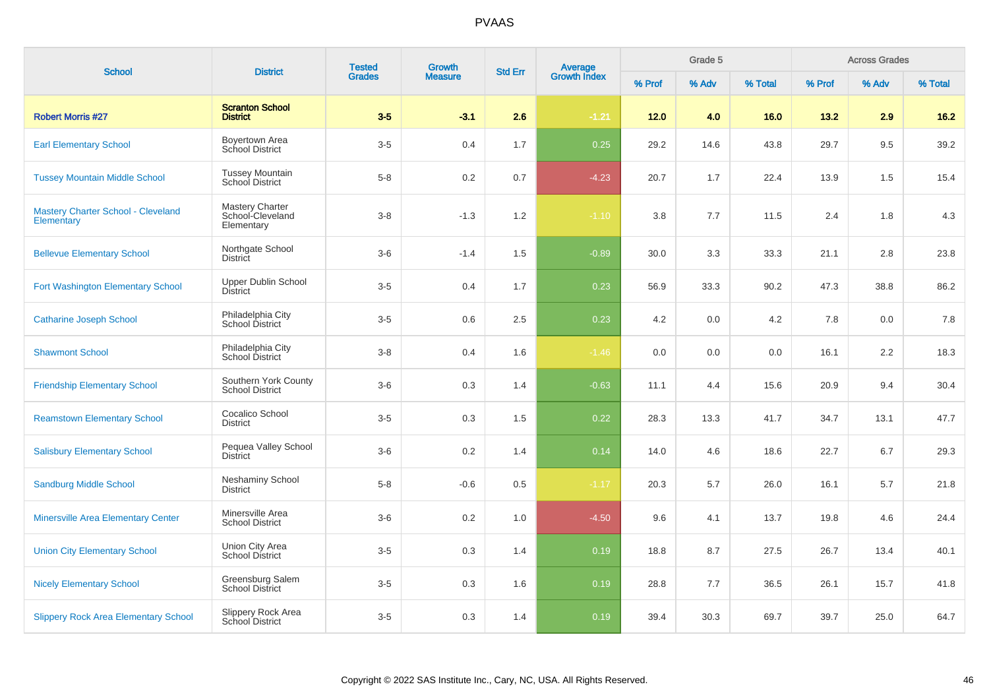| <b>School</b>                                    | <b>District</b>                                   | <b>Tested</b> | <b>Growth</b>  | <b>Std Err</b> | <b>Average</b><br>Growth Index |        | Grade 5 |         |        | <b>Across Grades</b> |         |
|--------------------------------------------------|---------------------------------------------------|---------------|----------------|----------------|--------------------------------|--------|---------|---------|--------|----------------------|---------|
|                                                  |                                                   | <b>Grades</b> | <b>Measure</b> |                |                                | % Prof | % Adv   | % Total | % Prof | % Adv                | % Total |
| <b>Robert Morris #27</b>                         | <b>Scranton School</b><br><b>District</b>         | $3-5$         | $-3.1$         | 2.6            | $-1.21$                        | 12.0   | 4.0     | 16.0    | 13.2   | 2.9                  | $16.2$  |
| <b>Earl Elementary School</b>                    | Boyertown Area<br>School District                 | $3-5$         | 0.4            | 1.7            | 0.25                           | 29.2   | 14.6    | 43.8    | 29.7   | 9.5                  | 39.2    |
| <b>Tussey Mountain Middle School</b>             | <b>Tussey Mountain</b><br>School District         | $5 - 8$       | 0.2            | 0.7            | $-4.23$                        | 20.7   | 1.7     | 22.4    | 13.9   | 1.5                  | 15.4    |
| Mastery Charter School - Cleveland<br>Elementary | Mastery Charter<br>School-Cleveland<br>Elementary | $3 - 8$       | $-1.3$         | 1.2            | $-1.10$                        | 3.8    | 7.7     | 11.5    | 2.4    | 1.8                  | 4.3     |
| <b>Bellevue Elementary School</b>                | Northgate School<br><b>District</b>               | $3-6$         | $-1.4$         | 1.5            | $-0.89$                        | 30.0   | 3.3     | 33.3    | 21.1   | 2.8                  | 23.8    |
| Fort Washington Elementary School                | <b>Upper Dublin School</b><br><b>District</b>     | $3-5$         | 0.4            | 1.7            | 0.23                           | 56.9   | 33.3    | 90.2    | 47.3   | 38.8                 | 86.2    |
| <b>Catharine Joseph School</b>                   | Philadelphia City<br>School District              | $3-5$         | 0.6            | 2.5            | 0.23                           | 4.2    | 0.0     | 4.2     | 7.8    | 0.0                  | 7.8     |
| <b>Shawmont School</b>                           | Philadelphia City<br>School District              | $3 - 8$       | 0.4            | 1.6            | $-1.46$                        | 0.0    | 0.0     | 0.0     | 16.1   | 2.2                  | 18.3    |
| <b>Friendship Elementary School</b>              | Southern York County<br><b>School District</b>    | $3-6$         | 0.3            | 1.4            | $-0.63$                        | 11.1   | 4.4     | 15.6    | 20.9   | 9.4                  | 30.4    |
| <b>Reamstown Elementary School</b>               | Cocalico School<br><b>District</b>                | $3-5$         | 0.3            | 1.5            | 0.22                           | 28.3   | 13.3    | 41.7    | 34.7   | 13.1                 | 47.7    |
| <b>Salisbury Elementary School</b>               | Pequea Valley School<br><b>District</b>           | $3-6$         | 0.2            | 1.4            | 0.14                           | 14.0   | 4.6     | 18.6    | 22.7   | 6.7                  | 29.3    |
| <b>Sandburg Middle School</b>                    | <b>Neshaminy School</b><br><b>District</b>        | $5 - 8$       | $-0.6$         | 0.5            | $-1.17$                        | 20.3   | 5.7     | 26.0    | 16.1   | 5.7                  | 21.8    |
| <b>Minersville Area Elementary Center</b>        | Minersville Area<br><b>School District</b>        | $3-6$         | 0.2            | 1.0            | $-4.50$                        | 9.6    | 4.1     | 13.7    | 19.8   | 4.6                  | 24.4    |
| <b>Union City Elementary School</b>              | Union City Area<br><b>School District</b>         | $3-5$         | 0.3            | 1.4            | 0.19                           | 18.8   | 8.7     | 27.5    | 26.7   | 13.4                 | 40.1    |
| <b>Nicely Elementary School</b>                  | Greensburg Salem<br><b>School District</b>        | $3-5$         | 0.3            | 1.6            | 0.19                           | 28.8   | 7.7     | 36.5    | 26.1   | 15.7                 | 41.8    |
| <b>Slippery Rock Area Elementary School</b>      | Slippery Rock Area<br>School District             | $3-5$         | 0.3            | 1.4            | 0.19                           | 39.4   | 30.3    | 69.7    | 39.7   | 25.0                 | 64.7    |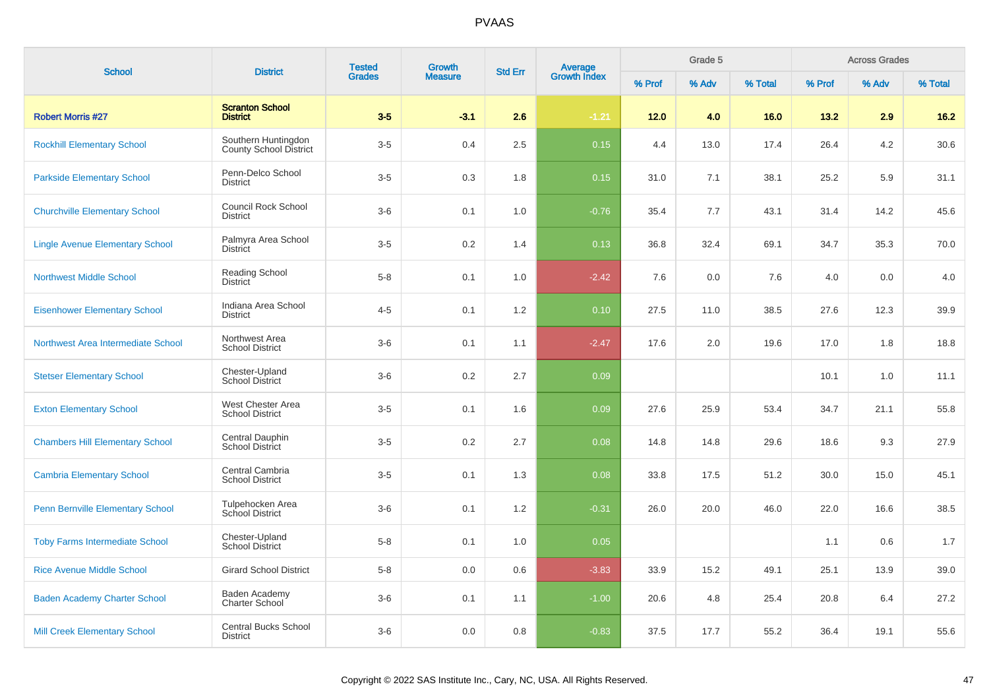| <b>School</b>                           | <b>District</b>                                      | <b>Tested</b> | <b>Growth</b>  | <b>Std Err</b> |                                |        | Grade 5 |         |        | <b>Across Grades</b> |         |
|-----------------------------------------|------------------------------------------------------|---------------|----------------|----------------|--------------------------------|--------|---------|---------|--------|----------------------|---------|
|                                         |                                                      | <b>Grades</b> | <b>Measure</b> |                | <b>Average</b><br>Growth Index | % Prof | % Adv   | % Total | % Prof | % Adv                | % Total |
| <b>Robert Morris #27</b>                | <b>Scranton School</b><br><b>District</b>            | $3-5$         | $-3.1$         | 2.6            | $-1.21$                        | 12.0   | 4.0     | 16.0    | 13.2   | 2.9                  | $16.2$  |
| <b>Rockhill Elementary School</b>       | Southern Huntingdon<br><b>County School District</b> | $3-5$         | 0.4            | $2.5\,$        | 0.15                           | 4.4    | 13.0    | 17.4    | 26.4   | 4.2                  | 30.6    |
| <b>Parkside Elementary School</b>       | Penn-Delco School<br><b>District</b>                 | $3-5$         | 0.3            | 1.8            | 0.15                           | 31.0   | 7.1     | 38.1    | 25.2   | 5.9                  | 31.1    |
| <b>Churchville Elementary School</b>    | <b>Council Rock School</b><br><b>District</b>        | $3-6$         | 0.1            | 1.0            | $-0.76$                        | 35.4   | 7.7     | 43.1    | 31.4   | 14.2                 | 45.6    |
| <b>Lingle Avenue Elementary School</b>  | Palmyra Area School<br><b>District</b>               | $3-5$         | 0.2            | 1.4            | 0.13                           | 36.8   | 32.4    | 69.1    | 34.7   | 35.3                 | 70.0    |
| <b>Northwest Middle School</b>          | Reading School<br><b>District</b>                    | $5 - 8$       | 0.1            | 1.0            | $-2.42$                        | 7.6    | 0.0     | 7.6     | 4.0    | 0.0                  | 4.0     |
| <b>Eisenhower Elementary School</b>     | Indiana Area School<br><b>District</b>               | $4 - 5$       | 0.1            | 1.2            | 0.10                           | 27.5   | 11.0    | 38.5    | 27.6   | 12.3                 | 39.9    |
| Northwest Area Intermediate School      | Northwest Area<br><b>School District</b>             | $3-6$         | 0.1            | 1.1            | $-2.47$                        | 17.6   | 2.0     | 19.6    | 17.0   | 1.8                  | 18.8    |
| <b>Stetser Elementary School</b>        | Chester-Upland<br><b>School District</b>             | $3-6$         | 0.2            | 2.7            | 0.09                           |        |         |         | 10.1   | 1.0                  | 11.1    |
| <b>Exton Elementary School</b>          | West Chester Area<br><b>School District</b>          | $3-5$         | 0.1            | 1.6            | 0.09                           | 27.6   | 25.9    | 53.4    | 34.7   | 21.1                 | 55.8    |
| <b>Chambers Hill Elementary School</b>  | Central Dauphin<br>School District                   | $3-5$         | 0.2            | 2.7            | 0.08                           | 14.8   | 14.8    | 29.6    | 18.6   | 9.3                  | 27.9    |
| <b>Cambria Elementary School</b>        | Central Cambria<br><b>School District</b>            | $3-5$         | 0.1            | 1.3            | 0.08                           | 33.8   | 17.5    | 51.2    | 30.0   | 15.0                 | 45.1    |
| <b>Penn Bernville Elementary School</b> | Tulpehocken Area<br>School District                  | $3-6$         | 0.1            | 1.2            | $-0.31$                        | 26.0   | 20.0    | 46.0    | 22.0   | 16.6                 | 38.5    |
| <b>Toby Farms Intermediate School</b>   | Chester-Upland<br><b>School District</b>             | $5-8$         | 0.1            | 1.0            | 0.05                           |        |         |         | 1.1    | 0.6                  | 1.7     |
| <b>Rice Avenue Middle School</b>        | <b>Girard School District</b>                        | $5-8$         | 0.0            | 0.6            | $-3.83$                        | 33.9   | 15.2    | 49.1    | 25.1   | 13.9                 | 39.0    |
| <b>Baden Academy Charter School</b>     | Baden Academy<br>Charter School                      | $3-6$         | 0.1            | 1.1            | $-1.00$                        | 20.6   | 4.8     | 25.4    | 20.8   | 6.4                  | 27.2    |
| <b>Mill Creek Elementary School</b>     | <b>Central Bucks School</b><br><b>District</b>       | $3-6$         | $0.0\,$        | 0.8            | $-0.83$                        | 37.5   | 17.7    | 55.2    | 36.4   | 19.1                 | 55.6    |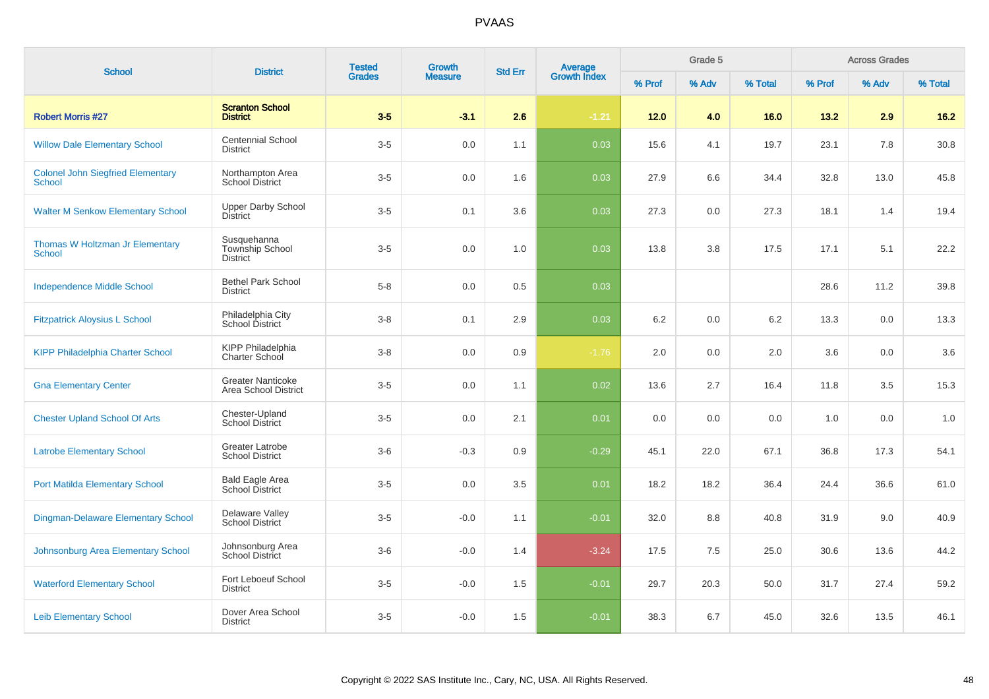| <b>School</b>                                             | <b>District</b>                                          | <b>Tested</b> | <b>Growth</b>  | <b>Std Err</b> | Average<br>Growth Index |        | Grade 5 | <b>Across Grades</b> |        |       |         |
|-----------------------------------------------------------|----------------------------------------------------------|---------------|----------------|----------------|-------------------------|--------|---------|----------------------|--------|-------|---------|
|                                                           |                                                          | <b>Grades</b> | <b>Measure</b> |                |                         | % Prof | % Adv   | % Total              | % Prof | % Adv | % Total |
| <b>Robert Morris #27</b>                                  | <b>Scranton School</b><br><b>District</b>                | $3-5$         | $-3.1$         | 2.6            | $-1.21$                 | 12.0   | 4.0     | 16.0                 | 13.2   | 2.9   | $16.2$  |
| <b>Willow Dale Elementary School</b>                      | <b>Centennial School</b><br><b>District</b>              | $3-5$         | 0.0            | 1.1            | 0.03                    | 15.6   | 4.1     | 19.7                 | 23.1   | 7.8   | 30.8    |
| <b>Colonel John Siegfried Elementary</b><br><b>School</b> | Northampton Area<br><b>School District</b>               | $3-5$         | 0.0            | 1.6            | 0.03                    | 27.9   | 6.6     | 34.4                 | 32.8   | 13.0  | 45.8    |
| <b>Walter M Senkow Elementary School</b>                  | <b>Upper Darby School</b><br><b>District</b>             | $3-5$         | 0.1            | 3.6            | 0.03                    | 27.3   | 0.0     | 27.3                 | 18.1   | 1.4   | 19.4    |
| Thomas W Holtzman Jr Elementary<br><b>School</b>          | Susquehanna<br><b>Township School</b><br><b>District</b> | $3-5$         | 0.0            | 1.0            | 0.03                    | 13.8   | 3.8     | 17.5                 | 17.1   | 5.1   | 22.2    |
| <b>Independence Middle School</b>                         | <b>Bethel Park School</b><br><b>District</b>             | $5 - 8$       | 0.0            | 0.5            | 0.03                    |        |         |                      | 28.6   | 11.2  | 39.8    |
| <b>Fitzpatrick Aloysius L School</b>                      | Philadelphia City<br>School District                     | $3 - 8$       | 0.1            | 2.9            | 0.03                    | 6.2    | 0.0     | 6.2                  | 13.3   | 0.0   | 13.3    |
| <b>KIPP Philadelphia Charter School</b>                   | <b>KIPP Philadelphia</b><br>Charter School               | $3-8$         | 0.0            | 0.9            | $-1.76$                 | 2.0    | 0.0     | 2.0                  | 3.6    | 0.0   | 3.6     |
| <b>Gna Elementary Center</b>                              | <b>Greater Nanticoke</b><br>Area School District         | $3-5$         | 0.0            | 1.1            | 0.02                    | 13.6   | 2.7     | 16.4                 | 11.8   | 3.5   | 15.3    |
| <b>Chester Upland School Of Arts</b>                      | Chester-Upland<br><b>School District</b>                 | $3-5$         | 0.0            | 2.1            | 0.01                    | 0.0    | 0.0     | 0.0                  | 1.0    | 0.0   | 1.0     |
| <b>Latrobe Elementary School</b>                          | <b>Greater Latrobe</b><br><b>School District</b>         | $3-6$         | $-0.3$         | 0.9            | $-0.29$                 | 45.1   | 22.0    | 67.1                 | 36.8   | 17.3  | 54.1    |
| <b>Port Matilda Elementary School</b>                     | Bald Eagle Area<br>School District                       | $3-5$         | 0.0            | 3.5            | 0.01                    | 18.2   | 18.2    | 36.4                 | 24.4   | 36.6  | 61.0    |
| <b>Dingman-Delaware Elementary School</b>                 | Delaware Valley<br><b>School District</b>                | $3-5$         | $-0.0$         | 1.1            | $-0.01$                 | 32.0   | 8.8     | 40.8                 | 31.9   | 9.0   | 40.9    |
| Johnsonburg Area Elementary School                        | Johnsonburg Area<br>School District                      | $3-6$         | $-0.0$         | 1.4            | $-3.24$                 | 17.5   | 7.5     | 25.0                 | 30.6   | 13.6  | 44.2    |
| <b>Waterford Elementary School</b>                        | Fort Leboeuf School<br><b>District</b>                   | $3-5$         | $-0.0$         | 1.5            | $-0.01$                 | 29.7   | 20.3    | 50.0                 | 31.7   | 27.4  | 59.2    |
| <b>Leib Elementary School</b>                             | Dover Area School<br><b>District</b>                     | $3-5$         | $-0.0$         | 1.5            | $-0.01$                 | 38.3   | 6.7     | 45.0                 | 32.6   | 13.5  | 46.1    |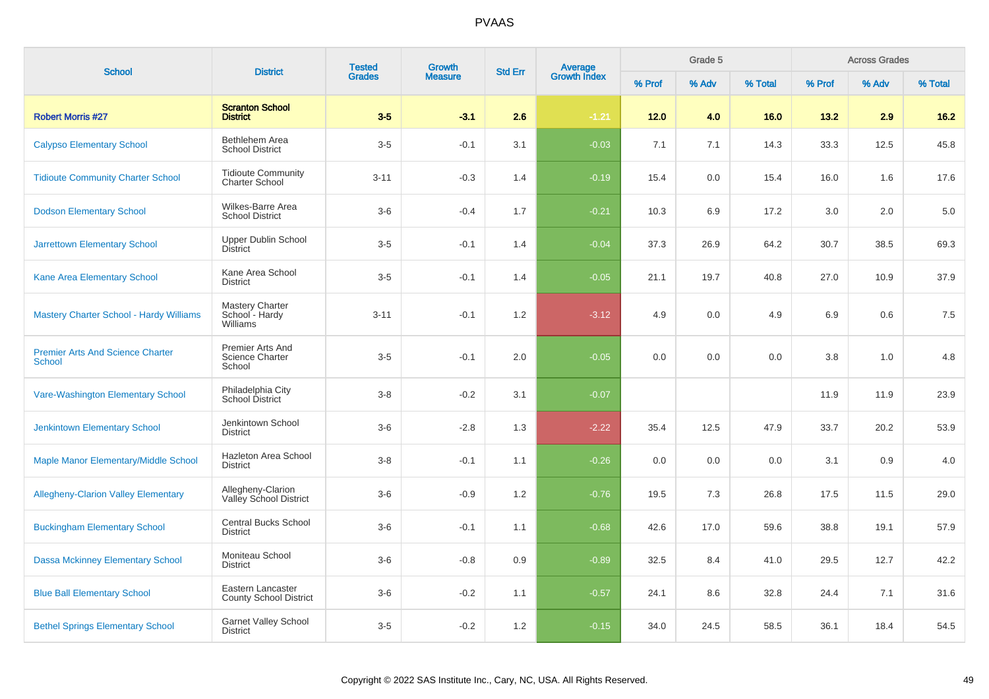| <b>School</b>                                            | <b>District</b>                                      | <b>Tested</b> | <b>Growth</b>  | <b>Std Err</b> | Average<br>Growth Index |        | Grade 5 |         |        | <b>Across Grades</b> |         |
|----------------------------------------------------------|------------------------------------------------------|---------------|----------------|----------------|-------------------------|--------|---------|---------|--------|----------------------|---------|
|                                                          |                                                      | <b>Grades</b> | <b>Measure</b> |                |                         | % Prof | % Adv   | % Total | % Prof | % Adv                | % Total |
| <b>Robert Morris #27</b>                                 | <b>Scranton School</b><br><b>District</b>            | $3-5$         | $-3.1$         | 2.6            | $-1.21$                 | $12.0$ | 4.0     | 16.0    | 13.2   | 2.9                  | $16.2$  |
| <b>Calypso Elementary School</b>                         | Bethlehem Area<br><b>School District</b>             | $3-5$         | $-0.1$         | 3.1            | $-0.03$                 | 7.1    | 7.1     | 14.3    | 33.3   | 12.5                 | 45.8    |
| <b>Tidioute Community Charter School</b>                 | <b>Tidioute Community</b><br><b>Charter School</b>   | $3 - 11$      | $-0.3$         | 1.4            | $-0.19$                 | 15.4   | 0.0     | 15.4    | 16.0   | 1.6                  | 17.6    |
| <b>Dodson Elementary School</b>                          | Wilkes-Barre Area<br><b>School District</b>          | $3-6$         | $-0.4$         | 1.7            | $-0.21$                 | 10.3   | 6.9     | 17.2    | 3.0    | 2.0                  | 5.0     |
| <b>Jarrettown Elementary School</b>                      | <b>Upper Dublin School</b><br><b>District</b>        | $3-5$         | $-0.1$         | 1.4            | $-0.04$                 | 37.3   | 26.9    | 64.2    | 30.7   | 38.5                 | 69.3    |
| Kane Area Elementary School                              | Kane Area School<br><b>District</b>                  | $3-5$         | $-0.1$         | 1.4            | $-0.05$                 | 21.1   | 19.7    | 40.8    | 27.0   | 10.9                 | 37.9    |
| <b>Mastery Charter School - Hardy Williams</b>           | <b>Mastery Charter</b><br>School - Hardy<br>Williams | $3 - 11$      | $-0.1$         | 1.2            | $-3.12$                 | 4.9    | 0.0     | 4.9     | 6.9    | 0.6                  | 7.5     |
| <b>Premier Arts And Science Charter</b><br><b>School</b> | Premier Arts And<br><b>Science Charter</b><br>School | $3-5$         | $-0.1$         | 2.0            | $-0.05$                 | 0.0    | 0.0     | 0.0     | 3.8    | 1.0                  | 4.8     |
| Vare-Washington Elementary School                        | Philadelphia City<br>School District                 | $3 - 8$       | $-0.2$         | 3.1            | $-0.07$                 |        |         |         | 11.9   | 11.9                 | 23.9    |
| <b>Jenkintown Elementary School</b>                      | Jenkintown School<br><b>District</b>                 | $3-6$         | $-2.8$         | 1.3            | $-2.22$                 | 35.4   | 12.5    | 47.9    | 33.7   | 20.2                 | 53.9    |
| Maple Manor Elementary/Middle School                     | Hazleton Area School<br><b>District</b>              | $3 - 8$       | $-0.1$         | 1.1            | $-0.26$                 | 0.0    | 0.0     | 0.0     | 3.1    | 0.9                  | 4.0     |
| <b>Allegheny-Clarion Valley Elementary</b>               | Allegheny-Clarion<br>Valley School District          | $3-6$         | $-0.9$         | 1.2            | $-0.76$                 | 19.5   | 7.3     | 26.8    | 17.5   | 11.5                 | 29.0    |
| <b>Buckingham Elementary School</b>                      | <b>Central Bucks School</b><br><b>District</b>       | $3-6$         | $-0.1$         | 1.1            | $-0.68$                 | 42.6   | 17.0    | 59.6    | 38.8   | 19.1                 | 57.9    |
| <b>Dassa Mckinney Elementary School</b>                  | Moniteau School<br><b>District</b>                   | $3-6$         | $-0.8$         | 0.9            | $-0.89$                 | 32.5   | 8.4     | 41.0    | 29.5   | 12.7                 | 42.2    |
| <b>Blue Ball Elementary School</b>                       | Eastern Lancaster<br><b>County School District</b>   | $3-6$         | $-0.2$         | 1.1            | $-0.57$                 | 24.1   | 8.6     | 32.8    | 24.4   | 7.1                  | 31.6    |
| <b>Bethel Springs Elementary School</b>                  | <b>Garnet Valley School</b><br><b>District</b>       | $3-5$         | $-0.2$         | 1.2            | $-0.15$                 | 34.0   | 24.5    | 58.5    | 36.1   | 18.4                 | 54.5    |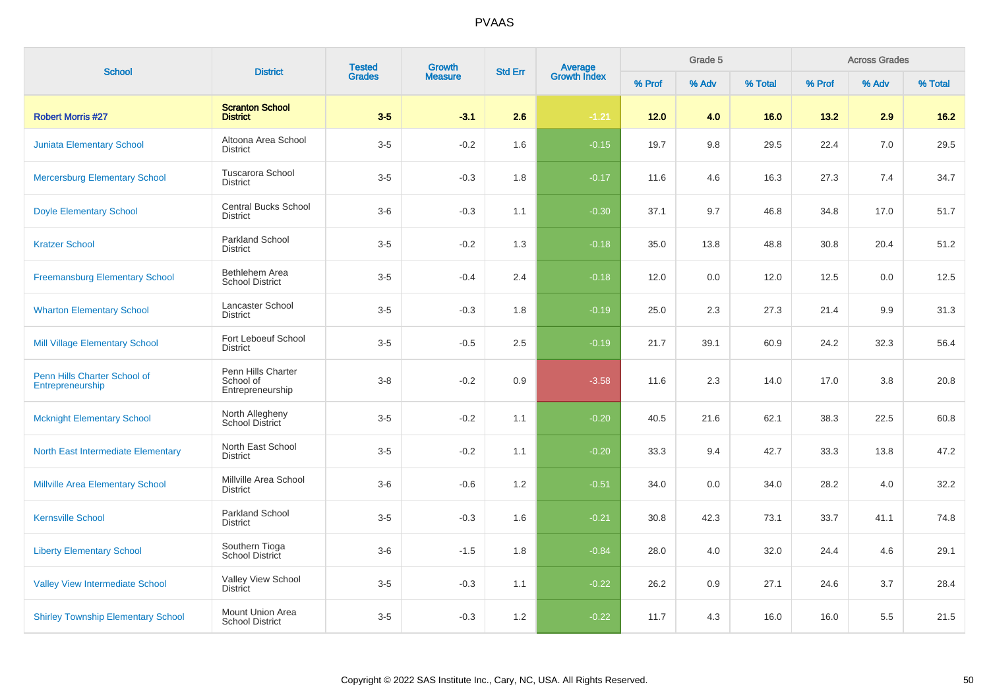| <b>School</b>                                    | <b>District</b>                                     | <b>Tested</b> | <b>Growth</b>  | <b>Std Err</b> | Average<br>Growth Index |        | Grade 5 |         |        | <b>Across Grades</b> |         |
|--------------------------------------------------|-----------------------------------------------------|---------------|----------------|----------------|-------------------------|--------|---------|---------|--------|----------------------|---------|
|                                                  |                                                     | <b>Grades</b> | <b>Measure</b> |                |                         | % Prof | % Adv   | % Total | % Prof | % Adv                | % Total |
| <b>Robert Morris #27</b>                         | <b>Scranton School</b><br><b>District</b>           | $3-5$         | $-3.1$         | 2.6            | $-1.21$                 | 12.0   | 4.0     | 16.0    | 13.2   | 2.9                  | $16.2$  |
| <b>Juniata Elementary School</b>                 | Altoona Area School<br><b>District</b>              | $3-5$         | $-0.2$         | 1.6            | $-0.15$                 | 19.7   | 9.8     | 29.5    | 22.4   | 7.0                  | 29.5    |
| <b>Mercersburg Elementary School</b>             | <b>Tuscarora School</b><br><b>District</b>          | $3-5$         | $-0.3$         | 1.8            | $-0.17$                 | 11.6   | 4.6     | 16.3    | 27.3   | 7.4                  | 34.7    |
| <b>Doyle Elementary School</b>                   | <b>Central Bucks School</b><br><b>District</b>      | $3-6$         | $-0.3$         | 1.1            | $-0.30$                 | 37.1   | 9.7     | 46.8    | 34.8   | 17.0                 | 51.7    |
| <b>Kratzer School</b>                            | <b>Parkland School</b><br><b>District</b>           | $3-5$         | $-0.2$         | 1.3            | $-0.18$                 | 35.0   | 13.8    | 48.8    | 30.8   | 20.4                 | 51.2    |
| <b>Freemansburg Elementary School</b>            | Bethlehem Area<br><b>School District</b>            | $3-5$         | $-0.4$         | 2.4            | $-0.18$                 | 12.0   | 0.0     | 12.0    | 12.5   | 0.0                  | 12.5    |
| <b>Wharton Elementary School</b>                 | Lancaster School<br><b>District</b>                 | $3-5$         | $-0.3$         | 1.8            | $-0.19$                 | 25.0   | 2.3     | 27.3    | 21.4   | 9.9                  | 31.3    |
| Mill Village Elementary School                   | Fort Leboeuf School<br><b>District</b>              | $3-5$         | $-0.5$         | 2.5            | $-0.19$                 | 21.7   | 39.1    | 60.9    | 24.2   | 32.3                 | 56.4    |
| Penn Hills Charter School of<br>Entrepreneurship | Penn Hills Charter<br>School of<br>Entrepreneurship | $3 - 8$       | $-0.2$         | 0.9            | $-3.58$                 | 11.6   | 2.3     | 14.0    | 17.0   | 3.8                  | 20.8    |
| <b>Mcknight Elementary School</b>                | North Allegheny<br>School District                  | $3-5$         | $-0.2$         | 1.1            | $-0.20$                 | 40.5   | 21.6    | 62.1    | 38.3   | 22.5                 | 60.8    |
| <b>North East Intermediate Elementary</b>        | North East School<br><b>District</b>                | $3-5$         | $-0.2$         | 1.1            | $-0.20$                 | 33.3   | 9.4     | 42.7    | 33.3   | 13.8                 | 47.2    |
| Millville Area Elementary School                 | Millville Area School<br><b>District</b>            | $3-6$         | $-0.6$         | 1.2            | $-0.51$                 | 34.0   | 0.0     | 34.0    | 28.2   | 4.0                  | 32.2    |
| <b>Kernsville School</b>                         | <b>Parkland School</b><br><b>District</b>           | $3-5$         | $-0.3$         | 1.6            | $-0.21$                 | 30.8   | 42.3    | 73.1    | 33.7   | 41.1                 | 74.8    |
| <b>Liberty Elementary School</b>                 | Southern Tioga<br>School District                   | $3-6$         | $-1.5$         | 1.8            | $-0.84$                 | 28.0   | 4.0     | 32.0    | 24.4   | 4.6                  | 29.1    |
| <b>Valley View Intermediate School</b>           | Valley View School<br><b>District</b>               | $3-5$         | $-0.3$         | 1.1            | $-0.22$                 | 26.2   | 0.9     | 27.1    | 24.6   | 3.7                  | 28.4    |
| <b>Shirley Township Elementary School</b>        | Mount Union Area<br><b>School District</b>          | $3-5$         | $-0.3$         | 1.2            | $-0.22$                 | 11.7   | 4.3     | 16.0    | 16.0   | 5.5                  | 21.5    |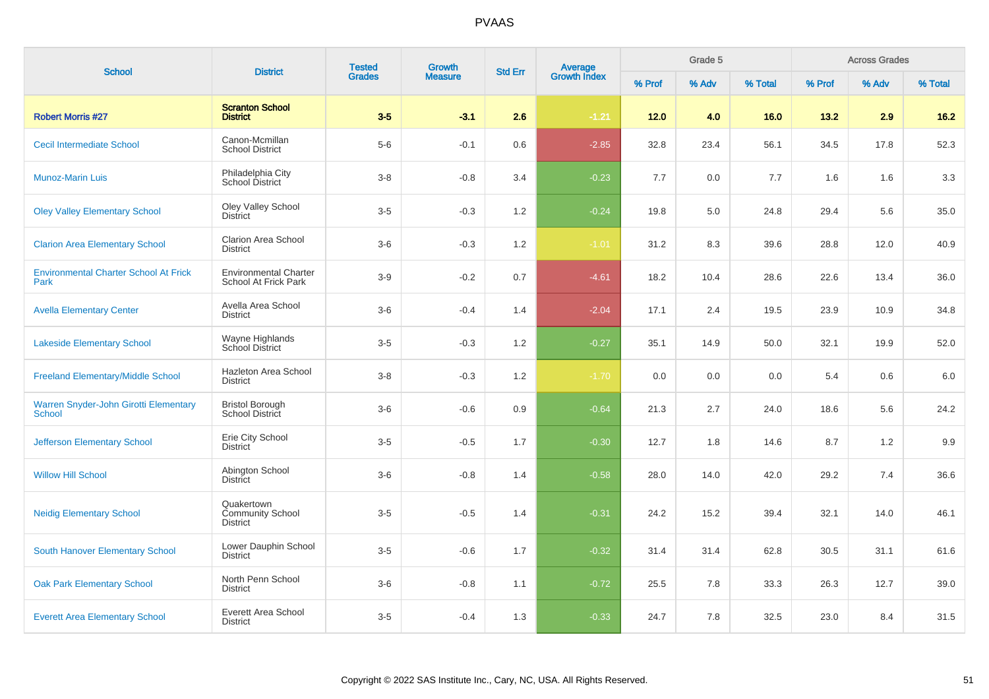| <b>School</b>                                                 | <b>District</b>                                          | <b>Tested</b><br><b>Grades</b> | <b>Growth</b>  | <b>Std Err</b> | Average<br>Growth Index |        | Grade 5 |         |        | <b>Across Grades</b> |         |
|---------------------------------------------------------------|----------------------------------------------------------|--------------------------------|----------------|----------------|-------------------------|--------|---------|---------|--------|----------------------|---------|
|                                                               |                                                          |                                | <b>Measure</b> |                |                         | % Prof | % Adv   | % Total | % Prof | % Adv                | % Total |
| <b>Robert Morris #27</b>                                      | <b>Scranton School</b><br><b>District</b>                | $3-5$                          | $-3.1$         | 2.6            | $-1.21$                 | 12.0   | 4.0     | 16.0    | 13.2   | 2.9                  | $16.2$  |
| <b>Cecil Intermediate School</b>                              | Canon-Mcmillan<br><b>School District</b>                 | $5-6$                          | $-0.1$         | 0.6            | $-2.85$                 | 32.8   | 23.4    | 56.1    | 34.5   | 17.8                 | 52.3    |
| <b>Munoz-Marin Luis</b>                                       | Philadelphia City<br><b>School District</b>              | $3 - 8$                        | $-0.8$         | 3.4            | $-0.23$                 | 7.7    | 0.0     | 7.7     | 1.6    | 1.6                  | 3.3     |
| <b>Oley Valley Elementary School</b>                          | <b>Oley Valley School</b><br><b>District</b>             | $3-5$                          | $-0.3$         | $1.2$          | $-0.24$                 | 19.8   | 5.0     | 24.8    | 29.4   | 5.6                  | 35.0    |
| <b>Clarion Area Elementary School</b>                         | Clarion Area School<br><b>District</b>                   | $3-6$                          | $-0.3$         | 1.2            | $-1.01$                 | 31.2   | 8.3     | 39.6    | 28.8   | 12.0                 | 40.9    |
| <b>Environmental Charter School At Frick</b><br>Park          | <b>Environmental Charter</b><br>School At Frick Park     | $3-9$                          | $-0.2$         | 0.7            | $-4.61$                 | 18.2   | 10.4    | 28.6    | 22.6   | 13.4                 | 36.0    |
| <b>Avella Elementary Center</b>                               | Avella Area School<br><b>District</b>                    | $3-6$                          | $-0.4$         | 1.4            | $-2.04$                 | 17.1   | 2.4     | 19.5    | 23.9   | 10.9                 | 34.8    |
| <b>Lakeside Elementary School</b>                             | Wayne Highlands<br>School District                       | $3-5$                          | $-0.3$         | 1.2            | $-0.27$                 | 35.1   | 14.9    | 50.0    | 32.1   | 19.9                 | 52.0    |
| <b>Freeland Elementary/Middle School</b>                      | Hazleton Area School<br><b>District</b>                  | $3-8$                          | $-0.3$         | 1.2            | $-1.70$                 | 0.0    | 0.0     | 0.0     | 5.4    | 0.6                  | 6.0     |
| <b>Warren Snyder-John Girotti Elementary</b><br><b>School</b> | <b>Bristol Borough</b><br>School District                | $3-6$                          | $-0.6$         | 0.9            | $-0.64$                 | 21.3   | 2.7     | 24.0    | 18.6   | 5.6                  | 24.2    |
| <b>Jefferson Elementary School</b>                            | Erie City School<br><b>District</b>                      | $3-5$                          | $-0.5$         | 1.7            | $-0.30$                 | 12.7   | 1.8     | 14.6    | 8.7    | 1.2                  | 9.9     |
| <b>Willow Hill School</b>                                     | Abington School<br><b>District</b>                       | $3-6$                          | $-0.8$         | 1.4            | $-0.58$                 | 28.0   | 14.0    | 42.0    | 29.2   | 7.4                  | 36.6    |
| <b>Neidig Elementary School</b>                               | Quakertown<br><b>Community School</b><br><b>District</b> | $3-5$                          | $-0.5$         | 1.4            | $-0.31$                 | 24.2   | 15.2    | 39.4    | 32.1   | 14.0                 | 46.1    |
| <b>South Hanover Elementary School</b>                        | Lower Dauphin School<br><b>District</b>                  | $3-5$                          | $-0.6$         | 1.7            | $-0.32$                 | 31.4   | 31.4    | 62.8    | 30.5   | 31.1                 | 61.6    |
| <b>Oak Park Elementary School</b>                             | North Penn School<br><b>District</b>                     | $3-6$                          | $-0.8$         | 1.1            | $-0.72$                 | 25.5   | 7.8     | 33.3    | 26.3   | 12.7                 | 39.0    |
| <b>Everett Area Elementary School</b>                         | Everett Area School<br><b>District</b>                   | $3-5$                          | $-0.4$         | 1.3            | $-0.33$                 | 24.7   | 7.8     | 32.5    | 23.0   | 8.4                  | 31.5    |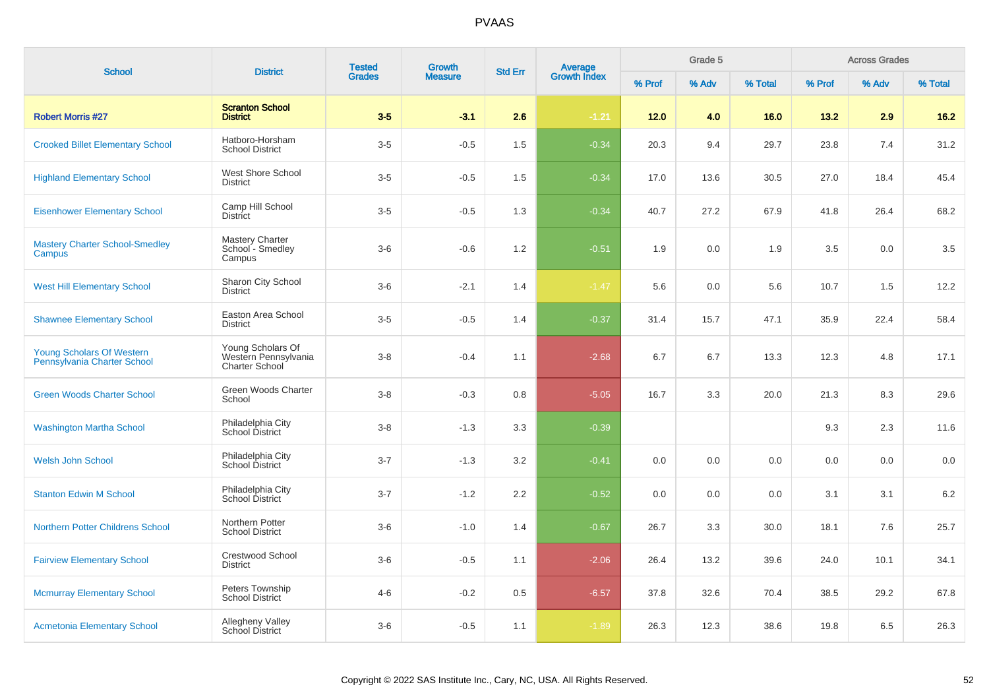| <b>School</b>                                            | <b>District</b>                                                    | <b>Tested</b><br><b>Grades</b> | <b>Growth</b>  | <b>Std Err</b> | Average<br>Growth Index |        | Grade 5 |         |        | <b>Across Grades</b> |         |
|----------------------------------------------------------|--------------------------------------------------------------------|--------------------------------|----------------|----------------|-------------------------|--------|---------|---------|--------|----------------------|---------|
|                                                          |                                                                    |                                | <b>Measure</b> |                |                         | % Prof | % Adv   | % Total | % Prof | % Adv                | % Total |
| <b>Robert Morris #27</b>                                 | <b>Scranton School</b><br><b>District</b>                          | $3-5$                          | $-3.1$         | 2.6            | $-1.21$                 | $12.0$ | 4.0     | 16.0    | 13.2   | 2.9                  | $16.2$  |
| <b>Crooked Billet Elementary School</b>                  | Hatboro-Horsham<br><b>School District</b>                          | $3-5$                          | $-0.5$         | 1.5            | $-0.34$                 | 20.3   | 9.4     | 29.7    | 23.8   | 7.4                  | 31.2    |
| <b>Highland Elementary School</b>                        | West Shore School<br><b>District</b>                               | $3-5$                          | $-0.5$         | 1.5            | $-0.34$                 | 17.0   | 13.6    | 30.5    | 27.0   | 18.4                 | 45.4    |
| <b>Eisenhower Elementary School</b>                      | Camp Hill School<br><b>District</b>                                | $3-5$                          | $-0.5$         | 1.3            | $-0.34$                 | 40.7   | 27.2    | 67.9    | 41.8   | 26.4                 | 68.2    |
| <b>Mastery Charter School-Smedley</b><br>Campus          | Mastery Charter<br>School - Smedley<br>Campus                      | $3-6$                          | $-0.6$         | 1.2            | $-0.51$                 | 1.9    | 0.0     | 1.9     | 3.5    | 0.0                  | 3.5     |
| <b>West Hill Elementary School</b>                       | Sharon City School<br><b>District</b>                              | $3-6$                          | $-2.1$         | 1.4            | $-1.47$                 | 5.6    | 0.0     | 5.6     | 10.7   | 1.5                  | 12.2    |
| <b>Shawnee Elementary School</b>                         | Easton Area School<br><b>District</b>                              | $3-5$                          | $-0.5$         | 1.4            | $-0.37$                 | 31.4   | 15.7    | 47.1    | 35.9   | 22.4                 | 58.4    |
| Young Scholars Of Western<br>Pennsylvania Charter School | Young Scholars Of<br>Western Pennsylvania<br><b>Charter School</b> | $3 - 8$                        | $-0.4$         | 1.1            | $-2.68$                 | 6.7    | 6.7     | 13.3    | 12.3   | 4.8                  | 17.1    |
| <b>Green Woods Charter School</b>                        | Green Woods Charter<br>School                                      | $3 - 8$                        | $-0.3$         | 0.8            | $-5.05$                 | 16.7   | 3.3     | 20.0    | 21.3   | 8.3                  | 29.6    |
| <b>Washington Martha School</b>                          | Philadelphia City<br>School District                               | $3-8$                          | $-1.3$         | 3.3            | $-0.39$                 |        |         |         | 9.3    | 2.3                  | 11.6    |
| Welsh John School                                        | Philadelphia City<br>School District                               | $3 - 7$                        | $-1.3$         | 3.2            | $-0.41$                 | 0.0    | 0.0     | 0.0     | 0.0    | 0.0                  | 0.0     |
| <b>Stanton Edwin M School</b>                            | Philadelphia City<br>School District                               | $3 - 7$                        | $-1.2$         | 2.2            | $-0.52$                 | 0.0    | 0.0     | 0.0     | 3.1    | 3.1                  | 6.2     |
| <b>Northern Potter Childrens School</b>                  | Northern Potter<br><b>School District</b>                          | $3-6$                          | $-1.0$         | 1.4            | $-0.67$                 | 26.7   | 3.3     | 30.0    | 18.1   | 7.6                  | 25.7    |
| <b>Fairview Elementary School</b>                        | <b>Crestwood School</b><br><b>District</b>                         | $3-6$                          | $-0.5$         | 1.1            | $-2.06$                 | 26.4   | 13.2    | 39.6    | 24.0   | 10.1                 | 34.1    |
| <b>Mcmurray Elementary School</b>                        | Peters Township<br><b>School District</b>                          | $4 - 6$                        | $-0.2$         | 0.5            | $-6.57$                 | 37.8   | 32.6    | 70.4    | 38.5   | 29.2                 | 67.8    |
| <b>Acmetonia Elementary School</b>                       | <b>Allegheny Valley</b><br><b>School District</b>                  | $3-6$                          | $-0.5$         | 1.1            | $-1.89$                 | 26.3   | 12.3    | 38.6    | 19.8   | 6.5                  | 26.3    |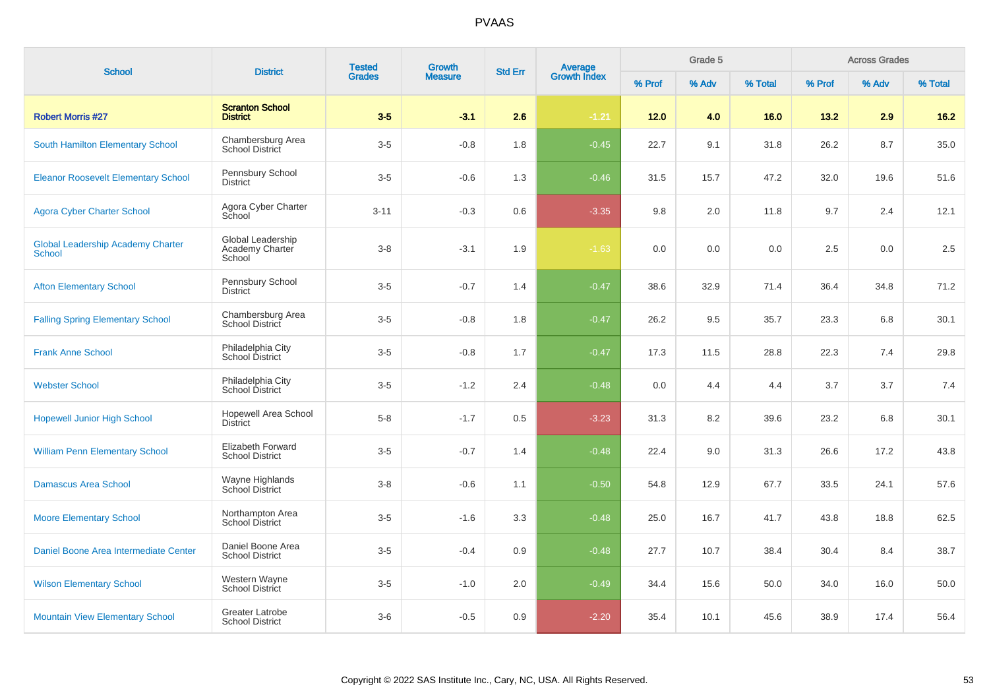| <b>School</b>                                      | <b>District</b>                                    | <b>Tested</b> | <b>Growth</b><br><b>Std Err</b> |     |                                | Grade 5 |       |         | <b>Across Grades</b> |       |         |
|----------------------------------------------------|----------------------------------------------------|---------------|---------------------------------|-----|--------------------------------|---------|-------|---------|----------------------|-------|---------|
|                                                    |                                                    | <b>Grades</b> | <b>Measure</b>                  |     | <b>Average</b><br>Growth Index | % Prof  | % Adv | % Total | % Prof               | % Adv | % Total |
| <b>Robert Morris #27</b>                           | <b>Scranton School</b><br><b>District</b>          | $3-5$         | $-3.1$                          | 2.6 | $-1.21$                        | 12.0    | 4.0   | 16.0    | 13.2                 | 2.9   | $16.2$  |
| <b>South Hamilton Elementary School</b>            | Chambersburg Area<br>School District               | $3-5$         | $-0.8$                          | 1.8 | $-0.45$                        | 22.7    | 9.1   | 31.8    | 26.2                 | 8.7   | 35.0    |
| <b>Eleanor Roosevelt Elementary School</b>         | Pennsbury School<br><b>District</b>                | $3-5$         | $-0.6$                          | 1.3 | $-0.46$                        | 31.5    | 15.7  | 47.2    | 32.0                 | 19.6  | 51.6    |
| <b>Agora Cyber Charter School</b>                  | Agora Cyber Charter<br>School                      | $3 - 11$      | $-0.3$                          | 0.6 | $-3.35$                        | 9.8     | 2.0   | 11.8    | 9.7                  | 2.4   | 12.1    |
| <b>Global Leadership Academy Charter</b><br>School | Global Leadership<br>Academy Charter<br>School     | $3 - 8$       | $-3.1$                          | 1.9 | $-1.63$                        | 0.0     | 0.0   | 0.0     | 2.5                  | 0.0   | 2.5     |
| <b>Afton Elementary School</b>                     | Pennsbury School<br>District                       | $3-5$         | $-0.7$                          | 1.4 | $-0.47$                        | 38.6    | 32.9  | 71.4    | 36.4                 | 34.8  | 71.2    |
| <b>Falling Spring Elementary School</b>            | Chambersburg Area<br><b>School District</b>        | $3-5$         | $-0.8$                          | 1.8 | $-0.47$                        | 26.2    | 9.5   | 35.7    | 23.3                 | 6.8   | 30.1    |
| <b>Frank Anne School</b>                           | Philadelphia City<br>School District               | $3-5$         | $-0.8$                          | 1.7 | $-0.47$                        | 17.3    | 11.5  | 28.8    | 22.3                 | 7.4   | 29.8    |
| <b>Webster School</b>                              | Philadelphia City<br>School District               | $3-5$         | $-1.2$                          | 2.4 | $-0.48$                        | 0.0     | 4.4   | 4.4     | 3.7                  | 3.7   | 7.4     |
| <b>Hopewell Junior High School</b>                 | <b>Hopewell Area School</b><br><b>District</b>     | $5-8$         | $-1.7$                          | 0.5 | $-3.23$                        | 31.3    | 8.2   | 39.6    | 23.2                 | 6.8   | 30.1    |
| <b>William Penn Elementary School</b>              | <b>Elizabeth Forward</b><br><b>School District</b> | $3-5$         | $-0.7$                          | 1.4 | $-0.48$                        | 22.4    | 9.0   | 31.3    | 26.6                 | 17.2  | 43.8    |
| <b>Damascus Area School</b>                        | Wayne Highlands<br>School District                 | $3-8$         | $-0.6$                          | 1.1 | $-0.50$                        | 54.8    | 12.9  | 67.7    | 33.5                 | 24.1  | 57.6    |
| <b>Moore Elementary School</b>                     | Northampton Area<br><b>School District</b>         | $3-5$         | $-1.6$                          | 3.3 | $-0.48$                        | 25.0    | 16.7  | 41.7    | 43.8                 | 18.8  | 62.5    |
| Daniel Boone Area Intermediate Center              | Daniel Boone Area<br><b>School District</b>        | $3-5$         | $-0.4$                          | 0.9 | $-0.48$                        | 27.7    | 10.7  | 38.4    | 30.4                 | 8.4   | 38.7    |
| <b>Wilson Elementary School</b>                    | Western Wayne<br><b>School District</b>            | $3-5$         | $-1.0$                          | 2.0 | $-0.49$                        | 34.4    | 15.6  | 50.0    | 34.0                 | 16.0  | 50.0    |
| <b>Mountain View Elementary School</b>             | Greater Latrobe<br><b>School District</b>          | $3-6$         | $-0.5$                          | 0.9 | $-2.20$                        | 35.4    | 10.1  | 45.6    | 38.9                 | 17.4  | 56.4    |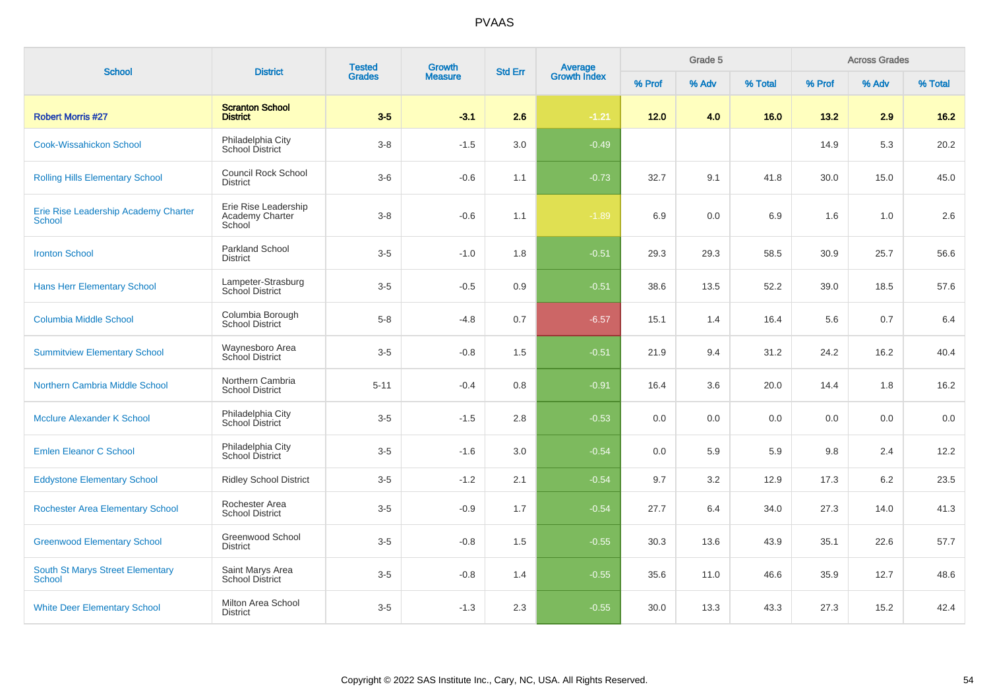| <b>School</b>                                         | <b>District</b>                                   | <b>Tested</b> | Growth         | <b>Std Err</b> | Average<br>Growth Index |        | Grade 5 |         |        | <b>Across Grades</b> |         |
|-------------------------------------------------------|---------------------------------------------------|---------------|----------------|----------------|-------------------------|--------|---------|---------|--------|----------------------|---------|
|                                                       |                                                   | <b>Grades</b> | <b>Measure</b> |                |                         | % Prof | % Adv   | % Total | % Prof | % Adv                | % Total |
| <b>Robert Morris #27</b>                              | <b>Scranton School</b><br><b>District</b>         | $3-5$         | $-3.1$         | 2.6            | $-1.21$                 | $12.0$ | 4.0     | 16.0    | 13.2   | 2.9                  | $16.2$  |
| <b>Cook-Wissahickon School</b>                        | Philadelphia City<br><b>School District</b>       | $3 - 8$       | $-1.5$         | 3.0            | $-0.49$                 |        |         |         | 14.9   | 5.3                  | 20.2    |
| <b>Rolling Hills Elementary School</b>                | <b>Council Rock School</b><br><b>District</b>     | $3-6$         | $-0.6$         | 1.1            | $-0.73$                 | 32.7   | 9.1     | 41.8    | 30.0   | 15.0                 | 45.0    |
| Erie Rise Leadership Academy Charter<br><b>School</b> | Erie Rise Leadership<br>Academy Charter<br>School | $3 - 8$       | $-0.6$         | 1.1            | $-1.89$                 | 6.9    | 0.0     | 6.9     | 1.6    | 1.0                  | 2.6     |
| <b>Ironton School</b>                                 | <b>Parkland School</b><br><b>District</b>         | $3-5$         | $-1.0$         | 1.8            | $-0.51$                 | 29.3   | 29.3    | 58.5    | 30.9   | 25.7                 | 56.6    |
| <b>Hans Herr Elementary School</b>                    | Lampeter-Strasburg<br>School District             | $3-5$         | $-0.5$         | 0.9            | $-0.51$                 | 38.6   | 13.5    | 52.2    | 39.0   | 18.5                 | 57.6    |
| <b>Columbia Middle School</b>                         | Columbia Borough<br><b>School District</b>        | $5 - 8$       | $-4.8$         | 0.7            | $-6.57$                 | 15.1   | 1.4     | 16.4    | 5.6    | 0.7                  | 6.4     |
| <b>Summitview Elementary School</b>                   | Waynesboro Area<br>School District                | $3-5$         | $-0.8$         | 1.5            | $-0.51$                 | 21.9   | 9.4     | 31.2    | 24.2   | 16.2                 | 40.4    |
| Northern Cambria Middle School                        | Northern Cambria<br><b>School District</b>        | $5 - 11$      | $-0.4$         | 0.8            | $-0.91$                 | 16.4   | 3.6     | 20.0    | 14.4   | 1.8                  | 16.2    |
| <b>Mcclure Alexander K School</b>                     | Philadelphia City<br>School District              | $3-5$         | $-1.5$         | 2.8            | $-0.53$                 | 0.0    | 0.0     | 0.0     | 0.0    | 0.0                  | 0.0     |
| <b>Emlen Eleanor C School</b>                         | Philadelphia City<br>School District              | $3-5$         | $-1.6$         | 3.0            | $-0.54$                 | 0.0    | 5.9     | 5.9     | 9.8    | 2.4                  | 12.2    |
| <b>Eddystone Elementary School</b>                    | <b>Ridley School District</b>                     | $3-5$         | $-1.2$         | 2.1            | $-0.54$                 | 9.7    | 3.2     | 12.9    | 17.3   | 6.2                  | 23.5    |
| <b>Rochester Area Elementary School</b>               | Rochester Area<br><b>School District</b>          | $3-5$         | $-0.9$         | 1.7            | $-0.54$                 | 27.7   | 6.4     | 34.0    | 27.3   | 14.0                 | 41.3    |
| <b>Greenwood Elementary School</b>                    | Greenwood School<br><b>District</b>               | $3-5$         | $-0.8$         | 1.5            | $-0.55$                 | 30.3   | 13.6    | 43.9    | 35.1   | 22.6                 | 57.7    |
| <b>South St Marys Street Elementary</b><br>School     | Saint Marys Area<br><b>School District</b>        | $3-5$         | $-0.8$         | 1.4            | $-0.55$                 | 35.6   | 11.0    | 46.6    | 35.9   | 12.7                 | 48.6    |
| <b>White Deer Elementary School</b>                   | Milton Area School<br><b>District</b>             | $3-5$         | $-1.3$         | 2.3            | $-0.55$                 | 30.0   | 13.3    | 43.3    | 27.3   | 15.2                 | 42.4    |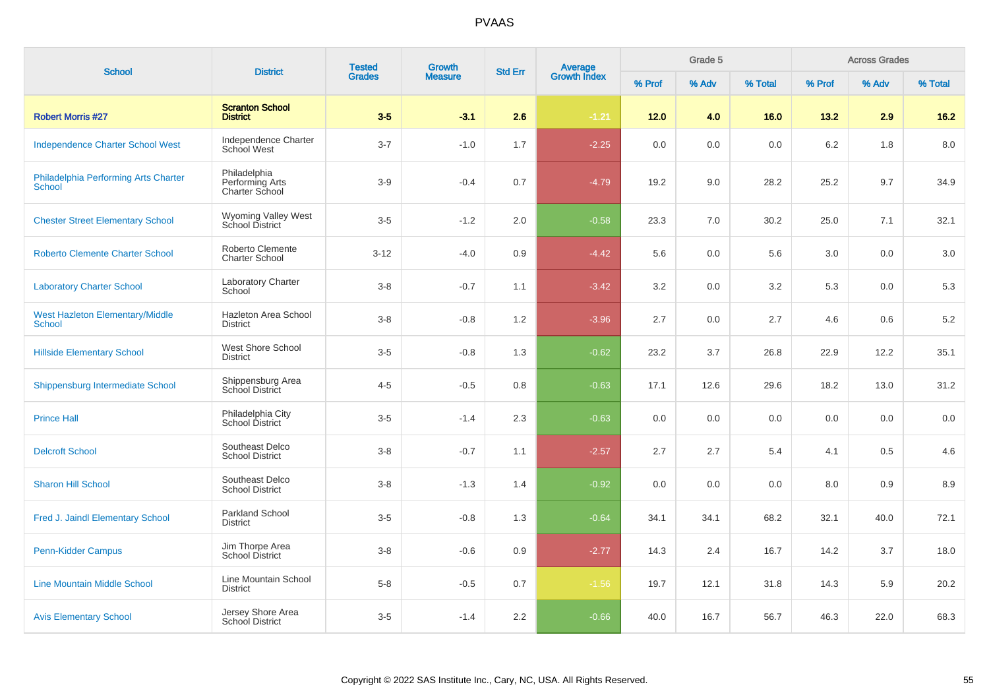| <b>School</b>                                           | <b>District</b>                                   | <b>Tested</b> | Growth         |     | <b>Average</b><br>Growth Index<br><b>Std Err</b> |        | Grade 5 |         |        | <b>Across Grades</b> |         |
|---------------------------------------------------------|---------------------------------------------------|---------------|----------------|-----|--------------------------------------------------|--------|---------|---------|--------|----------------------|---------|
|                                                         |                                                   | <b>Grades</b> | <b>Measure</b> |     |                                                  | % Prof | % Adv   | % Total | % Prof | % Adv                | % Total |
| <b>Robert Morris #27</b>                                | <b>Scranton School</b><br><b>District</b>         | $3-5$         | $-3.1$         | 2.6 | $-1.21$                                          | 12.0   | 4.0     | 16.0    | 13.2   | 2.9                  | $16.2$  |
| <b>Independence Charter School West</b>                 | Independence Charter<br>School West               | $3 - 7$       | $-1.0$         | 1.7 | $-2.25$                                          | 0.0    | 0.0     | 0.0     | 6.2    | 1.8                  | 8.0     |
| Philadelphia Performing Arts Charter<br><b>School</b>   | Philadelphia<br>Performing Arts<br>Charter School | $3-9$         | $-0.4$         | 0.7 | $-4.79$                                          | 19.2   | 9.0     | 28.2    | 25.2   | 9.7                  | 34.9    |
| <b>Chester Street Elementary School</b>                 | Wyoming Valley West<br>School District            | $3-5$         | $-1.2$         | 2.0 | $-0.58$                                          | 23.3   | 7.0     | 30.2    | 25.0   | 7.1                  | 32.1    |
| <b>Roberto Clemente Charter School</b>                  | Roberto Clemente<br><b>Charter School</b>         | $3 - 12$      | $-4.0$         | 0.9 | $-4.42$                                          | 5.6    | 0.0     | 5.6     | 3.0    | 0.0                  | 3.0     |
| <b>Laboratory Charter School</b>                        | <b>Laboratory Charter</b><br>School               | $3 - 8$       | $-0.7$         | 1.1 | $-3.42$                                          | 3.2    | 0.0     | 3.2     | 5.3    | 0.0                  | 5.3     |
| <b>West Hazleton Elementary/Middle</b><br><b>School</b> | Hazleton Area School<br><b>District</b>           | $3 - 8$       | $-0.8$         | 1.2 | $-3.96$                                          | 2.7    | 0.0     | 2.7     | 4.6    | 0.6                  | 5.2     |
| <b>Hillside Elementary School</b>                       | West Shore School<br><b>District</b>              | $3-5$         | $-0.8$         | 1.3 | $-0.62$                                          | 23.2   | 3.7     | 26.8    | 22.9   | 12.2                 | 35.1    |
| Shippensburg Intermediate School                        | Shippensburg Area<br>School District              | $4 - 5$       | $-0.5$         | 0.8 | $-0.63$                                          | 17.1   | 12.6    | 29.6    | 18.2   | 13.0                 | 31.2    |
| <b>Prince Hall</b>                                      | Philadelphia City<br>School District              | $3-5$         | $-1.4$         | 2.3 | $-0.63$                                          | 0.0    | 0.0     | 0.0     | 0.0    | 0.0                  | 0.0     |
| <b>Delcroft School</b>                                  | Southeast Delco<br><b>School District</b>         | $3 - 8$       | $-0.7$         | 1.1 | $-2.57$                                          | 2.7    | 2.7     | 5.4     | 4.1    | 0.5                  | 4.6     |
| <b>Sharon Hill School</b>                               | Southeast Delco<br><b>School District</b>         | $3-8$         | $-1.3$         | 1.4 | $-0.92$                                          | 0.0    | 0.0     | 0.0     | 8.0    | 0.9                  | 8.9     |
| Fred J. Jaindl Elementary School                        | Parkland School<br><b>District</b>                | $3-5$         | $-0.8$         | 1.3 | $-0.64$                                          | 34.1   | 34.1    | 68.2    | 32.1   | 40.0                 | 72.1    |
| <b>Penn-Kidder Campus</b>                               | Jim Thorpe Area<br><b>School District</b>         | $3 - 8$       | $-0.6$         | 0.9 | $-2.77$                                          | 14.3   | 2.4     | 16.7    | 14.2   | 3.7                  | 18.0    |
| <b>Line Mountain Middle School</b>                      | Line Mountain School<br><b>District</b>           | $5 - 8$       | $-0.5$         | 0.7 | $-1.56$                                          | 19.7   | 12.1    | 31.8    | 14.3   | 5.9                  | 20.2    |
| <b>Avis Elementary School</b>                           | Jersey Shore Area<br>School District              | $3-5$         | $-1.4$         | 2.2 | $-0.66$                                          | 40.0   | 16.7    | 56.7    | 46.3   | 22.0                 | 68.3    |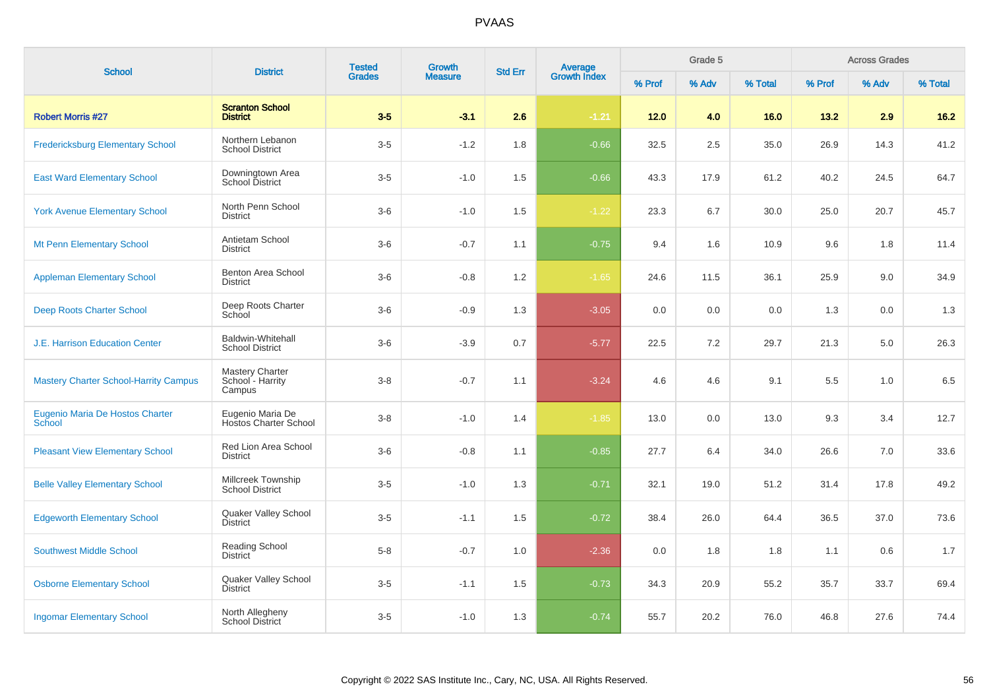| <b>School</b>                                | <b>District</b>                                  | <b>Tested</b> | <b>Growth</b>  | <b>Std Err</b> | Average<br>Growth Index |        | Grade 5 |          |         | <b>Across Grades</b> |         |
|----------------------------------------------|--------------------------------------------------|---------------|----------------|----------------|-------------------------|--------|---------|----------|---------|----------------------|---------|
|                                              |                                                  | <b>Grades</b> | <b>Measure</b> |                |                         | % Prof | % Adv   | % Total  | % Prof  | % Adv                | % Total |
| <b>Robert Morris #27</b>                     | <b>Scranton School</b><br><b>District</b>        | $3-5$         | $-3.1$         | 2.6            | $-1.21$                 | 12.0   | 4.0     | 16.0     | 13.2    | 2.9                  | $16.2$  |
| <b>Fredericksburg Elementary School</b>      | Northern Lebanon<br><b>School District</b>       | $3-5$         | $-1.2$         | 1.8            | $-0.66$                 | 32.5   | 2.5     | 35.0     | 26.9    | 14.3                 | 41.2    |
| <b>East Ward Elementary School</b>           | Downingtown Area<br><b>School District</b>       | $3-5$         | $-1.0$         | 1.5            | $-0.66$                 | 43.3   | 17.9    | 61.2     | 40.2    | 24.5                 | 64.7    |
| <b>York Avenue Elementary School</b>         | North Penn School<br><b>District</b>             | $3-6$         | $-1.0$         | 1.5            | $-1.22$                 | 23.3   | 6.7     | $30.0\,$ | 25.0    | 20.7                 | 45.7    |
| Mt Penn Elementary School                    | Antietam School<br><b>District</b>               | $3-6$         | $-0.7$         | 1.1            | $-0.75$                 | 9.4    | 1.6     | 10.9     | 9.6     | 1.8                  | 11.4    |
| <b>Appleman Elementary School</b>            | Benton Area School<br><b>District</b>            | $3-6$         | $-0.8$         | 1.2            | $-1.65$                 | 24.6   | 11.5    | 36.1     | 25.9    | 9.0                  | 34.9    |
| Deep Roots Charter School                    | Deep Roots Charter<br>School                     | $3-6$         | $-0.9$         | 1.3            | $-3.05$                 | 0.0    | 0.0     | 0.0      | 1.3     | 0.0                  | 1.3     |
| <b>J.E. Harrison Education Center</b>        | Baldwin-Whitehall<br><b>School District</b>      | $3-6$         | $-3.9$         | 0.7            | $-5.77$                 | 22.5   | 7.2     | 29.7     | 21.3    | 5.0                  | 26.3    |
| <b>Mastery Charter School-Harrity Campus</b> | Mastery Charter<br>School - Harrity<br>Campus    | $3 - 8$       | $-0.7$         | 1.1            | $-3.24$                 | 4.6    | 4.6     | 9.1      | $5.5\,$ | 1.0                  | 6.5     |
| Eugenio Maria De Hostos Charter<br>School    | Eugenio Maria De<br><b>Hostos Charter School</b> | $3-8$         | $-1.0$         | 1.4            | $-1.85$                 | 13.0   | 0.0     | 13.0     | 9.3     | 3.4                  | 12.7    |
| <b>Pleasant View Elementary School</b>       | Red Lion Area School<br><b>District</b>          | $3-6$         | $-0.8$         | 1.1            | $-0.85$                 | 27.7   | 6.4     | 34.0     | 26.6    | 7.0                  | 33.6    |
| <b>Belle Valley Elementary School</b>        | Millcreek Township<br><b>School District</b>     | $3-5$         | $-1.0$         | 1.3            | $-0.71$                 | 32.1   | 19.0    | 51.2     | 31.4    | 17.8                 | 49.2    |
| <b>Edgeworth Elementary School</b>           | Quaker Valley School<br><b>District</b>          | $3-5$         | $-1.1$         | 1.5            | $-0.72$                 | 38.4   | 26.0    | 64.4     | 36.5    | 37.0                 | 73.6    |
| <b>Southwest Middle School</b>               | Reading School<br><b>District</b>                | $5 - 8$       | $-0.7$         | 1.0            | $-2.36$                 | 0.0    | 1.8     | 1.8      | 1.1     | 0.6                  | 1.7     |
| <b>Osborne Elementary School</b>             | Quaker Valley School<br><b>District</b>          | $3-5$         | $-1.1$         | 1.5            | $-0.73$                 | 34.3   | 20.9    | 55.2     | 35.7    | 33.7                 | 69.4    |
| <b>Ingomar Elementary School</b>             | North Allegheny<br><b>School District</b>        | $3-5$         | $-1.0$         | 1.3            | $-0.74$                 | 55.7   | 20.2    | 76.0     | 46.8    | 27.6                 | 74.4    |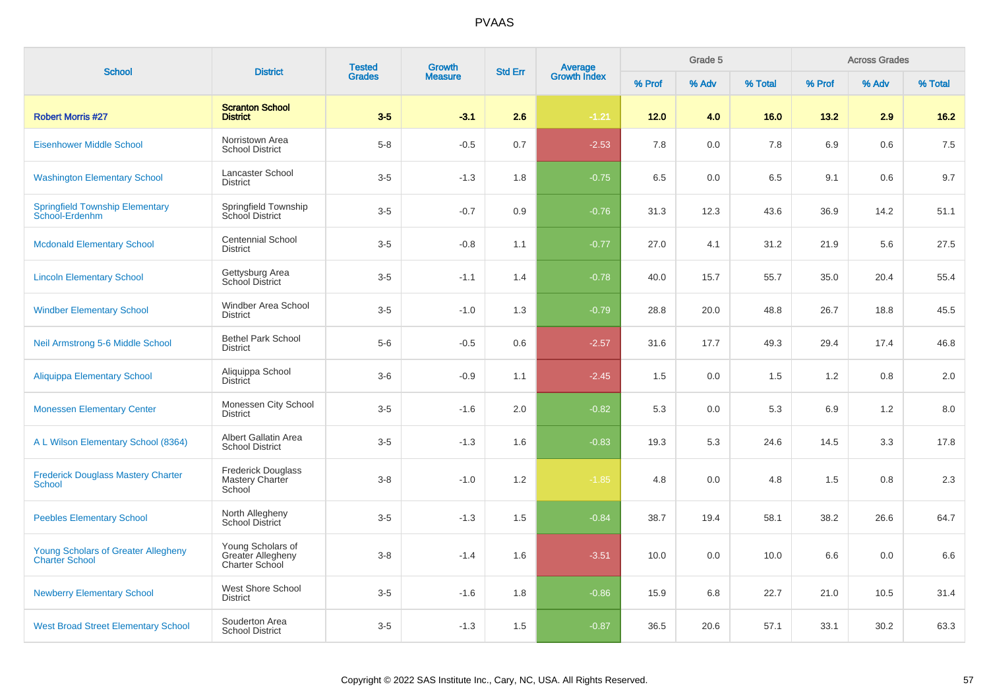| <b>School</b>                                                       | <b>District</b>                                                 | <b>Tested</b><br><b>Growth</b> | Average<br>Growth Index<br><b>Std Err</b> |     | Grade 5 |        |       | <b>Across Grades</b> |        |       |         |
|---------------------------------------------------------------------|-----------------------------------------------------------------|--------------------------------|-------------------------------------------|-----|---------|--------|-------|----------------------|--------|-------|---------|
|                                                                     |                                                                 | <b>Grades</b>                  | <b>Measure</b>                            |     |         | % Prof | % Adv | % Total              | % Prof | % Adv | % Total |
| <b>Robert Morris #27</b>                                            | <b>Scranton School</b><br><b>District</b>                       | $3-5$                          | $-3.1$                                    | 2.6 | $-1.21$ | $12.0$ | 4.0   | 16.0                 | 13.2   | 2.9   | $16.2$  |
| <b>Eisenhower Middle School</b>                                     | Norristown Area<br><b>School District</b>                       | $5 - 8$                        | $-0.5$                                    | 0.7 | $-2.53$ | 7.8    | 0.0   | 7.8                  | 6.9    | 0.6   | 7.5     |
| <b>Washington Elementary School</b>                                 | Lancaster School<br><b>District</b>                             | $3-5$                          | $-1.3$                                    | 1.8 | $-0.75$ | 6.5    | 0.0   | 6.5                  | 9.1    | 0.6   | 9.7     |
| <b>Springfield Township Elementary</b><br>School-Erdenhm            | Springfield Township<br>School District                         | $3-5$                          | $-0.7$                                    | 0.9 | $-0.76$ | 31.3   | 12.3  | 43.6                 | 36.9   | 14.2  | 51.1    |
| <b>Mcdonald Elementary School</b>                                   | <b>Centennial School</b><br><b>District</b>                     | $3-5$                          | $-0.8$                                    | 1.1 | $-0.77$ | 27.0   | 4.1   | 31.2                 | 21.9   | 5.6   | 27.5    |
| <b>Lincoln Elementary School</b>                                    | Gettysburg Area<br>School District                              | $3-5$                          | $-1.1$                                    | 1.4 | $-0.78$ | 40.0   | 15.7  | 55.7                 | 35.0   | 20.4  | 55.4    |
| <b>Windber Elementary School</b>                                    | Windber Area School<br><b>District</b>                          | $3-5$                          | $-1.0$                                    | 1.3 | $-0.79$ | 28.8   | 20.0  | 48.8                 | 26.7   | 18.8  | 45.5    |
| Neil Armstrong 5-6 Middle School                                    | <b>Bethel Park School</b><br><b>District</b>                    | $5-6$                          | $-0.5$                                    | 0.6 | $-2.57$ | 31.6   | 17.7  | 49.3                 | 29.4   | 17.4  | 46.8    |
| <b>Aliquippa Elementary School</b>                                  | Aliquippa School<br><b>District</b>                             | $3-6$                          | $-0.9$                                    | 1.1 | $-2.45$ | 1.5    | 0.0   | 1.5                  | 1.2    | 0.8   | 2.0     |
| <b>Monessen Elementary Center</b>                                   | Monessen City School<br><b>District</b>                         | $3-5$                          | $-1.6$                                    | 2.0 | $-0.82$ | 5.3    | 0.0   | 5.3                  | 6.9    | 1.2   | 8.0     |
| A L Wilson Elementary School (8364)                                 | Albert Gallatin Area<br><b>School District</b>                  | $3-5$                          | $-1.3$                                    | 1.6 | $-0.83$ | 19.3   | 5.3   | 24.6                 | 14.5   | 3.3   | 17.8    |
| <b>Frederick Douglass Mastery Charter</b><br>School                 | <b>Frederick Douglass</b><br>Mastery Charter<br>School          | $3 - 8$                        | $-1.0$                                    | 1.2 | $-1.85$ | 4.8    | 0.0   | 4.8                  | 1.5    | 0.8   | 2.3     |
| <b>Peebles Elementary School</b>                                    | North Allegheny<br>School District                              | $3-5$                          | $-1.3$                                    | 1.5 | $-0.84$ | 38.7   | 19.4  | 58.1                 | 38.2   | 26.6  | 64.7    |
| <b>Young Scholars of Greater Allegheny</b><br><b>Charter School</b> | Young Scholars of<br><b>Greater Allegheny</b><br>Charter School | $3 - 8$                        | $-1.4$                                    | 1.6 | $-3.51$ | 10.0   | 0.0   | 10.0                 | 6.6    | 0.0   | 6.6     |
| <b>Newberry Elementary School</b>                                   | West Shore School<br><b>District</b>                            | $3-5$                          | $-1.6$                                    | 1.8 | $-0.86$ | 15.9   | 6.8   | 22.7                 | 21.0   | 10.5  | 31.4    |
| <b>West Broad Street Elementary School</b>                          | Souderton Area<br><b>School District</b>                        | $3-5$                          | $-1.3$                                    | 1.5 | $-0.87$ | 36.5   | 20.6  | 57.1                 | 33.1   | 30.2  | 63.3    |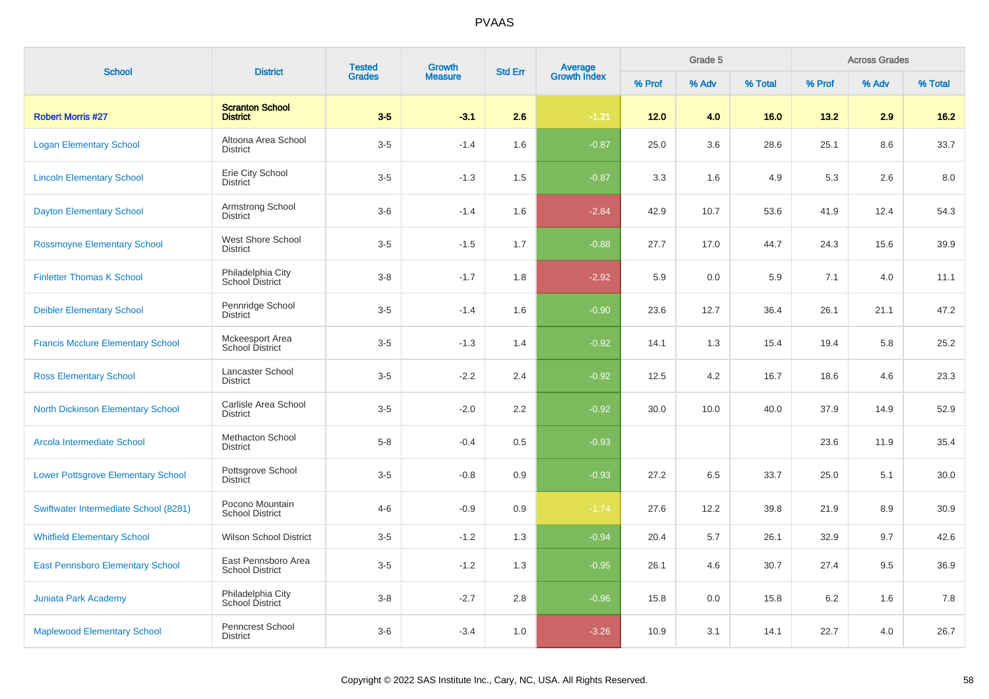| <b>School</b>                             | <b>District</b>                               | <b>Tested</b> | <b>Growth</b>  | <b>Std Err</b> |                                |        | Grade 5 |         |        | <b>Across Grades</b> |         |
|-------------------------------------------|-----------------------------------------------|---------------|----------------|----------------|--------------------------------|--------|---------|---------|--------|----------------------|---------|
|                                           |                                               | <b>Grades</b> | <b>Measure</b> |                | <b>Average</b><br>Growth Index | % Prof | % Adv   | % Total | % Prof | % Adv                | % Total |
| <b>Robert Morris #27</b>                  | <b>Scranton School</b><br><b>District</b>     | $3-5$         | $-3.1$         | 2.6            | $-1.21$                        | 12.0   | 4.0     | 16.0    | 13.2   | 2.9                  | 16.2    |
| <b>Logan Elementary School</b>            | Altoona Area School<br><b>District</b>        | $3-5$         | $-1.4$         | 1.6            | $-0.87$                        | 25.0   | 3.6     | 28.6    | 25.1   | 8.6                  | 33.7    |
| <b>Lincoln Elementary School</b>          | Erie City School<br><b>District</b>           | $3-5$         | $-1.3$         | 1.5            | $-0.87$                        | 3.3    | 1.6     | 4.9     | 5.3    | 2.6                  | 8.0     |
| <b>Dayton Elementary School</b>           | Armstrong School<br><b>District</b>           | $3-6$         | $-1.4$         | 1.6            | $-2.84$                        | 42.9   | 10.7    | 53.6    | 41.9   | 12.4                 | 54.3    |
| <b>Rossmoyne Elementary School</b>        | West Shore School<br><b>District</b>          | $3-5$         | $-1.5$         | 1.7            | $-0.88$                        | 27.7   | 17.0    | 44.7    | 24.3   | 15.6                 | 39.9    |
| <b>Finletter Thomas K School</b>          | Philadelphia City<br>School District          | $3 - 8$       | $-1.7$         | 1.8            | $-2.92$                        | 5.9    | 0.0     | 5.9     | 7.1    | 4.0                  | 11.1    |
| <b>Deibler Elementary School</b>          | Pennridge School<br><b>District</b>           | $3-5$         | $-1.4$         | 1.6            | $-0.90$                        | 23.6   | 12.7    | 36.4    | 26.1   | 21.1                 | 47.2    |
| <b>Francis Mcclure Elementary School</b>  | Mckeesport Area<br>School District            | $3-5$         | $-1.3$         | 1.4            | $-0.92$                        | 14.1   | 1.3     | 15.4    | 19.4   | 5.8                  | 25.2    |
| <b>Ross Elementary School</b>             | Lancaster School<br><b>District</b>           | $3-5$         | $-2.2$         | 2.4            | $-0.92$                        | 12.5   | 4.2     | 16.7    | 18.6   | 4.6                  | 23.3    |
| <b>North Dickinson Elementary School</b>  | Carlisle Area School<br><b>District</b>       | $3-5$         | $-2.0$         | 2.2            | $-0.92$                        | 30.0   | 10.0    | 40.0    | 37.9   | 14.9                 | 52.9    |
| Arcola Intermediate School                | <b>Methacton School</b><br><b>District</b>    | $5-8$         | $-0.4$         | 0.5            | $-0.93$                        |        |         |         | 23.6   | 11.9                 | 35.4    |
| <b>Lower Pottsgrove Elementary School</b> | Pottsgrove School<br><b>District</b>          | $3-5$         | $-0.8$         | 0.9            | $-0.93$                        | 27.2   | 6.5     | 33.7    | 25.0   | 5.1                  | 30.0    |
| Swiftwater Intermediate School (8281)     | Pocono Mountain<br><b>School District</b>     | $4 - 6$       | $-0.9$         | 0.9            | $-1.74$                        | 27.6   | 12.2    | 39.8    | 21.9   | 8.9                  | 30.9    |
| <b>Whitfield Elementary School</b>        | <b>Wilson School District</b>                 | $3-5$         | $-1.2$         | 1.3            | $-0.94$                        | 20.4   | 5.7     | 26.1    | 32.9   | 9.7                  | 42.6    |
| <b>East Pennsboro Elementary School</b>   | East Pennsboro Area<br><b>School District</b> | $3-5$         | $-1.2$         | 1.3            | $-0.95$                        | 26.1   | 4.6     | 30.7    | 27.4   | 9.5                  | 36.9    |
| <b>Juniata Park Academy</b>               | Philadelphia City<br>School District          | $3-8$         | $-2.7$         | 2.8            | $-0.96$                        | 15.8   | 0.0     | 15.8    | 6.2    | 1.6                  | 7.8     |
| <b>Maplewood Elementary School</b>        | Penncrest School<br><b>District</b>           | $3-6$         | $-3.4$         | 1.0            | $-3.26$                        | 10.9   | 3.1     | 14.1    | 22.7   | 4.0                  | 26.7    |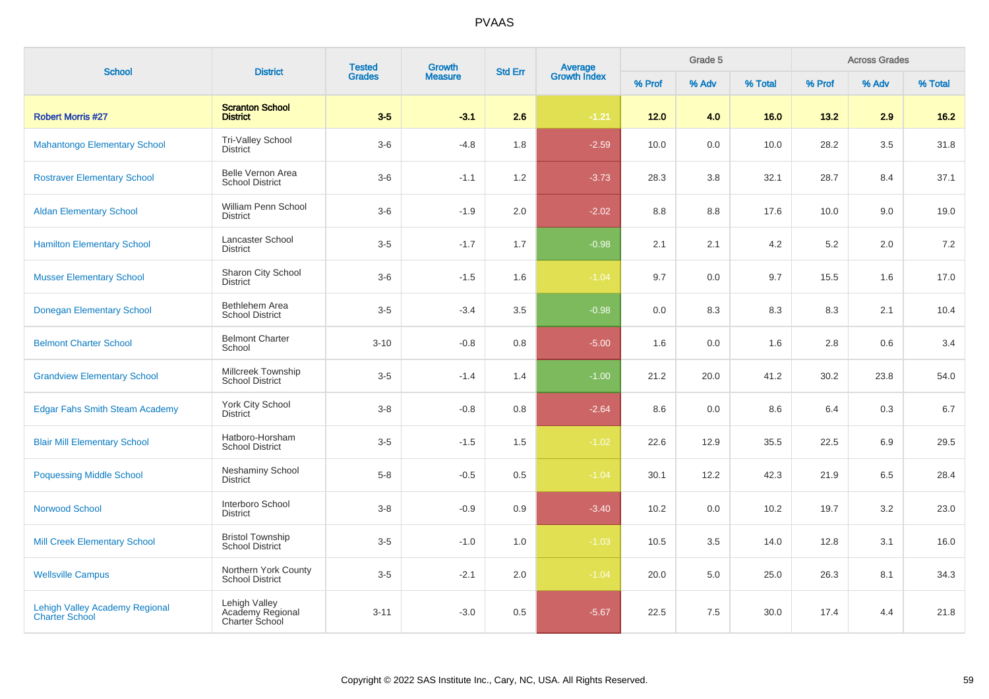| <b>School</b>                                                  | <b>District</b>                                     | <b>Tested</b><br><b>Grades</b> | <b>Growth</b>  | <b>Std Err</b> |                                |        | Grade 5 |         |        | <b>Across Grades</b> |         |
|----------------------------------------------------------------|-----------------------------------------------------|--------------------------------|----------------|----------------|--------------------------------|--------|---------|---------|--------|----------------------|---------|
|                                                                |                                                     |                                | <b>Measure</b> |                | <b>Average</b><br>Growth Index | % Prof | % Adv   | % Total | % Prof | % Adv                | % Total |
| <b>Robert Morris #27</b>                                       | <b>Scranton School</b><br><b>District</b>           | $3-5$                          | $-3.1$         | 2.6            | $-1.21$                        | 12.0   | 4.0     | 16.0    | 13.2   | 2.9                  | $16.2$  |
| <b>Mahantongo Elementary School</b>                            | Tri-Valley School<br><b>District</b>                | $3-6$                          | $-4.8$         | 1.8            | $-2.59$                        | 10.0   | 0.0     | 10.0    | 28.2   | 3.5                  | 31.8    |
| <b>Rostraver Elementary School</b>                             | Belle Vernon Area<br><b>School District</b>         | $3-6$                          | $-1.1$         | 1.2            | $-3.73$                        | 28.3   | 3.8     | 32.1    | 28.7   | 8.4                  | 37.1    |
| <b>Aldan Elementary School</b>                                 | William Penn School<br>District                     | $3-6$                          | $-1.9$         | 2.0            | $-2.02$                        | 8.8    | 8.8     | 17.6    | 10.0   | 9.0                  | 19.0    |
| <b>Hamilton Elementary School</b>                              | <b>Lancaster School</b><br><b>District</b>          | $3-5$                          | $-1.7$         | 1.7            | $-0.98$                        | 2.1    | 2.1     | 4.2     | 5.2    | 2.0                  | 7.2     |
| <b>Musser Elementary School</b>                                | Sharon City School<br><b>District</b>               | $3-6$                          | $-1.5$         | 1.6            | $-1.04$                        | 9.7    | 0.0     | 9.7     | 15.5   | 1.6                  | 17.0    |
| <b>Donegan Elementary School</b>                               | Bethlehem Area<br><b>School District</b>            | $3-5$                          | $-3.4$         | 3.5            | $-0.98$                        | 0.0    | 8.3     | 8.3     | 8.3    | 2.1                  | 10.4    |
| <b>Belmont Charter School</b>                                  | <b>Belmont Charter</b><br>School                    | $3 - 10$                       | $-0.8$         | 0.8            | $-5.00$                        | 1.6    | 0.0     | 1.6     | 2.8    | 0.6                  | 3.4     |
| <b>Grandview Elementary School</b>                             | Millcreek Township<br><b>School District</b>        | $3-5$                          | $-1.4$         | 1.4            | $-1.00$                        | 21.2   | 20.0    | 41.2    | 30.2   | 23.8                 | 54.0    |
| <b>Edgar Fahs Smith Steam Academy</b>                          | York City School<br>District                        | $3 - 8$                        | $-0.8$         | 0.8            | $-2.64$                        | 8.6    | 0.0     | 8.6     | 6.4    | 0.3                  | 6.7     |
| <b>Blair Mill Elementary School</b>                            | Hatboro-Horsham<br><b>School District</b>           | $3-5$                          | $-1.5$         | 1.5            | $-1.02$                        | 22.6   | 12.9    | 35.5    | 22.5   | 6.9                  | 29.5    |
| <b>Poquessing Middle School</b>                                | <b>Neshaminy School</b><br><b>District</b>          | $5 - 8$                        | $-0.5$         | 0.5            | $-1.04$                        | 30.1   | 12.2    | 42.3    | 21.9   | 6.5                  | 28.4    |
| <b>Norwood School</b>                                          | Interboro School<br><b>District</b>                 | $3-8$                          | $-0.9$         | 0.9            | $-3.40$                        | 10.2   | 0.0     | 10.2    | 19.7   | 3.2                  | 23.0    |
| <b>Mill Creek Elementary School</b>                            | <b>Bristol Township</b><br><b>School District</b>   | $3-5$                          | $-1.0$         | 1.0            | $-1.03$                        | 10.5   | 3.5     | 14.0    | 12.8   | 3.1                  | 16.0    |
| <b>Wellsville Campus</b>                                       | Northern York County<br><b>School District</b>      | $3-5$                          | $-2.1$         | 2.0            | $-1.04$                        | 20.0   | 5.0     | 25.0    | 26.3   | 8.1                  | 34.3    |
| <b>Lehigh Valley Academy Regional</b><br><b>Charter School</b> | Lehigh Valley<br>Academy Regional<br>Charter School | $3 - 11$                       | $-3.0$         | 0.5            | $-5.67$                        | 22.5   | 7.5     | 30.0    | 17.4   | 4.4                  | 21.8    |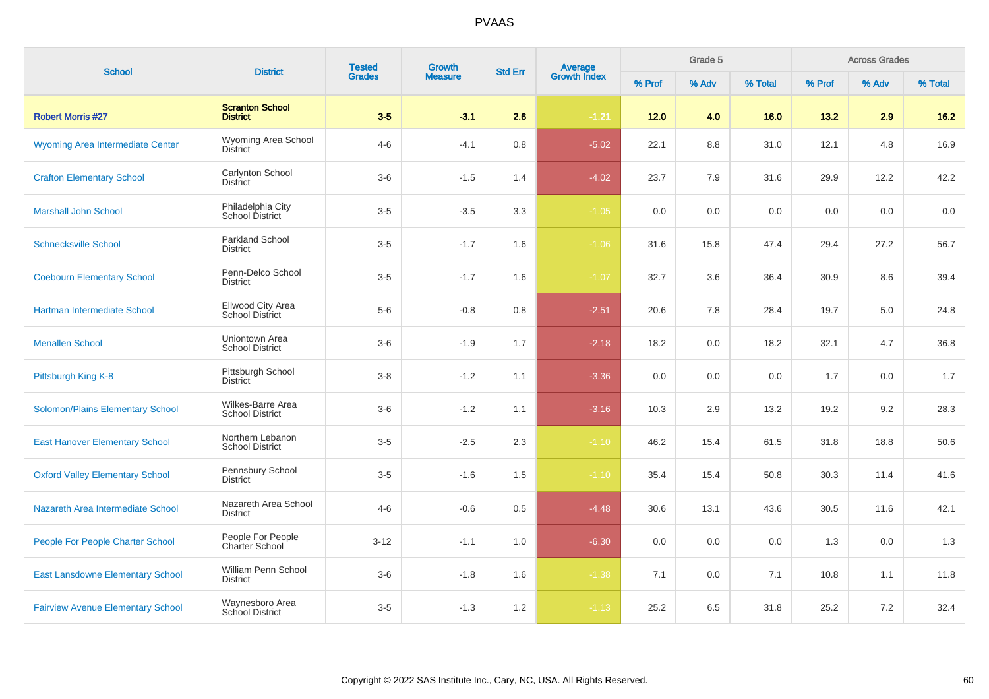| <b>School</b>                            | <b>District</b>                                    | <b>Tested</b><br><b>Grades</b> | Growth         | <b>Std Err</b> |                                |        | Grade 5 |         |        | <b>Across Grades</b> |         |
|------------------------------------------|----------------------------------------------------|--------------------------------|----------------|----------------|--------------------------------|--------|---------|---------|--------|----------------------|---------|
|                                          |                                                    |                                | <b>Measure</b> |                | <b>Average</b><br>Growth Index | % Prof | % Adv   | % Total | % Prof | % Adv                | % Total |
| <b>Robert Morris #27</b>                 | <b>Scranton School</b><br><b>District</b>          | $3-5$                          | $-3.1$         | 2.6            | $-1.21$                        | $12.0$ | 4.0     | 16.0    | 13.2   | 2.9                  | $16.2$  |
| <b>Wyoming Area Intermediate Center</b>  | Wyoming Area School<br><b>District</b>             | $4 - 6$                        | $-4.1$         | $0.8\,$        | $-5.02$                        | 22.1   | 8.8     | 31.0    | 12.1   | 4.8                  | 16.9    |
| <b>Crafton Elementary School</b>         | Carlynton School<br><b>District</b>                | $3-6$                          | $-1.5$         | 1.4            | $-4.02$                        | 23.7   | 7.9     | 31.6    | 29.9   | 12.2                 | 42.2    |
| <b>Marshall John School</b>              | Philadelphia City<br>School District               | $3-5$                          | $-3.5$         | 3.3            | $-1.05$                        | 0.0    | 0.0     | 0.0     | 0.0    | 0.0                  | 0.0     |
| <b>Schnecksville School</b>              | Parkland School<br>District                        | $3-5$                          | $-1.7$         | 1.6            | $-1.06$                        | 31.6   | 15.8    | 47.4    | 29.4   | 27.2                 | 56.7    |
| <b>Coebourn Elementary School</b>        | Penn-Delco School<br><b>District</b>               | $3-5$                          | $-1.7$         | 1.6            | $-1.07$                        | 32.7   | 3.6     | 36.4    | 30.9   | 8.6                  | 39.4    |
| Hartman Intermediate School              | <b>Ellwood City Area</b><br><b>School District</b> | $5-6$                          | $-0.8$         | 0.8            | $-2.51$                        | 20.6   | 7.8     | 28.4    | 19.7   | 5.0                  | 24.8    |
| <b>Menallen School</b>                   | Uniontown Area<br><b>School District</b>           | $3-6$                          | $-1.9$         | 1.7            | $-2.18$                        | 18.2   | 0.0     | 18.2    | 32.1   | 4.7                  | 36.8    |
| Pittsburgh King K-8                      | Pittsburgh School<br><b>District</b>               | $3 - 8$                        | $-1.2$         | 1.1            | $-3.36$                        | 0.0    | 0.0     | 0.0     | 1.7    | 0.0                  | 1.7     |
| <b>Solomon/Plains Elementary School</b>  | Wilkes-Barre Area<br><b>School District</b>        | $3-6$                          | $-1.2$         | 1.1            | $-3.16$                        | 10.3   | 2.9     | 13.2    | 19.2   | 9.2                  | 28.3    |
| <b>East Hanover Elementary School</b>    | Northern Lebanon<br><b>School District</b>         | $3-5$                          | $-2.5$         | 2.3            | $-1.10$                        | 46.2   | 15.4    | 61.5    | 31.8   | 18.8                 | 50.6    |
| <b>Oxford Valley Elementary School</b>   | Pennsbury School<br><b>District</b>                | $3-5$                          | $-1.6$         | 1.5            | $-1.10$                        | 35.4   | 15.4    | 50.8    | 30.3   | 11.4                 | 41.6    |
| Nazareth Area Intermediate School        | Nazareth Area School<br><b>District</b>            | $4 - 6$                        | $-0.6$         | 0.5            | $-4.48$                        | 30.6   | 13.1    | 43.6    | 30.5   | 11.6                 | 42.1    |
| People For People Charter School         | People For People<br><b>Charter School</b>         | $3 - 12$                       | $-1.1$         | 1.0            | $-6.30$                        | 0.0    | 0.0     | 0.0     | 1.3    | 0.0                  | 1.3     |
| <b>East Lansdowne Elementary School</b>  | William Penn School<br><b>District</b>             | $3-6$                          | $-1.8$         | 1.6            | $-1.38$                        | 7.1    | 0.0     | 7.1     | 10.8   | 1.1                  | 11.8    |
| <b>Fairview Avenue Elementary School</b> | Waynesboro Area<br>School District                 | $3-5$                          | $-1.3$         | 1.2            | $-1.13$                        | 25.2   | 6.5     | 31.8    | 25.2   | 7.2                  | 32.4    |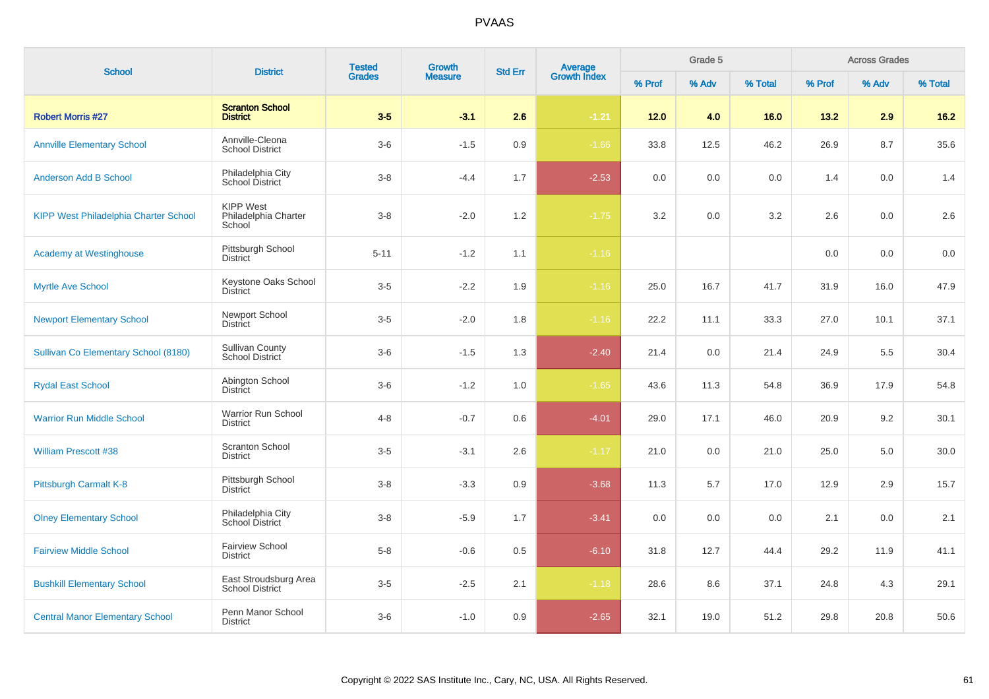| <b>School</b>                                | <b>District</b>                                    | <b>Tested</b><br><b>Grades</b> | Growth         | <b>Average</b><br>Growth Index<br><b>Std Err</b> |         |        | Grade 5 |         |        | <b>Across Grades</b> |         |
|----------------------------------------------|----------------------------------------------------|--------------------------------|----------------|--------------------------------------------------|---------|--------|---------|---------|--------|----------------------|---------|
|                                              |                                                    |                                | <b>Measure</b> |                                                  |         | % Prof | % Adv   | % Total | % Prof | % Adv                | % Total |
| <b>Robert Morris #27</b>                     | <b>Scranton School</b><br><b>District</b>          | $3-5$                          | $-3.1$         | 2.6                                              | $-1.21$ | 12.0   | 4.0     | 16.0    | 13.2   | 2.9                  | $16.2$  |
| <b>Annville Elementary School</b>            | Annville-Cleona<br><b>School District</b>          | $3-6$                          | $-1.5$         | 0.9                                              | $-1.66$ | 33.8   | 12.5    | 46.2    | 26.9   | 8.7                  | 35.6    |
| <b>Anderson Add B School</b>                 | Philadelphia City<br>School District               | $3 - 8$                        | $-4.4$         | 1.7                                              | $-2.53$ | 0.0    | 0.0     | 0.0     | 1.4    | 0.0                  | 1.4     |
| <b>KIPP West Philadelphia Charter School</b> | <b>KIPP West</b><br>Philadelphia Charter<br>School | $3 - 8$                        | $-2.0$         | 1.2                                              | $-1.75$ | 3.2    | 0.0     | 3.2     | 2.6    | 0.0                  | 2.6     |
| <b>Academy at Westinghouse</b>               | Pittsburgh School<br><b>District</b>               | $5 - 11$                       | $-1.2$         | 1.1                                              | $-1.16$ |        |         |         | 0.0    | 0.0                  | 0.0     |
| Myrtle Ave School                            | Keystone Oaks School<br><b>District</b>            | $3-5$                          | $-2.2$         | 1.9                                              | $-1.16$ | 25.0   | 16.7    | 41.7    | 31.9   | 16.0                 | 47.9    |
| <b>Newport Elementary School</b>             | <b>Newport School</b><br><b>District</b>           | $3-5$                          | $-2.0$         | 1.8                                              | $-1.16$ | 22.2   | 11.1    | 33.3    | 27.0   | 10.1                 | 37.1    |
| Sullivan Co Elementary School (8180)         | <b>Sullivan County</b><br>School District          | $3-6$                          | $-1.5$         | 1.3                                              | $-2.40$ | 21.4   | 0.0     | 21.4    | 24.9   | 5.5                  | 30.4    |
| <b>Rydal East School</b>                     | Abington School<br><b>District</b>                 | $3-6$                          | $-1.2$         | 1.0                                              | $-1.65$ | 43.6   | 11.3    | 54.8    | 36.9   | 17.9                 | 54.8    |
| <b>Warrior Run Middle School</b>             | <b>Warrior Run School</b><br><b>District</b>       | $4 - 8$                        | $-0.7$         | 0.6                                              | $-4.01$ | 29.0   | 17.1    | 46.0    | 20.9   | 9.2                  | 30.1    |
| <b>William Prescott #38</b>                  | <b>Scranton School</b><br><b>District</b>          | $3-5$                          | $-3.1$         | 2.6                                              | $-1.17$ | 21.0   | 0.0     | 21.0    | 25.0   | 5.0                  | 30.0    |
| Pittsburgh Carmalt K-8                       | Pittsburgh School<br><b>District</b>               | $3-8$                          | $-3.3$         | 0.9                                              | $-3.68$ | 11.3   | 5.7     | 17.0    | 12.9   | 2.9                  | 15.7    |
| <b>Olney Elementary School</b>               | Philadelphia City<br>School District               | $3-8$                          | $-5.9$         | 1.7                                              | $-3.41$ | 0.0    | 0.0     | 0.0     | 2.1    | 0.0                  | 2.1     |
| <b>Fairview Middle School</b>                | <b>Fairview School</b><br><b>District</b>          | $5 - 8$                        | $-0.6$         | 0.5                                              | $-6.10$ | 31.8   | 12.7    | 44.4    | 29.2   | 11.9                 | 41.1    |
| <b>Bushkill Elementary School</b>            | East Stroudsburg Area<br><b>School District</b>    | $3-5$                          | $-2.5$         | 2.1                                              | $-1.18$ | 28.6   | 8.6     | 37.1    | 24.8   | 4.3                  | 29.1    |
| <b>Central Manor Elementary School</b>       | Penn Manor School<br><b>District</b>               | $3-6$                          | $-1.0$         | 0.9                                              | $-2.65$ | 32.1   | 19.0    | 51.2    | 29.8   | 20.8                 | 50.6    |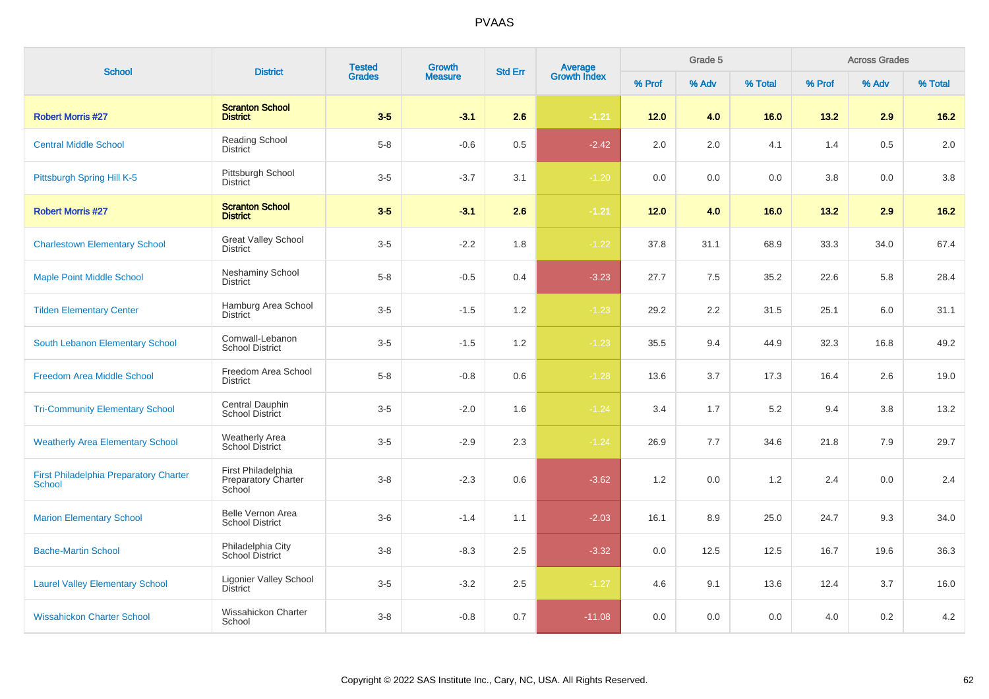| <b>School</b>                                           | <b>District</b>                                            | <b>Tested</b><br>Growth<br><b>Std Err</b><br><b>Grades</b> |                | <b>Average</b><br>Growth Index |          | Grade 5 |       |         | <b>Across Grades</b> |       |         |
|---------------------------------------------------------|------------------------------------------------------------|------------------------------------------------------------|----------------|--------------------------------|----------|---------|-------|---------|----------------------|-------|---------|
|                                                         |                                                            |                                                            | <b>Measure</b> |                                |          | % Prof  | % Adv | % Total | % Prof               | % Adv | % Total |
| <b>Robert Morris #27</b>                                | <b>Scranton School</b><br><b>District</b>                  | $3-5$                                                      | $-3.1$         | 2.6                            | $-1.21$  | 12.0    | 4.0   | 16.0    | 13.2                 | 2.9   | $16.2$  |
| <b>Central Middle School</b>                            | <b>Reading School</b><br><b>District</b>                   | $5 - 8$                                                    | $-0.6$         | 0.5                            | $-2.42$  | 2.0     | 2.0   | 4.1     | 1.4                  | 0.5   | 2.0     |
| Pittsburgh Spring Hill K-5                              | Pittsburgh School<br><b>District</b>                       | $3-5$                                                      | $-3.7$         | 3.1                            | $-1.20$  | 0.0     | 0.0   | 0.0     | 3.8                  | 0.0   | 3.8     |
| <b>Robert Morris #27</b>                                | <b>Scranton School</b><br><b>District</b>                  | $3-5$                                                      | $-3.1$         | 2.6                            | $-1.21$  | $12.0$  | 4.0   | 16.0    | 13.2                 | 2.9   | $16.2$  |
| <b>Charlestown Elementary School</b>                    | <b>Great Valley School</b><br><b>District</b>              | $3-5$                                                      | $-2.2$         | 1.8                            | $-1.22$  | 37.8    | 31.1  | 68.9    | 33.3                 | 34.0  | 67.4    |
| <b>Maple Point Middle School</b>                        | <b>Neshaminy School</b><br><b>District</b>                 | $5 - 8$                                                    | $-0.5$         | 0.4                            | $-3.23$  | 27.7    | 7.5   | 35.2    | 22.6                 | 5.8   | 28.4    |
| <b>Tilden Elementary Center</b>                         | Hamburg Area School<br><b>District</b>                     | $3-5$                                                      | $-1.5$         | 1.2                            | $-1.23$  | 29.2    | 2.2   | 31.5    | 25.1                 | 6.0   | 31.1    |
| South Lebanon Elementary School                         | Cornwall-Lebanon<br><b>School District</b>                 | $3-5$                                                      | $-1.5$         | 1.2                            | $-1.23$  | 35.5    | 9.4   | 44.9    | 32.3                 | 16.8  | 49.2    |
| Freedom Area Middle School                              | Freedom Area School<br><b>District</b>                     | $5-8$                                                      | $-0.8$         | 0.6                            | $-1.28$  | 13.6    | 3.7   | 17.3    | 16.4                 | 2.6   | 19.0    |
| <b>Tri-Community Elementary School</b>                  | Central Dauphin<br><b>School District</b>                  | $3-5$                                                      | $-2.0$         | 1.6                            | $-1.24$  | 3.4     | 1.7   | 5.2     | 9.4                  | 3.8   | 13.2    |
| <b>Weatherly Area Elementary School</b>                 | <b>Weatherly Area</b><br>School District                   | $3-5$                                                      | $-2.9$         | 2.3                            | $-1.24$  | 26.9    | 7.7   | 34.6    | 21.8                 | 7.9   | 29.7    |
| <b>First Philadelphia Preparatory Charter</b><br>School | First Philadelphia<br><b>Preparatory Charter</b><br>School | $3 - 8$                                                    | $-2.3$         | 0.6                            | $-3.62$  | 1.2     | 0.0   | 1.2     | 2.4                  | 0.0   | 2.4     |
| <b>Marion Elementary School</b>                         | <b>Belle Vernon Area</b><br><b>School District</b>         | $3-6$                                                      | $-1.4$         | 1.1                            | $-2.03$  | 16.1    | 8.9   | 25.0    | 24.7                 | 9.3   | 34.0    |
| <b>Bache-Martin School</b>                              | Philadelphia City<br><b>School District</b>                | $3 - 8$                                                    | $-8.3$         | 2.5                            | $-3.32$  | 0.0     | 12.5  | 12.5    | 16.7                 | 19.6  | 36.3    |
| <b>Laurel Valley Elementary School</b>                  | <b>Ligonier Valley School</b><br><b>District</b>           | $3-5$                                                      | $-3.2$         | 2.5                            | $-1.27$  | 4.6     | 9.1   | 13.6    | 12.4                 | 3.7   | 16.0    |
| <b>Wissahickon Charter School</b>                       | <b>Wissahickon Charter</b><br>School                       | $3 - 8$                                                    | $-0.8$         | 0.7                            | $-11.08$ | 0.0     | 0.0   | 0.0     | 4.0                  | 0.2   | 4.2     |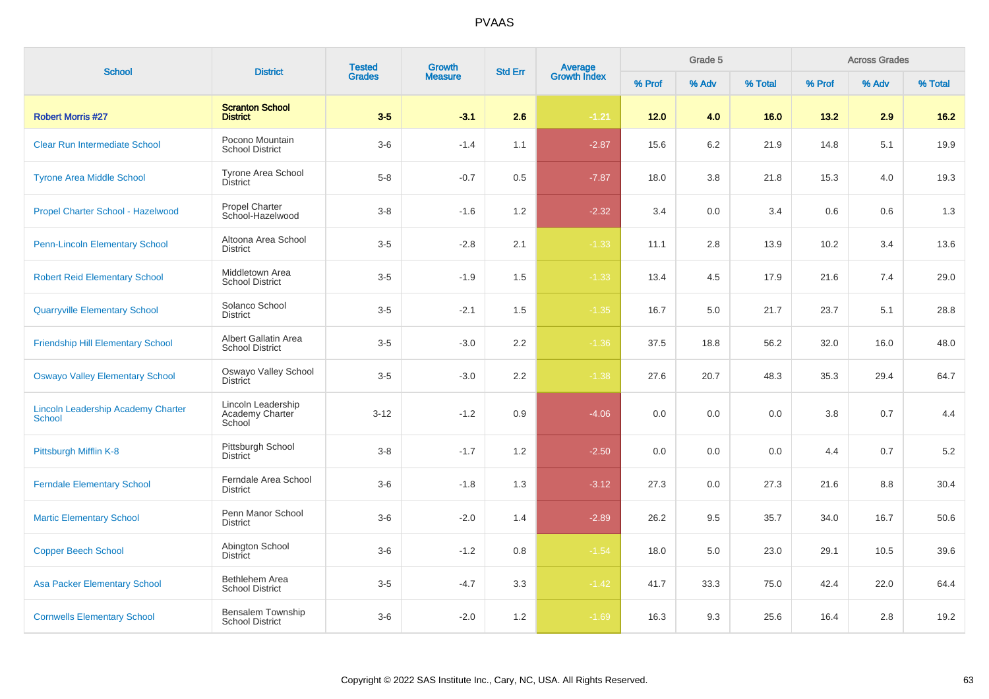| <b>School</b>                                       |                                                 | <b>Tested</b><br><b>Growth</b><br><b>Std Err</b><br><b>District</b> | Average<br>Growth Index |       | Grade 5 |        |         | <b>Across Grades</b> |         |       |         |
|-----------------------------------------------------|-------------------------------------------------|---------------------------------------------------------------------|-------------------------|-------|---------|--------|---------|----------------------|---------|-------|---------|
|                                                     |                                                 | <b>Grades</b>                                                       | <b>Measure</b>          |       |         | % Prof | % Adv   | % Total              | % Prof  | % Adv | % Total |
| <b>Robert Morris #27</b>                            | <b>Scranton School</b><br><b>District</b>       | $3-5$                                                               | $-3.1$                  | 2.6   | $-1.21$ | 12.0   | 4.0     | 16.0                 | 13.2    | 2.9   | $16.2$  |
| Clear Run Intermediate School                       | Pocono Mountain<br><b>School District</b>       | $3-6$                                                               | $-1.4$                  | 1.1   | $-2.87$ | 15.6   | 6.2     | 21.9                 | 14.8    | 5.1   | 19.9    |
| <b>Tyrone Area Middle School</b>                    | <b>Tyrone Area School</b><br><b>District</b>    | $5 - 8$                                                             | $-0.7$                  | 0.5   | $-7.87$ | 18.0   | 3.8     | 21.8                 | 15.3    | 4.0   | 19.3    |
| Propel Charter School - Hazelwood                   | <b>Propel Charter</b><br>School-Hazelwood       | $3 - 8$                                                             | $-1.6$                  | $1.2$ | $-2.32$ | 3.4    | $0.0\,$ | 3.4                  | $0.6\,$ | 0.6   | 1.3     |
| <b>Penn-Lincoln Elementary School</b>               | Altoona Area School<br><b>District</b>          | $3-5$                                                               | $-2.8$                  | 2.1   | $-1.33$ | 11.1   | $2.8\,$ | 13.9                 | 10.2    | 3.4   | 13.6    |
| <b>Robert Reid Elementary School</b>                | Middletown Area<br><b>School District</b>       | $3-5$                                                               | $-1.9$                  | 1.5   | $-1.33$ | 13.4   | 4.5     | 17.9                 | 21.6    | 7.4   | 29.0    |
| <b>Quarryville Elementary School</b>                | Solanco School<br><b>District</b>               | $3-5$                                                               | $-2.1$                  | 1.5   | $-1.35$ | 16.7   | 5.0     | 21.7                 | 23.7    | 5.1   | 28.8    |
| <b>Friendship Hill Elementary School</b>            | Albert Gallatin Area<br><b>School District</b>  | $3-5$                                                               | $-3.0$                  | 2.2   | $-1.36$ | 37.5   | 18.8    | 56.2                 | 32.0    | 16.0  | 48.0    |
| <b>Oswayo Valley Elementary School</b>              | Oswayo Valley School<br><b>District</b>         | $3-5$                                                               | $-3.0$                  | 2.2   | $-1.38$ | 27.6   | 20.7    | 48.3                 | 35.3    | 29.4  | 64.7    |
| <b>Lincoln Leadership Academy Charter</b><br>School | Lincoln Leadership<br>Academy Charter<br>School | $3 - 12$                                                            | $-1.2$                  | 0.9   | $-4.06$ | 0.0    | 0.0     | 0.0                  | $3.8\,$ | 0.7   | 4.4     |
| Pittsburgh Mifflin K-8                              | Pittsburgh School<br><b>District</b>            | $3 - 8$                                                             | $-1.7$                  | 1.2   | $-2.50$ | 0.0    | 0.0     | 0.0                  | 4.4     | 0.7   | 5.2     |
| <b>Ferndale Elementary School</b>                   | Ferndale Area School<br><b>District</b>         | $3-6$                                                               | $-1.8$                  | 1.3   | $-3.12$ | 27.3   | 0.0     | 27.3                 | 21.6    | 8.8   | 30.4    |
| <b>Martic Elementary School</b>                     | Penn Manor School<br><b>District</b>            | $3-6$                                                               | $-2.0$                  | 1.4   | $-2.89$ | 26.2   | 9.5     | 35.7                 | 34.0    | 16.7  | 50.6    |
| <b>Copper Beech School</b>                          | Abington School<br><b>District</b>              | $3-6$                                                               | $-1.2$                  | 0.8   | $-1.54$ | 18.0   | 5.0     | 23.0                 | 29.1    | 10.5  | 39.6    |
| <b>Asa Packer Elementary School</b>                 | Bethlehem Area<br><b>School District</b>        | $3-5$                                                               | $-4.7$                  | 3.3   | $-1.42$ | 41.7   | 33.3    | 75.0                 | 42.4    | 22.0  | 64.4    |
| <b>Cornwells Elementary School</b>                  | Bensalem Township<br><b>School District</b>     | $3-6$                                                               | $-2.0$                  | 1.2   | $-1.69$ | 16.3   | 9.3     | 25.6                 | 16.4    | 2.8   | 19.2    |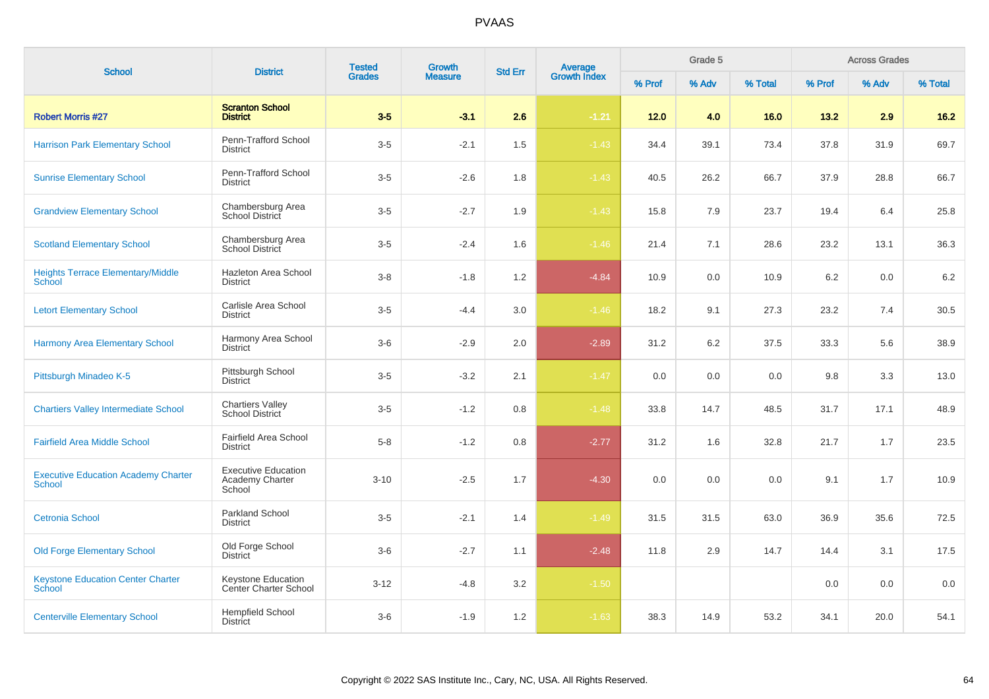| <b>School</b>                                        | <b>District</b>                                         | <b>Tested</b> | Growth         | <b>Std Err</b> | Average<br>Growth Index |        | Grade 5 |         |        | <b>Across Grades</b> |         |
|------------------------------------------------------|---------------------------------------------------------|---------------|----------------|----------------|-------------------------|--------|---------|---------|--------|----------------------|---------|
|                                                      |                                                         | <b>Grades</b> | <b>Measure</b> |                |                         | % Prof | % Adv   | % Total | % Prof | % Adv                | % Total |
| <b>Robert Morris #27</b>                             | <b>Scranton School</b><br><b>District</b>               | $3-5$         | $-3.1$         | 2.6            | $-1.21$                 | 12.0   | 4.0     | 16.0    | 13.2   | 2.9                  | $16.2$  |
| <b>Harrison Park Elementary School</b>               | Penn-Trafford School<br><b>District</b>                 | $3-5$         | $-2.1$         | 1.5            | $-1.43$                 | 34.4   | 39.1    | 73.4    | 37.8   | 31.9                 | 69.7    |
| <b>Sunrise Elementary School</b>                     | Penn-Trafford School<br><b>District</b>                 | $3-5$         | $-2.6$         | 1.8            | $-1.43$                 | 40.5   | 26.2    | 66.7    | 37.9   | 28.8                 | 66.7    |
| <b>Grandview Elementary School</b>                   | Chambersburg Area<br><b>School District</b>             | $3-5$         | $-2.7$         | 1.9            | $-1.43$                 | 15.8   | 7.9     | 23.7    | 19.4   | 6.4                  | 25.8    |
| <b>Scotland Elementary School</b>                    | Chambersburg Area<br>School District                    | $3-5$         | $-2.4$         | 1.6            | $-1.46$                 | 21.4   | 7.1     | 28.6    | 23.2   | 13.1                 | 36.3    |
| <b>Heights Terrace Elementary/Middle</b><br>School   | Hazleton Area School<br><b>District</b>                 | $3 - 8$       | $-1.8$         | 1.2            | $-4.84$                 | 10.9   | 0.0     | 10.9    | 6.2    | 0.0                  | 6.2     |
| <b>Letort Elementary School</b>                      | Carlisle Area School<br><b>District</b>                 | $3-5$         | $-4.4$         | 3.0            | $-1.46$                 | 18.2   | 9.1     | 27.3    | 23.2   | 7.4                  | 30.5    |
| <b>Harmony Area Elementary School</b>                | Harmony Area School<br><b>District</b>                  | $3-6$         | $-2.9$         | 2.0            | $-2.89$                 | 31.2   | 6.2     | 37.5    | 33.3   | 5.6                  | 38.9    |
| Pittsburgh Minadeo K-5                               | Pittsburgh School<br><b>District</b>                    | $3-5$         | $-3.2$         | 2.1            | $-1.47$                 | 0.0    | 0.0     | 0.0     | 9.8    | 3.3                  | 13.0    |
| <b>Chartiers Valley Intermediate School</b>          | <b>Chartiers Valley</b><br><b>School District</b>       | $3-5$         | $-1.2$         | 0.8            | $-1.48$                 | 33.8   | 14.7    | 48.5    | 31.7   | 17.1                 | 48.9    |
| <b>Fairfield Area Middle School</b>                  | Fairfield Area School<br><b>District</b>                | $5 - 8$       | $-1.2$         | 0.8            | $-2.77$                 | 31.2   | 1.6     | 32.8    | 21.7   | 1.7                  | 23.5    |
| <b>Executive Education Academy Charter</b><br>School | <b>Executive Education</b><br>Academy Charter<br>School | $3 - 10$      | $-2.5$         | 1.7            | $-4.30$                 | 0.0    | 0.0     | 0.0     | 9.1    | 1.7                  | 10.9    |
| <b>Cetronia School</b>                               | Parkland School<br><b>District</b>                      | $3-5$         | $-2.1$         | 1.4            | $-1.49$                 | 31.5   | 31.5    | 63.0    | 36.9   | 35.6                 | 72.5    |
| <b>Old Forge Elementary School</b>                   | Old Forge School<br><b>District</b>                     | $3-6$         | $-2.7$         | 1.1            | $-2.48$                 | 11.8   | 2.9     | 14.7    | 14.4   | 3.1                  | 17.5    |
| <b>Keystone Education Center Charter</b><br>School   | Keystone Education<br>Center Charter School             | $3 - 12$      | $-4.8$         | 3.2            | $-1.50$                 |        |         |         | 0.0    | 0.0                  | 0.0     |
| <b>Centerville Elementary School</b>                 | Hempfield School<br><b>District</b>                     | $3-6$         | $-1.9$         | 1.2            | $-1.63$                 | 38.3   | 14.9    | 53.2    | 34.1   | 20.0                 | 54.1    |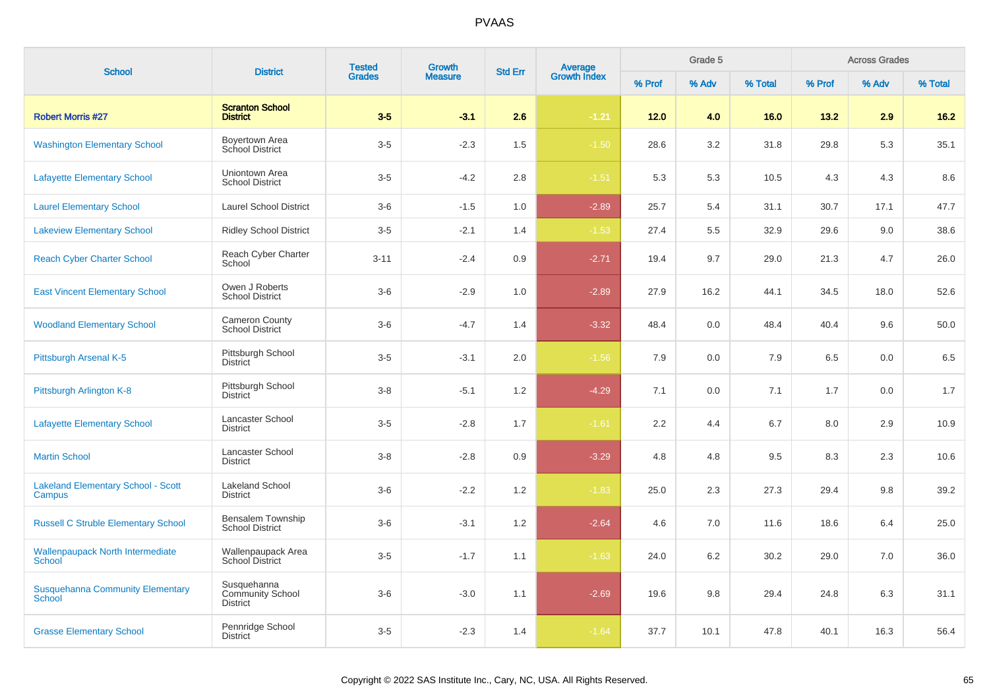| <b>School</b>                                            | <b>District</b>                                    | <b>Tested</b> | <b>Growth</b>  | <b>Std Err</b> | <b>Average</b><br>Growth Index |        | Grade 5 |         |         | <b>Across Grades</b> |         |
|----------------------------------------------------------|----------------------------------------------------|---------------|----------------|----------------|--------------------------------|--------|---------|---------|---------|----------------------|---------|
|                                                          |                                                    | <b>Grades</b> | <b>Measure</b> |                |                                | % Prof | % Adv   | % Total | % Prof  | % Adv                | % Total |
| <b>Robert Morris #27</b>                                 | <b>Scranton School</b><br><b>District</b>          | $3-5$         | $-3.1$         | 2.6            | $-1.21$                        | 12.0   | 4.0     | 16.0    | 13.2    | 2.9                  | $16.2$  |
| <b>Washington Elementary School</b>                      | Boyertown Area<br>School District                  | $3-5$         | $-2.3$         | 1.5            | $-1.50$                        | 28.6   | 3.2     | 31.8    | 29.8    | 5.3                  | 35.1    |
| <b>Lafayette Elementary School</b>                       | Uniontown Area<br><b>School District</b>           | $3-5$         | $-4.2$         | 2.8            | $-1.51$                        | 5.3    | 5.3     | 10.5    | 4.3     | 4.3                  | 8.6     |
| <b>Laurel Elementary School</b>                          | <b>Laurel School District</b>                      | $3-6$         | $-1.5$         | 1.0            | $-2.89$                        | 25.7   | 5.4     | 31.1    | 30.7    | 17.1                 | 47.7    |
| <b>Lakeview Elementary School</b>                        | <b>Ridley School District</b>                      | $3-5$         | $-2.1$         | 1.4            | $-1.53$                        | 27.4   | 5.5     | 32.9    | 29.6    | 9.0                  | 38.6    |
| <b>Reach Cyber Charter School</b>                        | Reach Cyber Charter<br>School                      | $3 - 11$      | $-2.4$         | 0.9            | $-2.71$                        | 19.4   | 9.7     | 29.0    | 21.3    | 4.7                  | 26.0    |
| <b>East Vincent Elementary School</b>                    | Owen J Roberts<br><b>School District</b>           | $3-6$         | $-2.9$         | 1.0            | $-2.89$                        | 27.9   | 16.2    | 44.1    | 34.5    | 18.0                 | 52.6    |
| <b>Woodland Elementary School</b>                        | Cameron County<br><b>School District</b>           | $3-6$         | $-4.7$         | 1.4            | $-3.32$                        | 48.4   | 0.0     | 48.4    | 40.4    | 9.6                  | 50.0    |
| Pittsburgh Arsenal K-5                                   | Pittsburgh School<br><b>District</b>               | $3 - 5$       | $-3.1$         | 2.0            | $-1.56$                        | 7.9    | 0.0     | 7.9     | 6.5     | 0.0                  | 6.5     |
| Pittsburgh Arlington K-8                                 | Pittsburgh School<br><b>District</b>               | $3 - 8$       | $-5.1$         | 1.2            | $-4.29$                        | 7.1    | 0.0     | 7.1     | 1.7     | 0.0                  | 1.7     |
| <b>Lafayette Elementary School</b>                       | Lancaster School<br><b>District</b>                | $3 - 5$       | $-2.8$         | 1.7            | $-1.61$                        | 2.2    | 4.4     | 6.7     | $8.0\,$ | 2.9                  | 10.9    |
| <b>Martin School</b>                                     | Lancaster School<br><b>District</b>                | $3 - 8$       | $-2.8$         | 0.9            | $-3.29$                        | 4.8    | 4.8     | 9.5     | 8.3     | 2.3                  | 10.6    |
| <b>Lakeland Elementary School - Scott</b><br>Campus      | <b>Lakeland School</b><br><b>District</b>          | $3-6$         | $-2.2$         | 1.2            | $-1.83$                        | 25.0   | 2.3     | 27.3    | 29.4    | 9.8                  | 39.2    |
| <b>Russell C Struble Elementary School</b>               | Bensalem Township<br><b>School District</b>        | $3-6$         | $-3.1$         | 1.2            | $-2.64$                        | 4.6    | 7.0     | 11.6    | 18.6    | 6.4                  | 25.0    |
| <b>Wallenpaupack North Intermediate</b><br>School        | Wallenpaupack Area<br>School District              | $3-5$         | $-1.7$         | 1.1            | $-1.63$                        | 24.0   | 6.2     | 30.2    | 29.0    | 7.0                  | 36.0    |
| <b>Susquehanna Community Elementary</b><br><b>School</b> | Susquehanna<br><b>Community School</b><br>District | $3-6$         | $-3.0$         | 1.1            | $-2.69$                        | 19.6   | 9.8     | 29.4    | 24.8    | 6.3                  | 31.1    |
| <b>Grasse Elementary School</b>                          | Pennridge School<br><b>District</b>                | $3 - 5$       | $-2.3$         | 1.4            | $-1.64$                        | 37.7   | 10.1    | 47.8    | 40.1    | 16.3                 | 56.4    |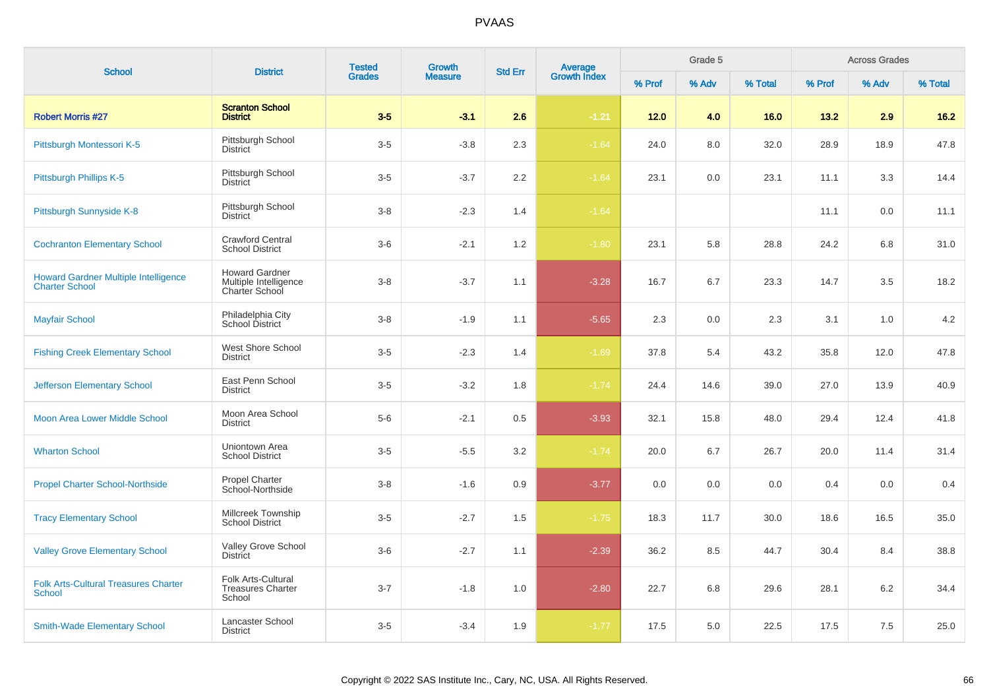| <b>School</b>                                                        | <b>District</b>                                                  | <b>Tested</b> | <b>Growth</b>  | <b>Std Err</b> | Average<br>Growth Index |        | Grade 5 |         |        | <b>Across Grades</b> |         |
|----------------------------------------------------------------------|------------------------------------------------------------------|---------------|----------------|----------------|-------------------------|--------|---------|---------|--------|----------------------|---------|
|                                                                      |                                                                  | <b>Grades</b> | <b>Measure</b> |                |                         | % Prof | % Adv   | % Total | % Prof | % Adv                | % Total |
| <b>Robert Morris #27</b>                                             | <b>Scranton School</b><br><b>District</b>                        | $3-5$         | $-3.1$         | 2.6            | $-1.21$                 | $12.0$ | 4.0     | 16.0    | 13.2   | 2.9                  | $16.2$  |
| Pittsburgh Montessori K-5                                            | Pittsburgh School<br><b>District</b>                             | $3-5$         | $-3.8$         | 2.3            | $-1.64$                 | 24.0   | 8.0     | 32.0    | 28.9   | 18.9                 | 47.8    |
| Pittsburgh Phillips K-5                                              | Pittsburgh School<br><b>District</b>                             | $3-5$         | $-3.7$         | 2.2            | $-1.64$                 | 23.1   | 0.0     | 23.1    | 11.1   | 3.3                  | 14.4    |
| Pittsburgh Sunnyside K-8                                             | Pittsburgh School<br><b>District</b>                             | $3 - 8$       | $-2.3$         | 1.4            | $-1.64$                 |        |         |         | 11.1   | 0.0                  | 11.1    |
| <b>Cochranton Elementary School</b>                                  | <b>Crawford Central</b><br><b>School District</b>                | $3-6$         | $-2.1$         | 1.2            | $-1.80$                 | 23.1   | 5.8     | 28.8    | 24.2   | 6.8                  | 31.0    |
| <b>Howard Gardner Multiple Intelligence</b><br><b>Charter School</b> | <b>Howard Gardner</b><br>Multiple Intelligence<br>Charter School | $3 - 8$       | $-3.7$         | 1.1            | $-3.28$                 | 16.7   | 6.7     | 23.3    | 14.7   | 3.5                  | 18.2    |
| <b>Mayfair School</b>                                                | Philadelphia City<br>School District                             | $3 - 8$       | $-1.9$         | 1.1            | $-5.65$                 | 2.3    | 0.0     | 2.3     | 3.1    | 1.0                  | 4.2     |
| <b>Fishing Creek Elementary School</b>                               | West Shore School<br><b>District</b>                             | $3-5$         | $-2.3$         | 1.4            | $-1.69$                 | 37.8   | 5.4     | 43.2    | 35.8   | 12.0                 | 47.8    |
| <b>Jefferson Elementary School</b>                                   | East Penn School<br><b>District</b>                              | $3-5$         | $-3.2$         | 1.8            | $-1.74$                 | 24.4   | 14.6    | 39.0    | 27.0   | 13.9                 | 40.9    |
| Moon Area Lower Middle School                                        | Moon Area School<br><b>District</b>                              | $5-6$         | $-2.1$         | 0.5            | $-3.93$                 | 32.1   | 15.8    | 48.0    | 29.4   | 12.4                 | 41.8    |
| <b>Wharton School</b>                                                | Uniontown Area<br><b>School District</b>                         | $3-5$         | $-5.5$         | 3.2            | $-1.74$                 | 20.0   | 6.7     | 26.7    | 20.0   | 11.4                 | 31.4    |
| <b>Propel Charter School-Northside</b>                               | <b>Propel Charter</b><br>School-Northside                        | $3 - 8$       | $-1.6$         | 0.9            | $-3.77$                 | 0.0    | 0.0     | 0.0     | 0.4    | 0.0                  | 0.4     |
| <b>Tracy Elementary School</b>                                       | Millcreek Township<br><b>School District</b>                     | $3-5$         | $-2.7$         | 1.5            | $-1.75$                 | 18.3   | 11.7    | 30.0    | 18.6   | 16.5                 | 35.0    |
| <b>Valley Grove Elementary School</b>                                | Valley Grove School<br><b>District</b>                           | $3-6$         | $-2.7$         | 1.1            | $-2.39$                 | 36.2   | 8.5     | 44.7    | 30.4   | 8.4                  | 38.8    |
| <b>Folk Arts-Cultural Treasures Charter</b><br><b>School</b>         | Folk Arts-Cultural<br><b>Treasures Charter</b><br>School         | $3 - 7$       | $-1.8$         | 1.0            | $-2.80$                 | 22.7   | 6.8     | 29.6    | 28.1   | 6.2                  | 34.4    |
| <b>Smith-Wade Elementary School</b>                                  | Lancaster School<br><b>District</b>                              | $3-5$         | $-3.4$         | 1.9            | $-1.77$                 | 17.5   | 5.0     | 22.5    | 17.5   | 7.5                  | 25.0    |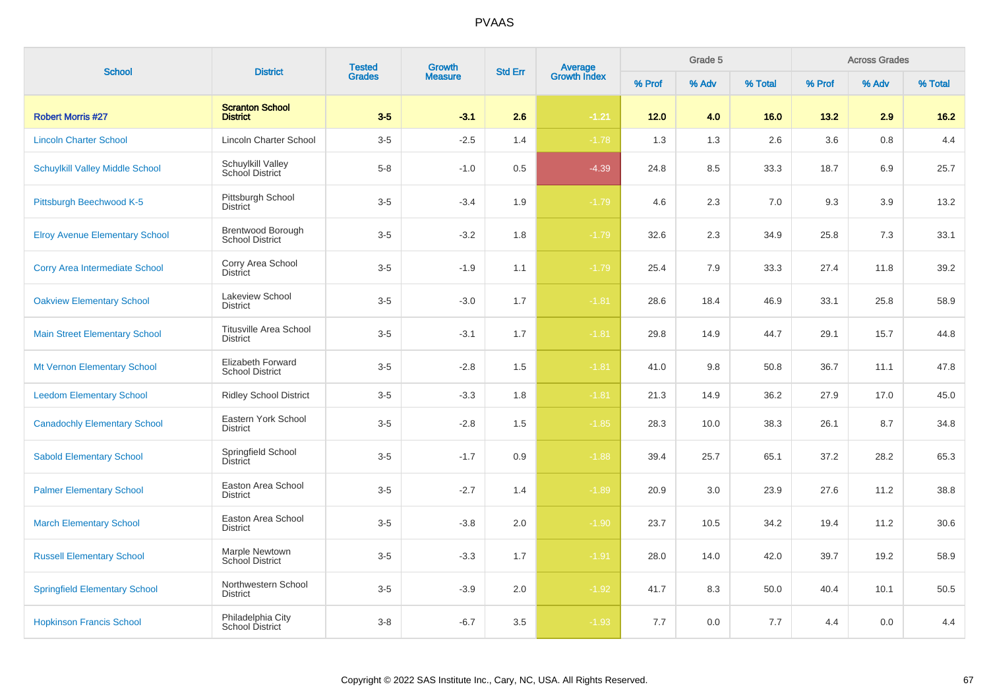| <b>School</b>                          | <b>Tested</b><br>Growth<br>Average<br>Growth Index<br><b>District</b><br><b>Std Err</b><br><b>Grades</b><br><b>Measure</b> | Grade 5 |        |     | <b>Across Grades</b> |        |       |         |        |       |         |
|----------------------------------------|----------------------------------------------------------------------------------------------------------------------------|---------|--------|-----|----------------------|--------|-------|---------|--------|-------|---------|
|                                        |                                                                                                                            |         |        |     |                      | % Prof | % Adv | % Total | % Prof | % Adv | % Total |
| <b>Robert Morris #27</b>               | <b>Scranton School</b><br><b>District</b>                                                                                  | $3-5$   | $-3.1$ | 2.6 | $-1.21$              | 12.0   | 4.0   | 16.0    | 13.2   | 2.9   | $16.2$  |
| <b>Lincoln Charter School</b>          | <b>Lincoln Charter School</b>                                                                                              | $3-5$   | $-2.5$ | 1.4 | $-1.78$              | 1.3    | 1.3   | 2.6     | 3.6    | 0.8   | 4.4     |
| <b>Schuylkill Valley Middle School</b> | Schuylkill Valley<br>School District                                                                                       | $5-8$   | $-1.0$ | 0.5 | $-4.39$              | 24.8   | 8.5   | 33.3    | 18.7   | 6.9   | 25.7    |
| Pittsburgh Beechwood K-5               | Pittsburgh School<br><b>District</b>                                                                                       | $3-5$   | $-3.4$ | 1.9 | $-1.79$              | 4.6    | 2.3   | 7.0     | 9.3    | 3.9   | 13.2    |
| <b>Elroy Avenue Elementary School</b>  | Brentwood Borough<br><b>School District</b>                                                                                | $3-5$   | $-3.2$ | 1.8 | $-1.79$              | 32.6   | 2.3   | 34.9    | 25.8   | 7.3   | 33.1    |
| <b>Corry Area Intermediate School</b>  | Corry Area School<br>District                                                                                              | $3-5$   | $-1.9$ | 1.1 | $-1.79$              | 25.4   | 7.9   | 33.3    | 27.4   | 11.8  | 39.2    |
| <b>Oakview Elementary School</b>       | Lakeview School<br>District                                                                                                | $3-5$   | $-3.0$ | 1.7 | $-1.81$              | 28.6   | 18.4  | 46.9    | 33.1   | 25.8  | 58.9    |
| <b>Main Street Elementary School</b>   | <b>Titusville Area School</b><br><b>District</b>                                                                           | $3-5$   | $-3.1$ | 1.7 | $-1.81$              | 29.8   | 14.9  | 44.7    | 29.1   | 15.7  | 44.8    |
| Mt Vernon Elementary School            | Elizabeth Forward<br><b>School District</b>                                                                                | $3-5$   | $-2.8$ | 1.5 | $-1.81$              | 41.0   | 9.8   | 50.8    | 36.7   | 11.1  | 47.8    |
| <b>Leedom Elementary School</b>        | <b>Ridley School District</b>                                                                                              | $3-5$   | $-3.3$ | 1.8 | $-1.81$              | 21.3   | 14.9  | 36.2    | 27.9   | 17.0  | 45.0    |
| <b>Canadochly Elementary School</b>    | Eastern York School<br><b>District</b>                                                                                     | $3-5$   | $-2.8$ | 1.5 | $-1.85$              | 28.3   | 10.0  | 38.3    | 26.1   | 8.7   | 34.8    |
| <b>Sabold Elementary School</b>        | Springfield School<br>District                                                                                             | $3-5$   | $-1.7$ | 0.9 | $-1.88$              | 39.4   | 25.7  | 65.1    | 37.2   | 28.2  | 65.3    |
| <b>Palmer Elementary School</b>        | Easton Area School<br><b>District</b>                                                                                      | $3-5$   | $-2.7$ | 1.4 | $-1.89$              | 20.9   | 3.0   | 23.9    | 27.6   | 11.2  | 38.8    |
| <b>March Elementary School</b>         | Easton Area School<br><b>District</b>                                                                                      | $3-5$   | $-3.8$ | 2.0 | $-1.90$              | 23.7   | 10.5  | 34.2    | 19.4   | 11.2  | 30.6    |
| <b>Russell Elementary School</b>       | Marple Newtown<br><b>School District</b>                                                                                   | $3-5$   | $-3.3$ | 1.7 | $-1.91$              | 28.0   | 14.0  | 42.0    | 39.7   | 19.2  | 58.9    |
| <b>Springfield Elementary School</b>   | Northwestern School<br><b>District</b>                                                                                     | $3-5$   | $-3.9$ | 2.0 | $-1.92$              | 41.7   | 8.3   | 50.0    | 40.4   | 10.1  | 50.5    |
| <b>Hopkinson Francis School</b>        | Philadelphia City<br>School District                                                                                       | $3-8$   | $-6.7$ | 3.5 | $-1.93$              | 7.7    | 0.0   | 7.7     | 4.4    | 0.0   | 4.4     |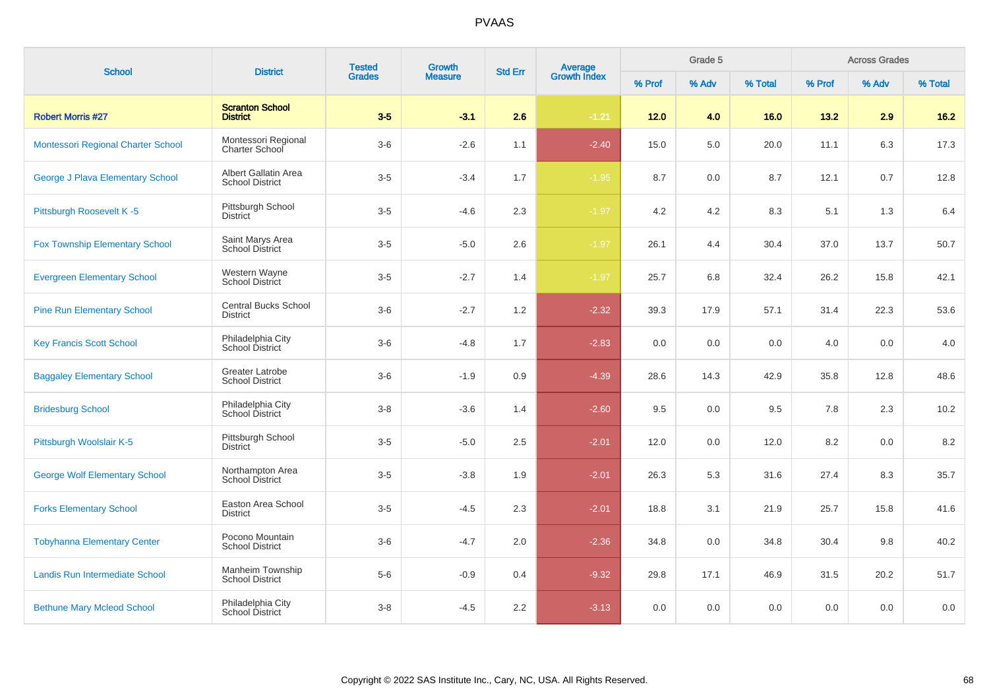| <b>School</b>                         | <b>District</b>                                  | <b>Tested</b><br><b>Grades</b> | Growth         |                |                                |        | Grade 5 |         |        | <b>Across Grades</b> |         |
|---------------------------------------|--------------------------------------------------|--------------------------------|----------------|----------------|--------------------------------|--------|---------|---------|--------|----------------------|---------|
|                                       |                                                  |                                | <b>Measure</b> | <b>Std Err</b> | <b>Average</b><br>Growth Index | % Prof | % Adv   | % Total | % Prof | % Adv                | % Total |
| <b>Robert Morris #27</b>              | <b>Scranton School</b><br><b>District</b>        | $3-5$                          | $-3.1$         | 2.6            | $-1.21$                        | $12.0$ | 4.0     | 16.0    | 13.2   | 2.9                  | $16.2$  |
| Montessori Regional Charter School    | Montessori Regional<br>Charter School            | $3-6$                          | $-2.6$         | 1.1            | $-2.40$                        | 15.0   | 5.0     | 20.0    | 11.1   | 6.3                  | 17.3    |
| George J Plava Elementary School      | Albert Gallatin Area<br><b>School District</b>   | $3-5$                          | $-3.4$         | 1.7            | $-1.95$                        | 8.7    | 0.0     | 8.7     | 12.1   | 0.7                  | 12.8    |
| Pittsburgh Roosevelt K-5              | Pittsburgh School<br><b>District</b>             | $3-5$                          | $-4.6$         | 2.3            | $-1.97$                        | 4.2    | 4.2     | 8.3     | 5.1    | 1.3                  | 6.4     |
| <b>Fox Township Elementary School</b> | Saint Marys Area<br><b>School District</b>       | $3-5$                          | $-5.0$         | 2.6            | $-1.97$                        | 26.1   | 4.4     | 30.4    | 37.0   | 13.7                 | 50.7    |
| <b>Evergreen Elementary School</b>    | Western Wayne<br>School District                 | $3-5$                          | $-2.7$         | 1.4            | $-1.97$                        | 25.7   | 6.8     | 32.4    | 26.2   | 15.8                 | 42.1    |
| <b>Pine Run Elementary School</b>     | <b>Central Bucks School</b><br><b>District</b>   | $3-6$                          | $-2.7$         | 1.2            | $-2.32$                        | 39.3   | 17.9    | 57.1    | 31.4   | 22.3                 | 53.6    |
| <b>Key Francis Scott School</b>       | Philadelphia City<br>School District             | $3-6$                          | $-4.8$         | 1.7            | $-2.83$                        | 0.0    | 0.0     | 0.0     | 4.0    | 0.0                  | 4.0     |
| <b>Baggaley Elementary School</b>     | <b>Greater Latrobe</b><br><b>School District</b> | $3-6$                          | $-1.9$         | 0.9            | $-4.39$                        | 28.6   | 14.3    | 42.9    | 35.8   | 12.8                 | 48.6    |
| <b>Bridesburg School</b>              | Philadelphia City<br>School District             | $3 - 8$                        | $-3.6$         | 1.4            | $-2.60$                        | 9.5    | 0.0     | 9.5     | 7.8    | 2.3                  | 10.2    |
| Pittsburgh Woolslair K-5              | Pittsburgh School<br><b>District</b>             | $3-5$                          | $-5.0$         | 2.5            | $-2.01$                        | 12.0   | 0.0     | 12.0    | 8.2    | 0.0                  | 8.2     |
| <b>George Wolf Elementary School</b>  | Northampton Area<br><b>School District</b>       | $3-5$                          | $-3.8$         | 1.9            | $-2.01$                        | 26.3   | 5.3     | 31.6    | 27.4   | 8.3                  | 35.7    |
| <b>Forks Elementary School</b>        | Easton Area School<br><b>District</b>            | $3-5$                          | $-4.5$         | 2.3            | $-2.01$                        | 18.8   | 3.1     | 21.9    | 25.7   | 15.8                 | 41.6    |
| <b>Tobyhanna Elementary Center</b>    | Pocono Mountain<br><b>School District</b>        | $3-6$                          | $-4.7$         | 2.0            | $-2.36$                        | 34.8   | 0.0     | 34.8    | 30.4   | 9.8                  | 40.2    |
| Landis Run Intermediate School        | Manheim Township<br><b>School District</b>       | $5-6$                          | $-0.9$         | 0.4            | $-9.32$                        | 29.8   | 17.1    | 46.9    | 31.5   | 20.2                 | 51.7    |
| <b>Bethune Mary Mcleod School</b>     | Philadelphia City<br>School District             | $3-8$                          | $-4.5$         | 2.2            | $-3.13$                        | 0.0    | 0.0     | 0.0     | 0.0    | 0.0                  | 0.0     |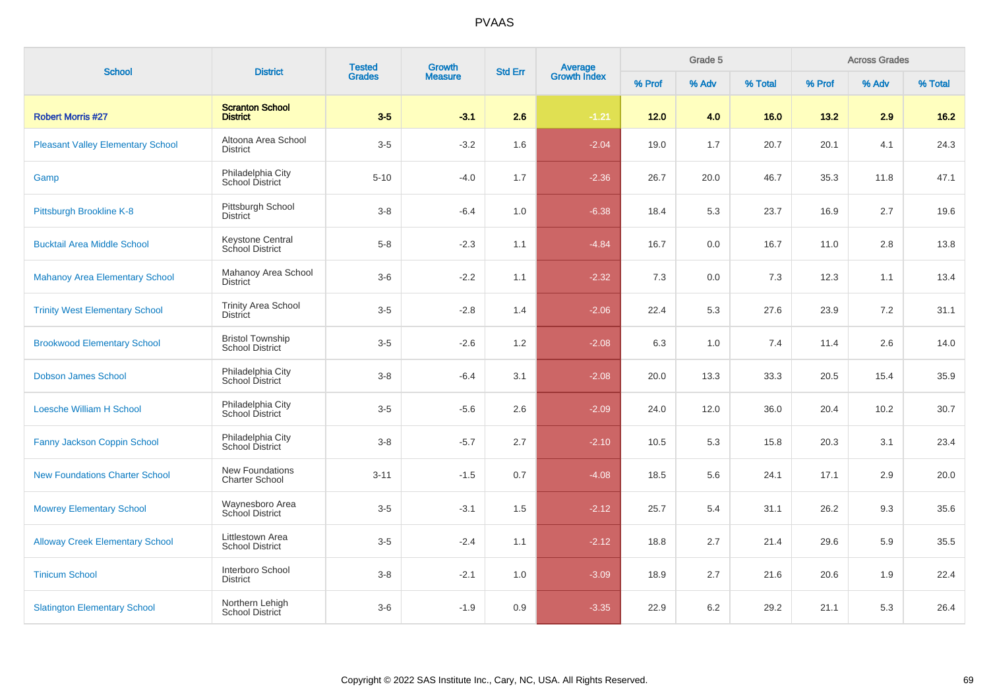| <b>School</b>                            | <b>District</b>                                   | <b>Tested</b> | Growth         | <b>Std Err</b> | <b>Average</b><br>Growth Index |        | Grade 5 |         |        | <b>Across Grades</b> |         |
|------------------------------------------|---------------------------------------------------|---------------|----------------|----------------|--------------------------------|--------|---------|---------|--------|----------------------|---------|
|                                          |                                                   | <b>Grades</b> | <b>Measure</b> |                |                                | % Prof | % Adv   | % Total | % Prof | % Adv                | % Total |
| <b>Robert Morris #27</b>                 | <b>Scranton School</b><br><b>District</b>         | $3-5$         | $-3.1$         | 2.6            | $-1.21$                        | $12.0$ | 4.0     | 16.0    | 13.2   | 2.9                  | $16.2$  |
| <b>Pleasant Valley Elementary School</b> | Altoona Area School<br><b>District</b>            | $3-5$         | $-3.2$         | 1.6            | $-2.04$                        | 19.0   | 1.7     | 20.7    | 20.1   | 4.1                  | 24.3    |
| Gamp                                     | Philadelphia City<br><b>School District</b>       | $5 - 10$      | $-4.0$         | 1.7            | $-2.36$                        | 26.7   | 20.0    | 46.7    | 35.3   | 11.8                 | 47.1    |
| Pittsburgh Brookline K-8                 | Pittsburgh School<br><b>District</b>              | $3 - 8$       | $-6.4$         | 1.0            | $-6.38$                        | 18.4   | 5.3     | 23.7    | 16.9   | 2.7                  | 19.6    |
| <b>Bucktail Area Middle School</b>       | <b>Keystone Central</b><br>School District        | $5-8$         | $-2.3$         | 1.1            | $-4.84$                        | 16.7   | 0.0     | 16.7    | 11.0   | 2.8                  | 13.8    |
| <b>Mahanoy Area Elementary School</b>    | Mahanoy Area School<br><b>District</b>            | $3-6$         | $-2.2$         | 1.1            | $-2.32$                        | 7.3    | 0.0     | 7.3     | 12.3   | 1.1                  | 13.4    |
| <b>Trinity West Elementary School</b>    | <b>Trinity Area School</b><br><b>District</b>     | $3-5$         | $-2.8$         | 1.4            | $-2.06$                        | 22.4   | 5.3     | 27.6    | 23.9   | 7.2                  | 31.1    |
| <b>Brookwood Elementary School</b>       | <b>Bristol Township</b><br><b>School District</b> | $3-5$         | $-2.6$         | 1.2            | $-2.08$                        | 6.3    | 1.0     | 7.4     | 11.4   | 2.6                  | 14.0    |
| <b>Dobson James School</b>               | Philadelphia City<br>School District              | $3 - 8$       | $-6.4$         | 3.1            | $-2.08$                        | 20.0   | 13.3    | 33.3    | 20.5   | 15.4                 | 35.9    |
| <b>Loesche William H School</b>          | Philadelphia City<br>School District              | $3-5$         | $-5.6$         | 2.6            | $-2.09$                        | 24.0   | 12.0    | 36.0    | 20.4   | 10.2                 | 30.7    |
| Fanny Jackson Coppin School              | Philadelphia City<br>School District              | $3 - 8$       | $-5.7$         | 2.7            | $-2.10$                        | 10.5   | 5.3     | 15.8    | 20.3   | 3.1                  | 23.4    |
| <b>New Foundations Charter School</b>    | New Foundations<br><b>Charter School</b>          | $3 - 11$      | $-1.5$         | 0.7            | $-4.08$                        | 18.5   | 5.6     | 24.1    | 17.1   | 2.9                  | 20.0    |
| <b>Mowrey Elementary School</b>          | Waynesboro Area<br>School District                | $3-5$         | $-3.1$         | 1.5            | $-2.12$                        | 25.7   | 5.4     | 31.1    | 26.2   | 9.3                  | 35.6    |
| <b>Alloway Creek Elementary School</b>   | Littlestown Area<br><b>School District</b>        | $3-5$         | $-2.4$         | 1.1            | $-2.12$                        | 18.8   | 2.7     | 21.4    | 29.6   | 5.9                  | 35.5    |
| <b>Tinicum School</b>                    | Interboro School<br>District                      | $3 - 8$       | $-2.1$         | 1.0            | $-3.09$                        | 18.9   | 2.7     | 21.6    | 20.6   | 1.9                  | 22.4    |
| <b>Slatington Elementary School</b>      | Northern Lehigh<br>School District                | $3-6$         | $-1.9$         | 0.9            | $-3.35$                        | 22.9   | 6.2     | 29.2    | 21.1   | 5.3                  | 26.4    |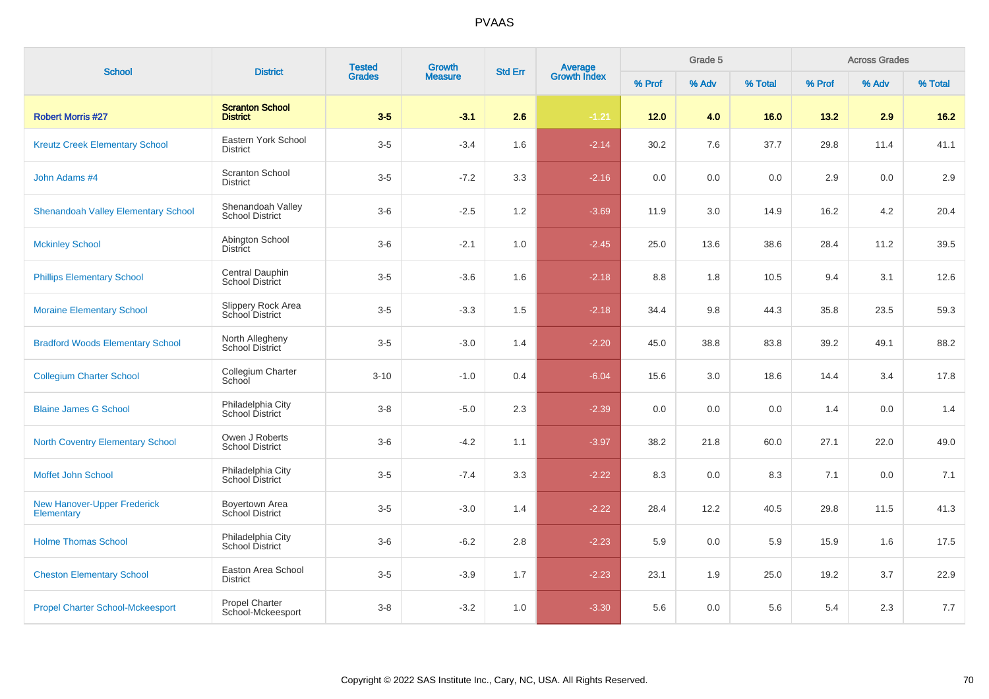| <b>School</b>                                    | <b>District</b>                             | <b>Tested</b>          | Growth         | <b>Std Err</b> | <b>Average</b><br>Growth Index |        | Grade 5 |         |        | <b>Across Grades</b> |         |
|--------------------------------------------------|---------------------------------------------|------------------------|----------------|----------------|--------------------------------|--------|---------|---------|--------|----------------------|---------|
|                                                  |                                             | <b>Grades</b><br>$3-5$ | <b>Measure</b> |                |                                | % Prof | % Adv   | % Total | % Prof | % Adv                | % Total |
| <b>Robert Morris #27</b>                         | <b>Scranton School</b><br><b>District</b>   |                        | $-3.1$         | 2.6            | $-1.21$                        | $12.0$ | 4.0     | 16.0    | 13.2   | 2.9                  | $16.2$  |
| <b>Kreutz Creek Elementary School</b>            | Eastern York School<br><b>District</b>      | $3-5$                  | $-3.4$         | 1.6            | $-2.14$                        | 30.2   | 7.6     | 37.7    | 29.8   | 11.4                 | 41.1    |
| John Adams #4                                    | <b>Scranton School</b><br><b>District</b>   | $3-5$                  | $-7.2$         | 3.3            | $-2.16$                        | 0.0    | 0.0     | 0.0     | 2.9    | 0.0                  | 2.9     |
| <b>Shenandoah Valley Elementary School</b>       | Shenandoah Valley<br><b>School District</b> | $3-6$                  | $-2.5$         | 1.2            | $-3.69$                        | 11.9   | 3.0     | 14.9    | 16.2   | 4.2                  | 20.4    |
| <b>Mckinley School</b>                           | Abington School<br><b>District</b>          | $3-6$                  | $-2.1$         | 1.0            | $-2.45$                        | 25.0   | 13.6    | 38.6    | 28.4   | 11.2                 | 39.5    |
| <b>Phillips Elementary School</b>                | Central Dauphin<br>School District          | $3-5$                  | $-3.6$         | 1.6            | $-2.18$                        | 8.8    | 1.8     | 10.5    | 9.4    | 3.1                  | 12.6    |
| <b>Moraine Elementary School</b>                 | Slippery Rock Area<br>School District       | $3-5$                  | $-3.3$         | 1.5            | $-2.18$                        | 34.4   | 9.8     | 44.3    | 35.8   | 23.5                 | 59.3    |
| <b>Bradford Woods Elementary School</b>          | North Allegheny<br><b>School District</b>   | $3-5$                  | $-3.0$         | 1.4            | $-2.20$                        | 45.0   | 38.8    | 83.8    | 39.2   | 49.1                 | 88.2    |
| <b>Collegium Charter School</b>                  | Collegium Charter<br>School                 | $3 - 10$               | $-1.0$         | 0.4            | $-6.04$                        | 15.6   | 3.0     | 18.6    | 14.4   | 3.4                  | 17.8    |
| <b>Blaine James G School</b>                     | Philadelphia City<br>School District        | $3 - 8$                | $-5.0$         | 2.3            | $-2.39$                        | 0.0    | 0.0     | 0.0     | 1.4    | 0.0                  | 1.4     |
| <b>North Coventry Elementary School</b>          | Owen J Roberts<br><b>School District</b>    | $3-6$                  | $-4.2$         | 1.1            | $-3.97$                        | 38.2   | 21.8    | 60.0    | 27.1   | 22.0                 | 49.0    |
| Moffet John School                               | Philadelphia City<br>School District        | $3-5$                  | $-7.4$         | 3.3            | $-2.22$                        | 8.3    | 0.0     | 8.3     | 7.1    | 0.0                  | 7.1     |
| <b>New Hanover-Upper Frederick</b><br>Elementary | Boyertown Area<br>School District           | $3-5$                  | $-3.0$         | 1.4            | $-2.22$                        | 28.4   | 12.2    | 40.5    | 29.8   | 11.5                 | 41.3    |
| <b>Holme Thomas School</b>                       | Philadelphia City<br>School District        | $3-6$                  | $-6.2$         | 2.8            | $-2.23$                        | 5.9    | 0.0     | 5.9     | 15.9   | 1.6                  | 17.5    |
| <b>Cheston Elementary School</b>                 | Easton Area School<br><b>District</b>       | $3-5$                  | $-3.9$         | 1.7            | $-2.23$                        | 23.1   | 1.9     | 25.0    | 19.2   | 3.7                  | 22.9    |
| <b>Propel Charter School-Mckeesport</b>          | Propel Charter<br>School-Mckeesport         | $3 - 8$                | $-3.2$         | 1.0            | $-3.30$                        | 5.6    | 0.0     | 5.6     | 5.4    | 2.3                  | $7.7$   |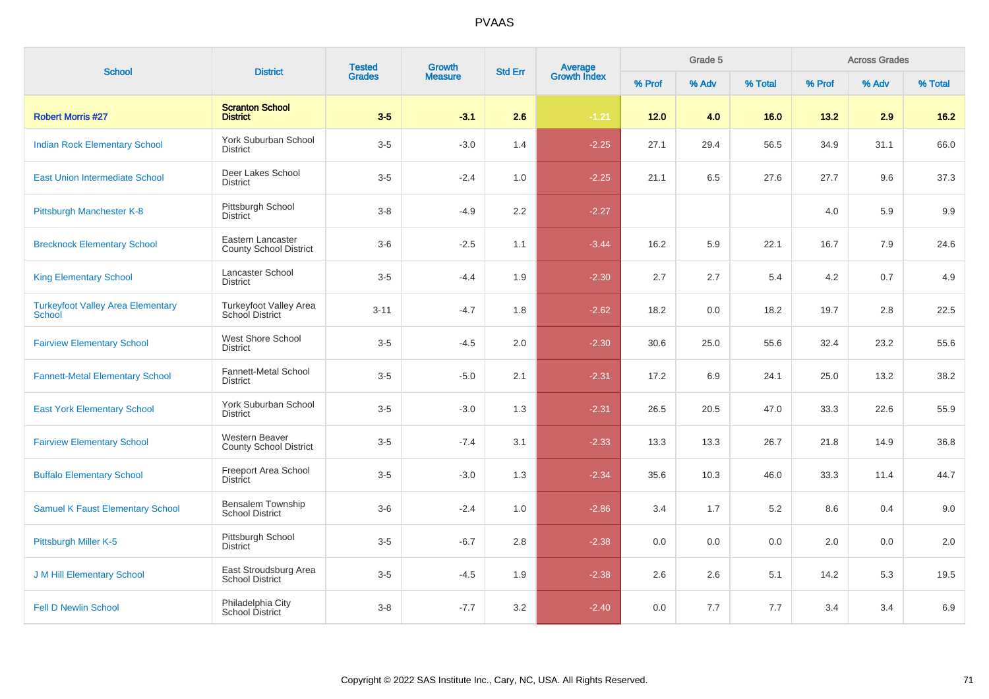| <b>School</b>                                      | <b>District</b>                                        | <b>Tested</b> | Growth         | <b>Std Err</b> | Average<br>Growth Index |        | Grade 5 |         |        | <b>Across Grades</b> |         |
|----------------------------------------------------|--------------------------------------------------------|---------------|----------------|----------------|-------------------------|--------|---------|---------|--------|----------------------|---------|
|                                                    |                                                        | <b>Grades</b> | <b>Measure</b> |                |                         | % Prof | % Adv   | % Total | % Prof | % Adv                | % Total |
| <b>Robert Morris #27</b>                           | <b>Scranton School</b><br><b>District</b>              | $3-5$         | $-3.1$         | 2.6            | $-1.21$                 | $12.0$ | 4.0     | 16.0    | 13.2   | 2.9                  | $16.2$  |
| <b>Indian Rock Elementary School</b>               | York Suburban School<br><b>District</b>                | $3-5$         | $-3.0$         | 1.4            | $-2.25$                 | 27.1   | 29.4    | 56.5    | 34.9   | 31.1                 | 66.0    |
| <b>East Union Intermediate School</b>              | Deer Lakes School<br><b>District</b>                   | $3-5$         | $-2.4$         | 1.0            | $-2.25$                 | 21.1   | 6.5     | 27.6    | 27.7   | 9.6                  | 37.3    |
| Pittsburgh Manchester K-8                          | Pittsburgh School<br><b>District</b>                   | $3 - 8$       | $-4.9$         | 2.2            | $-2.27$                 |        |         |         | 4.0    | 5.9                  | 9.9     |
| <b>Brecknock Elementary School</b>                 | Eastern Lancaster<br><b>County School District</b>     | $3-6$         | $-2.5$         | 1.1            | $-3.44$                 | 16.2   | 5.9     | 22.1    | 16.7   | 7.9                  | 24.6    |
| <b>King Elementary School</b>                      | Lancaster School<br><b>District</b>                    | $3-5$         | $-4.4$         | 1.9            | $-2.30$                 | 2.7    | 2.7     | 5.4     | 4.2    | 0.7                  | 4.9     |
| <b>Turkeyfoot Valley Area Elementary</b><br>School | Turkeyfoot Valley Area<br>School District              | $3 - 11$      | $-4.7$         | 1.8            | $-2.62$                 | 18.2   | 0.0     | 18.2    | 19.7   | 2.8                  | 22.5    |
| <b>Fairview Elementary School</b>                  | <b>West Shore School</b><br><b>District</b>            | $3-5$         | $-4.5$         | 2.0            | $-2.30$                 | 30.6   | 25.0    | 55.6    | 32.4   | 23.2                 | 55.6    |
| <b>Fannett-Metal Elementary School</b>             | Fannett-Metal School<br><b>District</b>                | $3-5$         | $-5.0$         | 2.1            | $-2.31$                 | 17.2   | 6.9     | 24.1    | 25.0   | 13.2                 | 38.2    |
| <b>East York Elementary School</b>                 | York Suburban School<br><b>District</b>                | $3-5$         | $-3.0$         | 1.3            | $-2.31$                 | 26.5   | 20.5    | 47.0    | 33.3   | 22.6                 | 55.9    |
| <b>Fairview Elementary School</b>                  | <b>Western Beaver</b><br><b>County School District</b> | $3-5$         | $-7.4$         | 3.1            | $-2.33$                 | 13.3   | 13.3    | 26.7    | 21.8   | 14.9                 | 36.8    |
| <b>Buffalo Elementary School</b>                   | Freeport Area School<br><b>District</b>                | $3-5$         | $-3.0$         | 1.3            | $-2.34$                 | 35.6   | 10.3    | 46.0    | 33.3   | 11.4                 | 44.7    |
| <b>Samuel K Faust Elementary School</b>            | <b>Bensalem Township</b><br><b>School District</b>     | $3-6$         | $-2.4$         | 1.0            | $-2.86$                 | 3.4    | 1.7     | 5.2     | 8.6    | 0.4                  | 9.0     |
| Pittsburgh Miller K-5                              | Pittsburgh School<br><b>District</b>                   | $3-5$         | $-6.7$         | 2.8            | $-2.38$                 | 0.0    | 0.0     | 0.0     | 2.0    | 0.0                  | 2.0     |
| <b>J M Hill Elementary School</b>                  | East Stroudsburg Area<br><b>School District</b>        | $3-5$         | $-4.5$         | 1.9            | $-2.38$                 | 2.6    | 2.6     | 5.1     | 14.2   | 5.3                  | 19.5    |
| <b>Fell D Newlin School</b>                        | Philadelphia City<br>School District                   | $3 - 8$       | $-7.7$         | 3.2            | $-2.40$                 | 0.0    | 7.7     | 7.7     | 3.4    | 3.4                  | 6.9     |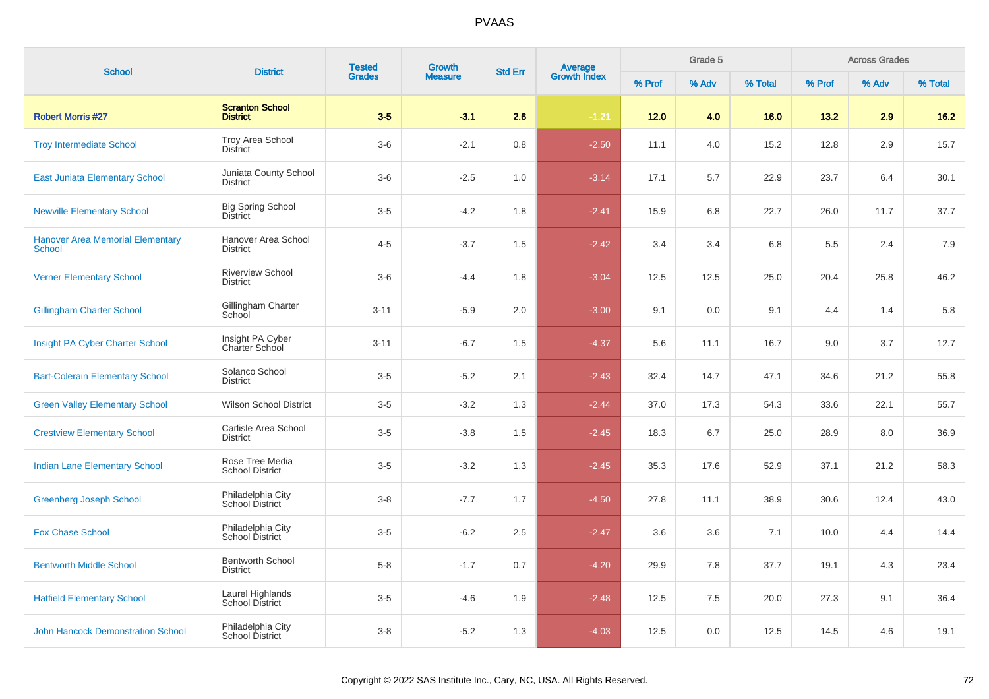| <b>School</b>                                            | <b>District</b>                             | <b>Tested</b><br><b>Grades</b> | <b>Growth</b>  | <b>Std Err</b> |                                |        | Grade 5 |         |        | <b>Across Grades</b> |         |
|----------------------------------------------------------|---------------------------------------------|--------------------------------|----------------|----------------|--------------------------------|--------|---------|---------|--------|----------------------|---------|
|                                                          |                                             |                                | <b>Measure</b> |                | <b>Average</b><br>Growth Index | % Prof | % Adv   | % Total | % Prof | % Adv                | % Total |
| <b>Robert Morris #27</b>                                 | <b>Scranton School</b><br><b>District</b>   | $3-5$                          | $-3.1$         | 2.6            | $-1.21$                        | 12.0   | 4.0     | 16.0    | 13.2   | 2.9                  | $16.2$  |
| <b>Troy Intermediate School</b>                          | <b>Troy Area School</b><br><b>District</b>  | $3-6$                          | $-2.1$         | 0.8            | $-2.50$                        | 11.1   | 4.0     | 15.2    | 12.8   | 2.9                  | 15.7    |
| <b>East Juniata Elementary School</b>                    | Juniata County School<br><b>District</b>    | $3-6$                          | $-2.5$         | 1.0            | $-3.14$                        | 17.1   | 5.7     | 22.9    | 23.7   | 6.4                  | 30.1    |
| <b>Newville Elementary School</b>                        | <b>Big Spring School</b><br><b>District</b> | $3-5$                          | $-4.2$         | 1.8            | $-2.41$                        | 15.9   | 6.8     | 22.7    | 26.0   | 11.7                 | 37.7    |
| <b>Hanover Area Memorial Elementary</b><br><b>School</b> | Hanover Area School<br><b>District</b>      | $4 - 5$                        | $-3.7$         | 1.5            | $-2.42$                        | 3.4    | 3.4     | 6.8     | 5.5    | 2.4                  | 7.9     |
| <b>Verner Elementary School</b>                          | <b>Riverview School</b><br><b>District</b>  | $3-6$                          | $-4.4$         | 1.8            | $-3.04$                        | 12.5   | 12.5    | 25.0    | 20.4   | 25.8                 | 46.2    |
| <b>Gillingham Charter School</b>                         | Gillingham Charter<br>School                | $3 - 11$                       | $-5.9$         | 2.0            | $-3.00$                        | 9.1    | 0.0     | 9.1     | 4.4    | 1.4                  | 5.8     |
| Insight PA Cyber Charter School                          | Insight PA Cyber<br>Charter School          | $3 - 11$                       | $-6.7$         | 1.5            | $-4.37$                        | 5.6    | 11.1    | 16.7    | 9.0    | 3.7                  | 12.7    |
| <b>Bart-Colerain Elementary School</b>                   | Solanco School<br><b>District</b>           | $3-5$                          | $-5.2$         | 2.1            | $-2.43$                        | 32.4   | 14.7    | 47.1    | 34.6   | 21.2                 | 55.8    |
| <b>Green Valley Elementary School</b>                    | <b>Wilson School District</b>               | $3-5$                          | $-3.2$         | 1.3            | $-2.44$                        | 37.0   | 17.3    | 54.3    | 33.6   | 22.1                 | 55.7    |
| <b>Crestview Elementary School</b>                       | Carlisle Area School<br><b>District</b>     | $3-5$                          | $-3.8$         | 1.5            | $-2.45$                        | 18.3   | 6.7     | 25.0    | 28.9   | 8.0                  | 36.9    |
| <b>Indian Lane Elementary School</b>                     | Rose Tree Media<br><b>School District</b>   | $3-5$                          | $-3.2$         | 1.3            | $-2.45$                        | 35.3   | 17.6    | 52.9    | 37.1   | 21.2                 | 58.3    |
| <b>Greenberg Joseph School</b>                           | Philadelphia City<br>School District        | $3 - 8$                        | $-7.7$         | 1.7            | $-4.50$                        | 27.8   | 11.1    | 38.9    | 30.6   | 12.4                 | 43.0    |
| <b>Fox Chase School</b>                                  | Philadelphia City<br>School District        | $3-5$                          | $-6.2$         | 2.5            | $-2.47$                        | 3.6    | 3.6     | 7.1     | 10.0   | 4.4                  | 14.4    |
| <b>Bentworth Middle School</b>                           | <b>Bentworth School</b><br><b>District</b>  | $5 - 8$                        | $-1.7$         | 0.7            | $-4.20$                        | 29.9   | 7.8     | 37.7    | 19.1   | 4.3                  | 23.4    |
| <b>Hatfield Elementary School</b>                        | Laurel Highlands<br>School District         | $3-5$                          | $-4.6$         | 1.9            | $-2.48$                        | 12.5   | 7.5     | 20.0    | 27.3   | 9.1                  | 36.4    |
| <b>John Hancock Demonstration School</b>                 | Philadelphia City<br>School District        | $3 - 8$                        | $-5.2$         | 1.3            | $-4.03$                        | 12.5   | 0.0     | 12.5    | 14.5   | 4.6                  | 19.1    |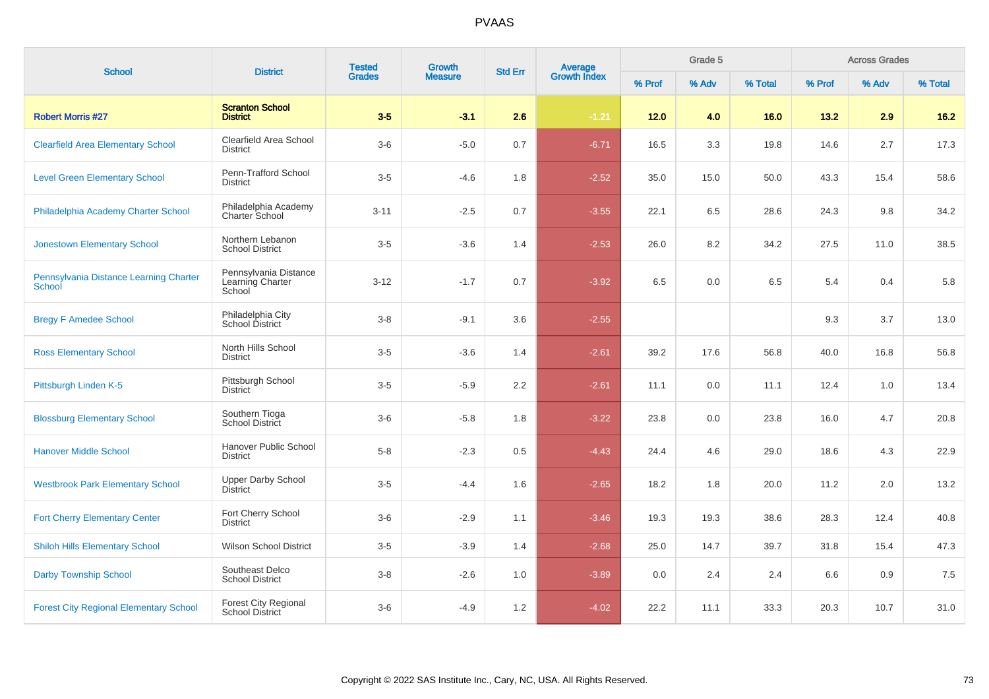| <b>School</b>                                    | <b>District</b>                                       | <b>Tested</b><br>Growth<br><b>Grades</b><br><b>Measure</b> | <b>Std Err</b> | Grade 5<br><b>Average</b><br>Growth Index |         |        |       | <b>Across Grades</b> |        |       |         |
|--------------------------------------------------|-------------------------------------------------------|------------------------------------------------------------|----------------|-------------------------------------------|---------|--------|-------|----------------------|--------|-------|---------|
|                                                  |                                                       |                                                            |                |                                           |         | % Prof | % Adv | % Total              | % Prof | % Adv | % Total |
| <b>Robert Morris #27</b>                         | <b>Scranton School</b><br><b>District</b>             | $3-5$                                                      | $-3.1$         | 2.6                                       | $-1.21$ | $12.0$ | 4.0   | 16.0                 | 13.2   | 2.9   | $16.2$  |
| <b>Clearfield Area Elementary School</b>         | Clearfield Area School<br><b>District</b>             | $3-6$                                                      | $-5.0$         | 0.7                                       | $-6.71$ | 16.5   | 3.3   | 19.8                 | 14.6   | 2.7   | 17.3    |
| <b>Level Green Elementary School</b>             | Penn-Trafford School<br><b>District</b>               | $3-5$                                                      | $-4.6$         | 1.8                                       | $-2.52$ | 35.0   | 15.0  | 50.0                 | 43.3   | 15.4  | 58.6    |
| Philadelphia Academy Charter School              | Philadelphia Academy<br><b>Charter School</b>         | $3 - 11$                                                   | $-2.5$         | 0.7                                       | $-3.55$ | 22.1   | 6.5   | 28.6                 | 24.3   | 9.8   | 34.2    |
| <b>Jonestown Elementary School</b>               | Northern Lebanon<br><b>School District</b>            | $3 - 5$                                                    | $-3.6$         | 1.4                                       | $-2.53$ | 26.0   | 8.2   | 34.2                 | 27.5   | 11.0  | 38.5    |
| Pennsylvania Distance Learning Charter<br>School | Pennsylvania Distance<br>Learning Charter<br>School   | $3 - 12$                                                   | $-1.7$         | 0.7                                       | $-3.92$ | 6.5    | 0.0   | 6.5                  | 5.4    | 0.4   | 5.8     |
| <b>Bregy F Amedee School</b>                     | Philadelphia City<br>School District                  | $3-8$                                                      | $-9.1$         | 3.6                                       | $-2.55$ |        |       |                      | 9.3    | 3.7   | 13.0    |
| <b>Ross Elementary School</b>                    | North Hills School<br><b>District</b>                 | $3-5$                                                      | $-3.6$         | 1.4                                       | $-2.61$ | 39.2   | 17.6  | 56.8                 | 40.0   | 16.8  | 56.8    |
| Pittsburgh Linden K-5                            | Pittsburgh School<br><b>District</b>                  | $3-5$                                                      | $-5.9$         | 2.2                                       | $-2.61$ | 11.1   | 0.0   | 11.1                 | 12.4   | 1.0   | 13.4    |
| <b>Blossburg Elementary School</b>               | Southern Tioga<br>School District                     | $3-6$                                                      | $-5.8$         | 1.8                                       | $-3.22$ | 23.8   | 0.0   | 23.8                 | 16.0   | 4.7   | 20.8    |
| <b>Hanover Middle School</b>                     | Hanover Public School<br><b>District</b>              | $5-8$                                                      | $-2.3$         | 0.5                                       | $-4.43$ | 24.4   | 4.6   | 29.0                 | 18.6   | 4.3   | 22.9    |
| <b>Westbrook Park Elementary School</b>          | <b>Upper Darby School</b><br><b>District</b>          | $3-5$                                                      | $-4.4$         | 1.6                                       | $-2.65$ | 18.2   | 1.8   | 20.0                 | 11.2   | 2.0   | 13.2    |
| <b>Fort Cherry Elementary Center</b>             | Fort Cherry School<br><b>District</b>                 | $3-6$                                                      | $-2.9$         | 1.1                                       | $-3.46$ | 19.3   | 19.3  | 38.6                 | 28.3   | 12.4  | 40.8    |
| <b>Shiloh Hills Elementary School</b>            | <b>Wilson School District</b>                         | $3-5$                                                      | $-3.9$         | 1.4                                       | $-2.68$ | 25.0   | 14.7  | 39.7                 | 31.8   | 15.4  | 47.3    |
| <b>Darby Township School</b>                     | Southeast Delco<br><b>School District</b>             | $3-8$                                                      | $-2.6$         | 1.0                                       | $-3.89$ | 0.0    | 2.4   | 2.4                  | 6.6    | 0.9   | 7.5     |
| <b>Forest City Regional Elementary School</b>    | <b>Forest City Regional</b><br><b>School District</b> | $3-6$                                                      | $-4.9$         | 1.2                                       | $-4.02$ | 22.2   | 11.1  | 33.3                 | 20.3   | 10.7  | 31.0    |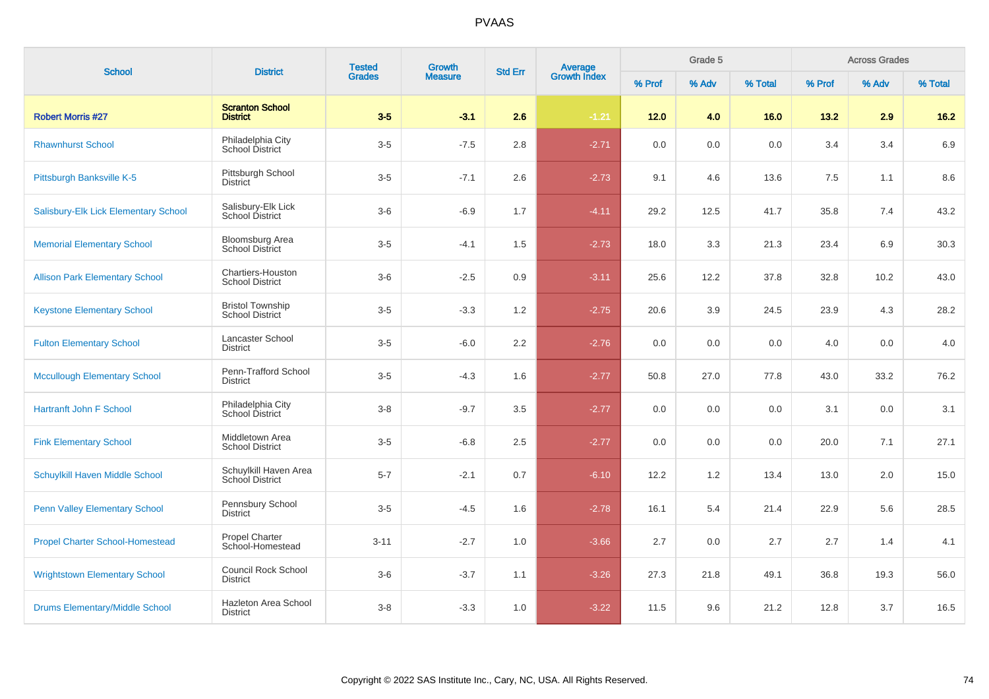| <b>School</b>                          | <b>District</b>                                   | <b>Tested</b><br><b>Grades</b> | Growth         | <b>Std Err</b> |                                |        | Grade 5 |         |        | <b>Across Grades</b> |         |
|----------------------------------------|---------------------------------------------------|--------------------------------|----------------|----------------|--------------------------------|--------|---------|---------|--------|----------------------|---------|
|                                        |                                                   |                                | <b>Measure</b> |                | <b>Average</b><br>Growth Index | % Prof | % Adv   | % Total | % Prof | % Adv                | % Total |
| <b>Robert Morris #27</b>               | <b>Scranton School</b><br><b>District</b>         | $3-5$                          | $-3.1$         | 2.6            | $-1.21$                        | $12.0$ | 4.0     | 16.0    | 13.2   | 2.9                  | $16.2$  |
| <b>Rhawnhurst School</b>               | Philadelphia City<br>School District              | $3-5$                          | $-7.5$         | 2.8            | $-2.71$                        | 0.0    | 0.0     | 0.0     | 3.4    | 3.4                  | 6.9     |
| Pittsburgh Banksville K-5              | Pittsburgh School<br><b>District</b>              | $3-5$                          | $-7.1$         | 2.6            | $-2.73$                        | 9.1    | 4.6     | 13.6    | 7.5    | 1.1                  | 8.6     |
| Salisbury-Elk Lick Elementary School   | Salisbury-Elk Lick<br>School District             | $3-6$                          | $-6.9$         | 1.7            | $-4.11$                        | 29.2   | 12.5    | 41.7    | 35.8   | 7.4                  | 43.2    |
| <b>Memorial Elementary School</b>      | <b>Bloomsburg Area</b><br><b>School District</b>  | $3-5$                          | $-4.1$         | 1.5            | $-2.73$                        | 18.0   | 3.3     | 21.3    | 23.4   | 6.9                  | 30.3    |
| <b>Allison Park Elementary School</b>  | Chartiers-Houston<br><b>School District</b>       | $3-6$                          | $-2.5$         | 0.9            | $-3.11$                        | 25.6   | 12.2    | 37.8    | 32.8   | 10.2                 | 43.0    |
| <b>Keystone Elementary School</b>      | <b>Bristol Township</b><br><b>School District</b> | $3-5$                          | $-3.3$         | 1.2            | $-2.75$                        | 20.6   | 3.9     | 24.5    | 23.9   | 4.3                  | 28.2    |
| <b>Fulton Elementary School</b>        | Lancaster School<br><b>District</b>               | $3-5$                          | $-6.0$         | 2.2            | $-2.76$                        | 0.0    | 0.0     | 0.0     | 4.0    | 0.0                  | 4.0     |
| <b>Mccullough Elementary School</b>    | Penn-Trafford School<br><b>District</b>           | $3-5$                          | $-4.3$         | 1.6            | $-2.77$                        | 50.8   | 27.0    | 77.8    | 43.0   | 33.2                 | 76.2    |
| <b>Hartranft John F School</b>         | Philadelphia City<br>School District              | $3-8$                          | $-9.7$         | 3.5            | $-2.77$                        | 0.0    | 0.0     | 0.0     | 3.1    | 0.0                  | 3.1     |
| <b>Fink Elementary School</b>          | Middletown Area<br><b>School District</b>         | $3-5$                          | $-6.8$         | 2.5            | $-2.77$                        | 0.0    | 0.0     | 0.0     | 20.0   | 7.1                  | 27.1    |
| Schuylkill Haven Middle School         | Schuylkill Haven Area<br>School District          | $5 - 7$                        | $-2.1$         | 0.7            | $-6.10$                        | 12.2   | 1.2     | 13.4    | 13.0   | 2.0                  | 15.0    |
| <b>Penn Valley Elementary School</b>   | Pennsbury School<br><b>District</b>               | $3-5$                          | $-4.5$         | 1.6            | $-2.78$                        | 16.1   | 5.4     | 21.4    | 22.9   | 5.6                  | 28.5    |
| <b>Propel Charter School-Homestead</b> | Propel Charter<br>School-Homestead                | $3 - 11$                       | $-2.7$         | 1.0            | $-3.66$                        | 2.7    | 0.0     | 2.7     | 2.7    | 1.4                  | 4.1     |
| <b>Wrightstown Elementary School</b>   | <b>Council Rock School</b><br><b>District</b>     | $3-6$                          | $-3.7$         | 1.1            | $-3.26$                        | 27.3   | 21.8    | 49.1    | 36.8   | 19.3                 | 56.0    |
| <b>Drums Elementary/Middle School</b>  | Hazleton Area School<br><b>District</b>           | $3 - 8$                        | $-3.3$         | 1.0            | $-3.22$                        | 11.5   | 9.6     | 21.2    | 12.8   | 3.7                  | 16.5    |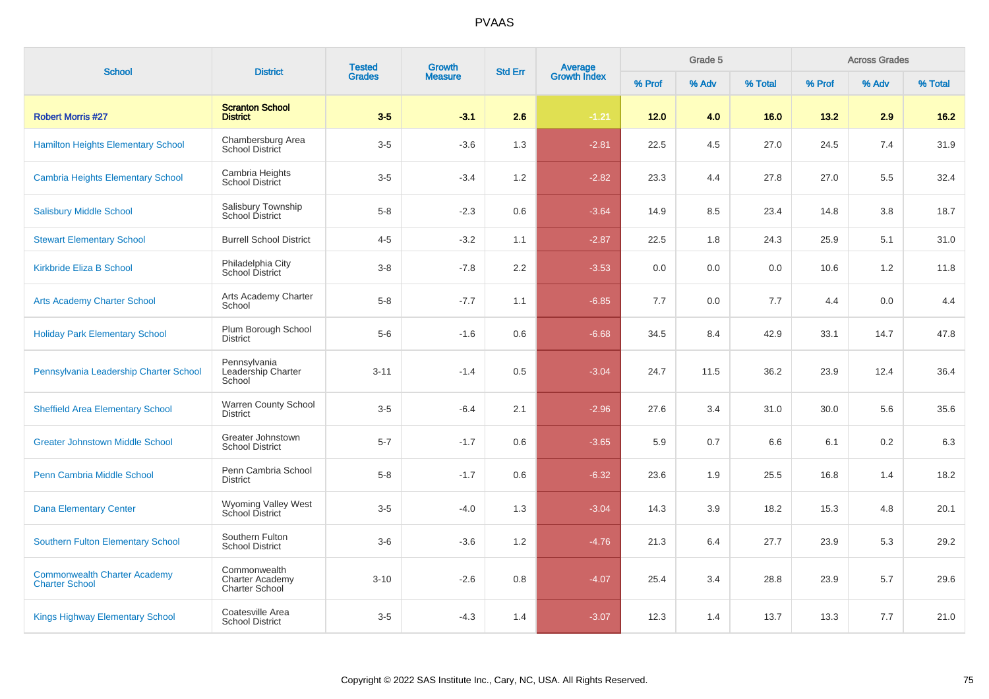| <b>School</b>                                                | <b>District</b>                                                 | <b>Tested</b> | <b>Growth</b>  | <b>Std Err</b>   |                         |        | Grade 5 |         |        | <b>Across Grades</b> |         |
|--------------------------------------------------------------|-----------------------------------------------------------------|---------------|----------------|------------------|-------------------------|--------|---------|---------|--------|----------------------|---------|
|                                                              |                                                                 | <b>Grades</b> | <b>Measure</b> |                  | Average<br>Growth Index | % Prof | % Adv   | % Total | % Prof | % Adv                | % Total |
| <b>Robert Morris #27</b>                                     | <b>Scranton School</b><br><b>District</b>                       | $3-5$         | $-3.1$         | 2.6              | $-1.21$                 | 12.0   | 4.0     | 16.0    | 13.2   | 2.9                  | 16.2    |
| <b>Hamilton Heights Elementary School</b>                    | Chambersburg Area<br><b>School District</b>                     | $3-5$         | $-3.6$         | 1.3              | $-2.81$                 | 22.5   | 4.5     | 27.0    | 24.5   | 7.4                  | 31.9    |
| <b>Cambria Heights Elementary School</b>                     | Cambria Heights<br><b>School District</b>                       | $3-5$         | $-3.4$         | 1.2              | $-2.82$                 | 23.3   | 4.4     | 27.8    | 27.0   | 5.5                  | 32.4    |
| <b>Salisbury Middle School</b>                               | Salisbury Township<br>School District                           | $5-8$         | $-2.3$         | 0.6              | $-3.64$                 | 14.9   | 8.5     | 23.4    | 14.8   | 3.8                  | 18.7    |
| <b>Stewart Elementary School</b>                             | <b>Burrell School District</b>                                  | $4 - 5$       | $-3.2$         | 1.1              | $-2.87$                 | 22.5   | 1.8     | 24.3    | 25.9   | 5.1                  | 31.0    |
| <b>Kirkbride Eliza B School</b>                              | Philadelphia City<br>School District                            | $3 - 8$       | $-7.8$         | $2.2\phantom{0}$ | $-3.53$                 | 0.0    | 0.0     | 0.0     | 10.6   | 1.2                  | 11.8    |
| <b>Arts Academy Charter School</b>                           | Arts Academy Charter<br>School                                  | $5 - 8$       | $-7.7$         | 1.1              | $-6.85$                 | 7.7    | 0.0     | 7.7     | 4.4    | 0.0                  | 4.4     |
| <b>Holiday Park Elementary School</b>                        | Plum Borough School<br><b>District</b>                          | $5-6$         | $-1.6$         | 0.6              | $-6.68$                 | 34.5   | 8.4     | 42.9    | 33.1   | 14.7                 | 47.8    |
| Pennsylvania Leadership Charter School                       | Pennsylvania<br>Leadership Charter<br>School                    | $3 - 11$      | $-1.4$         | 0.5              | $-3.04$                 | 24.7   | 11.5    | 36.2    | 23.9   | 12.4                 | 36.4    |
| <b>Sheffield Area Elementary School</b>                      | <b>Warren County School</b><br><b>District</b>                  | $3-5$         | $-6.4$         | 2.1              | $-2.96$                 | 27.6   | 3.4     | 31.0    | 30.0   | 5.6                  | 35.6    |
| <b>Greater Johnstown Middle School</b>                       | Greater Johnstown<br><b>School District</b>                     | $5 - 7$       | $-1.7$         | 0.6              | $-3.65$                 | 5.9    | 0.7     | 6.6     | 6.1    | 0.2                  | 6.3     |
| Penn Cambria Middle School                                   | Penn Cambria School<br><b>District</b>                          | $5 - 8$       | $-1.7$         | 0.6              | $-6.32$                 | 23.6   | 1.9     | 25.5    | 16.8   | 1.4                  | 18.2    |
| <b>Dana Elementary Center</b>                                | Wyoming Valley West<br>School District                          | $3-5$         | $-4.0$         | 1.3              | $-3.04$                 | 14.3   | 3.9     | 18.2    | 15.3   | 4.8                  | 20.1    |
| <b>Southern Fulton Elementary School</b>                     | Southern Fulton<br><b>School District</b>                       | $3-6$         | $-3.6$         | 1.2              | $-4.76$                 | 21.3   | 6.4     | 27.7    | 23.9   | 5.3                  | 29.2    |
| <b>Commonwealth Charter Academy</b><br><b>Charter School</b> | Commonwealth<br><b>Charter Academy</b><br><b>Charter School</b> | $3 - 10$      | $-2.6$         | 0.8              | $-4.07$                 | 25.4   | 3.4     | 28.8    | 23.9   | 5.7                  | 29.6    |
| <b>Kings Highway Elementary School</b>                       | Coatesville Area<br><b>School District</b>                      | $3-5$         | $-4.3$         | 1.4              | $-3.07$                 | 12.3   | 1.4     | 13.7    | 13.3   | 7.7                  | 21.0    |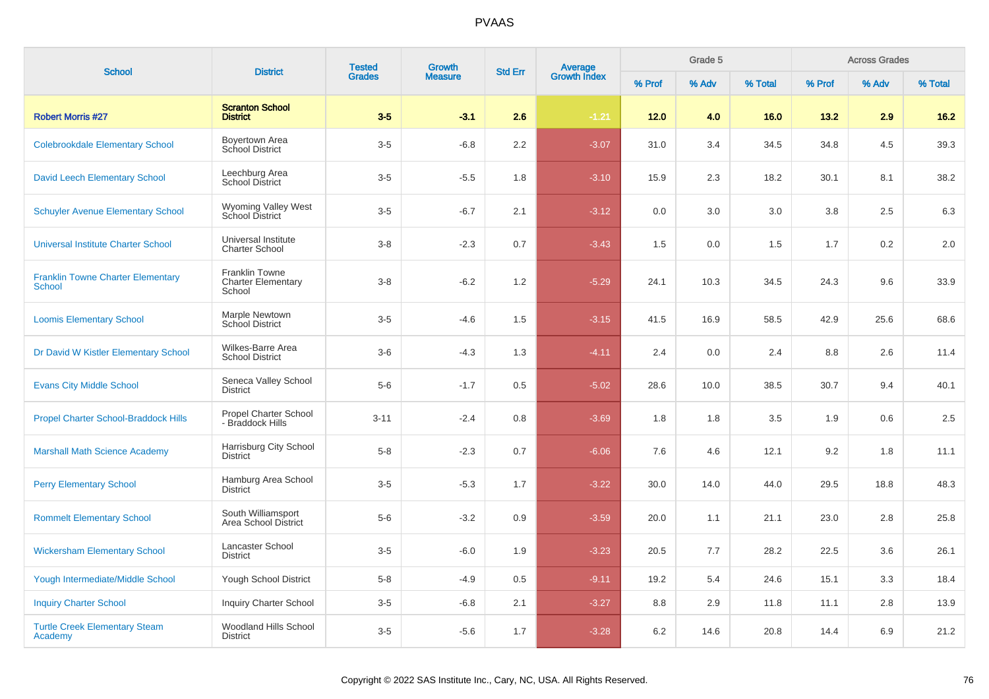| <b>School</b>                                      | <b>District</b>                                              | <b>Tested</b> | <b>Growth</b><br><b>Measure</b> | <b>Std Err</b> |                                |        | Grade 5 |         |        | <b>Across Grades</b> |         |
|----------------------------------------------------|--------------------------------------------------------------|---------------|---------------------------------|----------------|--------------------------------|--------|---------|---------|--------|----------------------|---------|
|                                                    |                                                              | <b>Grades</b> |                                 |                | <b>Average</b><br>Growth Index | % Prof | % Adv   | % Total | % Prof | % Adv                | % Total |
| <b>Robert Morris #27</b>                           | <b>Scranton School</b><br><b>District</b>                    | $3-5$         | $-3.1$                          | 2.6            | $-1.21$                        | 12.0   | 4.0     | 16.0    | 13.2   | 2.9                  | $16.2$  |
| <b>Colebrookdale Elementary School</b>             | Boyertown Area<br>School District                            | $3-5$         | $-6.8$                          | 2.2            | $-3.07$                        | 31.0   | 3.4     | 34.5    | 34.8   | 4.5                  | 39.3    |
| <b>David Leech Elementary School</b>               | Leechburg Area<br><b>School District</b>                     | $3-5$         | $-5.5$                          | 1.8            | $-3.10$                        | 15.9   | 2.3     | 18.2    | 30.1   | 8.1                  | 38.2    |
| <b>Schuyler Avenue Elementary School</b>           | <b>Wyoming Valley West</b><br><b>School District</b>         | $3-5$         | $-6.7$                          | 2.1            | $-3.12$                        | 0.0    | 3.0     | 3.0     | 3.8    | 2.5                  | 6.3     |
| <b>Universal Institute Charter School</b>          | Universal Institute<br><b>Charter School</b>                 | $3 - 8$       | $-2.3$                          | 0.7            | $-3.43$                        | 1.5    | 0.0     | 1.5     | 1.7    | 0.2                  | 2.0     |
| <b>Franklin Towne Charter Elementary</b><br>School | <b>Franklin Towne</b><br><b>Charter Elementary</b><br>School | $3 - 8$       | $-6.2$                          | 1.2            | $-5.29$                        | 24.1   | 10.3    | 34.5    | 24.3   | 9.6                  | 33.9    |
| <b>Loomis Elementary School</b>                    | Marple Newtown<br><b>School District</b>                     | $3-5$         | $-4.6$                          | 1.5            | $-3.15$                        | 41.5   | 16.9    | 58.5    | 42.9   | 25.6                 | 68.6    |
| Dr David W Kistler Elementary School               | Wilkes-Barre Area<br><b>School District</b>                  | $3-6$         | $-4.3$                          | 1.3            | $-4.11$                        | 2.4    | 0.0     | 2.4     | 8.8    | 2.6                  | 11.4    |
| <b>Evans City Middle School</b>                    | Seneca Valley School<br><b>District</b>                      | $5-6$         | $-1.7$                          | 0.5            | $-5.02$                        | 28.6   | 10.0    | 38.5    | 30.7   | 9.4                  | 40.1    |
| Propel Charter School-Braddock Hills               | <b>Propel Charter School</b><br>- Braddock Hills             | $3 - 11$      | $-2.4$                          | 0.8            | $-3.69$                        | 1.8    | 1.8     | 3.5     | 1.9    | 0.6                  | 2.5     |
| <b>Marshall Math Science Academy</b>               | Harrisburg City School<br><b>District</b>                    | $5 - 8$       | $-2.3$                          | 0.7            | $-6.06$                        | 7.6    | 4.6     | 12.1    | 9.2    | 1.8                  | 11.1    |
| <b>Perry Elementary School</b>                     | Hamburg Area School<br>District                              | $3-5$         | $-5.3$                          | 1.7            | $-3.22$                        | 30.0   | 14.0    | 44.0    | 29.5   | 18.8                 | 48.3    |
| <b>Rommelt Elementary School</b>                   | South Williamsport<br>Area School District                   | $5-6$         | $-3.2$                          | 0.9            | $-3.59$                        | 20.0   | 1.1     | 21.1    | 23.0   | 2.8                  | 25.8    |
| <b>Wickersham Elementary School</b>                | Lancaster School<br><b>District</b>                          | $3-5$         | $-6.0$                          | 1.9            | $-3.23$                        | 20.5   | 7.7     | 28.2    | 22.5   | 3.6                  | 26.1    |
| Yough Intermediate/Middle School                   | <b>Yough School District</b>                                 | $5-8$         | $-4.9$                          | 0.5            | $-9.11$                        | 19.2   | 5.4     | 24.6    | 15.1   | 3.3                  | 18.4    |
| <b>Inquiry Charter School</b>                      | <b>Inquiry Charter School</b>                                | $3-5$         | $-6.8$                          | 2.1            | $-3.27$                        | 8.8    | 2.9     | 11.8    | 11.1   | 2.8                  | 13.9    |
| <b>Turtle Creek Elementary Steam</b><br>Academy    | Woodland Hills School<br><b>District</b>                     | $3-5$         | $-5.6$                          | 1.7            | $-3.28$                        | 6.2    | 14.6    | 20.8    | 14.4   | 6.9                  | 21.2    |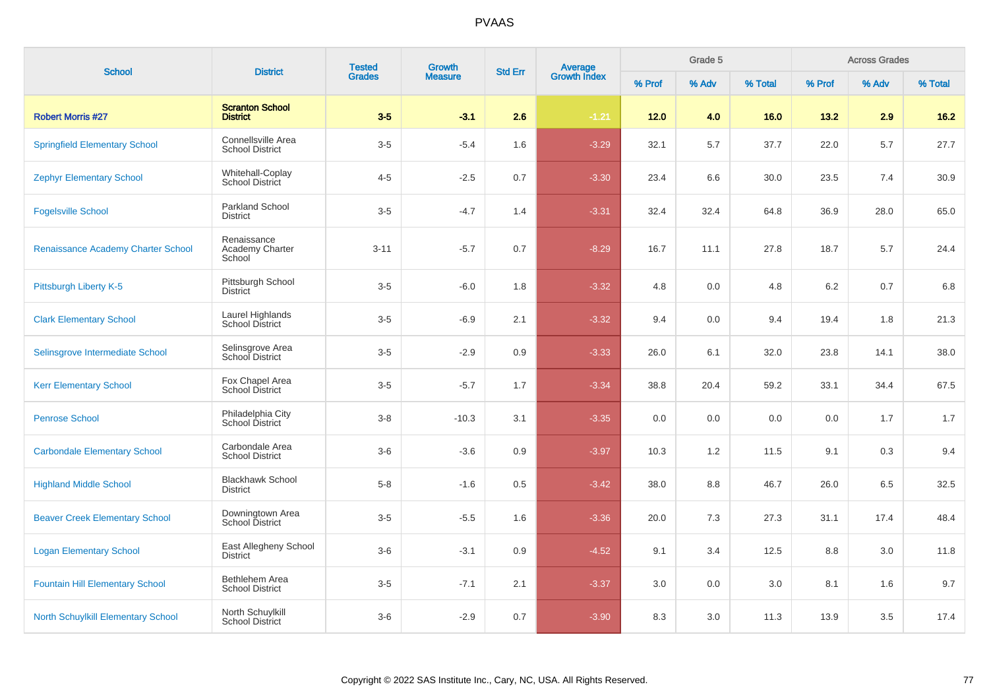| <b>School</b>                             | <b>District</b>                              | <b>Tested</b><br><b>Growth</b><br>Average<br>Growth Index<br><b>Std Err</b> | Grade 5        |     |         | <b>Across Grades</b> |       |         |        |       |         |
|-------------------------------------------|----------------------------------------------|-----------------------------------------------------------------------------|----------------|-----|---------|----------------------|-------|---------|--------|-------|---------|
|                                           |                                              | <b>Grades</b>                                                               | <b>Measure</b> |     |         | % Prof               | % Adv | % Total | % Prof | % Adv | % Total |
| <b>Robert Morris #27</b>                  | <b>Scranton School</b><br><b>District</b>    | $3-5$                                                                       | $-3.1$         | 2.6 | $-1.21$ | 12.0                 | 4.0   | 16.0    | 13.2   | 2.9   | $16.2$  |
| <b>Springfield Elementary School</b>      | Connellsville Area<br><b>School District</b> | $3-5$                                                                       | $-5.4$         | 1.6 | $-3.29$ | 32.1                 | 5.7   | 37.7    | 22.0   | 5.7   | 27.7    |
| <b>Zephyr Elementary School</b>           | Whitehall-Coplay<br><b>School District</b>   | $4 - 5$                                                                     | $-2.5$         | 0.7 | $-3.30$ | 23.4                 | 6.6   | 30.0    | 23.5   | 7.4   | 30.9    |
| <b>Fogelsville School</b>                 | <b>Parkland School</b><br><b>District</b>    | $3-5$                                                                       | $-4.7$         | 1.4 | $-3.31$ | 32.4                 | 32.4  | 64.8    | 36.9   | 28.0  | 65.0    |
| Renaissance Academy Charter School        | Renaissance<br>Academy Charter<br>School     | $3 - 11$                                                                    | $-5.7$         | 0.7 | $-8.29$ | 16.7                 | 11.1  | 27.8    | 18.7   | 5.7   | 24.4    |
| Pittsburgh Liberty K-5                    | Pittsburgh School<br><b>District</b>         | $3-5$                                                                       | $-6.0$         | 1.8 | $-3.32$ | 4.8                  | 0.0   | 4.8     | 6.2    | 0.7   | 6.8     |
| <b>Clark Elementary School</b>            | Laurel Highlands<br><b>School District</b>   | $3-5$                                                                       | $-6.9$         | 2.1 | $-3.32$ | 9.4                  | 0.0   | 9.4     | 19.4   | 1.8   | 21.3    |
| Selinsgrove Intermediate School           | Selinsgrove Area<br>School District          | $3-5$                                                                       | $-2.9$         | 0.9 | $-3.33$ | 26.0                 | 6.1   | 32.0    | 23.8   | 14.1  | 38.0    |
| <b>Kerr Elementary School</b>             | Fox Chapel Area<br><b>School District</b>    | $3-5$                                                                       | $-5.7$         | 1.7 | $-3.34$ | 38.8                 | 20.4  | 59.2    | 33.1   | 34.4  | 67.5    |
| <b>Penrose School</b>                     | Philadelphia City<br>School District         | $3-8$                                                                       | $-10.3$        | 3.1 | $-3.35$ | 0.0                  | 0.0   | 0.0     | 0.0    | 1.7   | 1.7     |
| <b>Carbondale Elementary School</b>       | Carbondale Area<br><b>School District</b>    | $3-6$                                                                       | $-3.6$         | 0.9 | $-3.97$ | 10.3                 | 1.2   | 11.5    | 9.1    | 0.3   | 9.4     |
| <b>Highland Middle School</b>             | <b>Blackhawk School</b><br><b>District</b>   | $5-8$                                                                       | $-1.6$         | 0.5 | $-3.42$ | 38.0                 | 8.8   | 46.7    | 26.0   | 6.5   | 32.5    |
| <b>Beaver Creek Elementary School</b>     | Downingtown Area<br><b>School District</b>   | $3-5$                                                                       | $-5.5$         | 1.6 | $-3.36$ | 20.0                 | 7.3   | 27.3    | 31.1   | 17.4  | 48.4    |
| <b>Logan Elementary School</b>            | East Allegheny School<br><b>District</b>     | $3-6$                                                                       | $-3.1$         | 0.9 | $-4.52$ | 9.1                  | 3.4   | 12.5    | 8.8    | 3.0   | 11.8    |
| <b>Fountain Hill Elementary School</b>    | Bethlehem Area<br><b>School District</b>     | $3-5$                                                                       | $-7.1$         | 2.1 | $-3.37$ | 3.0                  | 0.0   | 3.0     | 8.1    | 1.6   | 9.7     |
| <b>North Schuylkill Elementary School</b> | North Schuylkill<br>School District          | $3-6$                                                                       | $-2.9$         | 0.7 | $-3.90$ | 8.3                  | 3.0   | 11.3    | 13.9   | 3.5   | 17.4    |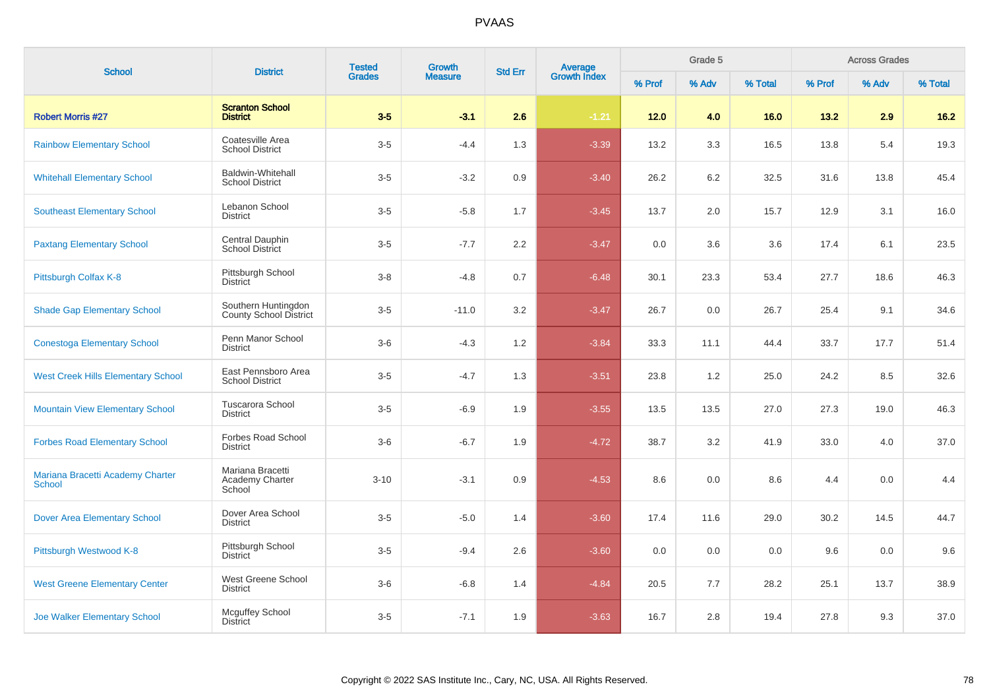| <b>School</b>                                     | <b>District</b>                                    | <b>Tested</b> | <b>Growth</b>  | <b>Std Err</b> |                         |        | Grade 5 |         |        | <b>Across Grades</b><br>% Adv |         |
|---------------------------------------------------|----------------------------------------------------|---------------|----------------|----------------|-------------------------|--------|---------|---------|--------|-------------------------------|---------|
|                                                   |                                                    | <b>Grades</b> | <b>Measure</b> |                | Average<br>Growth Index | % Prof | % Adv   | % Total | % Prof |                               | % Total |
| <b>Robert Morris #27</b>                          | <b>Scranton School</b><br><b>District</b>          | $3-5$         | $-3.1$         | 2.6            | $-1.21$                 | 12.0   | 4.0     | 16.0    | 13.2   | 2.9                           | 16.2    |
| <b>Rainbow Elementary School</b>                  | Coatesville Area<br><b>School District</b>         | $3-5$         | $-4.4$         | 1.3            | $-3.39$                 | 13.2   | 3.3     | 16.5    | 13.8   | 5.4                           | 19.3    |
| <b>Whitehall Elementary School</b>                | <b>Baldwin-Whitehall</b><br><b>School District</b> | $3-5$         | $-3.2$         | 0.9            | $-3.40$                 | 26.2   | 6.2     | 32.5    | 31.6   | 13.8                          | 45.4    |
| <b>Southeast Elementary School</b>                | Lebanon School<br><b>District</b>                  | $3-5$         | $-5.8$         | 1.7            | $-3.45$                 | 13.7   | $2.0\,$ | 15.7    | 12.9   | 3.1                           | 16.0    |
| <b>Paxtang Elementary School</b>                  | Central Dauphin<br>School District                 | $3-5$         | $-7.7$         | 2.2            | $-3.47$                 | 0.0    | 3.6     | 3.6     | 17.4   | 6.1                           | 23.5    |
| Pittsburgh Colfax K-8                             | Pittsburgh School<br><b>District</b>               | $3-8$         | $-4.8$         | 0.7            | $-6.48$                 | 30.1   | 23.3    | 53.4    | 27.7   | 18.6                          | 46.3    |
| <b>Shade Gap Elementary School</b>                | Southern Huntingdon<br>County School District      | $3-5$         | $-11.0$        | 3.2            | $-3.47$                 | 26.7   | 0.0     | 26.7    | 25.4   | 9.1                           | 34.6    |
| <b>Conestoga Elementary School</b>                | Penn Manor School<br><b>District</b>               | $3-6$         | $-4.3$         | 1.2            | $-3.84$                 | 33.3   | 11.1    | 44.4    | 33.7   | 17.7                          | 51.4    |
| <b>West Creek Hills Elementary School</b>         | East Pennsboro Area<br><b>School District</b>      | $3-5$         | $-4.7$         | 1.3            | $-3.51$                 | 23.8   | 1.2     | 25.0    | 24.2   | 8.5                           | 32.6    |
| <b>Mountain View Elementary School</b>            | Tuscarora School<br><b>District</b>                | $3-5$         | $-6.9$         | 1.9            | $-3.55$                 | 13.5   | 13.5    | 27.0    | 27.3   | 19.0                          | 46.3    |
| <b>Forbes Road Elementary School</b>              | Forbes Road School<br><b>District</b>              | $3-6$         | $-6.7$         | 1.9            | $-4.72$                 | 38.7   | 3.2     | 41.9    | 33.0   | 4.0                           | 37.0    |
| Mariana Bracetti Academy Charter<br><b>School</b> | Mariana Bracetti<br>Academy Charter<br>School      | $3 - 10$      | $-3.1$         | 0.9            | $-4.53$                 | 8.6    | 0.0     | 8.6     | 4.4    | 0.0                           | 4.4     |
| <b>Dover Area Elementary School</b>               | Dover Area School<br><b>District</b>               | $3-5$         | $-5.0$         | 1.4            | $-3.60$                 | 17.4   | 11.6    | 29.0    | 30.2   | 14.5                          | 44.7    |
| Pittsburgh Westwood K-8                           | Pittsburgh School<br><b>District</b>               | $3-5$         | $-9.4$         | 2.6            | $-3.60$                 | 0.0    | 0.0     | 0.0     | 9.6    | 0.0                           | 9.6     |
| <b>West Greene Elementary Center</b>              | West Greene School<br><b>District</b>              | $3-6$         | $-6.8$         | 1.4            | $-4.84$                 | 20.5   | 7.7     | 28.2    | 25.1   | 13.7                          | 38.9    |
| <b>Joe Walker Elementary School</b>               | Mcguffey School<br><b>District</b>                 | $3-5$         | $-7.1$         | 1.9            | $-3.63$                 | 16.7   | 2.8     | 19.4    | 27.8   | 9.3                           | 37.0    |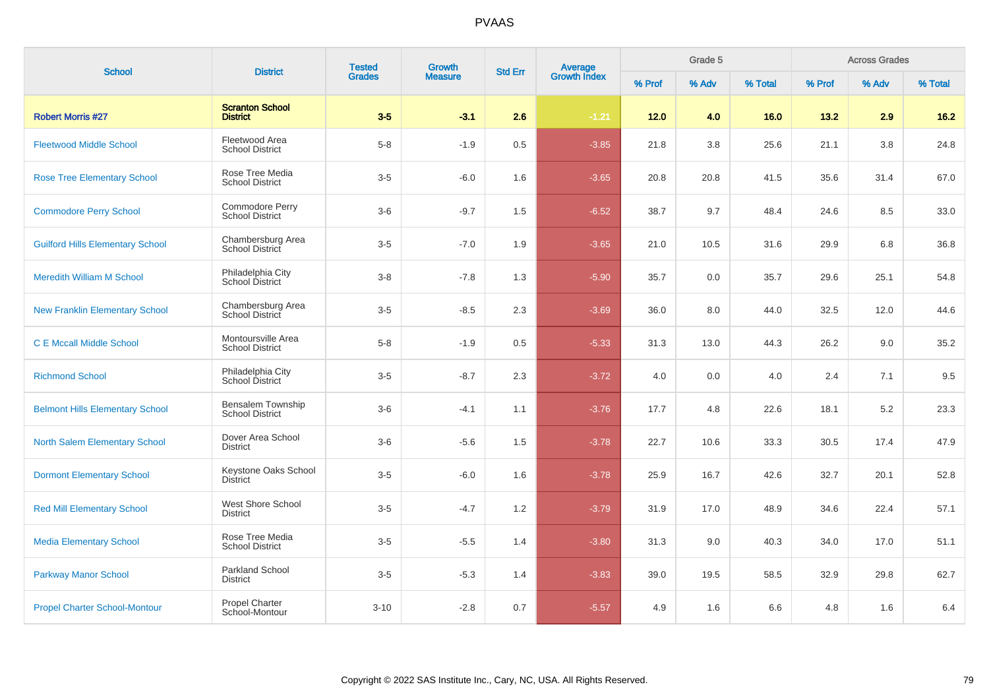| <b>School</b>                           | <b>District</b>                              | <b>Tested</b> | Growth         | <b>Std Err</b> |                                |        | Grade 5 |         |        | <b>Across Grades</b> |         |
|-----------------------------------------|----------------------------------------------|---------------|----------------|----------------|--------------------------------|--------|---------|---------|--------|----------------------|---------|
|                                         |                                              | <b>Grades</b> | <b>Measure</b> |                | <b>Average</b><br>Growth Index | % Prof | % Adv   | % Total | % Prof | % Adv                | % Total |
| <b>Robert Morris #27</b>                | <b>Scranton School</b><br><b>District</b>    | $3-5$         | $-3.1$         | 2.6            | $-1.21$                        | $12.0$ | 4.0     | 16.0    | 13.2   | 2.9                  | $16.2$  |
| <b>Fleetwood Middle School</b>          | Fleetwood Area<br><b>School District</b>     | $5 - 8$       | $-1.9$         | $0.5\,$        | $-3.85$                        | 21.8   | 3.8     | 25.6    | 21.1   | 3.8                  | 24.8    |
| <b>Rose Tree Elementary School</b>      | Rose Tree Media<br><b>School District</b>    | $3-5$         | $-6.0$         | 1.6            | $-3.65$                        | 20.8   | 20.8    | 41.5    | 35.6   | 31.4                 | 67.0    |
| <b>Commodore Perry School</b>           | Commodore Perry<br><b>School District</b>    | $3-6$         | $-9.7$         | 1.5            | $-6.52$                        | 38.7   | 9.7     | 48.4    | 24.6   | 8.5                  | 33.0    |
| <b>Guilford Hills Elementary School</b> | Chambersburg Area<br>School District         | $3-5$         | $-7.0$         | 1.9            | $-3.65$                        | 21.0   | 10.5    | 31.6    | 29.9   | 6.8                  | 36.8    |
| <b>Meredith William M School</b>        | Philadelphia City<br>School District         | $3 - 8$       | $-7.8$         | 1.3            | $-5.90$                        | 35.7   | 0.0     | 35.7    | 29.6   | 25.1                 | 54.8    |
| <b>New Franklin Elementary School</b>   | Chambersburg Area<br>School District         | $3-5$         | $-8.5$         | 2.3            | $-3.69$                        | 36.0   | 8.0     | 44.0    | 32.5   | 12.0                 | 44.6    |
| <b>C E Mccall Middle School</b>         | Montoursville Area<br><b>School District</b> | $5-8$         | $-1.9$         | 0.5            | $-5.33$                        | 31.3   | 13.0    | 44.3    | 26.2   | 9.0                  | 35.2    |
| <b>Richmond School</b>                  | Philadelphia City<br>School District         | $3-5$         | $-8.7$         | 2.3            | $-3.72$                        | 4.0    | 0.0     | 4.0     | 2.4    | 7.1                  | 9.5     |
| <b>Belmont Hills Elementary School</b>  | Bensalem Township<br><b>School District</b>  | $3-6$         | $-4.1$         | 1.1            | $-3.76$                        | 17.7   | 4.8     | 22.6    | 18.1   | 5.2                  | 23.3    |
| <b>North Salem Elementary School</b>    | Dover Area School<br><b>District</b>         | $3-6$         | $-5.6$         | 1.5            | $-3.78$                        | 22.7   | 10.6    | 33.3    | 30.5   | 17.4                 | 47.9    |
| <b>Dormont Elementary School</b>        | Keystone Oaks School<br><b>District</b>      | $3-5$         | $-6.0$         | 1.6            | $-3.78$                        | 25.9   | 16.7    | 42.6    | 32.7   | 20.1                 | 52.8    |
| <b>Red Mill Elementary School</b>       | West Shore School<br><b>District</b>         | $3-5$         | $-4.7$         | 1.2            | $-3.79$                        | 31.9   | 17.0    | 48.9    | 34.6   | 22.4                 | 57.1    |
| <b>Media Elementary School</b>          | Rose Tree Media<br><b>School District</b>    | $3-5$         | $-5.5$         | 1.4            | $-3.80$                        | 31.3   | 9.0     | 40.3    | 34.0   | 17.0                 | 51.1    |
| <b>Parkway Manor School</b>             | <b>Parkland School</b><br><b>District</b>    | $3-5$         | $-5.3$         | 1.4            | $-3.83$                        | 39.0   | 19.5    | 58.5    | 32.9   | 29.8                 | 62.7    |
| <b>Propel Charter School-Montour</b>    | Propel Charter<br>School-Montour             | $3 - 10$      | $-2.8$         | 0.7            | $-5.57$                        | 4.9    | 1.6     | 6.6     | 4.8    | 1.6                  | 6.4     |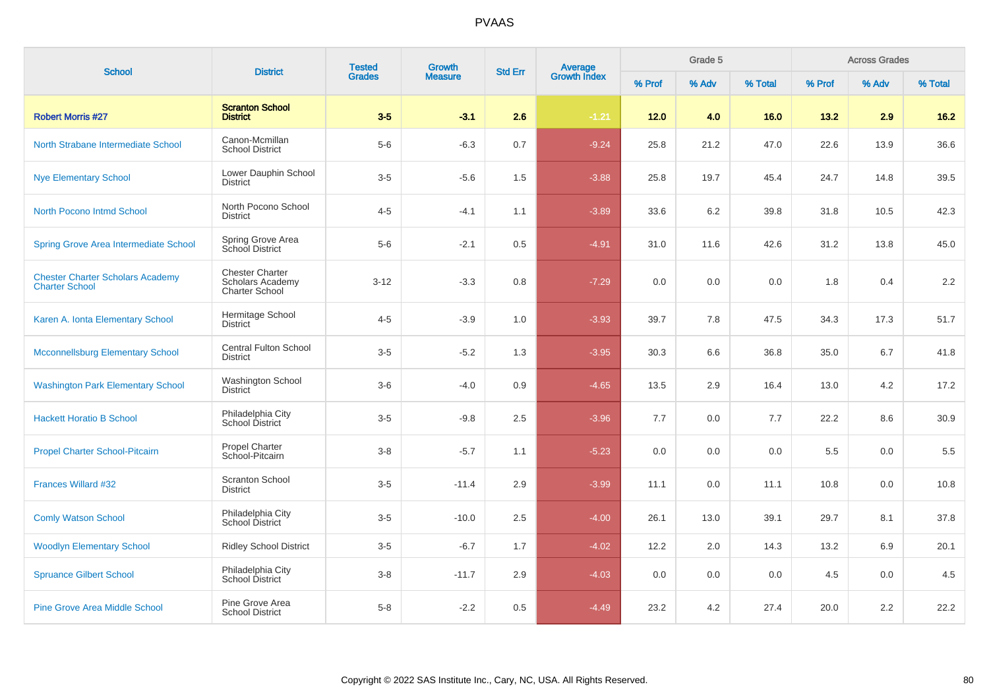| <b>School</b>                                                    | <b>District</b>                                                            | <b>Tested</b> | Growth         | <b>Std Err</b> | <b>Average</b><br>Growth Index |        | Grade 5 |         |        | <b>Across Grades</b> |         |
|------------------------------------------------------------------|----------------------------------------------------------------------------|---------------|----------------|----------------|--------------------------------|--------|---------|---------|--------|----------------------|---------|
|                                                                  |                                                                            | <b>Grades</b> | <b>Measure</b> |                |                                | % Prof | % Adv   | % Total | % Prof | % Adv                | % Total |
| <b>Robert Morris #27</b>                                         | <b>Scranton School</b><br><b>District</b>                                  | $3-5$         | $-3.1$         | 2.6            | $-1.21$                        | $12.0$ | 4.0     | 16.0    | 13.2   | 2.9                  | $16.2$  |
| North Strabane Intermediate School                               | Canon-Mcmillan<br><b>School District</b>                                   | $5-6$         | $-6.3$         | 0.7            | $-9.24$                        | 25.8   | 21.2    | 47.0    | 22.6   | 13.9                 | 36.6    |
| <b>Nye Elementary School</b>                                     | Lower Dauphin School<br><b>District</b>                                    | $3-5$         | $-5.6$         | 1.5            | $-3.88$                        | 25.8   | 19.7    | 45.4    | 24.7   | 14.8                 | 39.5    |
| North Pocono Intmd School                                        | North Pocono School<br><b>District</b>                                     | $4 - 5$       | $-4.1$         | 1.1            | $-3.89$                        | 33.6   | 6.2     | 39.8    | 31.8   | 10.5                 | 42.3    |
| <b>Spring Grove Area Intermediate School</b>                     | Spring Grove Area<br>School District                                       | $5-6$         | $-2.1$         | 0.5            | $-4.91$                        | 31.0   | 11.6    | 42.6    | 31.2   | 13.8                 | 45.0    |
| <b>Chester Charter Scholars Academy</b><br><b>Charter School</b> | <b>Chester Charter</b><br><b>Scholars Academy</b><br><b>Charter School</b> | $3 - 12$      | $-3.3$         | 0.8            | $-7.29$                        | 0.0    | 0.0     | 0.0     | 1.8    | 0.4                  | 2.2     |
| Karen A. Ionta Elementary School                                 | Hermitage School<br><b>District</b>                                        | $4 - 5$       | $-3.9$         | 1.0            | $-3.93$                        | 39.7   | 7.8     | 47.5    | 34.3   | 17.3                 | 51.7    |
| <b>Mcconnellsburg Elementary School</b>                          | <b>Central Fulton School</b><br><b>District</b>                            | $3-5$         | $-5.2$         | 1.3            | $-3.95$                        | 30.3   | 6.6     | 36.8    | 35.0   | 6.7                  | 41.8    |
| <b>Washington Park Elementary School</b>                         | <b>Washington School</b><br><b>District</b>                                | $3-6$         | $-4.0$         | 0.9            | $-4.65$                        | 13.5   | 2.9     | 16.4    | 13.0   | 4.2                  | 17.2    |
| <b>Hackett Horatio B School</b>                                  | Philadelphia City<br>School District                                       | $3-5$         | $-9.8$         | 2.5            | $-3.96$                        | 7.7    | 0.0     | 7.7     | 22.2   | 8.6                  | 30.9    |
| <b>Propel Charter School-Pitcairn</b>                            | Propel Charter<br>School-Pitcairn                                          | $3-8$         | $-5.7$         | 1.1            | $-5.23$                        | 0.0    | 0.0     | 0.0     | 5.5    | 0.0                  | 5.5     |
| Frances Willard #32                                              | Scranton School<br><b>District</b>                                         | $3-5$         | $-11.4$        | 2.9            | $-3.99$                        | 11.1   | 0.0     | 11.1    | 10.8   | 0.0                  | 10.8    |
| <b>Comly Watson School</b>                                       | Philadelphia City<br>School District                                       | $3-5$         | $-10.0$        | 2.5            | $-4.00$                        | 26.1   | 13.0    | 39.1    | 29.7   | 8.1                  | 37.8    |
| <b>Woodlyn Elementary School</b>                                 | <b>Ridley School District</b>                                              | $3-5$         | $-6.7$         | 1.7            | $-4.02$                        | 12.2   | 2.0     | 14.3    | 13.2   | 6.9                  | 20.1    |
| <b>Spruance Gilbert School</b>                                   | Philadelphia City<br>School District                                       | $3-8$         | $-11.7$        | 2.9            | $-4.03$                        | 0.0    | 0.0     | 0.0     | 4.5    | 0.0                  | 4.5     |
| <b>Pine Grove Area Middle School</b>                             | Pine Grove Area<br><b>School District</b>                                  | $5-8$         | $-2.2$         | 0.5            | $-4.49$                        | 23.2   | 4.2     | 27.4    | 20.0   | 2.2                  | 22.2    |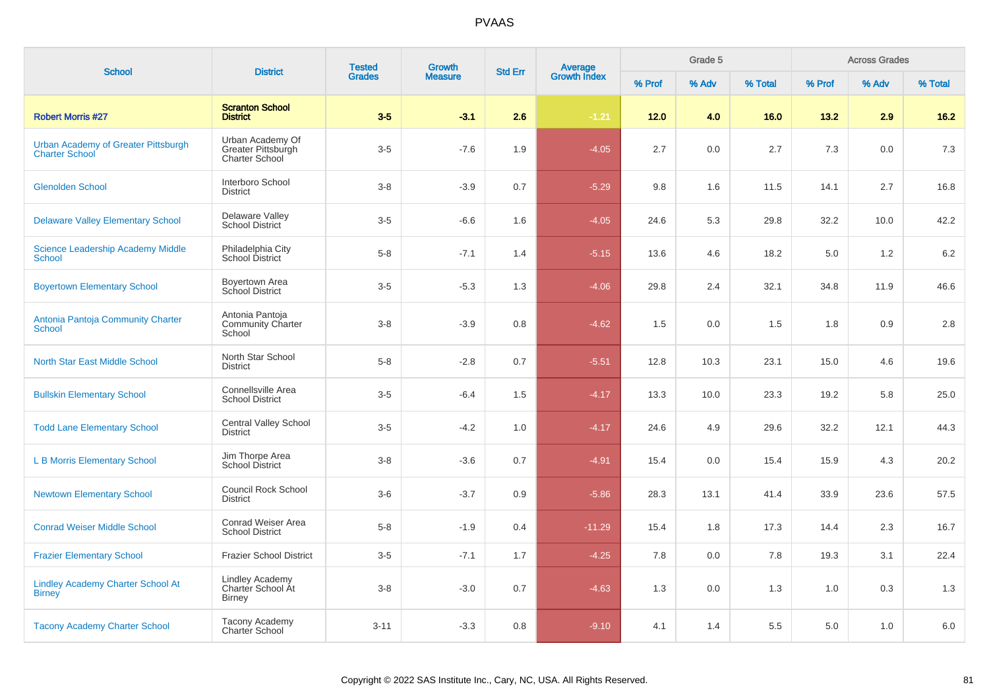| <b>School</b>                                                | <b>District</b>                                                 | <b>Tested</b> | <b>Growth</b><br><b>Std Err</b> |     |                         |        | Grade 5 |         |        | <b>Across Grades</b> |         |
|--------------------------------------------------------------|-----------------------------------------------------------------|---------------|---------------------------------|-----|-------------------------|--------|---------|---------|--------|----------------------|---------|
|                                                              |                                                                 | <b>Grades</b> | <b>Measure</b>                  |     | Average<br>Growth Index | % Prof | % Adv   | % Total | % Prof | % Adv                | % Total |
| <b>Robert Morris #27</b>                                     | <b>Scranton School</b><br><b>District</b>                       | $3-5$         | $-3.1$                          | 2.6 | $-1.21$                 | $12.0$ | 4.0     | 16.0    | 13.2   | 2.9                  | 16.2    |
| Urban Academy of Greater Pittsburgh<br><b>Charter School</b> | Urban Academy Of<br>Greater Pittsburgh<br><b>Charter School</b> | $3-5$         | $-7.6$                          | 1.9 | $-4.05$                 | 2.7    | 0.0     | 2.7     | 7.3    | 0.0                  | 7.3     |
| <b>Glenolden School</b>                                      | Interboro School<br><b>District</b>                             | $3 - 8$       | $-3.9$                          | 0.7 | $-5.29$                 | 9.8    | 1.6     | 11.5    | 14.1   | 2.7                  | 16.8    |
| <b>Delaware Valley Elementary School</b>                     | Delaware Valley<br><b>School District</b>                       | $3-5$         | $-6.6$                          | 1.6 | $-4.05$                 | 24.6   | 5.3     | 29.8    | 32.2   | 10.0                 | 42.2    |
| <b>Science Leadership Academy Middle</b><br><b>School</b>    | Philadelphia City<br>School District                            | $5-8$         | $-7.1$                          | 1.4 | $-5.15$                 | 13.6   | 4.6     | 18.2    | 5.0    | 1.2                  | 6.2     |
| <b>Boyertown Elementary School</b>                           | Boyertown Area<br>School District                               | $3-5$         | $-5.3$                          | 1.3 | $-4.06$                 | 29.8   | 2.4     | 32.1    | 34.8   | 11.9                 | 46.6    |
| Antonia Pantoja Community Charter<br><b>School</b>           | Antonia Pantoja<br><b>Community Charter</b><br>School           | $3 - 8$       | $-3.9$                          | 0.8 | $-4.62$                 | 1.5    | 0.0     | 1.5     | 1.8    | 0.9                  | $2.8\,$ |
| <b>North Star East Middle School</b>                         | North Star School<br><b>District</b>                            | $5 - 8$       | $-2.8$                          | 0.7 | $-5.51$                 | 12.8   | 10.3    | 23.1    | 15.0   | 4.6                  | 19.6    |
| <b>Bullskin Elementary School</b>                            | Connellsville Area<br><b>School District</b>                    | $3-5$         | $-6.4$                          | 1.5 | $-4.17$                 | 13.3   | 10.0    | 23.3    | 19.2   | 5.8                  | 25.0    |
| <b>Todd Lane Elementary School</b>                           | Central Valley School<br><b>District</b>                        | $3-5$         | $-4.2$                          | 1.0 | $-4.17$                 | 24.6   | 4.9     | 29.6    | 32.2   | 12.1                 | 44.3    |
| <b>L B Morris Elementary School</b>                          | Jim Thorpe Area<br><b>School District</b>                       | $3 - 8$       | $-3.6$                          | 0.7 | $-4.91$                 | 15.4   | 0.0     | 15.4    | 15.9   | 4.3                  | 20.2    |
| <b>Newtown Elementary School</b>                             | <b>Council Rock School</b><br><b>District</b>                   | $3-6$         | $-3.7$                          | 0.9 | $-5.86$                 | 28.3   | 13.1    | 41.4    | 33.9   | 23.6                 | 57.5    |
| <b>Conrad Weiser Middle School</b>                           | Conrad Weiser Area<br><b>School District</b>                    | $5-8$         | $-1.9$                          | 0.4 | $-11.29$                | 15.4   | 1.8     | 17.3    | 14.4   | 2.3                  | 16.7    |
| <b>Frazier Elementary School</b>                             | <b>Frazier School District</b>                                  | $3-5$         | $-7.1$                          | 1.7 | $-4.25$                 | 7.8    | 0.0     | 7.8     | 19.3   | 3.1                  | 22.4    |
| <b>Lindley Academy Charter School At</b><br><b>Birney</b>    | <b>Lindley Academy</b><br>Charter School At<br><b>Birney</b>    | $3 - 8$       | $-3.0$                          | 0.7 | $-4.63$                 | 1.3    | 0.0     | 1.3     | 1.0    | 0.3                  | 1.3     |
| <b>Tacony Academy Charter School</b>                         | Tacony Academy<br><b>Charter School</b>                         | $3 - 11$      | $-3.3$                          | 0.8 | $-9.10$                 | 4.1    | 1.4     | 5.5     | 5.0    | 1.0                  | 6.0     |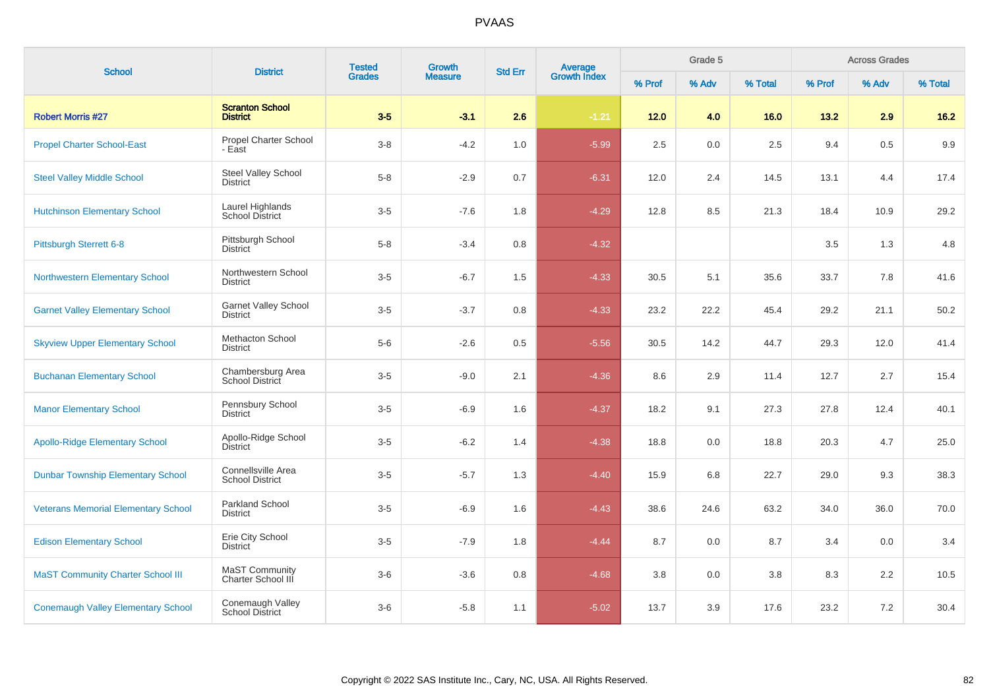| <b>School</b>                              | <b>District</b>                                | <b>Tested</b><br>Growth<br><b>Grades</b><br><b>Measure</b> |        | <b>Average</b><br>Growth Index<br><b>Std Err</b> |         |        | Grade 5 |         |        | <b>Across Grades</b> |         |
|--------------------------------------------|------------------------------------------------|------------------------------------------------------------|--------|--------------------------------------------------|---------|--------|---------|---------|--------|----------------------|---------|
|                                            |                                                |                                                            |        |                                                  |         | % Prof | % Adv   | % Total | % Prof | % Adv                | % Total |
| <b>Robert Morris #27</b>                   | <b>Scranton School</b><br><b>District</b>      | $3-5$                                                      | $-3.1$ | 2.6                                              | $-1.21$ | $12.0$ | 4.0     | 16.0    | 13.2   | 2.9                  | $16.2$  |
| <b>Propel Charter School-East</b>          | Propel Charter School<br>- East                | $3-8$                                                      | $-4.2$ | 1.0                                              | $-5.99$ | 2.5    | 0.0     | 2.5     | 9.4    | 0.5                  | 9.9     |
| <b>Steel Valley Middle School</b>          | Steel Valley School<br><b>District</b>         | $5 - 8$                                                    | $-2.9$ | 0.7                                              | $-6.31$ | 12.0   | 2.4     | 14.5    | 13.1   | 4.4                  | 17.4    |
| <b>Hutchinson Elementary School</b>        | Laurel Highlands<br>School District            | $3-5$                                                      | $-7.6$ | 1.8                                              | $-4.29$ | 12.8   | 8.5     | 21.3    | 18.4   | 10.9                 | 29.2    |
| Pittsburgh Sterrett 6-8                    | Pittsburgh School<br><b>District</b>           | $5-8$                                                      | $-3.4$ | 0.8                                              | $-4.32$ |        |         |         | 3.5    | 1.3                  | 4.8     |
| <b>Northwestern Elementary School</b>      | Northwestern School<br><b>District</b>         | $3-5$                                                      | $-6.7$ | 1.5                                              | $-4.33$ | 30.5   | 5.1     | 35.6    | 33.7   | 7.8                  | 41.6    |
| <b>Garnet Valley Elementary School</b>     | <b>Garnet Valley School</b><br><b>District</b> | $3-5$                                                      | $-3.7$ | 0.8                                              | $-4.33$ | 23.2   | 22.2    | 45.4    | 29.2   | 21.1                 | 50.2    |
| <b>Skyview Upper Elementary School</b>     | Methacton School<br><b>District</b>            | $5-6$                                                      | $-2.6$ | 0.5                                              | $-5.56$ | 30.5   | 14.2    | 44.7    | 29.3   | 12.0                 | 41.4    |
| <b>Buchanan Elementary School</b>          | Chambersburg Area<br>School District           | $3-5$                                                      | $-9.0$ | 2.1                                              | $-4.36$ | 8.6    | 2.9     | 11.4    | 12.7   | 2.7                  | 15.4    |
| <b>Manor Elementary School</b>             | Pennsbury School<br><b>District</b>            | $3-5$                                                      | $-6.9$ | 1.6                                              | $-4.37$ | 18.2   | 9.1     | 27.3    | 27.8   | 12.4                 | 40.1    |
| <b>Apollo-Ridge Elementary School</b>      | Apollo-Ridge School<br><b>District</b>         | $3-5$                                                      | $-6.2$ | 1.4                                              | $-4.38$ | 18.8   | 0.0     | 18.8    | 20.3   | 4.7                  | 25.0    |
| <b>Dunbar Township Elementary School</b>   | Connellsville Area<br><b>School District</b>   | $3-5$                                                      | $-5.7$ | 1.3                                              | $-4.40$ | 15.9   | 6.8     | 22.7    | 29.0   | 9.3                  | 38.3    |
| <b>Veterans Memorial Elementary School</b> | Parkland School<br><b>District</b>             | $3-5$                                                      | $-6.9$ | 1.6                                              | $-4.43$ | 38.6   | 24.6    | 63.2    | 34.0   | 36.0                 | 70.0    |
| <b>Edison Elementary School</b>            | Erie City School<br><b>District</b>            | $3-5$                                                      | $-7.9$ | 1.8                                              | $-4.44$ | 8.7    | 0.0     | 8.7     | 3.4    | 0.0                  | 3.4     |
| <b>MaST Community Charter School III</b>   | MaST Community<br>Charter School III           | $3-6$                                                      | $-3.6$ | 0.8                                              | $-4.68$ | 3.8    | 0.0     | 3.8     | 8.3    | 2.2                  | 10.5    |
| <b>Conemaugh Valley Elementary School</b>  | Conemaugh Valley<br><b>School District</b>     | $3-6$                                                      | $-5.8$ | 1.1                                              | $-5.02$ | 13.7   | 3.9     | 17.6    | 23.2   | 7.2                  | 30.4    |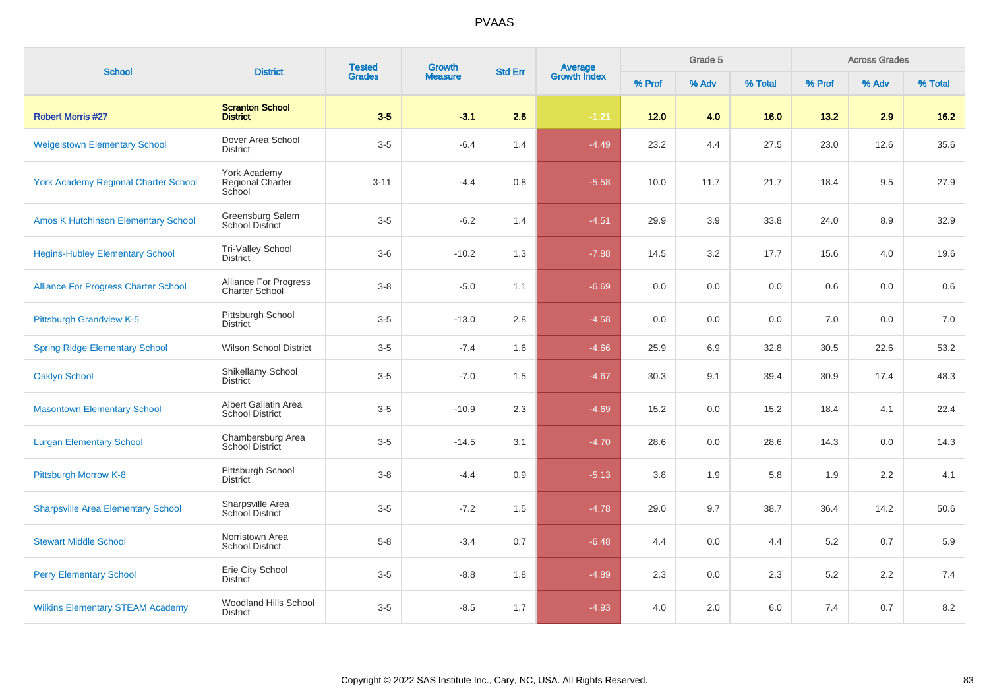| <b>School</b>                               | <b>District</b>                                       | <b>Tested</b><br>Growth<br><b>Grades</b><br><b>Measure</b> |         | <b>Std Err</b> | <b>Average</b><br>Growth Index |        |       | Grade 5 |        |       | <b>Across Grades</b> |  |
|---------------------------------------------|-------------------------------------------------------|------------------------------------------------------------|---------|----------------|--------------------------------|--------|-------|---------|--------|-------|----------------------|--|
|                                             |                                                       |                                                            |         |                |                                | % Prof | % Adv | % Total | % Prof | % Adv | % Total              |  |
| <b>Robert Morris #27</b>                    | <b>Scranton School</b><br><b>District</b>             | $3-5$                                                      | $-3.1$  | 2.6            | $-1.21$                        | $12.0$ | 4.0   | 16.0    | 13.2   | 2.9   | $16.2$               |  |
| <b>Weigelstown Elementary School</b>        | Dover Area School<br><b>District</b>                  | $3-5$                                                      | $-6.4$  | 1.4            | $-4.49$                        | 23.2   | 4.4   | 27.5    | 23.0   | 12.6  | 35.6                 |  |
| <b>York Academy Regional Charter School</b> | York Academy<br>Regional Charter<br>School            | $3 - 11$                                                   | $-4.4$  | 0.8            | $-5.58$                        | 10.0   | 11.7  | 21.7    | 18.4   | 9.5   | 27.9                 |  |
| <b>Amos K Hutchinson Elementary School</b>  | Greensburg Salem<br><b>School District</b>            | $3-5$                                                      | $-6.2$  | 1.4            | $-4.51$                        | 29.9   | 3.9   | 33.8    | 24.0   | 8.9   | 32.9                 |  |
| <b>Hegins-Hubley Elementary School</b>      | Tri-Valley School<br><b>District</b>                  | $3-6$                                                      | $-10.2$ | 1.3            | $-7.88$                        | 14.5   | 3.2   | 17.7    | 15.6   | 4.0   | 19.6                 |  |
| <b>Alliance For Progress Charter School</b> | <b>Alliance For Progress</b><br><b>Charter School</b> | $3 - 8$                                                    | $-5.0$  | 1.1            | $-6.69$                        | 0.0    | 0.0   | 0.0     | 0.6    | 0.0   | 0.6                  |  |
| <b>Pittsburgh Grandview K-5</b>             | Pittsburgh School<br><b>District</b>                  | $3-5$                                                      | $-13.0$ | $2.8\,$        | $-4.58$                        | 0.0    | 0.0   | 0.0     | 7.0    | 0.0   | 7.0                  |  |
| <b>Spring Ridge Elementary School</b>       | <b>Wilson School District</b>                         | $3-5$                                                      | $-7.4$  | 1.6            | $-4.66$                        | 25.9   | 6.9   | 32.8    | 30.5   | 22.6  | 53.2                 |  |
| <b>Oaklyn School</b>                        | Shikellamy School<br><b>District</b>                  | $3-5$                                                      | $-7.0$  | 1.5            | $-4.67$                        | 30.3   | 9.1   | 39.4    | 30.9   | 17.4  | 48.3                 |  |
| <b>Masontown Elementary School</b>          | Albert Gallatin Area<br><b>School District</b>        | $3-5$                                                      | $-10.9$ | 2.3            | $-4.69$                        | 15.2   | 0.0   | 15.2    | 18.4   | 4.1   | 22.4                 |  |
| <b>Lurgan Elementary School</b>             | Chambersburg Area<br><b>School District</b>           | $3-5$                                                      | $-14.5$ | 3.1            | $-4.70$                        | 28.6   | 0.0   | 28.6    | 14.3   | 0.0   | 14.3                 |  |
| Pittsburgh Morrow K-8                       | Pittsburgh School<br><b>District</b>                  | $3 - 8$                                                    | $-4.4$  | 0.9            | $-5.13$                        | 3.8    | 1.9   | 5.8     | 1.9    | 2.2   | 4.1                  |  |
| <b>Sharpsville Area Elementary School</b>   | Sharpsville Area<br>School District                   | $3-5$                                                      | $-7.2$  | 1.5            | $-4.78$                        | 29.0   | 9.7   | 38.7    | 36.4   | 14.2  | 50.6                 |  |
| <b>Stewart Middle School</b>                | Norristown Area<br><b>School District</b>             | $5-8$                                                      | $-3.4$  | 0.7            | $-6.48$                        | 4.4    | 0.0   | 4.4     | 5.2    | 0.7   | 5.9                  |  |
| <b>Perry Elementary School</b>              | Erie City School<br><b>District</b>                   | $3-5$                                                      | $-8.8$  | 1.8            | $-4.89$                        | 2.3    | 0.0   | 2.3     | 5.2    | 2.2   | 7.4                  |  |
| <b>Wilkins Elementary STEAM Academy</b>     | Woodland Hills School<br><b>District</b>              | $3-5$                                                      | $-8.5$  | 1.7            | $-4.93$                        | 4.0    | 2.0   | 6.0     | 7.4    | 0.7   | 8.2                  |  |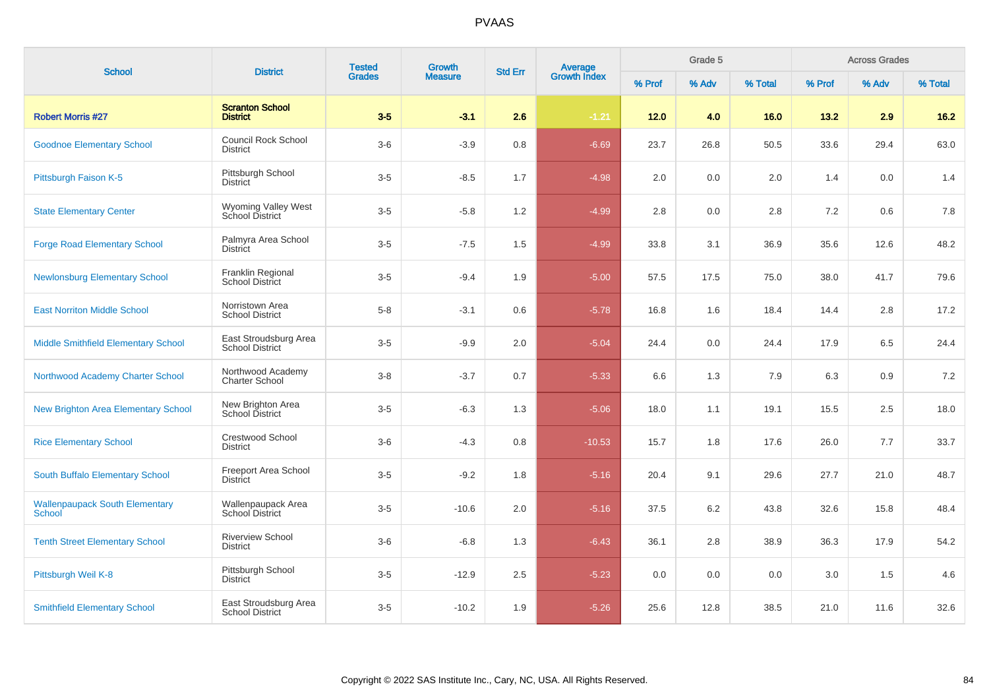| <b>School</b>                                   | <b>District</b>                                 | <b>Tested</b><br><b>Grades</b> | Growth         | <b>Std Err</b> |                                |        | Grade 5 |         |         | <b>Across Grades</b> |         |
|-------------------------------------------------|-------------------------------------------------|--------------------------------|----------------|----------------|--------------------------------|--------|---------|---------|---------|----------------------|---------|
|                                                 |                                                 |                                | <b>Measure</b> |                | <b>Average</b><br>Growth Index | % Prof | % Adv   | % Total | % Prof  | % Adv                | % Total |
| <b>Robert Morris #27</b>                        | <b>Scranton School</b><br><b>District</b>       | $3-5$                          | $-3.1$         | 2.6            | $-1.21$                        | $12.0$ | 4.0     | 16.0    | 13.2    | 2.9                  | $16.2$  |
| <b>Goodnoe Elementary School</b>                | Council Rock School<br><b>District</b>          | $3-6$                          | $-3.9$         | 0.8            | $-6.69$                        | 23.7   | 26.8    | 50.5    | 33.6    | 29.4                 | 63.0    |
| Pittsburgh Faison K-5                           | Pittsburgh School<br><b>District</b>            | $3-5$                          | $-8.5$         | 1.7            | $-4.98$                        | 2.0    | 0.0     | 2.0     | 1.4     | 0.0                  | 1.4     |
| <b>State Elementary Center</b>                  | Wyoming Valley West<br>School District          | $3-5$                          | $-5.8$         | 1.2            | $-4.99$                        | 2.8    | 0.0     | 2.8     | 7.2     | 0.6                  | 7.8     |
| <b>Forge Road Elementary School</b>             | Palmyra Area School<br>District                 | $3-5$                          | $-7.5$         | 1.5            | $-4.99$                        | 33.8   | 3.1     | 36.9    | 35.6    | 12.6                 | 48.2    |
| <b>Newlonsburg Elementary School</b>            | Franklin Regional<br>School District            | $3-5$                          | $-9.4$         | 1.9            | $-5.00$                        | 57.5   | 17.5    | 75.0    | 38.0    | 41.7                 | 79.6    |
| <b>East Norriton Middle School</b>              | Norristown Area<br><b>School District</b>       | $5-8$                          | $-3.1$         | 0.6            | $-5.78$                        | 16.8   | 1.6     | 18.4    | 14.4    | 2.8                  | 17.2    |
| Middle Smithfield Elementary School             | East Stroudsburg Area<br><b>School District</b> | $3-5$                          | $-9.9$         | 2.0            | $-5.04$                        | 24.4   | 0.0     | 24.4    | 17.9    | 6.5                  | 24.4    |
| Northwood Academy Charter School                | Northwood Academy<br><b>Charter School</b>      | $3 - 8$                        | $-3.7$         | 0.7            | $-5.33$                        | 6.6    | 1.3     | 7.9     | 6.3     | 0.9                  | 7.2     |
| New Brighton Area Elementary School             | New Brighton Area<br>School District            | $3-5$                          | $-6.3$         | 1.3            | $-5.06$                        | 18.0   | 1.1     | 19.1    | 15.5    | 2.5                  | 18.0    |
| <b>Rice Elementary School</b>                   | <b>Crestwood School</b><br><b>District</b>      | $3-6$                          | $-4.3$         | 0.8            | $-10.53$                       | 15.7   | 1.8     | 17.6    | 26.0    | 7.7                  | 33.7    |
| South Buffalo Elementary School                 | Freeport Area School<br>District                | $3-5$                          | $-9.2$         | 1.8            | $-5.16$                        | 20.4   | 9.1     | 29.6    | 27.7    | 21.0                 | 48.7    |
| <b>Wallenpaupack South Elementary</b><br>School | Wallenpaupack Area<br>School District           | $3-5$                          | $-10.6$        | 2.0            | $-5.16$                        | 37.5   | 6.2     | 43.8    | 32.6    | 15.8                 | 48.4    |
| <b>Tenth Street Elementary School</b>           | <b>Riverview School</b><br><b>District</b>      | $3-6$                          | $-6.8$         | 1.3            | $-6.43$                        | 36.1   | 2.8     | 38.9    | 36.3    | 17.9                 | 54.2    |
| Pittsburgh Weil K-8                             | Pittsburgh School<br><b>District</b>            | $3-5$                          | $-12.9$        | $2.5\,$        | $-5.23$                        | 0.0    | 0.0     | 0.0     | $3.0\,$ | 1.5                  | 4.6     |
| <b>Smithfield Elementary School</b>             | East Stroudsburg Area<br><b>School District</b> | $3-5$                          | $-10.2$        | 1.9            | $-5.26$                        | 25.6   | 12.8    | 38.5    | 21.0    | 11.6                 | 32.6    |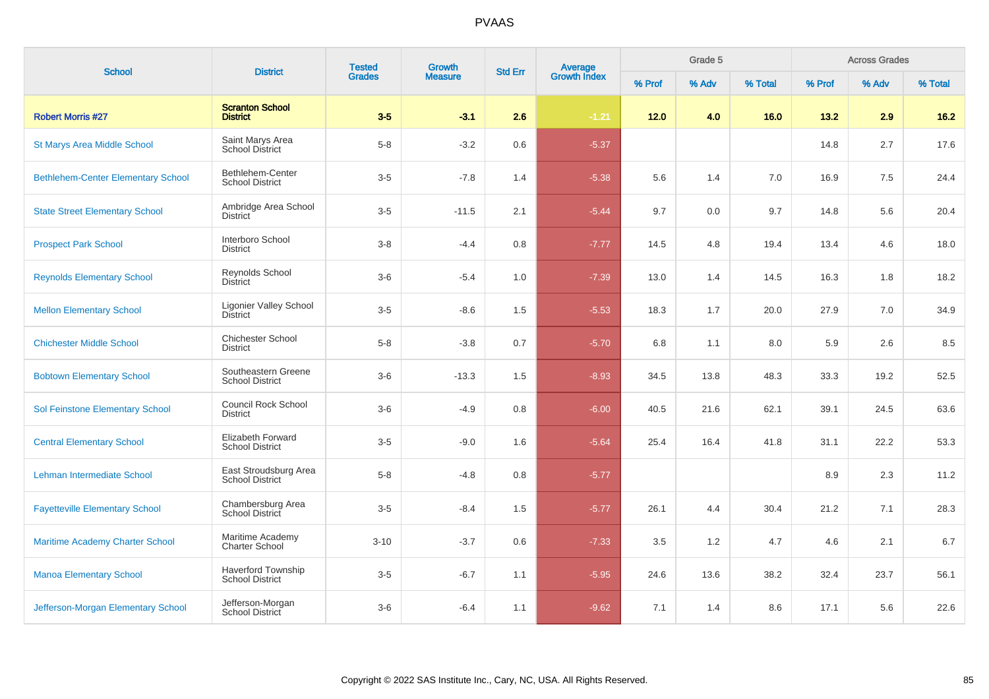| <b>School</b>                             | <b>District</b>                                     | <b>Tested</b><br>Growth |                | <b>Std Err</b> |                                |        | Grade 5 |         | <b>Across Grades</b> |       |         |  |
|-------------------------------------------|-----------------------------------------------------|-------------------------|----------------|----------------|--------------------------------|--------|---------|---------|----------------------|-------|---------|--|
|                                           |                                                     | <b>Grades</b>           | <b>Measure</b> |                | <b>Average</b><br>Growth Index | % Prof | % Adv   | % Total | % Prof               | % Adv | % Total |  |
| <b>Robert Morris #27</b>                  | <b>Scranton School</b><br><b>District</b>           | $3-5$                   | $-3.1$         | 2.6            | $-1.21$                        | $12.0$ | 4.0     | 16.0    | 13.2                 | 2.9   | $16.2$  |  |
| <b>St Marys Area Middle School</b>        | Saint Marys Area<br><b>School District</b>          | $5 - 8$                 | $-3.2$         | 0.6            | $-5.37$                        |        |         |         | 14.8                 | 2.7   | 17.6    |  |
| <b>Bethlehem-Center Elementary School</b> | Bethlehem-Center<br><b>School District</b>          | $3-5$                   | $-7.8$         | 1.4            | $-5.38$                        | 5.6    | 1.4     | 7.0     | 16.9                 | 7.5   | 24.4    |  |
| <b>State Street Elementary School</b>     | Ambridge Area School<br><b>District</b>             | $3-5$                   | $-11.5$        | 2.1            | $-5.44$                        | 9.7    | 0.0     | 9.7     | 14.8                 | 5.6   | 20.4    |  |
| <b>Prospect Park School</b>               | Interboro School<br><b>District</b>                 | $3-8$                   | $-4.4$         | 0.8            | $-7.77$                        | 14.5   | 4.8     | 19.4    | 13.4                 | 4.6   | 18.0    |  |
| <b>Reynolds Elementary School</b>         | Reynolds School<br><b>District</b>                  | $3-6$                   | $-5.4$         | 1.0            | $-7.39$                        | 13.0   | 1.4     | 14.5    | 16.3                 | 1.8   | 18.2    |  |
| <b>Mellon Elementary School</b>           | <b>Ligonier Valley School</b><br><b>District</b>    | $3-5$                   | $-8.6$         | 1.5            | $-5.53$                        | 18.3   | 1.7     | 20.0    | 27.9                 | 7.0   | 34.9    |  |
| <b>Chichester Middle School</b>           | <b>Chichester School</b><br><b>District</b>         | $5 - 8$                 | $-3.8$         | 0.7            | $-5.70$                        | 6.8    | 1.1     | 8.0     | 5.9                  | 2.6   | 8.5     |  |
| <b>Bobtown Elementary School</b>          | Southeastern Greene<br><b>School District</b>       | $3-6$                   | $-13.3$        | 1.5            | $-8.93$                        | 34.5   | 13.8    | 48.3    | 33.3                 | 19.2  | 52.5    |  |
| Sol Feinstone Elementary School           | <b>Council Rock School</b><br><b>District</b>       | $3-6$                   | $-4.9$         | 0.8            | $-6.00$                        | 40.5   | 21.6    | 62.1    | 39.1                 | 24.5  | 63.6    |  |
| <b>Central Elementary School</b>          | Elizabeth Forward<br><b>School District</b>         | $3-5$                   | $-9.0$         | 1.6            | $-5.64$                        | 25.4   | 16.4    | 41.8    | 31.1                 | 22.2  | 53.3    |  |
| Lehman Intermediate School                | East Stroudsburg Area<br><b>School District</b>     | $5-8$                   | $-4.8$         | 0.8            | $-5.77$                        |        |         |         | 8.9                  | 2.3   | 11.2    |  |
| <b>Fayetteville Elementary School</b>     | Chambersburg Area<br>School District                | $3-5$                   | $-8.4$         | 1.5            | $-5.77$                        | 26.1   | 4.4     | 30.4    | 21.2                 | 7.1   | 28.3    |  |
| <b>Maritime Academy Charter School</b>    | Maritime Academy<br><b>Charter School</b>           | $3 - 10$                | $-3.7$         | 0.6            | $-7.33$                        | 3.5    | 1.2     | 4.7     | 4.6                  | 2.1   | 6.7     |  |
| <b>Manoa Elementary School</b>            | <b>Haverford Township</b><br><b>School District</b> | $3-5$                   | $-6.7$         | 1.1            | $-5.95$                        | 24.6   | 13.6    | 38.2    | 32.4                 | 23.7  | 56.1    |  |
| Jefferson-Morgan Elementary School        | Jefferson-Morgan<br>School District                 | $3-6$                   | $-6.4$         | 1.1            | $-9.62$                        | 7.1    | 1.4     | 8.6     | 17.1                 | 5.6   | 22.6    |  |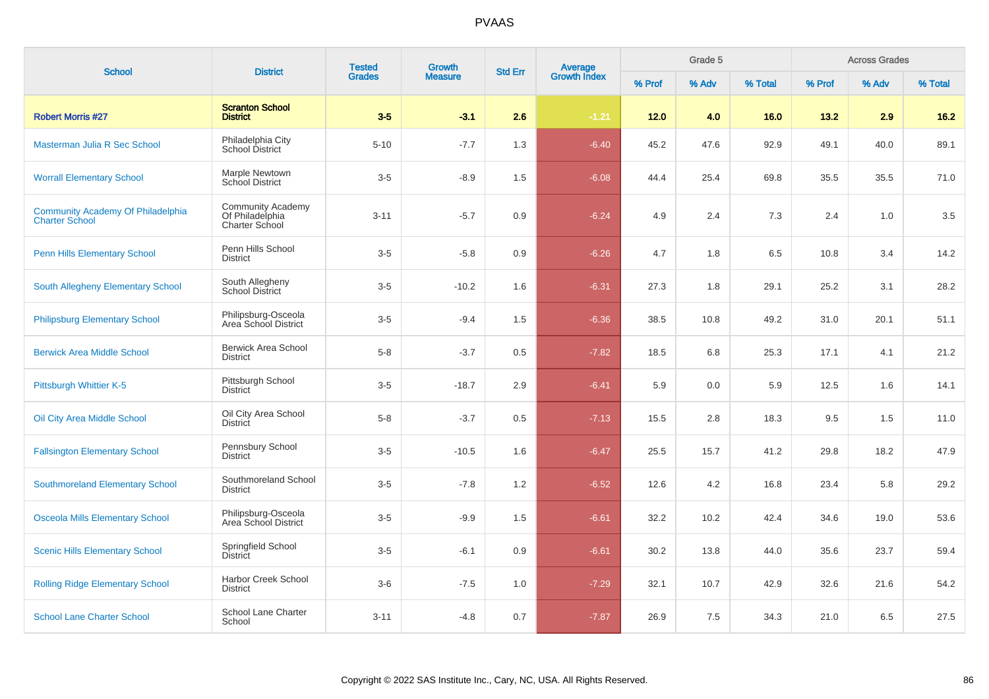| <b>School</b>                                                     | <b>District</b>                                               | <b>Tested</b> | <b>Growth</b>  | <b>Std Err</b> |                                |        | Grade 5 |         | <b>Across Grades</b> |       |         |  |
|-------------------------------------------------------------------|---------------------------------------------------------------|---------------|----------------|----------------|--------------------------------|--------|---------|---------|----------------------|-------|---------|--|
|                                                                   |                                                               | <b>Grades</b> | <b>Measure</b> |                | <b>Average</b><br>Growth Index | % Prof | % Adv   | % Total | % Prof               | % Adv | % Total |  |
| <b>Robert Morris #27</b>                                          | <b>Scranton School</b><br><b>District</b>                     | $3-5$         | $-3.1$         | 2.6            | $-1.21$                        | 12.0   | 4.0     | 16.0    | 13.2                 | 2.9   | $16.2$  |  |
| Masterman Julia R Sec School                                      | Philadelphia City<br>School District                          | $5 - 10$      | $-7.7$         | 1.3            | $-6.40$                        | 45.2   | 47.6    | 92.9    | 49.1                 | 40.0  | 89.1    |  |
| <b>Worrall Elementary School</b>                                  | Marple Newtown<br><b>School District</b>                      | $3-5$         | $-8.9$         | 1.5            | $-6.08$                        | 44.4   | 25.4    | 69.8    | 35.5                 | 35.5  | 71.0    |  |
| <b>Community Academy Of Philadelphia</b><br><b>Charter School</b> | <b>Community Academy</b><br>Of Philadelphia<br>Charter School | $3 - 11$      | $-5.7$         | 0.9            | $-6.24$                        | 4.9    | 2.4     | 7.3     | 2.4                  | 1.0   | 3.5     |  |
| <b>Penn Hills Elementary School</b>                               | Penn Hills School<br><b>District</b>                          | $3-5$         | $-5.8$         | 0.9            | $-6.26$                        | 4.7    | 1.8     | 6.5     | 10.8                 | 3.4   | 14.2    |  |
| South Allegheny Elementary School                                 | South Allegheny<br><b>School District</b>                     | $3-5$         | $-10.2$        | 1.6            | $-6.31$                        | 27.3   | 1.8     | 29.1    | 25.2                 | 3.1   | 28.2    |  |
| <b>Philipsburg Elementary School</b>                              | Philipsburg-Osceola<br>Area School District                   | $3-5$         | $-9.4$         | 1.5            | $-6.36$                        | 38.5   | 10.8    | 49.2    | 31.0                 | 20.1  | 51.1    |  |
| <b>Berwick Area Middle School</b>                                 | <b>Berwick Area School</b><br><b>District</b>                 | $5-8$         | $-3.7$         | 0.5            | $-7.82$                        | 18.5   | 6.8     | 25.3    | 17.1                 | 4.1   | 21.2    |  |
| Pittsburgh Whittier K-5                                           | Pittsburgh School<br><b>District</b>                          | $3-5$         | $-18.7$        | 2.9            | $-6.41$                        | 5.9    | 0.0     | 5.9     | 12.5                 | 1.6   | 14.1    |  |
| Oil City Area Middle School                                       | Oil City Area School<br><b>District</b>                       | $5-8$         | $-3.7$         | 0.5            | $-7.13$                        | 15.5   | 2.8     | 18.3    | 9.5                  | 1.5   | 11.0    |  |
| <b>Fallsington Elementary School</b>                              | Pennsbury School<br><b>District</b>                           | $3-5$         | $-10.5$        | 1.6            | $-6.47$                        | 25.5   | 15.7    | 41.2    | 29.8                 | 18.2  | 47.9    |  |
| <b>Southmoreland Elementary School</b>                            | Southmoreland School<br><b>District</b>                       | $3-5$         | $-7.8$         | 1.2            | $-6.52$                        | 12.6   | 4.2     | 16.8    | 23.4                 | 5.8   | 29.2    |  |
| <b>Osceola Mills Elementary School</b>                            | Philipsburg-Osceola<br>Area School District                   | $3-5$         | $-9.9$         | 1.5            | $-6.61$                        | 32.2   | 10.2    | 42.4    | 34.6                 | 19.0  | 53.6    |  |
| <b>Scenic Hills Elementary School</b>                             | Springfield School<br>District                                | $3-5$         | $-6.1$         | 0.9            | $-6.61$                        | 30.2   | 13.8    | 44.0    | 35.6                 | 23.7  | 59.4    |  |
| <b>Rolling Ridge Elementary School</b>                            | <b>Harbor Creek School</b><br><b>District</b>                 | $3-6$         | $-7.5$         | 1.0            | $-7.29$                        | 32.1   | 10.7    | 42.9    | 32.6                 | 21.6  | 54.2    |  |
| <b>School Lane Charter School</b>                                 | School Lane Charter<br>School                                 | $3 - 11$      | $-4.8$         | 0.7            | $-7.87$                        | 26.9   | 7.5     | 34.3    | 21.0                 | 6.5   | 27.5    |  |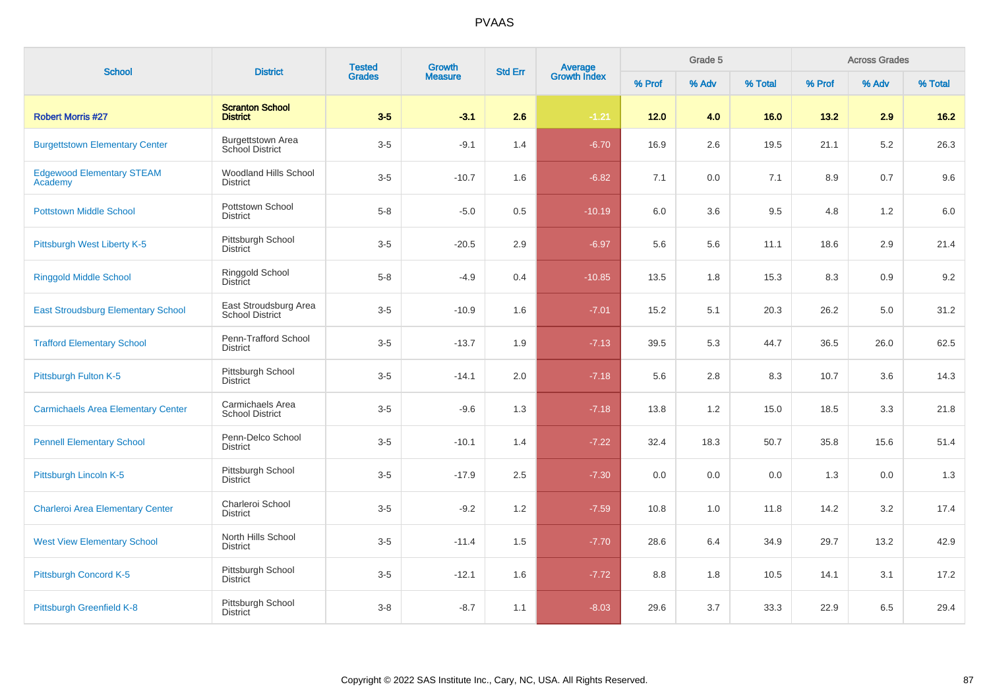| <b>School</b>                               | <b>District</b>                                 | <b>Tested</b> | Growth         | <b>Std Err</b> |                                |        | Grade 5 |         | <b>Across Grades</b> |       |         |  |
|---------------------------------------------|-------------------------------------------------|---------------|----------------|----------------|--------------------------------|--------|---------|---------|----------------------|-------|---------|--|
|                                             |                                                 | <b>Grades</b> | <b>Measure</b> |                | <b>Average</b><br>Growth Index | % Prof | % Adv   | % Total | % Prof               | % Adv | % Total |  |
| <b>Robert Morris #27</b>                    | <b>Scranton School</b><br><b>District</b>       | $3-5$         | $-3.1$         | 2.6            | $-1.21$                        | $12.0$ | 4.0     | 16.0    | 13.2                 | 2.9   | $16.2$  |  |
| <b>Burgettstown Elementary Center</b>       | <b>Burgettstown Area</b><br>School District     | $3-5$         | $-9.1$         | 1.4            | $-6.70$                        | 16.9   | 2.6     | 19.5    | 21.1                 | 5.2   | 26.3    |  |
| <b>Edgewood Elementary STEAM</b><br>Academy | <b>Woodland Hills School</b><br><b>District</b> | $3-5$         | $-10.7$        | 1.6            | $-6.82$                        | 7.1    | 0.0     | 7.1     | 8.9                  | 0.7   | 9.6     |  |
| <b>Pottstown Middle School</b>              | Pottstown School<br><b>District</b>             | $5 - 8$       | $-5.0$         | 0.5            | $-10.19$                       | 6.0    | 3.6     | 9.5     | 4.8                  | 1.2   | 6.0     |  |
| Pittsburgh West Liberty K-5                 | Pittsburgh School<br><b>District</b>            | $3-5$         | $-20.5$        | 2.9            | $-6.97$                        | 5.6    | 5.6     | 11.1    | 18.6                 | 2.9   | 21.4    |  |
| <b>Ringgold Middle School</b>               | Ringgold School<br><b>District</b>              | $5 - 8$       | $-4.9$         | 0.4            | $-10.85$                       | 13.5   | 1.8     | 15.3    | 8.3                  | 0.9   | 9.2     |  |
| <b>East Stroudsburg Elementary School</b>   | East Stroudsburg Area<br><b>School District</b> | $3-5$         | $-10.9$        | 1.6            | $-7.01$                        | 15.2   | 5.1     | 20.3    | 26.2                 | 5.0   | 31.2    |  |
| <b>Trafford Elementary School</b>           | Penn-Trafford School<br><b>District</b>         | $3-5$         | $-13.7$        | 1.9            | $-7.13$                        | 39.5   | 5.3     | 44.7    | 36.5                 | 26.0  | 62.5    |  |
| Pittsburgh Fulton K-5                       | Pittsburgh School<br><b>District</b>            | $3-5$         | $-14.1$        | 2.0            | $-7.18$                        | 5.6    | 2.8     | 8.3     | 10.7                 | 3.6   | 14.3    |  |
| <b>Carmichaels Area Elementary Center</b>   | Carmichaels Area<br><b>School District</b>      | $3-5$         | $-9.6$         | 1.3            | $-7.18$                        | 13.8   | 1.2     | 15.0    | 18.5                 | 3.3   | 21.8    |  |
| <b>Pennell Elementary School</b>            | Penn-Delco School<br>District                   | $3-5$         | $-10.1$        | 1.4            | $-7.22$                        | 32.4   | 18.3    | 50.7    | 35.8                 | 15.6  | 51.4    |  |
| Pittsburgh Lincoln K-5                      | Pittsburgh School<br><b>District</b>            | $3-5$         | $-17.9$        | 2.5            | $-7.30$                        | 0.0    | 0.0     | 0.0     | 1.3                  | 0.0   | 1.3     |  |
| <b>Charleroi Area Elementary Center</b>     | Charleroi School<br><b>District</b>             | $3-5$         | $-9.2$         | 1.2            | $-7.59$                        | 10.8   | 1.0     | 11.8    | 14.2                 | 3.2   | 17.4    |  |
| <b>West View Elementary School</b>          | North Hills School<br><b>District</b>           | $3-5$         | $-11.4$        | 1.5            | $-7.70$                        | 28.6   | 6.4     | 34.9    | 29.7                 | 13.2  | 42.9    |  |
| Pittsburgh Concord K-5                      | Pittsburgh School<br><b>District</b>            | $3-5$         | $-12.1$        | 1.6            | $-7.72$                        | 8.8    | 1.8     | 10.5    | 14.1                 | 3.1   | 17.2    |  |
| Pittsburgh Greenfield K-8                   | Pittsburgh School<br><b>District</b>            | $3 - 8$       | $-8.7$         | 1.1            | $-8.03$                        | 29.6   | 3.7     | 33.3    | 22.9                 | 6.5   | 29.4    |  |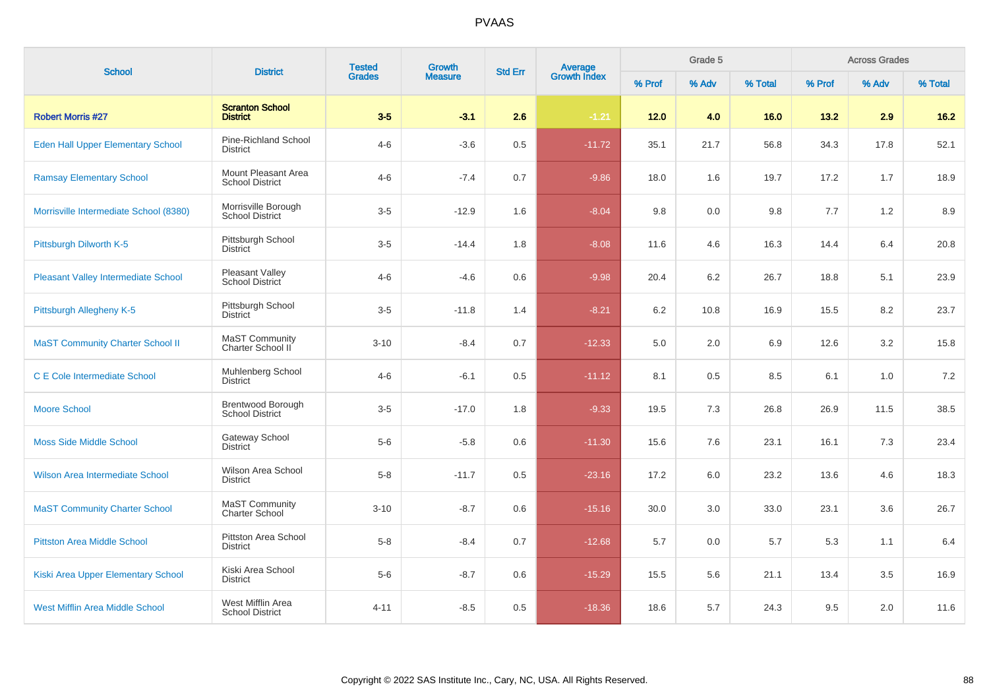| <b>School</b>                            | <b>Tested</b><br>Growth<br><b>District</b><br><b>Std Err</b> |               |                | Grade 5<br><b>Average</b><br>Growth Index |          |        |       | <b>Across Grades</b> |         |       |         |
|------------------------------------------|--------------------------------------------------------------|---------------|----------------|-------------------------------------------|----------|--------|-------|----------------------|---------|-------|---------|
|                                          |                                                              | <b>Grades</b> | <b>Measure</b> |                                           |          | % Prof | % Adv | % Total              | % Prof  | % Adv | % Total |
| <b>Robert Morris #27</b>                 | <b>Scranton School</b><br><b>District</b>                    | $3-5$         | $-3.1$         | 2.6                                       | $-1.21$  | $12.0$ | 4.0   | 16.0                 | 13.2    | 2.9   | $16.2$  |
| <b>Eden Hall Upper Elementary School</b> | Pine-Richland School<br>District                             | $4 - 6$       | $-3.6$         | 0.5                                       | $-11.72$ | 35.1   | 21.7  | 56.8                 | 34.3    | 17.8  | 52.1    |
| <b>Ramsay Elementary School</b>          | Mount Pleasant Area<br><b>School District</b>                | $4 - 6$       | $-7.4$         | 0.7                                       | $-9.86$  | 18.0   | 1.6   | 19.7                 | 17.2    | 1.7   | 18.9    |
| Morrisville Intermediate School (8380)   | Morrisville Borough<br><b>School District</b>                | $3-5$         | $-12.9$        | 1.6                                       | $-8.04$  | 9.8    | 0.0   | 9.8                  | 7.7     | 1.2   | 8.9     |
| Pittsburgh Dilworth K-5                  | Pittsburgh School<br><b>District</b>                         | $3-5$         | $-14.4$        | 1.8                                       | $-8.08$  | 11.6   | 4.6   | 16.3                 | 14.4    | 6.4   | 20.8    |
| Pleasant Valley Intermediate School      | Pleasant Valley<br>School District                           | $4 - 6$       | $-4.6$         | 0.6                                       | $-9.98$  | 20.4   | 6.2   | 26.7                 | 18.8    | 5.1   | 23.9    |
| Pittsburgh Allegheny K-5                 | Pittsburgh School<br>District                                | $3-5$         | $-11.8$        | 1.4                                       | $-8.21$  | 6.2    | 10.8  | 16.9                 | 15.5    | 8.2   | 23.7    |
| <b>MaST Community Charter School II</b>  | MaST Community<br>Charter School II                          | $3 - 10$      | $-8.4$         | 0.7                                       | $-12.33$ | 5.0    | 2.0   | 6.9                  | 12.6    | 3.2   | 15.8    |
| C E Cole Intermediate School             | Muhlenberg School<br><b>District</b>                         | $4 - 6$       | $-6.1$         | 0.5                                       | $-11.12$ | 8.1    | 0.5   | 8.5                  | 6.1     | 1.0   | 7.2     |
| <b>Moore School</b>                      | Brentwood Borough<br><b>School District</b>                  | $3-5$         | $-17.0$        | 1.8                                       | $-9.33$  | 19.5   | 7.3   | 26.8                 | 26.9    | 11.5  | 38.5    |
| <b>Moss Side Middle School</b>           | <b>Gateway School</b><br>District                            | $5-6$         | $-5.8$         | 0.6                                       | $-11.30$ | 15.6   | 7.6   | 23.1                 | 16.1    | 7.3   | 23.4    |
| Wilson Area Intermediate School          | Wilson Area School<br>District                               | $5-8$         | $-11.7$        | 0.5                                       | $-23.16$ | 17.2   | 6.0   | 23.2                 | 13.6    | 4.6   | 18.3    |
| <b>MaST Community Charter School</b>     | MaST Community<br><b>Charter School</b>                      | $3 - 10$      | $-8.7$         | 0.6                                       | $-15.16$ | 30.0   | 3.0   | 33.0                 | 23.1    | 3.6   | 26.7    |
| <b>Pittston Area Middle School</b>       | Pittston Area School<br><b>District</b>                      | $5-8$         | $-8.4$         | 0.7                                       | $-12.68$ | 5.7    | 0.0   | 5.7                  | 5.3     | 1.1   | 6.4     |
| Kiski Area Upper Elementary School       | Kiski Area School<br>District                                | $5-6$         | $-8.7$         | 0.6                                       | $-15.29$ | 15.5   | 5.6   | 21.1                 | 13.4    | 3.5   | 16.9    |
| <b>West Mifflin Area Middle School</b>   | West Mifflin Area<br><b>School District</b>                  | $4 - 11$      | $-8.5$         | 0.5                                       | $-18.36$ | 18.6   | 5.7   | 24.3                 | $9.5\,$ | 2.0   | 11.6    |